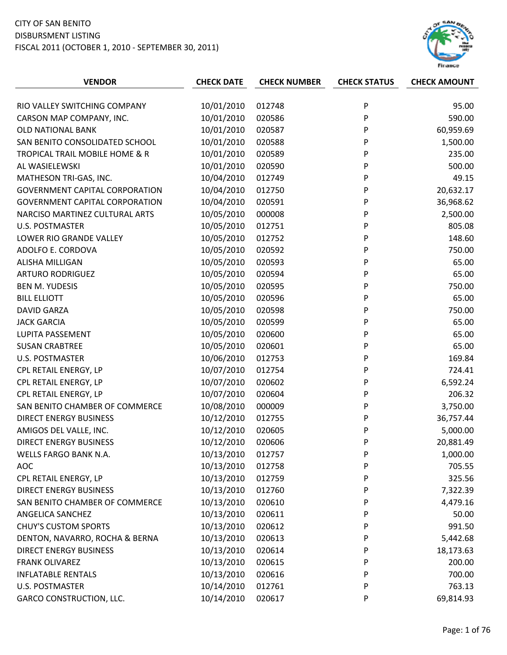

| <b>VENDOR</b>                         | <b>CHECK DATE</b> | <b>CHECK NUMBER</b> | <b>CHECK STATUS</b> | <b>CHECK AMOUNT</b> |
|---------------------------------------|-------------------|---------------------|---------------------|---------------------|
|                                       |                   |                     |                     |                     |
| RIO VALLEY SWITCHING COMPANY          | 10/01/2010        | 012748              | P                   | 95.00               |
| CARSON MAP COMPANY, INC.              | 10/01/2010        | 020586              | P                   | 590.00              |
| <b>OLD NATIONAL BANK</b>              | 10/01/2010        | 020587              | P                   | 60,959.69           |
| SAN BENITO CONSOLIDATED SCHOOL        | 10/01/2010        | 020588              | P                   | 1,500.00            |
| TROPICAL TRAIL MOBILE HOME & R        | 10/01/2010        | 020589              | P                   | 235.00              |
| AL WASIELEWSKI                        | 10/01/2010        | 020590              | P                   | 500.00              |
| MATHESON TRI-GAS, INC.                | 10/04/2010        | 012749              | P                   | 49.15               |
| <b>GOVERNMENT CAPITAL CORPORATION</b> | 10/04/2010        | 012750              | P                   | 20,632.17           |
| <b>GOVERNMENT CAPITAL CORPORATION</b> | 10/04/2010        | 020591              | P                   | 36,968.62           |
| NARCISO MARTINEZ CULTURAL ARTS        | 10/05/2010        | 000008              | P                   | 2,500.00            |
| <b>U.S. POSTMASTER</b>                | 10/05/2010        | 012751              | P                   | 805.08              |
| LOWER RIO GRANDE VALLEY               | 10/05/2010        | 012752              | P                   | 148.60              |
| ADOLFO E. CORDOVA                     | 10/05/2010        | 020592              | P                   | 750.00              |
| <b>ALISHA MILLIGAN</b>                | 10/05/2010        | 020593              | P                   | 65.00               |
| <b>ARTURO RODRIGUEZ</b>               | 10/05/2010        | 020594              | P                   | 65.00               |
| <b>BEN M. YUDESIS</b>                 | 10/05/2010        | 020595              | P                   | 750.00              |
| <b>BILL ELLIOTT</b>                   | 10/05/2010        | 020596              | P                   | 65.00               |
| <b>DAVID GARZA</b>                    | 10/05/2010        | 020598              | P                   | 750.00              |
| <b>JACK GARCIA</b>                    | 10/05/2010        | 020599              | P                   | 65.00               |
| LUPITA PASSEMENT                      | 10/05/2010        | 020600              | P                   | 65.00               |
| <b>SUSAN CRABTREE</b>                 | 10/05/2010        | 020601              | P                   | 65.00               |
| <b>U.S. POSTMASTER</b>                | 10/06/2010        | 012753              | P                   | 169.84              |
| CPL RETAIL ENERGY, LP                 | 10/07/2010        | 012754              | P                   | 724.41              |
| CPL RETAIL ENERGY, LP                 | 10/07/2010        | 020602              | P                   | 6,592.24            |
| CPL RETAIL ENERGY, LP                 | 10/07/2010        | 020604              | P                   | 206.32              |
| SAN BENITO CHAMBER OF COMMERCE        | 10/08/2010        | 000009              | P                   | 3,750.00            |
| <b>DIRECT ENERGY BUSINESS</b>         | 10/12/2010        | 012755              | P                   | 36,757.44           |
| AMIGOS DEL VALLE, INC.                | 10/12/2010        | 020605              | P                   | 5,000.00            |
| <b>DIRECT ENERGY BUSINESS</b>         | 10/12/2010        | 020606              | P                   | 20,881.49           |
| WELLS FARGO BANK N.A.                 | 10/13/2010        | 012757              | P                   | 1,000.00            |
| <b>AOC</b>                            | 10/13/2010        | 012758              | P                   | 705.55              |
| CPL RETAIL ENERGY, LP                 | 10/13/2010        | 012759              | P                   | 325.56              |
| <b>DIRECT ENERGY BUSINESS</b>         | 10/13/2010        | 012760              | P                   | 7,322.39            |
| SAN BENITO CHAMBER OF COMMERCE        | 10/13/2010        | 020610              | P                   | 4,479.16            |
| ANGELICA SANCHEZ                      | 10/13/2010        | 020611              | P                   | 50.00               |
| <b>CHUY'S CUSTOM SPORTS</b>           | 10/13/2010        | 020612              | P                   | 991.50              |
| DENTON, NAVARRO, ROCHA & BERNA        | 10/13/2010        | 020613              | P                   | 5,442.68            |
| <b>DIRECT ENERGY BUSINESS</b>         | 10/13/2010        | 020614              | P                   | 18,173.63           |
| <b>FRANK OLIVAREZ</b>                 | 10/13/2010        | 020615              | P                   | 200.00              |
| <b>INFLATABLE RENTALS</b>             | 10/13/2010        | 020616              | P                   | 700.00              |
| <b>U.S. POSTMASTER</b>                | 10/14/2010        | 012761              | P                   | 763.13              |
| <b>GARCO CONSTRUCTION, LLC.</b>       | 10/14/2010        | 020617              | P                   | 69,814.93           |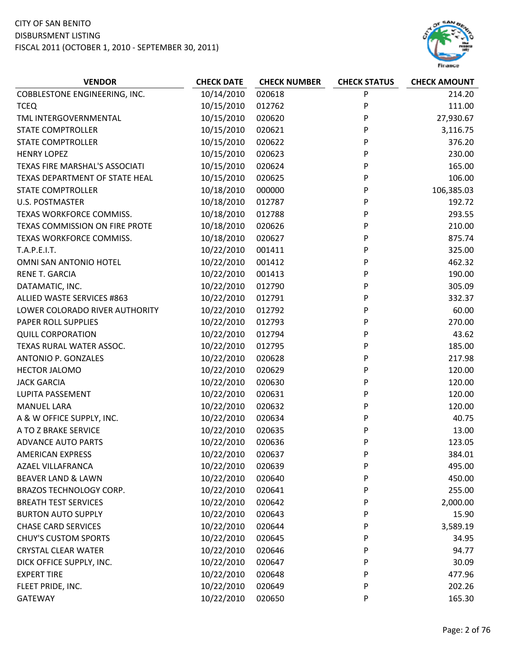

| P<br><b>COBBLESTONE ENGINEERING, INC.</b><br>10/14/2010<br>020618<br>214.20<br>P<br>10/15/2010<br>111.00<br>012762<br><b>TCEQ</b><br>10/15/2010<br>020620<br>P<br>27,930.67<br>TML INTERGOVERNMENTAL<br>P<br><b>STATE COMPTROLLER</b><br>10/15/2010<br>020621<br>3,116.75<br>P<br><b>STATE COMPTROLLER</b><br>10/15/2010<br>020622<br>376.20<br>P<br><b>HENRY LOPEZ</b><br>10/15/2010<br>020623<br>230.00<br>P<br>10/15/2010<br>020624<br>165.00<br>TEXAS FIRE MARSHAL'S ASSOCIATI<br>10/15/2010<br>106.00<br>TEXAS DEPARTMENT OF STATE HEAL<br>020625<br>P<br>P<br>10/18/2010<br>000000<br>106,385.03<br><b>STATE COMPTROLLER</b><br><b>U.S. POSTMASTER</b><br>10/18/2010<br>012787<br>P<br>192.72<br>P<br>10/18/2010<br>293.55<br>TEXAS WORKFORCE COMMISS.<br>012788<br>P<br>TEXAS COMMISSION ON FIRE PROTE<br>10/18/2010<br>210.00<br>020626<br>10/18/2010<br>020627<br>P<br>875.74<br>TEXAS WORKFORCE COMMISS.<br>P<br>10/22/2010<br>325.00<br>T.A.P.E.I.T.<br>001411<br>10/22/2010<br>001412<br>P<br>462.32<br>OMNI SAN ANTONIO HOTEL<br>P<br>10/22/2010<br>001413<br>190.00<br><b>RENE T. GARCIA</b><br>10/22/2010<br>P<br>012790<br>305.09<br>DATAMATIC, INC.<br>P<br>10/22/2010<br>012791<br>332.37<br>ALLIED WASTE SERVICES #863<br>10/22/2010<br>P<br>60.00<br>LOWER COLORADO RIVER AUTHORITY<br>012792<br>270.00<br>PAPER ROLL SUPPLIES<br>10/22/2010<br>012793<br>P<br>P<br>10/22/2010<br>012794<br>43.62<br><b>QUILL CORPORATION</b><br>10/22/2010<br>TEXAS RURAL WATER ASSOC.<br>012795<br>P<br>185.00<br>P<br><b>ANTONIO P. GONZALES</b><br>10/22/2010<br>020628<br>217.98<br>10/22/2010<br><b>HECTOR JALOMO</b><br>020629<br>P<br>120.00<br>10/22/2010<br>020630<br>P<br>120.00<br><b>JACK GARCIA</b><br>P<br>10/22/2010<br>020631<br>120.00<br>LUPITA PASSEMENT<br><b>MANUEL LARA</b><br>10/22/2010<br>020632<br>P<br>120.00<br>A & W OFFICE SUPPLY, INC.<br>10/22/2010<br>P<br>40.75<br>020634<br>10/22/2010<br>A TO Z BRAKE SERVICE<br>020635<br>13.00<br>P<br>10/22/2010<br>020636<br>P<br>123.05<br><b>ADVANCE AUTO PARTS</b><br>10/22/2010<br>020637<br>P<br>384.01<br><b>AMERICAN EXPRESS</b><br>10/22/2010<br>495.00<br><b>AZAEL VILLAFRANCA</b><br>020639<br>P<br>10/22/2010<br><b>BEAVER LAND &amp; LAWN</b><br>020640<br>P<br>450.00<br>BRAZOS TECHNOLOGY CORP.<br>10/22/2010<br>255.00<br>020641<br>P<br><b>BREATH TEST SERVICES</b><br>10/22/2010<br>020642<br>P<br>2,000.00<br>10/22/2010<br><b>BURTON AUTO SUPPLY</b><br>020643<br>15.90<br>P<br><b>CHASE CARD SERVICES</b><br>10/22/2010<br>3,589.19<br>020644<br>P<br><b>CHUY'S CUSTOM SPORTS</b><br>10/22/2010<br>020645<br>P<br>34.95<br><b>CRYSTAL CLEAR WATER</b><br>10/22/2010<br>020646<br>P<br>94.77<br>10/22/2010<br>DICK OFFICE SUPPLY, INC.<br>020647<br>P<br>30.09 | <b>VENDOR</b> | <b>CHECK DATE</b> | <b>CHECK NUMBER</b> | <b>CHECK STATUS</b> | <b>CHECK AMOUNT</b> |
|----------------------------------------------------------------------------------------------------------------------------------------------------------------------------------------------------------------------------------------------------------------------------------------------------------------------------------------------------------------------------------------------------------------------------------------------------------------------------------------------------------------------------------------------------------------------------------------------------------------------------------------------------------------------------------------------------------------------------------------------------------------------------------------------------------------------------------------------------------------------------------------------------------------------------------------------------------------------------------------------------------------------------------------------------------------------------------------------------------------------------------------------------------------------------------------------------------------------------------------------------------------------------------------------------------------------------------------------------------------------------------------------------------------------------------------------------------------------------------------------------------------------------------------------------------------------------------------------------------------------------------------------------------------------------------------------------------------------------------------------------------------------------------------------------------------------------------------------------------------------------------------------------------------------------------------------------------------------------------------------------------------------------------------------------------------------------------------------------------------------------------------------------------------------------------------------------------------------------------------------------------------------------------------------------------------------------------------------------------------------------------------------------------------------------------------------------------------------------------------------------------------------------------------------------------------------------------------------------------------------------------------------------------------------------------------------------------------------------------------------------------------|---------------|-------------------|---------------------|---------------------|---------------------|
|                                                                                                                                                                                                                                                                                                                                                                                                                                                                                                                                                                                                                                                                                                                                                                                                                                                                                                                                                                                                                                                                                                                                                                                                                                                                                                                                                                                                                                                                                                                                                                                                                                                                                                                                                                                                                                                                                                                                                                                                                                                                                                                                                                                                                                                                                                                                                                                                                                                                                                                                                                                                                                                                                                                                                                |               |                   |                     |                     |                     |
|                                                                                                                                                                                                                                                                                                                                                                                                                                                                                                                                                                                                                                                                                                                                                                                                                                                                                                                                                                                                                                                                                                                                                                                                                                                                                                                                                                                                                                                                                                                                                                                                                                                                                                                                                                                                                                                                                                                                                                                                                                                                                                                                                                                                                                                                                                                                                                                                                                                                                                                                                                                                                                                                                                                                                                |               |                   |                     |                     |                     |
|                                                                                                                                                                                                                                                                                                                                                                                                                                                                                                                                                                                                                                                                                                                                                                                                                                                                                                                                                                                                                                                                                                                                                                                                                                                                                                                                                                                                                                                                                                                                                                                                                                                                                                                                                                                                                                                                                                                                                                                                                                                                                                                                                                                                                                                                                                                                                                                                                                                                                                                                                                                                                                                                                                                                                                |               |                   |                     |                     |                     |
|                                                                                                                                                                                                                                                                                                                                                                                                                                                                                                                                                                                                                                                                                                                                                                                                                                                                                                                                                                                                                                                                                                                                                                                                                                                                                                                                                                                                                                                                                                                                                                                                                                                                                                                                                                                                                                                                                                                                                                                                                                                                                                                                                                                                                                                                                                                                                                                                                                                                                                                                                                                                                                                                                                                                                                |               |                   |                     |                     |                     |
|                                                                                                                                                                                                                                                                                                                                                                                                                                                                                                                                                                                                                                                                                                                                                                                                                                                                                                                                                                                                                                                                                                                                                                                                                                                                                                                                                                                                                                                                                                                                                                                                                                                                                                                                                                                                                                                                                                                                                                                                                                                                                                                                                                                                                                                                                                                                                                                                                                                                                                                                                                                                                                                                                                                                                                |               |                   |                     |                     |                     |
|                                                                                                                                                                                                                                                                                                                                                                                                                                                                                                                                                                                                                                                                                                                                                                                                                                                                                                                                                                                                                                                                                                                                                                                                                                                                                                                                                                                                                                                                                                                                                                                                                                                                                                                                                                                                                                                                                                                                                                                                                                                                                                                                                                                                                                                                                                                                                                                                                                                                                                                                                                                                                                                                                                                                                                |               |                   |                     |                     |                     |
|                                                                                                                                                                                                                                                                                                                                                                                                                                                                                                                                                                                                                                                                                                                                                                                                                                                                                                                                                                                                                                                                                                                                                                                                                                                                                                                                                                                                                                                                                                                                                                                                                                                                                                                                                                                                                                                                                                                                                                                                                                                                                                                                                                                                                                                                                                                                                                                                                                                                                                                                                                                                                                                                                                                                                                |               |                   |                     |                     |                     |
|                                                                                                                                                                                                                                                                                                                                                                                                                                                                                                                                                                                                                                                                                                                                                                                                                                                                                                                                                                                                                                                                                                                                                                                                                                                                                                                                                                                                                                                                                                                                                                                                                                                                                                                                                                                                                                                                                                                                                                                                                                                                                                                                                                                                                                                                                                                                                                                                                                                                                                                                                                                                                                                                                                                                                                |               |                   |                     |                     |                     |
|                                                                                                                                                                                                                                                                                                                                                                                                                                                                                                                                                                                                                                                                                                                                                                                                                                                                                                                                                                                                                                                                                                                                                                                                                                                                                                                                                                                                                                                                                                                                                                                                                                                                                                                                                                                                                                                                                                                                                                                                                                                                                                                                                                                                                                                                                                                                                                                                                                                                                                                                                                                                                                                                                                                                                                |               |                   |                     |                     |                     |
|                                                                                                                                                                                                                                                                                                                                                                                                                                                                                                                                                                                                                                                                                                                                                                                                                                                                                                                                                                                                                                                                                                                                                                                                                                                                                                                                                                                                                                                                                                                                                                                                                                                                                                                                                                                                                                                                                                                                                                                                                                                                                                                                                                                                                                                                                                                                                                                                                                                                                                                                                                                                                                                                                                                                                                |               |                   |                     |                     |                     |
|                                                                                                                                                                                                                                                                                                                                                                                                                                                                                                                                                                                                                                                                                                                                                                                                                                                                                                                                                                                                                                                                                                                                                                                                                                                                                                                                                                                                                                                                                                                                                                                                                                                                                                                                                                                                                                                                                                                                                                                                                                                                                                                                                                                                                                                                                                                                                                                                                                                                                                                                                                                                                                                                                                                                                                |               |                   |                     |                     |                     |
|                                                                                                                                                                                                                                                                                                                                                                                                                                                                                                                                                                                                                                                                                                                                                                                                                                                                                                                                                                                                                                                                                                                                                                                                                                                                                                                                                                                                                                                                                                                                                                                                                                                                                                                                                                                                                                                                                                                                                                                                                                                                                                                                                                                                                                                                                                                                                                                                                                                                                                                                                                                                                                                                                                                                                                |               |                   |                     |                     |                     |
|                                                                                                                                                                                                                                                                                                                                                                                                                                                                                                                                                                                                                                                                                                                                                                                                                                                                                                                                                                                                                                                                                                                                                                                                                                                                                                                                                                                                                                                                                                                                                                                                                                                                                                                                                                                                                                                                                                                                                                                                                                                                                                                                                                                                                                                                                                                                                                                                                                                                                                                                                                                                                                                                                                                                                                |               |                   |                     |                     |                     |
|                                                                                                                                                                                                                                                                                                                                                                                                                                                                                                                                                                                                                                                                                                                                                                                                                                                                                                                                                                                                                                                                                                                                                                                                                                                                                                                                                                                                                                                                                                                                                                                                                                                                                                                                                                                                                                                                                                                                                                                                                                                                                                                                                                                                                                                                                                                                                                                                                                                                                                                                                                                                                                                                                                                                                                |               |                   |                     |                     |                     |
|                                                                                                                                                                                                                                                                                                                                                                                                                                                                                                                                                                                                                                                                                                                                                                                                                                                                                                                                                                                                                                                                                                                                                                                                                                                                                                                                                                                                                                                                                                                                                                                                                                                                                                                                                                                                                                                                                                                                                                                                                                                                                                                                                                                                                                                                                                                                                                                                                                                                                                                                                                                                                                                                                                                                                                |               |                   |                     |                     |                     |
|                                                                                                                                                                                                                                                                                                                                                                                                                                                                                                                                                                                                                                                                                                                                                                                                                                                                                                                                                                                                                                                                                                                                                                                                                                                                                                                                                                                                                                                                                                                                                                                                                                                                                                                                                                                                                                                                                                                                                                                                                                                                                                                                                                                                                                                                                                                                                                                                                                                                                                                                                                                                                                                                                                                                                                |               |                   |                     |                     |                     |
|                                                                                                                                                                                                                                                                                                                                                                                                                                                                                                                                                                                                                                                                                                                                                                                                                                                                                                                                                                                                                                                                                                                                                                                                                                                                                                                                                                                                                                                                                                                                                                                                                                                                                                                                                                                                                                                                                                                                                                                                                                                                                                                                                                                                                                                                                                                                                                                                                                                                                                                                                                                                                                                                                                                                                                |               |                   |                     |                     |                     |
|                                                                                                                                                                                                                                                                                                                                                                                                                                                                                                                                                                                                                                                                                                                                                                                                                                                                                                                                                                                                                                                                                                                                                                                                                                                                                                                                                                                                                                                                                                                                                                                                                                                                                                                                                                                                                                                                                                                                                                                                                                                                                                                                                                                                                                                                                                                                                                                                                                                                                                                                                                                                                                                                                                                                                                |               |                   |                     |                     |                     |
|                                                                                                                                                                                                                                                                                                                                                                                                                                                                                                                                                                                                                                                                                                                                                                                                                                                                                                                                                                                                                                                                                                                                                                                                                                                                                                                                                                                                                                                                                                                                                                                                                                                                                                                                                                                                                                                                                                                                                                                                                                                                                                                                                                                                                                                                                                                                                                                                                                                                                                                                                                                                                                                                                                                                                                |               |                   |                     |                     |                     |
|                                                                                                                                                                                                                                                                                                                                                                                                                                                                                                                                                                                                                                                                                                                                                                                                                                                                                                                                                                                                                                                                                                                                                                                                                                                                                                                                                                                                                                                                                                                                                                                                                                                                                                                                                                                                                                                                                                                                                                                                                                                                                                                                                                                                                                                                                                                                                                                                                                                                                                                                                                                                                                                                                                                                                                |               |                   |                     |                     |                     |
|                                                                                                                                                                                                                                                                                                                                                                                                                                                                                                                                                                                                                                                                                                                                                                                                                                                                                                                                                                                                                                                                                                                                                                                                                                                                                                                                                                                                                                                                                                                                                                                                                                                                                                                                                                                                                                                                                                                                                                                                                                                                                                                                                                                                                                                                                                                                                                                                                                                                                                                                                                                                                                                                                                                                                                |               |                   |                     |                     |                     |
|                                                                                                                                                                                                                                                                                                                                                                                                                                                                                                                                                                                                                                                                                                                                                                                                                                                                                                                                                                                                                                                                                                                                                                                                                                                                                                                                                                                                                                                                                                                                                                                                                                                                                                                                                                                                                                                                                                                                                                                                                                                                                                                                                                                                                                                                                                                                                                                                                                                                                                                                                                                                                                                                                                                                                                |               |                   |                     |                     |                     |
|                                                                                                                                                                                                                                                                                                                                                                                                                                                                                                                                                                                                                                                                                                                                                                                                                                                                                                                                                                                                                                                                                                                                                                                                                                                                                                                                                                                                                                                                                                                                                                                                                                                                                                                                                                                                                                                                                                                                                                                                                                                                                                                                                                                                                                                                                                                                                                                                                                                                                                                                                                                                                                                                                                                                                                |               |                   |                     |                     |                     |
|                                                                                                                                                                                                                                                                                                                                                                                                                                                                                                                                                                                                                                                                                                                                                                                                                                                                                                                                                                                                                                                                                                                                                                                                                                                                                                                                                                                                                                                                                                                                                                                                                                                                                                                                                                                                                                                                                                                                                                                                                                                                                                                                                                                                                                                                                                                                                                                                                                                                                                                                                                                                                                                                                                                                                                |               |                   |                     |                     |                     |
|                                                                                                                                                                                                                                                                                                                                                                                                                                                                                                                                                                                                                                                                                                                                                                                                                                                                                                                                                                                                                                                                                                                                                                                                                                                                                                                                                                                                                                                                                                                                                                                                                                                                                                                                                                                                                                                                                                                                                                                                                                                                                                                                                                                                                                                                                                                                                                                                                                                                                                                                                                                                                                                                                                                                                                |               |                   |                     |                     |                     |
|                                                                                                                                                                                                                                                                                                                                                                                                                                                                                                                                                                                                                                                                                                                                                                                                                                                                                                                                                                                                                                                                                                                                                                                                                                                                                                                                                                                                                                                                                                                                                                                                                                                                                                                                                                                                                                                                                                                                                                                                                                                                                                                                                                                                                                                                                                                                                                                                                                                                                                                                                                                                                                                                                                                                                                |               |                   |                     |                     |                     |
|                                                                                                                                                                                                                                                                                                                                                                                                                                                                                                                                                                                                                                                                                                                                                                                                                                                                                                                                                                                                                                                                                                                                                                                                                                                                                                                                                                                                                                                                                                                                                                                                                                                                                                                                                                                                                                                                                                                                                                                                                                                                                                                                                                                                                                                                                                                                                                                                                                                                                                                                                                                                                                                                                                                                                                |               |                   |                     |                     |                     |
|                                                                                                                                                                                                                                                                                                                                                                                                                                                                                                                                                                                                                                                                                                                                                                                                                                                                                                                                                                                                                                                                                                                                                                                                                                                                                                                                                                                                                                                                                                                                                                                                                                                                                                                                                                                                                                                                                                                                                                                                                                                                                                                                                                                                                                                                                                                                                                                                                                                                                                                                                                                                                                                                                                                                                                |               |                   |                     |                     |                     |
|                                                                                                                                                                                                                                                                                                                                                                                                                                                                                                                                                                                                                                                                                                                                                                                                                                                                                                                                                                                                                                                                                                                                                                                                                                                                                                                                                                                                                                                                                                                                                                                                                                                                                                                                                                                                                                                                                                                                                                                                                                                                                                                                                                                                                                                                                                                                                                                                                                                                                                                                                                                                                                                                                                                                                                |               |                   |                     |                     |                     |
|                                                                                                                                                                                                                                                                                                                                                                                                                                                                                                                                                                                                                                                                                                                                                                                                                                                                                                                                                                                                                                                                                                                                                                                                                                                                                                                                                                                                                                                                                                                                                                                                                                                                                                                                                                                                                                                                                                                                                                                                                                                                                                                                                                                                                                                                                                                                                                                                                                                                                                                                                                                                                                                                                                                                                                |               |                   |                     |                     |                     |
|                                                                                                                                                                                                                                                                                                                                                                                                                                                                                                                                                                                                                                                                                                                                                                                                                                                                                                                                                                                                                                                                                                                                                                                                                                                                                                                                                                                                                                                                                                                                                                                                                                                                                                                                                                                                                                                                                                                                                                                                                                                                                                                                                                                                                                                                                                                                                                                                                                                                                                                                                                                                                                                                                                                                                                |               |                   |                     |                     |                     |
|                                                                                                                                                                                                                                                                                                                                                                                                                                                                                                                                                                                                                                                                                                                                                                                                                                                                                                                                                                                                                                                                                                                                                                                                                                                                                                                                                                                                                                                                                                                                                                                                                                                                                                                                                                                                                                                                                                                                                                                                                                                                                                                                                                                                                                                                                                                                                                                                                                                                                                                                                                                                                                                                                                                                                                |               |                   |                     |                     |                     |
|                                                                                                                                                                                                                                                                                                                                                                                                                                                                                                                                                                                                                                                                                                                                                                                                                                                                                                                                                                                                                                                                                                                                                                                                                                                                                                                                                                                                                                                                                                                                                                                                                                                                                                                                                                                                                                                                                                                                                                                                                                                                                                                                                                                                                                                                                                                                                                                                                                                                                                                                                                                                                                                                                                                                                                |               |                   |                     |                     |                     |
|                                                                                                                                                                                                                                                                                                                                                                                                                                                                                                                                                                                                                                                                                                                                                                                                                                                                                                                                                                                                                                                                                                                                                                                                                                                                                                                                                                                                                                                                                                                                                                                                                                                                                                                                                                                                                                                                                                                                                                                                                                                                                                                                                                                                                                                                                                                                                                                                                                                                                                                                                                                                                                                                                                                                                                |               |                   |                     |                     |                     |
|                                                                                                                                                                                                                                                                                                                                                                                                                                                                                                                                                                                                                                                                                                                                                                                                                                                                                                                                                                                                                                                                                                                                                                                                                                                                                                                                                                                                                                                                                                                                                                                                                                                                                                                                                                                                                                                                                                                                                                                                                                                                                                                                                                                                                                                                                                                                                                                                                                                                                                                                                                                                                                                                                                                                                                |               |                   |                     |                     |                     |
|                                                                                                                                                                                                                                                                                                                                                                                                                                                                                                                                                                                                                                                                                                                                                                                                                                                                                                                                                                                                                                                                                                                                                                                                                                                                                                                                                                                                                                                                                                                                                                                                                                                                                                                                                                                                                                                                                                                                                                                                                                                                                                                                                                                                                                                                                                                                                                                                                                                                                                                                                                                                                                                                                                                                                                |               |                   |                     |                     |                     |
|                                                                                                                                                                                                                                                                                                                                                                                                                                                                                                                                                                                                                                                                                                                                                                                                                                                                                                                                                                                                                                                                                                                                                                                                                                                                                                                                                                                                                                                                                                                                                                                                                                                                                                                                                                                                                                                                                                                                                                                                                                                                                                                                                                                                                                                                                                                                                                                                                                                                                                                                                                                                                                                                                                                                                                |               |                   |                     |                     |                     |
|                                                                                                                                                                                                                                                                                                                                                                                                                                                                                                                                                                                                                                                                                                                                                                                                                                                                                                                                                                                                                                                                                                                                                                                                                                                                                                                                                                                                                                                                                                                                                                                                                                                                                                                                                                                                                                                                                                                                                                                                                                                                                                                                                                                                                                                                                                                                                                                                                                                                                                                                                                                                                                                                                                                                                                |               |                   |                     |                     |                     |
|                                                                                                                                                                                                                                                                                                                                                                                                                                                                                                                                                                                                                                                                                                                                                                                                                                                                                                                                                                                                                                                                                                                                                                                                                                                                                                                                                                                                                                                                                                                                                                                                                                                                                                                                                                                                                                                                                                                                                                                                                                                                                                                                                                                                                                                                                                                                                                                                                                                                                                                                                                                                                                                                                                                                                                |               |                   |                     |                     |                     |
|                                                                                                                                                                                                                                                                                                                                                                                                                                                                                                                                                                                                                                                                                                                                                                                                                                                                                                                                                                                                                                                                                                                                                                                                                                                                                                                                                                                                                                                                                                                                                                                                                                                                                                                                                                                                                                                                                                                                                                                                                                                                                                                                                                                                                                                                                                                                                                                                                                                                                                                                                                                                                                                                                                                                                                |               |                   |                     |                     |                     |
| 10/22/2010<br><b>EXPERT TIRE</b><br>020648<br>477.96<br>P                                                                                                                                                                                                                                                                                                                                                                                                                                                                                                                                                                                                                                                                                                                                                                                                                                                                                                                                                                                                                                                                                                                                                                                                                                                                                                                                                                                                                                                                                                                                                                                                                                                                                                                                                                                                                                                                                                                                                                                                                                                                                                                                                                                                                                                                                                                                                                                                                                                                                                                                                                                                                                                                                                      |               |                   |                     |                     |                     |
| 10/22/2010<br>FLEET PRIDE, INC.<br>020649<br>P<br>202.26                                                                                                                                                                                                                                                                                                                                                                                                                                                                                                                                                                                                                                                                                                                                                                                                                                                                                                                                                                                                                                                                                                                                                                                                                                                                                                                                                                                                                                                                                                                                                                                                                                                                                                                                                                                                                                                                                                                                                                                                                                                                                                                                                                                                                                                                                                                                                                                                                                                                                                                                                                                                                                                                                                       |               |                   |                     |                     |                     |
| 10/22/2010<br><b>GATEWAY</b><br>020650<br>P<br>165.30                                                                                                                                                                                                                                                                                                                                                                                                                                                                                                                                                                                                                                                                                                                                                                                                                                                                                                                                                                                                                                                                                                                                                                                                                                                                                                                                                                                                                                                                                                                                                                                                                                                                                                                                                                                                                                                                                                                                                                                                                                                                                                                                                                                                                                                                                                                                                                                                                                                                                                                                                                                                                                                                                                          |               |                   |                     |                     |                     |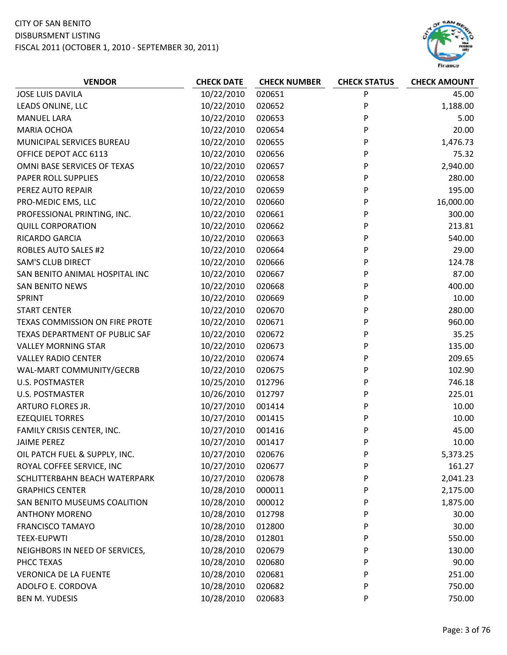

| <b>VENDOR</b>                  | <b>CHECK DATE</b> | <b>CHECK NUMBER</b> | <b>CHECK STATUS</b> | <b>CHECK AMOUNT</b> |
|--------------------------------|-------------------|---------------------|---------------------|---------------------|
| <b>JOSE LUIS DAVILA</b>        | 10/22/2010        | 020651              | P                   | 45.00               |
| LEADS ONLINE, LLC              | 10/22/2010        | 020652              | P                   | 1,188.00            |
| <b>MANUEL LARA</b>             | 10/22/2010        | 020653              | P                   | 5.00                |
| <b>MARIA OCHOA</b>             | 10/22/2010        | 020654              | P                   | 20.00               |
| MUNICIPAL SERVICES BUREAU      | 10/22/2010        | 020655              | P                   | 1,476.73            |
| OFFICE DEPOT ACC 6113          | 10/22/2010        | 020656              | P                   | 75.32               |
| OMNI BASE SERVICES OF TEXAS    | 10/22/2010        | 020657              | P                   | 2,940.00            |
| PAPER ROLL SUPPLIES            | 10/22/2010        | 020658              | P                   | 280.00              |
| PEREZ AUTO REPAIR              | 10/22/2010        | 020659              | P                   | 195.00              |
| PRO-MEDIC EMS, LLC             | 10/22/2010        | 020660              | P                   | 16,000.00           |
| PROFESSIONAL PRINTING, INC.    | 10/22/2010        | 020661              | P                   | 300.00              |
| <b>QUILL CORPORATION</b>       | 10/22/2010        | 020662              | P                   | 213.81              |
| RICARDO GARCIA                 | 10/22/2010        | 020663              | P                   | 540.00              |
| <b>ROBLES AUTO SALES #2</b>    | 10/22/2010        | 020664              | P                   | 29.00               |
| <b>SAM'S CLUB DIRECT</b>       | 10/22/2010        | 020666              | P                   | 124.78              |
| SAN BENITO ANIMAL HOSPITAL INC | 10/22/2010        | 020667              | P                   | 87.00               |
| <b>SAN BENITO NEWS</b>         | 10/22/2010        | 020668              | P                   | 400.00              |
| SPRINT                         | 10/22/2010        | 020669              | P                   | 10.00               |
| <b>START CENTER</b>            | 10/22/2010        | 020670              | P                   | 280.00              |
| TEXAS COMMISSION ON FIRE PROTE | 10/22/2010        | 020671              | P                   | 960.00              |
| TEXAS DEPARTMENT OF PUBLIC SAF | 10/22/2010        | 020672              | P                   | 35.25               |
| <b>VALLEY MORNING STAR</b>     | 10/22/2010        | 020673              | P                   | 135.00              |
| <b>VALLEY RADIO CENTER</b>     | 10/22/2010        | 020674              | P                   | 209.65              |
| WAL-MART COMMUNITY/GECRB       | 10/22/2010        | 020675              | P                   | 102.90              |
| <b>U.S. POSTMASTER</b>         | 10/25/2010        | 012796              | P                   | 746.18              |
| <b>U.S. POSTMASTER</b>         | 10/26/2010        | 012797              | P                   | 225.01              |
| ARTURO FLORES JR.              | 10/27/2010        | 001414              | P                   | 10.00               |
| <b>EZEQUIEL TORRES</b>         | 10/27/2010        | 001415              | P                   | 10.00               |
| FAMILY CRISIS CENTER, INC.     | 10/27/2010        | 001416              | P                   | 45.00               |
| <b>JAIME PEREZ</b>             | 10/27/2010        | 001417              | P                   | 10.00               |
| OIL PATCH FUEL & SUPPLY, INC.  | 10/27/2010        | 020676              | P                   | 5,373.25            |
| ROYAL COFFEE SERVICE, INC      | 10/27/2010        | 020677              | P                   | 161.27              |
| SCHLITTERBAHN BEACH WATERPARK  | 10/27/2010        | 020678              | P                   | 2,041.23            |
| <b>GRAPHICS CENTER</b>         | 10/28/2010        | 000011              | P                   | 2,175.00            |
| SAN BENITO MUSEUMS COALITION   | 10/28/2010        | 000012              | P                   | 1,875.00            |
| <b>ANTHONY MORENO</b>          | 10/28/2010        | 012798              | P                   | 30.00               |
| <b>FRANCISCO TAMAYO</b>        | 10/28/2010        | 012800              | P                   | 30.00               |
| <b>TEEX-EUPWTI</b>             | 10/28/2010        | 012801              | P                   | 550.00              |
| NEIGHBORS IN NEED OF SERVICES, | 10/28/2010        | 020679              | P                   | 130.00              |
| PHCC TEXAS                     | 10/28/2010        | 020680              | P                   | 90.00               |
| <b>VERONICA DE LA FUENTE</b>   | 10/28/2010        | 020681              | P                   | 251.00              |
| ADOLFO E. CORDOVA              | 10/28/2010        | 020682              | P                   | 750.00              |
| <b>BEN M. YUDESIS</b>          | 10/28/2010        | 020683              | P                   | 750.00              |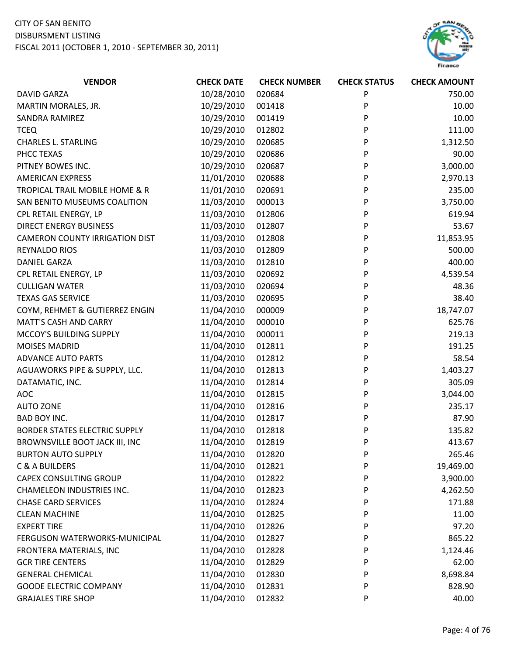

| <b>VENDOR</b>                         | <b>CHECK DATE</b> | <b>CHECK NUMBER</b> | <b>CHECK STATUS</b> | <b>CHECK AMOUNT</b> |
|---------------------------------------|-------------------|---------------------|---------------------|---------------------|
| <b>DAVID GARZA</b>                    | 10/28/2010        | 020684              | P                   | 750.00              |
| MARTIN MORALES, JR.                   | 10/29/2010        | 001418              | P                   | 10.00               |
| <b>SANDRA RAMIREZ</b>                 | 10/29/2010        | 001419              | P                   | 10.00               |
| <b>TCEQ</b>                           | 10/29/2010        | 012802              | P                   | 111.00              |
| <b>CHARLES L. STARLING</b>            | 10/29/2010        | 020685              | P                   | 1,312.50            |
| PHCC TEXAS                            | 10/29/2010        | 020686              | P                   | 90.00               |
| PITNEY BOWES INC.                     | 10/29/2010        | 020687              | P                   | 3,000.00            |
| <b>AMERICAN EXPRESS</b>               | 11/01/2010        | 020688              | P                   | 2,970.13            |
| TROPICAL TRAIL MOBILE HOME & R        | 11/01/2010        | 020691              | P                   | 235.00              |
| SAN BENITO MUSEUMS COALITION          | 11/03/2010        | 000013              | P                   | 3,750.00            |
| CPL RETAIL ENERGY, LP                 | 11/03/2010        | 012806              | P                   | 619.94              |
| <b>DIRECT ENERGY BUSINESS</b>         | 11/03/2010        | 012807              | P                   | 53.67               |
| <b>CAMERON COUNTY IRRIGATION DIST</b> | 11/03/2010        | 012808              | P                   | 11,853.95           |
| <b>REYNALDO RIOS</b>                  | 11/03/2010        | 012809              | P                   | 500.00              |
| <b>DANIEL GARZA</b>                   | 11/03/2010        | 012810              | P                   | 400.00              |
| CPL RETAIL ENERGY, LP                 | 11/03/2010        | 020692              | P                   | 4,539.54            |
| <b>CULLIGAN WATER</b>                 | 11/03/2010        | 020694              | P                   | 48.36               |
| <b>TEXAS GAS SERVICE</b>              | 11/03/2010        | 020695              | P                   | 38.40               |
| COYM, REHMET & GUTIERREZ ENGIN        | 11/04/2010        | 000009              | P                   | 18,747.07           |
| <b>MATT'S CASH AND CARRY</b>          | 11/04/2010        | 000010              | P                   | 625.76              |
| MCCOY'S BUILDING SUPPLY               | 11/04/2010        | 000011              | P                   | 219.13              |
| <b>MOISES MADRID</b>                  | 11/04/2010        | 012811              | P                   | 191.25              |
| <b>ADVANCE AUTO PARTS</b>             | 11/04/2010        | 012812              | P                   | 58.54               |
| AGUAWORKS PIPE & SUPPLY, LLC.         | 11/04/2010        | 012813              | P                   | 1,403.27            |
| DATAMATIC, INC.                       | 11/04/2010        | 012814              | P                   | 305.09              |
| <b>AOC</b>                            | 11/04/2010        | 012815              | P                   | 3,044.00            |
| <b>AUTO ZONE</b>                      | 11/04/2010        | 012816              | P                   | 235.17              |
| BAD BOY INC.                          | 11/04/2010        | 012817              | P                   | 87.90               |
| BORDER STATES ELECTRIC SUPPLY         | 11/04/2010        | 012818              | P                   | 135.82              |
| BROWNSVILLE BOOT JACK III, INC        | 11/04/2010        | 012819              | P                   | 413.67              |
| <b>BURTON AUTO SUPPLY</b>             | 11/04/2010        | 012820              | P                   | 265.46              |
| C & A BUILDERS                        | 11/04/2010        | 012821              | P                   | 19,469.00           |
| CAPEX CONSULTING GROUP                | 11/04/2010        | 012822              | P                   | 3,900.00            |
| <b>CHAMELEON INDUSTRIES INC.</b>      | 11/04/2010        | 012823              | P                   | 4,262.50            |
| <b>CHASE CARD SERVICES</b>            | 11/04/2010        | 012824              | P                   | 171.88              |
| <b>CLEAN MACHINE</b>                  | 11/04/2010        | 012825              | P                   | 11.00               |
| <b>EXPERT TIRE</b>                    | 11/04/2010        | 012826              | P                   | 97.20               |
| FERGUSON WATERWORKS-MUNICIPAL         | 11/04/2010        | 012827              | P                   | 865.22              |
| FRONTERA MATERIALS, INC               | 11/04/2010        | 012828              | P                   | 1,124.46            |
| <b>GCR TIRE CENTERS</b>               | 11/04/2010        | 012829              | P                   | 62.00               |
| <b>GENERAL CHEMICAL</b>               | 11/04/2010        | 012830              | P                   | 8,698.84            |
| <b>GOODE ELECTRIC COMPANY</b>         | 11/04/2010        | 012831              | P                   | 828.90              |
| <b>GRAJALES TIRE SHOP</b>             | 11/04/2010        | 012832              | P                   | 40.00               |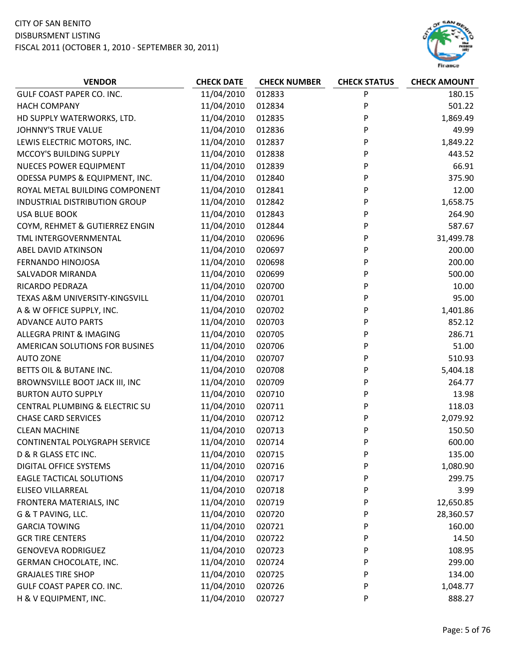

| <b>VENDOR</b>                   | <b>CHECK DATE</b> | <b>CHECK NUMBER</b> | <b>CHECK STATUS</b> | <b>CHECK AMOUNT</b> |
|---------------------------------|-------------------|---------------------|---------------------|---------------------|
| GULF COAST PAPER CO. INC.       | 11/04/2010        | 012833              | P                   | 180.15              |
| <b>HACH COMPANY</b>             | 11/04/2010        | 012834              | P                   | 501.22              |
| HD SUPPLY WATERWORKS, LTD.      | 11/04/2010        | 012835              | P                   | 1,869.49            |
| JOHNNY'S TRUE VALUE             | 11/04/2010        | 012836              | P                   | 49.99               |
| LEWIS ELECTRIC MOTORS, INC.     | 11/04/2010        | 012837              | P                   | 1,849.22            |
| MCCOY'S BUILDING SUPPLY         | 11/04/2010        | 012838              | P                   | 443.52              |
| <b>NUECES POWER EQUIPMENT</b>   | 11/04/2010        | 012839              | P                   | 66.91               |
| ODESSA PUMPS & EQUIPMENT, INC.  | 11/04/2010        | 012840              | P                   | 375.90              |
| ROYAL METAL BUILDING COMPONENT  | 11/04/2010        | 012841              | P                   | 12.00               |
| INDUSTRIAL DISTRIBUTION GROUP   | 11/04/2010        | 012842              | P                   | 1,658.75            |
| <b>USA BLUE BOOK</b>            | 11/04/2010        | 012843              | P                   | 264.90              |
| COYM, REHMET & GUTIERREZ ENGIN  | 11/04/2010        | 012844              | P                   | 587.67              |
| TML INTERGOVERNMENTAL           | 11/04/2010        | 020696              | P                   | 31,499.78           |
| ABEL DAVID ATKINSON             | 11/04/2010        | 020697              | P                   | 200.00              |
| FERNANDO HINOJOSA               | 11/04/2010        | 020698              | P                   | 200.00              |
| <b>SALVADOR MIRANDA</b>         | 11/04/2010        | 020699              | P                   | 500.00              |
| RICARDO PEDRAZA                 | 11/04/2010        | 020700              | P                   | 10.00               |
| TEXAS A&M UNIVERSITY-KINGSVILL  | 11/04/2010        | 020701              | P                   | 95.00               |
| A & W OFFICE SUPPLY, INC.       | 11/04/2010        | 020702              | P                   | 1,401.86            |
| <b>ADVANCE AUTO PARTS</b>       | 11/04/2010        | 020703              | P                   | 852.12              |
| ALLEGRA PRINT & IMAGING         | 11/04/2010        | 020705              | P                   | 286.71              |
| AMERICAN SOLUTIONS FOR BUSINES  | 11/04/2010        | 020706              | P                   | 51.00               |
| <b>AUTO ZONE</b>                | 11/04/2010        | 020707              | P                   | 510.93              |
| BETTS OIL & BUTANE INC.         | 11/04/2010        | 020708              | P                   | 5,404.18            |
| BROWNSVILLE BOOT JACK III, INC  | 11/04/2010        | 020709              | P                   | 264.77              |
| <b>BURTON AUTO SUPPLY</b>       | 11/04/2010        | 020710              | P                   | 13.98               |
| CENTRAL PLUMBING & ELECTRIC SU  | 11/04/2010        | 020711              | P                   | 118.03              |
| <b>CHASE CARD SERVICES</b>      | 11/04/2010        | 020712              | P                   | 2,079.92            |
| <b>CLEAN MACHINE</b>            | 11/04/2010        | 020713              | P                   | 150.50              |
| CONTINENTAL POLYGRAPH SERVICE   | 11/04/2010        | 020714              | P                   | 600.00              |
| D & R GLASS ETC INC.            | 11/04/2010        | 020715              | P                   | 135.00              |
| <b>DIGITAL OFFICE SYSTEMS</b>   | 11/04/2010        | 020716              | P                   | 1,080.90            |
| <b>EAGLE TACTICAL SOLUTIONS</b> | 11/04/2010        | 020717              | P                   | 299.75              |
| <b>ELISEO VILLARREAL</b>        | 11/04/2010        | 020718              | P                   | 3.99                |
| FRONTERA MATERIALS, INC         | 11/04/2010        | 020719              | P                   | 12,650.85           |
| G & T PAVING, LLC.              | 11/04/2010        | 020720              | P                   | 28,360.57           |
| <b>GARCIA TOWING</b>            | 11/04/2010        | 020721              | P                   | 160.00              |
| <b>GCR TIRE CENTERS</b>         | 11/04/2010        | 020722              | P                   | 14.50               |
| <b>GENOVEVA RODRIGUEZ</b>       | 11/04/2010        | 020723              | P                   | 108.95              |
| GERMAN CHOCOLATE, INC.          | 11/04/2010        | 020724              | P                   | 299.00              |
| <b>GRAJALES TIRE SHOP</b>       | 11/04/2010        | 020725              | P                   | 134.00              |
| GULF COAST PAPER CO. INC.       | 11/04/2010        | 020726              | P                   | 1,048.77            |
| H & V EQUIPMENT, INC.           | 11/04/2010        | 020727              | P                   | 888.27              |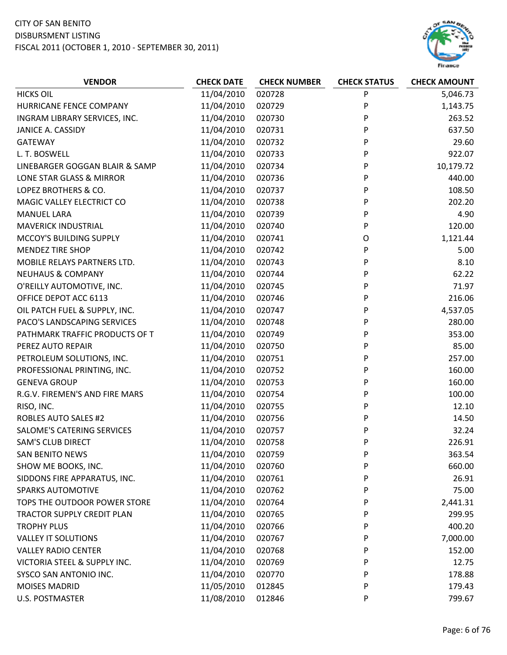

| <b>VENDOR</b>                     | <b>CHECK DATE</b> | <b>CHECK NUMBER</b> | <b>CHECK STATUS</b> | <b>CHECK AMOUNT</b> |
|-----------------------------------|-------------------|---------------------|---------------------|---------------------|
| <b>HICKS OIL</b>                  | 11/04/2010        | 020728              | P                   | 5,046.73            |
| HURRICANE FENCE COMPANY           | 11/04/2010        | 020729              | P                   | 1,143.75            |
| INGRAM LIBRARY SERVICES, INC.     | 11/04/2010        | 020730              | P                   | 263.52              |
| JANICE A. CASSIDY                 | 11/04/2010        | 020731              | P                   | 637.50              |
| <b>GATEWAY</b>                    | 11/04/2010        | 020732              | P                   | 29.60               |
| L. T. BOSWELL                     | 11/04/2010        | 020733              | P                   | 922.07              |
| LINEBARGER GOGGAN BLAIR & SAMP    | 11/04/2010        | 020734              | P                   | 10,179.72           |
| LONE STAR GLASS & MIRROR          | 11/04/2010        | 020736              | P                   | 440.00              |
| LOPEZ BROTHERS & CO.              | 11/04/2010        | 020737              | P                   | 108.50              |
| MAGIC VALLEY ELECTRICT CO         | 11/04/2010        | 020738              | P                   | 202.20              |
| <b>MANUEL LARA</b>                | 11/04/2010        | 020739              | P                   | 4.90                |
| <b>MAVERICK INDUSTRIAL</b>        | 11/04/2010        | 020740              | P                   | 120.00              |
| MCCOY'S BUILDING SUPPLY           | 11/04/2010        | 020741              | O                   | 1,121.44            |
| <b>MENDEZ TIRE SHOP</b>           | 11/04/2010        | 020742              | P                   | 5.00                |
| MOBILE RELAYS PARTNERS LTD.       | 11/04/2010        | 020743              | P                   | 8.10                |
| <b>NEUHAUS &amp; COMPANY</b>      | 11/04/2010        | 020744              | P                   | 62.22               |
| O'REILLY AUTOMOTIVE, INC.         | 11/04/2010        | 020745              | P                   | 71.97               |
| OFFICE DEPOT ACC 6113             | 11/04/2010        | 020746              | P                   | 216.06              |
| OIL PATCH FUEL & SUPPLY, INC.     | 11/04/2010        | 020747              | P                   | 4,537.05            |
| PACO'S LANDSCAPING SERVICES       | 11/04/2010        | 020748              | P                   | 280.00              |
| PATHMARK TRAFFIC PRODUCTS OF T    | 11/04/2010        | 020749              | P                   | 353.00              |
| PEREZ AUTO REPAIR                 | 11/04/2010        | 020750              | P                   | 85.00               |
| PETROLEUM SOLUTIONS, INC.         | 11/04/2010        | 020751              | P                   | 257.00              |
| PROFESSIONAL PRINTING, INC.       | 11/04/2010        | 020752              | P                   | 160.00              |
| <b>GENEVA GROUP</b>               | 11/04/2010        | 020753              | P                   | 160.00              |
| R.G.V. FIREMEN'S AND FIRE MARS    | 11/04/2010        | 020754              | P                   | 100.00              |
| RISO, INC.                        | 11/04/2010        | 020755              | P                   | 12.10               |
| <b>ROBLES AUTO SALES #2</b>       | 11/04/2010        | 020756              | P                   | 14.50               |
| SALOME'S CATERING SERVICES        | 11/04/2010        | 020757              | P                   | 32.24               |
| <b>SAM'S CLUB DIRECT</b>          | 11/04/2010        | 020758              | P                   | 226.91              |
| <b>SAN BENITO NEWS</b>            | 11/04/2010        | 020759              | P                   | 363.54              |
| SHOW ME BOOKS, INC.               | 11/04/2010        | 020760              | P                   | 660.00              |
| SIDDONS FIRE APPARATUS, INC.      | 11/04/2010        | 020761              | P                   | 26.91               |
| <b>SPARKS AUTOMOTIVE</b>          | 11/04/2010        | 020762              | P                   | 75.00               |
| TOPS THE OUTDOOR POWER STORE      | 11/04/2010        | 020764              | P                   | 2,441.31            |
| <b>TRACTOR SUPPLY CREDIT PLAN</b> | 11/04/2010        | 020765              | P                   | 299.95              |
| <b>TROPHY PLUS</b>                | 11/04/2010        | 020766              | P                   | 400.20              |
| <b>VALLEY IT SOLUTIONS</b>        | 11/04/2010        | 020767              | P                   | 7,000.00            |
| <b>VALLEY RADIO CENTER</b>        | 11/04/2010        | 020768              | P                   | 152.00              |
| VICTORIA STEEL & SUPPLY INC.      | 11/04/2010        | 020769              | P                   | 12.75               |
| SYSCO SAN ANTONIO INC.            | 11/04/2010        | 020770              | P                   | 178.88              |
| <b>MOISES MADRID</b>              | 11/05/2010        | 012845              | P                   | 179.43              |
| <b>U.S. POSTMASTER</b>            | 11/08/2010        | 012846              | P                   | 799.67              |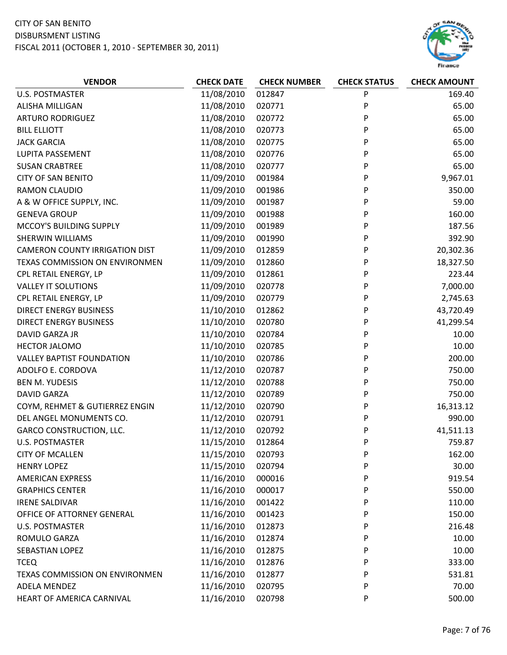

| <b>VENDOR</b>                         | <b>CHECK DATE</b> | <b>CHECK NUMBER</b> | <b>CHECK STATUS</b> | <b>CHECK AMOUNT</b> |
|---------------------------------------|-------------------|---------------------|---------------------|---------------------|
| <b>U.S. POSTMASTER</b>                | 11/08/2010        | 012847              | P                   | 169.40              |
| ALISHA MILLIGAN                       | 11/08/2010        | 020771              | P                   | 65.00               |
| <b>ARTURO RODRIGUEZ</b>               | 11/08/2010        | 020772              | P                   | 65.00               |
| <b>BILL ELLIOTT</b>                   | 11/08/2010        | 020773              | P                   | 65.00               |
| <b>JACK GARCIA</b>                    | 11/08/2010        | 020775              | P                   | 65.00               |
| LUPITA PASSEMENT                      | 11/08/2010        | 020776              | P                   | 65.00               |
| <b>SUSAN CRABTREE</b>                 | 11/08/2010        | 020777              | P                   | 65.00               |
| <b>CITY OF SAN BENITO</b>             | 11/09/2010        | 001984              | P                   | 9,967.01            |
| <b>RAMON CLAUDIO</b>                  | 11/09/2010        | 001986              | P                   | 350.00              |
| A & W OFFICE SUPPLY, INC.             | 11/09/2010        | 001987              | P                   | 59.00               |
| <b>GENEVA GROUP</b>                   | 11/09/2010        | 001988              | P                   | 160.00              |
| MCCOY'S BUILDING SUPPLY               | 11/09/2010        | 001989              | P                   | 187.56              |
| <b>SHERWIN WILLIAMS</b>               | 11/09/2010        | 001990              | P                   | 392.90              |
| <b>CAMERON COUNTY IRRIGATION DIST</b> | 11/09/2010        | 012859              | P                   | 20,302.36           |
| TEXAS COMMISSION ON ENVIRONMEN        | 11/09/2010        | 012860              | P                   | 18,327.50           |
| CPL RETAIL ENERGY, LP                 | 11/09/2010        | 012861              | P                   | 223.44              |
| <b>VALLEY IT SOLUTIONS</b>            | 11/09/2010        | 020778              | P                   | 7,000.00            |
| CPL RETAIL ENERGY, LP                 | 11/09/2010        | 020779              | P                   | 2,745.63            |
| <b>DIRECT ENERGY BUSINESS</b>         | 11/10/2010        | 012862              | P                   | 43,720.49           |
| <b>DIRECT ENERGY BUSINESS</b>         | 11/10/2010        | 020780              | P                   | 41,299.54           |
| DAVID GARZA JR                        | 11/10/2010        | 020784              | P                   | 10.00               |
| <b>HECTOR JALOMO</b>                  | 11/10/2010        | 020785              | P                   | 10.00               |
| <b>VALLEY BAPTIST FOUNDATION</b>      | 11/10/2010        | 020786              | P                   | 200.00              |
| ADOLFO E. CORDOVA                     | 11/12/2010        | 020787              | P                   | 750.00              |
| <b>BEN M. YUDESIS</b>                 | 11/12/2010        | 020788              | P                   | 750.00              |
| <b>DAVID GARZA</b>                    | 11/12/2010        | 020789              | P                   | 750.00              |
| COYM, REHMET & GUTIERREZ ENGIN        | 11/12/2010        | 020790              | P                   | 16,313.12           |
| DEL ANGEL MONUMENTS CO.               | 11/12/2010        | 020791              | P                   | 990.00              |
| <b>GARCO CONSTRUCTION, LLC.</b>       | 11/12/2010        | 020792              | P                   | 41,511.13           |
| <b>U.S. POSTMASTER</b>                | 11/15/2010        | 012864              | P                   | 759.87              |
| <b>CITY OF MCALLEN</b>                | 11/15/2010        | 020793              | P                   | 162.00              |
| <b>HENRY LOPEZ</b>                    | 11/15/2010        | 020794              | P                   | 30.00               |
| <b>AMERICAN EXPRESS</b>               | 11/16/2010        | 000016              | P                   | 919.54              |
| <b>GRAPHICS CENTER</b>                | 11/16/2010        | 000017              | P                   | 550.00              |
| <b>IRENE SALDIVAR</b>                 | 11/16/2010        | 001422              | P                   | 110.00              |
| OFFICE OF ATTORNEY GENERAL            | 11/16/2010        | 001423              | P                   | 150.00              |
| <b>U.S. POSTMASTER</b>                | 11/16/2010        | 012873              | P                   | 216.48              |
| ROMULO GARZA                          | 11/16/2010        | 012874              | P                   | 10.00               |
| SEBASTIAN LOPEZ                       | 11/16/2010        | 012875              | P                   | 10.00               |
| <b>TCEQ</b>                           | 11/16/2010        | 012876              | P                   | 333.00              |
| TEXAS COMMISSION ON ENVIRONMEN        | 11/16/2010        | 012877              | P                   | 531.81              |
| ADELA MENDEZ                          | 11/16/2010        | 020795              | P                   | 70.00               |
| HEART OF AMERICA CARNIVAL             | 11/16/2010        | 020798              | P                   | 500.00              |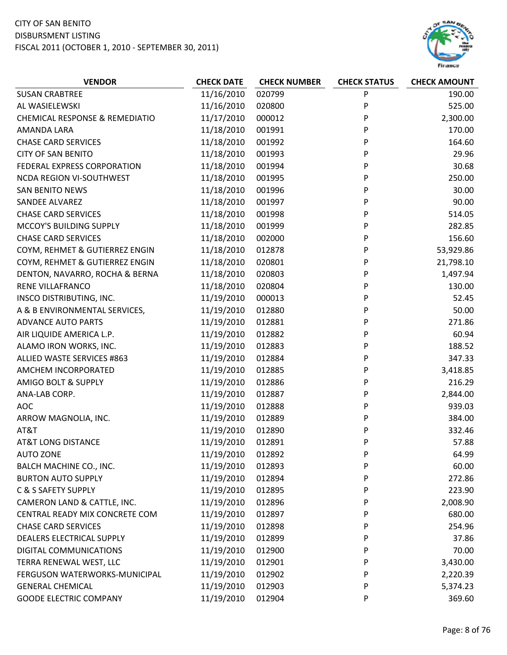

| <b>VENDOR</b>                             | <b>CHECK DATE</b> | <b>CHECK NUMBER</b> | <b>CHECK STATUS</b> | <b>CHECK AMOUNT</b> |
|-------------------------------------------|-------------------|---------------------|---------------------|---------------------|
| <b>SUSAN CRABTREE</b>                     | 11/16/2010        | 020799              | P                   | 190.00              |
| AL WASIELEWSKI                            | 11/16/2010        | 020800              | P                   | 525.00              |
| <b>CHEMICAL RESPONSE &amp; REMEDIATIO</b> | 11/17/2010        | 000012              | P                   | 2,300.00            |
| AMANDA LARA                               | 11/18/2010        | 001991              | P                   | 170.00              |
| <b>CHASE CARD SERVICES</b>                | 11/18/2010        | 001992              | P                   | 164.60              |
| <b>CITY OF SAN BENITO</b>                 | 11/18/2010        | 001993              | P                   | 29.96               |
| FEDERAL EXPRESS CORPORATION               | 11/18/2010        | 001994              | P                   | 30.68               |
| NCDA REGION VI-SOUTHWEST                  | 11/18/2010        | 001995              | P                   | 250.00              |
| <b>SAN BENITO NEWS</b>                    | 11/18/2010        | 001996              | P                   | 30.00               |
| SANDEE ALVAREZ                            | 11/18/2010        | 001997              | P                   | 90.00               |
| <b>CHASE CARD SERVICES</b>                | 11/18/2010        | 001998              | P                   | 514.05              |
| MCCOY'S BUILDING SUPPLY                   | 11/18/2010        | 001999              | P                   | 282.85              |
| <b>CHASE CARD SERVICES</b>                | 11/18/2010        | 002000              | P                   | 156.60              |
| COYM, REHMET & GUTIERREZ ENGIN            | 11/18/2010        | 012878              | P                   | 53,929.86           |
| COYM, REHMET & GUTIERREZ ENGIN            | 11/18/2010        | 020801              | P                   | 21,798.10           |
| DENTON, NAVARRO, ROCHA & BERNA            | 11/18/2010        | 020803              | P                   | 1,497.94            |
| <b>RENE VILLAFRANCO</b>                   | 11/18/2010        | 020804              | P                   | 130.00              |
| INSCO DISTRIBUTING, INC.                  | 11/19/2010        | 000013              | P                   | 52.45               |
| A & B ENVIRONMENTAL SERVICES,             | 11/19/2010        | 012880              | P                   | 50.00               |
| <b>ADVANCE AUTO PARTS</b>                 | 11/19/2010        | 012881              | P                   | 271.86              |
| AIR LIQUIDE AMERICA L.P.                  | 11/19/2010        | 012882              | P                   | 60.94               |
| ALAMO IRON WORKS, INC.                    | 11/19/2010        | 012883              | P                   | 188.52              |
| ALLIED WASTE SERVICES #863                | 11/19/2010        | 012884              | P                   | 347.33              |
| AMCHEM INCORPORATED                       | 11/19/2010        | 012885              | P                   | 3,418.85            |
| AMIGO BOLT & SUPPLY                       | 11/19/2010        | 012886              | P                   | 216.29              |
| ANA-LAB CORP.                             | 11/19/2010        | 012887              | P                   | 2,844.00            |
| <b>AOC</b>                                | 11/19/2010        | 012888              | P                   | 939.03              |
| ARROW MAGNOLIA, INC.                      | 11/19/2010        | 012889              | P                   | 384.00              |
| AT&T                                      | 11/19/2010        | 012890              | P                   | 332.46              |
| <b>AT&amp;T LONG DISTANCE</b>             | 11/19/2010        | 012891              | P                   | 57.88               |
| <b>AUTO ZONE</b>                          | 11/19/2010        | 012892              | P                   | 64.99               |
| BALCH MACHINE CO., INC.                   | 11/19/2010        | 012893              | P                   | 60.00               |
| <b>BURTON AUTO SUPPLY</b>                 | 11/19/2010        | 012894              | P                   | 272.86              |
| C & S SAFETY SUPPLY                       | 11/19/2010        | 012895              | P                   | 223.90              |
| CAMERON LAND & CATTLE, INC.               | 11/19/2010        | 012896              | P                   | 2,008.90            |
| CENTRAL READY MIX CONCRETE COM            | 11/19/2010        | 012897              | P                   | 680.00              |
| <b>CHASE CARD SERVICES</b>                | 11/19/2010        | 012898              | P                   | 254.96              |
| DEALERS ELECTRICAL SUPPLY                 | 11/19/2010        | 012899              | P                   | 37.86               |
| DIGITAL COMMUNICATIONS                    | 11/19/2010        | 012900              | P                   | 70.00               |
| TERRA RENEWAL WEST, LLC                   | 11/19/2010        | 012901              | P                   | 3,430.00            |
| FERGUSON WATERWORKS-MUNICIPAL             | 11/19/2010        | 012902              | P                   | 2,220.39            |
| <b>GENERAL CHEMICAL</b>                   | 11/19/2010        | 012903              | P                   | 5,374.23            |
| <b>GOODE ELECTRIC COMPANY</b>             | 11/19/2010        | 012904              | P                   | 369.60              |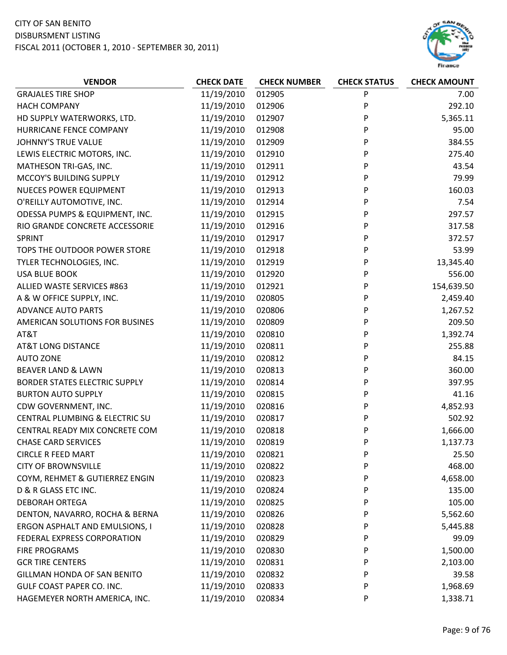

| <b>VENDOR</b>                        | <b>CHECK DATE</b> | <b>CHECK NUMBER</b> | <b>CHECK STATUS</b> | <b>CHECK AMOUNT</b> |
|--------------------------------------|-------------------|---------------------|---------------------|---------------------|
| <b>GRAJALES TIRE SHOP</b>            | 11/19/2010        | 012905              | P                   | 7.00                |
| <b>HACH COMPANY</b>                  | 11/19/2010        | 012906              | P                   | 292.10              |
| HD SUPPLY WATERWORKS, LTD.           | 11/19/2010        | 012907              | P                   | 5,365.11            |
| HURRICANE FENCE COMPANY              | 11/19/2010        | 012908              | P                   | 95.00               |
| <b>JOHNNY'S TRUE VALUE</b>           | 11/19/2010        | 012909              | P                   | 384.55              |
| LEWIS ELECTRIC MOTORS, INC.          | 11/19/2010        | 012910              | P                   | 275.40              |
| MATHESON TRI-GAS, INC.               | 11/19/2010        | 012911              | P                   | 43.54               |
| MCCOY'S BUILDING SUPPLY              | 11/19/2010        | 012912              | P                   | 79.99               |
| NUECES POWER EQUIPMENT               | 11/19/2010        | 012913              | P                   | 160.03              |
| O'REILLY AUTOMOTIVE, INC.            | 11/19/2010        | 012914              | P                   | 7.54                |
| ODESSA PUMPS & EQUIPMENT, INC.       | 11/19/2010        | 012915              | P                   | 297.57              |
| RIO GRANDE CONCRETE ACCESSORIE       | 11/19/2010        | 012916              | P                   | 317.58              |
| <b>SPRINT</b>                        | 11/19/2010        | 012917              | P                   | 372.57              |
| TOPS THE OUTDOOR POWER STORE         | 11/19/2010        | 012918              | P                   | 53.99               |
| TYLER TECHNOLOGIES, INC.             | 11/19/2010        | 012919              | P                   | 13,345.40           |
| <b>USA BLUE BOOK</b>                 | 11/19/2010        | 012920              | P                   | 556.00              |
| ALLIED WASTE SERVICES #863           | 11/19/2010        | 012921              | P                   | 154,639.50          |
| A & W OFFICE SUPPLY, INC.            | 11/19/2010        | 020805              | P                   | 2,459.40            |
| <b>ADVANCE AUTO PARTS</b>            | 11/19/2010        | 020806              | P                   | 1,267.52            |
| AMERICAN SOLUTIONS FOR BUSINES       | 11/19/2010        | 020809              | P                   | 209.50              |
| AT&T                                 | 11/19/2010        | 020810              | P                   | 1,392.74            |
| <b>AT&amp;T LONG DISTANCE</b>        | 11/19/2010        | 020811              | P                   | 255.88              |
| <b>AUTO ZONE</b>                     | 11/19/2010        | 020812              | P                   | 84.15               |
| <b>BEAVER LAND &amp; LAWN</b>        | 11/19/2010        | 020813              | P                   | 360.00              |
| <b>BORDER STATES ELECTRIC SUPPLY</b> | 11/19/2010        | 020814              | P                   | 397.95              |
| <b>BURTON AUTO SUPPLY</b>            | 11/19/2010        | 020815              | P                   | 41.16               |
| CDW GOVERNMENT, INC.                 | 11/19/2010        | 020816              | P                   | 4,852.93            |
| CENTRAL PLUMBING & ELECTRIC SU       | 11/19/2010        | 020817              | P                   | 502.92              |
| CENTRAL READY MIX CONCRETE COM       | 11/19/2010        | 020818              | P                   | 1,666.00            |
| <b>CHASE CARD SERVICES</b>           | 11/19/2010        | 020819              | P                   | 1,137.73            |
| <b>CIRCLE R FEED MART</b>            | 11/19/2010        | 020821              | P                   | 25.50               |
| <b>CITY OF BROWNSVILLE</b>           | 11/19/2010        | 020822              | P                   | 468.00              |
| COYM, REHMET & GUTIERREZ ENGIN       | 11/19/2010        | 020823              | P                   | 4,658.00            |
| D & R GLASS ETC INC.                 | 11/19/2010        | 020824              | P                   | 135.00              |
| <b>DEBORAH ORTEGA</b>                | 11/19/2010        | 020825              | P                   | 105.00              |
| DENTON, NAVARRO, ROCHA & BERNA       | 11/19/2010        | 020826              | P                   | 5,562.60            |
| ERGON ASPHALT AND EMULSIONS, I       | 11/19/2010        | 020828              | P                   | 5,445.88            |
| FEDERAL EXPRESS CORPORATION          | 11/19/2010        | 020829              | P                   | 99.09               |
| FIRE PROGRAMS                        | 11/19/2010        | 020830              | P                   | 1,500.00            |
| <b>GCR TIRE CENTERS</b>              | 11/19/2010        | 020831              | P                   | 2,103.00            |
| <b>GILLMAN HONDA OF SAN BENITO</b>   | 11/19/2010        | 020832              | P                   | 39.58               |
| GULF COAST PAPER CO. INC.            | 11/19/2010        | 020833              | P                   | 1,968.69            |
| HAGEMEYER NORTH AMERICA, INC.        | 11/19/2010        | 020834              | P                   | 1,338.71            |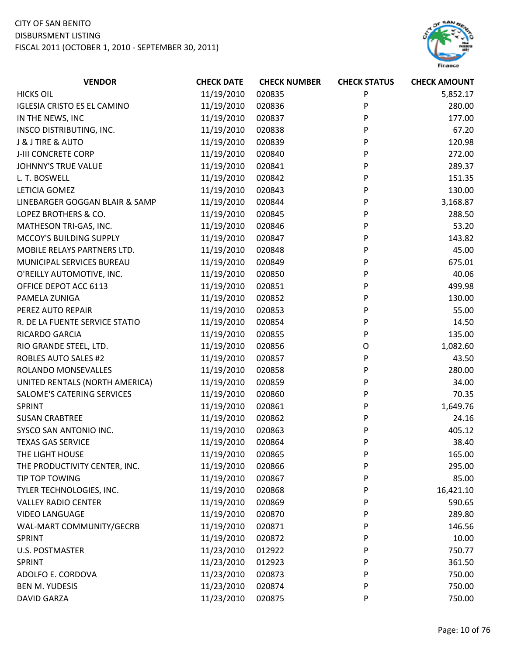

| <b>VENDOR</b>                      | <b>CHECK DATE</b> | <b>CHECK NUMBER</b> | <b>CHECK STATUS</b> | <b>CHECK AMOUNT</b> |
|------------------------------------|-------------------|---------------------|---------------------|---------------------|
| <b>HICKS OIL</b>                   | 11/19/2010        | 020835              | P                   | 5,852.17            |
| <b>IGLESIA CRISTO ES EL CAMINO</b> | 11/19/2010        | 020836              | P                   | 280.00              |
| IN THE NEWS, INC                   | 11/19/2010        | 020837              | P                   | 177.00              |
| <b>INSCO DISTRIBUTING, INC.</b>    | 11/19/2010        | 020838              | P                   | 67.20               |
| J & J TIRE & AUTO                  | 11/19/2010        | 020839              | P                   | 120.98              |
| J-III CONCRETE CORP                | 11/19/2010        | 020840              | P                   | 272.00              |
| <b>JOHNNY'S TRUE VALUE</b>         | 11/19/2010        | 020841              | P                   | 289.37              |
| L. T. BOSWELL                      | 11/19/2010        | 020842              | P                   | 151.35              |
| LETICIA GOMEZ                      | 11/19/2010        | 020843              | P                   | 130.00              |
| LINEBARGER GOGGAN BLAIR & SAMP     | 11/19/2010        | 020844              | P                   | 3,168.87            |
| LOPEZ BROTHERS & CO.               | 11/19/2010        | 020845              | P                   | 288.50              |
| MATHESON TRI-GAS, INC.             | 11/19/2010        | 020846              | P                   | 53.20               |
| MCCOY'S BUILDING SUPPLY            | 11/19/2010        | 020847              | P                   | 143.82              |
| MOBILE RELAYS PARTNERS LTD.        | 11/19/2010        | 020848              | P                   | 45.00               |
| MUNICIPAL SERVICES BUREAU          | 11/19/2010        | 020849              | P                   | 675.01              |
| O'REILLY AUTOMOTIVE, INC.          | 11/19/2010        | 020850              | P                   | 40.06               |
| OFFICE DEPOT ACC 6113              | 11/19/2010        | 020851              | P                   | 499.98              |
| PAMELA ZUNIGA                      | 11/19/2010        | 020852              | P                   | 130.00              |
| PEREZ AUTO REPAIR                  | 11/19/2010        | 020853              | P                   | 55.00               |
| R. DE LA FUENTE SERVICE STATIO     | 11/19/2010        | 020854              | P                   | 14.50               |
| RICARDO GARCIA                     | 11/19/2010        | 020855              | P                   | 135.00              |
| RIO GRANDE STEEL, LTD.             | 11/19/2010        | 020856              | O                   | 1,082.60            |
| <b>ROBLES AUTO SALES #2</b>        | 11/19/2010        | 020857              | P                   | 43.50               |
| ROLANDO MONSEVALLES                | 11/19/2010        | 020858              | P                   | 280.00              |
| UNITED RENTALS (NORTH AMERICA)     | 11/19/2010        | 020859              | P                   | 34.00               |
| SALOME'S CATERING SERVICES         | 11/19/2010        | 020860              | P                   | 70.35               |
| <b>SPRINT</b>                      | 11/19/2010        | 020861              | P                   | 1,649.76            |
| <b>SUSAN CRABTREE</b>              | 11/19/2010        | 020862              | P                   | 24.16               |
| SYSCO SAN ANTONIO INC.             | 11/19/2010        | 020863              | P                   | 405.12              |
| <b>TEXAS GAS SERVICE</b>           | 11/19/2010        | 020864              | P                   | 38.40               |
| THE LIGHT HOUSE                    | 11/19/2010        | 020865              | P                   | 165.00              |
| THE PRODUCTIVITY CENTER, INC.      | 11/19/2010        | 020866              | P                   | 295.00              |
| TIP TOP TOWING                     | 11/19/2010        | 020867              | P                   | 85.00               |
| TYLER TECHNOLOGIES, INC.           | 11/19/2010        | 020868              | P                   | 16,421.10           |
| <b>VALLEY RADIO CENTER</b>         | 11/19/2010        | 020869              | P                   | 590.65              |
| <b>VIDEO LANGUAGE</b>              | 11/19/2010        | 020870              | P                   | 289.80              |
| WAL-MART COMMUNITY/GECRB           | 11/19/2010        | 020871              | P                   | 146.56              |
| <b>SPRINT</b>                      | 11/19/2010        | 020872              | P                   | 10.00               |
| <b>U.S. POSTMASTER</b>             | 11/23/2010        | 012922              | P                   | 750.77              |
| SPRINT                             | 11/23/2010        | 012923              | P                   | 361.50              |
| ADOLFO E. CORDOVA                  | 11/23/2010        | 020873              | P                   | 750.00              |
| <b>BEN M. YUDESIS</b>              | 11/23/2010        | 020874              | P                   | 750.00              |
| <b>DAVID GARZA</b>                 | 11/23/2010        | 020875              | P                   | 750.00              |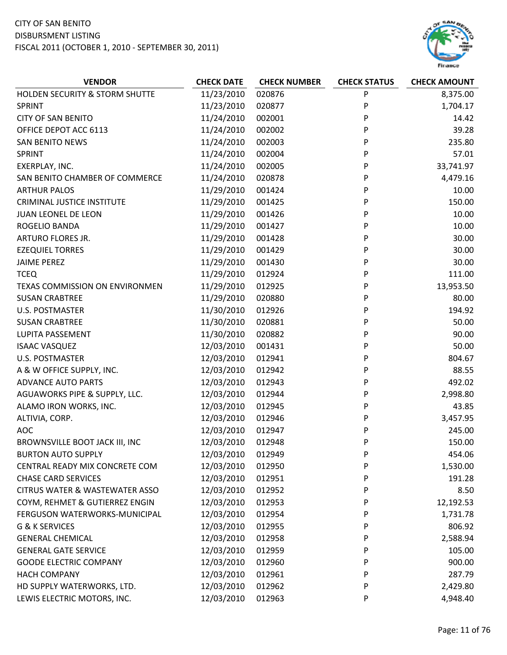

| <b>VENDOR</b>                             | <b>CHECK DATE</b> | <b>CHECK NUMBER</b> | <b>CHECK STATUS</b> | <b>CHECK AMOUNT</b> |
|-------------------------------------------|-------------------|---------------------|---------------------|---------------------|
| HOLDEN SECURITY & STORM SHUTTE            | 11/23/2010        | 020876              | P                   | 8,375.00            |
| <b>SPRINT</b>                             | 11/23/2010        | 020877              | P                   | 1,704.17            |
| <b>CITY OF SAN BENITO</b>                 | 11/24/2010        | 002001              | P                   | 14.42               |
| OFFICE DEPOT ACC 6113                     | 11/24/2010        | 002002              | P                   | 39.28               |
| <b>SAN BENITO NEWS</b>                    | 11/24/2010        | 002003              | P                   | 235.80              |
| SPRINT                                    | 11/24/2010        | 002004              | P                   | 57.01               |
| EXERPLAY, INC.                            | 11/24/2010        | 002005              | P                   | 33,741.97           |
| SAN BENITO CHAMBER OF COMMERCE            | 11/24/2010        | 020878              | P                   | 4,479.16            |
| <b>ARTHUR PALOS</b>                       | 11/29/2010        | 001424              | P                   | 10.00               |
| <b>CRIMINAL JUSTICE INSTITUTE</b>         | 11/29/2010        | 001425              | P                   | 150.00              |
| <b>JUAN LEONEL DE LEON</b>                | 11/29/2010        | 001426              | P                   | 10.00               |
| ROGELIO BANDA                             | 11/29/2010        | 001427              | P                   | 10.00               |
| ARTURO FLORES JR.                         | 11/29/2010        | 001428              | P                   | 30.00               |
| <b>EZEQUIEL TORRES</b>                    | 11/29/2010        | 001429              | P                   | 30.00               |
| <b>JAIME PEREZ</b>                        | 11/29/2010        | 001430              | P                   | 30.00               |
| <b>TCEQ</b>                               | 11/29/2010        | 012924              | P                   | 111.00              |
| TEXAS COMMISSION ON ENVIRONMEN            | 11/29/2010        | 012925              | P                   | 13,953.50           |
| <b>SUSAN CRABTREE</b>                     | 11/29/2010        | 020880              | P                   | 80.00               |
| <b>U.S. POSTMASTER</b>                    | 11/30/2010        | 012926              | P                   | 194.92              |
| <b>SUSAN CRABTREE</b>                     | 11/30/2010        | 020881              | P                   | 50.00               |
| LUPITA PASSEMENT                          | 11/30/2010        | 020882              | P                   | 90.00               |
| <b>ISAAC VASQUEZ</b>                      | 12/03/2010        | 001431              | P                   | 50.00               |
| <b>U.S. POSTMASTER</b>                    | 12/03/2010        | 012941              | P                   | 804.67              |
| A & W OFFICE SUPPLY, INC.                 | 12/03/2010        | 012942              | P                   | 88.55               |
| <b>ADVANCE AUTO PARTS</b>                 | 12/03/2010        | 012943              | P                   | 492.02              |
| AGUAWORKS PIPE & SUPPLY, LLC.             | 12/03/2010        | 012944              | P                   | 2,998.80            |
| ALAMO IRON WORKS, INC.                    | 12/03/2010        | 012945              | P                   | 43.85               |
| ALTIVIA, CORP.                            | 12/03/2010        | 012946              | P                   | 3,457.95            |
| <b>AOC</b>                                | 12/03/2010        | 012947              | P                   | 245.00              |
| BROWNSVILLE BOOT JACK III, INC            | 12/03/2010        | 012948              | P                   | 150.00              |
| <b>BURTON AUTO SUPPLY</b>                 | 12/03/2010        | 012949              | P                   | 454.06              |
| CENTRAL READY MIX CONCRETE COM            | 12/03/2010        | 012950              | P                   | 1,530.00            |
| <b>CHASE CARD SERVICES</b>                | 12/03/2010        | 012951              | P                   | 191.28              |
| <b>CITRUS WATER &amp; WASTEWATER ASSO</b> | 12/03/2010        | 012952              | P                   | 8.50                |
| COYM, REHMET & GUTIERREZ ENGIN            | 12/03/2010        | 012953              | P                   | 12,192.53           |
| FERGUSON WATERWORKS-MUNICIPAL             | 12/03/2010        | 012954              | P                   | 1,731.78            |
| G & K SERVICES                            | 12/03/2010        | 012955              | P                   | 806.92              |
| <b>GENERAL CHEMICAL</b>                   | 12/03/2010        | 012958              | P                   | 2,588.94            |
| <b>GENERAL GATE SERVICE</b>               | 12/03/2010        | 012959              | P                   | 105.00              |
| <b>GOODE ELECTRIC COMPANY</b>             | 12/03/2010        | 012960              | P                   | 900.00              |
| <b>HACH COMPANY</b>                       | 12/03/2010        | 012961              | P                   | 287.79              |
| HD SUPPLY WATERWORKS, LTD.                | 12/03/2010        | 012962              | P                   | 2,429.80            |
| LEWIS ELECTRIC MOTORS, INC.               | 12/03/2010        | 012963              | P                   | 4,948.40            |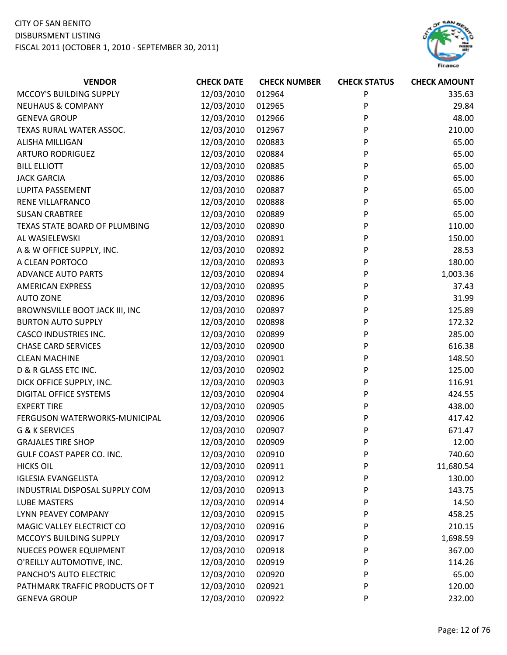

| <b>VENDOR</b>                  | <b>CHECK DATE</b> | <b>CHECK NUMBER</b> | <b>CHECK STATUS</b> | <b>CHECK AMOUNT</b> |
|--------------------------------|-------------------|---------------------|---------------------|---------------------|
| MCCOY'S BUILDING SUPPLY        | 12/03/2010        | 012964              | P                   | 335.63              |
| <b>NEUHAUS &amp; COMPANY</b>   | 12/03/2010        | 012965              | P                   | 29.84               |
| <b>GENEVA GROUP</b>            | 12/03/2010        | 012966              | P                   | 48.00               |
| TEXAS RURAL WATER ASSOC.       | 12/03/2010        | 012967              | P                   | 210.00              |
| <b>ALISHA MILLIGAN</b>         | 12/03/2010        | 020883              | P                   | 65.00               |
| <b>ARTURO RODRIGUEZ</b>        | 12/03/2010        | 020884              | P                   | 65.00               |
| <b>BILL ELLIOTT</b>            | 12/03/2010        | 020885              | P                   | 65.00               |
| <b>JACK GARCIA</b>             | 12/03/2010        | 020886              | P                   | 65.00               |
| LUPITA PASSEMENT               | 12/03/2010        | 020887              | P                   | 65.00               |
| RENE VILLAFRANCO               | 12/03/2010        | 020888              | P                   | 65.00               |
| <b>SUSAN CRABTREE</b>          | 12/03/2010        | 020889              | P                   | 65.00               |
| TEXAS STATE BOARD OF PLUMBING  | 12/03/2010        | 020890              | P                   | 110.00              |
| AL WASIELEWSKI                 | 12/03/2010        | 020891              | P                   | 150.00              |
| A & W OFFICE SUPPLY, INC.      | 12/03/2010        | 020892              | P                   | 28.53               |
| A CLEAN PORTOCO                | 12/03/2010        | 020893              | P                   | 180.00              |
| <b>ADVANCE AUTO PARTS</b>      | 12/03/2010        | 020894              | P                   | 1,003.36            |
| <b>AMERICAN EXPRESS</b>        | 12/03/2010        | 020895              | P                   | 37.43               |
| <b>AUTO ZONE</b>               | 12/03/2010        | 020896              | P                   | 31.99               |
| BROWNSVILLE BOOT JACK III, INC | 12/03/2010        | 020897              | P                   | 125.89              |
| <b>BURTON AUTO SUPPLY</b>      | 12/03/2010        | 020898              | P                   | 172.32              |
| <b>CASCO INDUSTRIES INC.</b>   | 12/03/2010        | 020899              | P                   | 285.00              |
| <b>CHASE CARD SERVICES</b>     | 12/03/2010        | 020900              | P                   | 616.38              |
| <b>CLEAN MACHINE</b>           | 12/03/2010        | 020901              | P                   | 148.50              |
| D & R GLASS ETC INC.           | 12/03/2010        | 020902              | P                   | 125.00              |
| DICK OFFICE SUPPLY, INC.       | 12/03/2010        | 020903              | P                   | 116.91              |
| DIGITAL OFFICE SYSTEMS         | 12/03/2010        | 020904              | P                   | 424.55              |
| <b>EXPERT TIRE</b>             | 12/03/2010        | 020905              | P                   | 438.00              |
| FERGUSON WATERWORKS-MUNICIPAL  | 12/03/2010        | 020906              | P                   | 417.42              |
| G & K SERVICES                 | 12/03/2010        | 020907              | P                   | 671.47              |
| <b>GRAJALES TIRE SHOP</b>      | 12/03/2010        | 020909              | P                   | 12.00               |
| GULF COAST PAPER CO. INC.      | 12/03/2010        | 020910              | P                   | 740.60              |
| <b>HICKS OIL</b>               | 12/03/2010        | 020911              | P                   | 11,680.54           |
| <b>IGLESIA EVANGELISTA</b>     | 12/03/2010        | 020912              | P                   | 130.00              |
| INDUSTRIAL DISPOSAL SUPPLY COM | 12/03/2010        | 020913              | P                   | 143.75              |
| <b>LUBE MASTERS</b>            | 12/03/2010        | 020914              | P                   | 14.50               |
| LYNN PEAVEY COMPANY            | 12/03/2010        | 020915              | P                   | 458.25              |
| MAGIC VALLEY ELECTRICT CO      | 12/03/2010        | 020916              | P                   | 210.15              |
| MCCOY'S BUILDING SUPPLY        | 12/03/2010        | 020917              | P                   | 1,698.59            |
| <b>NUECES POWER EQUIPMENT</b>  | 12/03/2010        | 020918              | P                   | 367.00              |
| O'REILLY AUTOMOTIVE, INC.      | 12/03/2010        | 020919              | P                   | 114.26              |
| PANCHO'S AUTO ELECTRIC         | 12/03/2010        | 020920              | P                   | 65.00               |
| PATHMARK TRAFFIC PRODUCTS OF T | 12/03/2010        | 020921              | P                   | 120.00              |
| <b>GENEVA GROUP</b>            | 12/03/2010        | 020922              | P                   | 232.00              |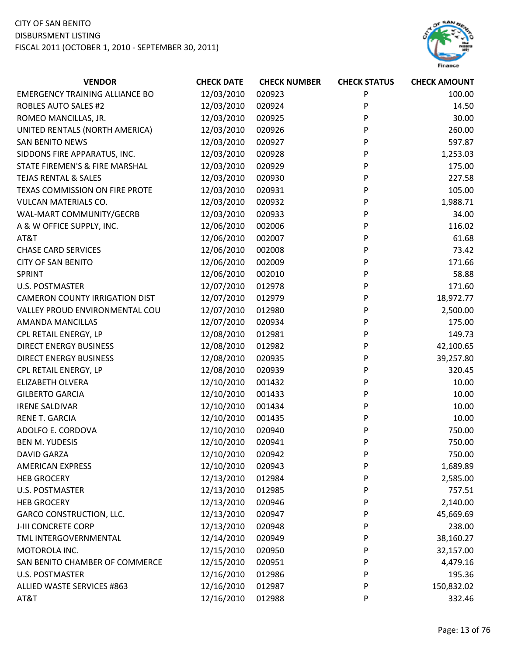

| <b>VENDOR</b>                         | <b>CHECK DATE</b> | <b>CHECK NUMBER</b> | <b>CHECK STATUS</b> | <b>CHECK AMOUNT</b> |
|---------------------------------------|-------------------|---------------------|---------------------|---------------------|
| <b>EMERGENCY TRAINING ALLIANCE BO</b> | 12/03/2010        | 020923              | P                   | 100.00              |
| <b>ROBLES AUTO SALES #2</b>           | 12/03/2010        | 020924              | P                   | 14.50               |
| ROMEO MANCILLAS, JR.                  | 12/03/2010        | 020925              | P                   | 30.00               |
| UNITED RENTALS (NORTH AMERICA)        | 12/03/2010        | 020926              | P                   | 260.00              |
| <b>SAN BENITO NEWS</b>                | 12/03/2010        | 020927              | P                   | 597.87              |
| SIDDONS FIRE APPARATUS, INC.          | 12/03/2010        | 020928              | P                   | 1,253.03            |
| STATE FIREMEN'S & FIRE MARSHAL        | 12/03/2010        | 020929              | P                   | 175.00              |
| <b>TEJAS RENTAL &amp; SALES</b>       | 12/03/2010        | 020930              | P                   | 227.58              |
| TEXAS COMMISSION ON FIRE PROTE        | 12/03/2010        | 020931              | P                   | 105.00              |
| <b>VULCAN MATERIALS CO.</b>           | 12/03/2010        | 020932              | P                   | 1,988.71            |
| WAL-MART COMMUNITY/GECRB              | 12/03/2010        | 020933              | P                   | 34.00               |
| A & W OFFICE SUPPLY, INC.             | 12/06/2010        | 002006              | P                   | 116.02              |
| AT&T                                  | 12/06/2010        | 002007              | P                   | 61.68               |
| <b>CHASE CARD SERVICES</b>            | 12/06/2010        | 002008              | P                   | 73.42               |
| <b>CITY OF SAN BENITO</b>             | 12/06/2010        | 002009              | P                   | 171.66              |
| SPRINT                                | 12/06/2010        | 002010              | P                   | 58.88               |
| <b>U.S. POSTMASTER</b>                | 12/07/2010        | 012978              | P                   | 171.60              |
| <b>CAMERON COUNTY IRRIGATION DIST</b> | 12/07/2010        | 012979              | P                   | 18,972.77           |
| VALLEY PROUD ENVIRONMENTAL COU        | 12/07/2010        | 012980              | P                   | 2,500.00            |
| AMANDA MANCILLAS                      | 12/07/2010        | 020934              | P                   | 175.00              |
| CPL RETAIL ENERGY, LP                 | 12/08/2010        | 012981              | P                   | 149.73              |
| <b>DIRECT ENERGY BUSINESS</b>         | 12/08/2010        | 012982              | P                   | 42,100.65           |
| <b>DIRECT ENERGY BUSINESS</b>         | 12/08/2010        | 020935              | P                   | 39,257.80           |
| CPL RETAIL ENERGY, LP                 | 12/08/2010        | 020939              | P                   | 320.45              |
| ELIZABETH OLVERA                      | 12/10/2010        | 001432              | P                   | 10.00               |
| <b>GILBERTO GARCIA</b>                | 12/10/2010        | 001433              | P                   | 10.00               |
| <b>IRENE SALDIVAR</b>                 | 12/10/2010        | 001434              | P                   | 10.00               |
| RENE T. GARCIA                        | 12/10/2010        | 001435              | P                   | 10.00               |
| ADOLFO E. CORDOVA                     | 12/10/2010        | 020940              | P                   | 750.00              |
| <b>BEN M. YUDESIS</b>                 | 12/10/2010        | 020941              | P                   | 750.00              |
| <b>DAVID GARZA</b>                    | 12/10/2010        | 020942              | P                   | 750.00              |
| <b>AMERICAN EXPRESS</b>               | 12/10/2010        | 020943              | P                   | 1,689.89            |
| <b>HEB GROCERY</b>                    | 12/13/2010        | 012984              | P                   | 2,585.00            |
| <b>U.S. POSTMASTER</b>                | 12/13/2010        | 012985              | P                   | 757.51              |
| <b>HEB GROCERY</b>                    | 12/13/2010        | 020946              | P                   | 2,140.00            |
| <b>GARCO CONSTRUCTION, LLC.</b>       | 12/13/2010        | 020947              | P                   | 45,669.69           |
| J-III CONCRETE CORP                   | 12/13/2010        | 020948              | P                   | 238.00              |
| TML INTERGOVERNMENTAL                 | 12/14/2010        | 020949              | P                   | 38,160.27           |
| MOTOROLA INC.                         | 12/15/2010        | 020950              | P                   | 32,157.00           |
| SAN BENITO CHAMBER OF COMMERCE        | 12/15/2010        | 020951              | P                   | 4,479.16            |
| <b>U.S. POSTMASTER</b>                | 12/16/2010        | 012986              | P                   | 195.36              |
| ALLIED WASTE SERVICES #863            | 12/16/2010        | 012987              | P                   | 150,832.02          |
| AT&T                                  | 12/16/2010        | 012988              | P                   | 332.46              |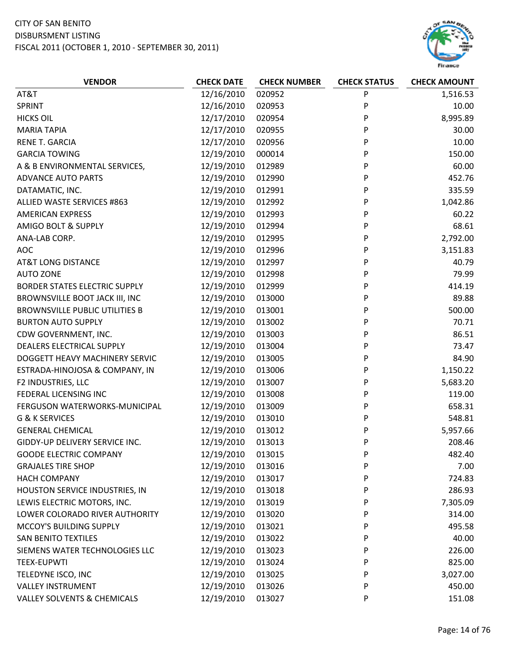

| AT&T<br>12/16/2010<br>020952<br>P<br>1,516.53<br>SPRINT<br>12/16/2010<br>P<br>10.00<br>020953<br>P<br>12/17/2010<br>8,995.89<br><b>HICKS OIL</b><br>020954<br>12/17/2010<br>020955<br>P<br>30.00<br><b>MARIA TAPIA</b><br><b>RENE T. GARCIA</b><br>12/17/2010<br>020956<br>P<br>10.00<br>150.00<br><b>GARCIA TOWING</b><br>12/19/2010<br>000014<br>P<br>60.00<br>12/19/2010<br>P<br>A & B ENVIRONMENTAL SERVICES,<br>012989<br><b>ADVANCE AUTO PARTS</b><br>12/19/2010<br>012990<br>P<br>452.76<br>P<br>335.59<br>DATAMATIC, INC.<br>12/19/2010<br>012991<br>ALLIED WASTE SERVICES #863<br>12/19/2010<br>P<br>012992<br>1,042.86<br>12/19/2010<br>P<br>60.22<br><b>AMERICAN EXPRESS</b><br>012993<br>P<br>68.61<br>AMIGO BOLT & SUPPLY<br>12/19/2010<br>012994<br>2,792.00<br>12/19/2010<br>012995<br>P<br>ANA-LAB CORP.<br><b>AOC</b><br>12/19/2010<br>P<br>3,151.83<br>012996<br>12/19/2010<br>012997<br>P<br>40.79<br><b>AT&amp;T LONG DISTANCE</b><br>12/19/2010<br>012998<br>P<br>79.99<br><b>AUTO ZONE</b><br>12/19/2010<br>P<br>414.19<br><b>BORDER STATES ELECTRIC SUPPLY</b><br>012999<br>89.88<br>BROWNSVILLE BOOT JACK III, INC<br>12/19/2010<br>013000<br>P<br>P<br><b>BROWNSVILLE PUBLIC UTILITIES B</b><br>12/19/2010<br>500.00<br>013001<br><b>BURTON AUTO SUPPLY</b><br>12/19/2010<br>013002<br>70.71<br>P<br>86.51<br>CDW GOVERNMENT, INC.<br>12/19/2010<br>013003<br>P<br>DEALERS ELECTRICAL SUPPLY<br>12/19/2010<br>P<br>73.47<br>013004<br>DOGGETT HEAVY MACHINERY SERVIC<br>12/19/2010<br>013005<br>P<br>84.90<br>12/19/2010<br>013006<br>P<br>1,150.22<br>ESTRADA-HINOJOSA & COMPANY, IN<br>12/19/2010<br>P<br>5,683.20<br>F2 INDUSTRIES, LLC<br>013007<br>12/19/2010<br>P<br>119.00<br>FEDERAL LICENSING INC<br>013008<br>12/19/2010<br>013009<br>P<br>658.31<br>FERGUSON WATERWORKS-MUNICIPAL |
|-----------------------------------------------------------------------------------------------------------------------------------------------------------------------------------------------------------------------------------------------------------------------------------------------------------------------------------------------------------------------------------------------------------------------------------------------------------------------------------------------------------------------------------------------------------------------------------------------------------------------------------------------------------------------------------------------------------------------------------------------------------------------------------------------------------------------------------------------------------------------------------------------------------------------------------------------------------------------------------------------------------------------------------------------------------------------------------------------------------------------------------------------------------------------------------------------------------------------------------------------------------------------------------------------------------------------------------------------------------------------------------------------------------------------------------------------------------------------------------------------------------------------------------------------------------------------------------------------------------------------------------------------------------------------------------------------------------------------------------------------------------------------------------------------------------------------|
|                                                                                                                                                                                                                                                                                                                                                                                                                                                                                                                                                                                                                                                                                                                                                                                                                                                                                                                                                                                                                                                                                                                                                                                                                                                                                                                                                                                                                                                                                                                                                                                                                                                                                                                                                                                                                       |
|                                                                                                                                                                                                                                                                                                                                                                                                                                                                                                                                                                                                                                                                                                                                                                                                                                                                                                                                                                                                                                                                                                                                                                                                                                                                                                                                                                                                                                                                                                                                                                                                                                                                                                                                                                                                                       |
|                                                                                                                                                                                                                                                                                                                                                                                                                                                                                                                                                                                                                                                                                                                                                                                                                                                                                                                                                                                                                                                                                                                                                                                                                                                                                                                                                                                                                                                                                                                                                                                                                                                                                                                                                                                                                       |
|                                                                                                                                                                                                                                                                                                                                                                                                                                                                                                                                                                                                                                                                                                                                                                                                                                                                                                                                                                                                                                                                                                                                                                                                                                                                                                                                                                                                                                                                                                                                                                                                                                                                                                                                                                                                                       |
|                                                                                                                                                                                                                                                                                                                                                                                                                                                                                                                                                                                                                                                                                                                                                                                                                                                                                                                                                                                                                                                                                                                                                                                                                                                                                                                                                                                                                                                                                                                                                                                                                                                                                                                                                                                                                       |
|                                                                                                                                                                                                                                                                                                                                                                                                                                                                                                                                                                                                                                                                                                                                                                                                                                                                                                                                                                                                                                                                                                                                                                                                                                                                                                                                                                                                                                                                                                                                                                                                                                                                                                                                                                                                                       |
|                                                                                                                                                                                                                                                                                                                                                                                                                                                                                                                                                                                                                                                                                                                                                                                                                                                                                                                                                                                                                                                                                                                                                                                                                                                                                                                                                                                                                                                                                                                                                                                                                                                                                                                                                                                                                       |
|                                                                                                                                                                                                                                                                                                                                                                                                                                                                                                                                                                                                                                                                                                                                                                                                                                                                                                                                                                                                                                                                                                                                                                                                                                                                                                                                                                                                                                                                                                                                                                                                                                                                                                                                                                                                                       |
|                                                                                                                                                                                                                                                                                                                                                                                                                                                                                                                                                                                                                                                                                                                                                                                                                                                                                                                                                                                                                                                                                                                                                                                                                                                                                                                                                                                                                                                                                                                                                                                                                                                                                                                                                                                                                       |
|                                                                                                                                                                                                                                                                                                                                                                                                                                                                                                                                                                                                                                                                                                                                                                                                                                                                                                                                                                                                                                                                                                                                                                                                                                                                                                                                                                                                                                                                                                                                                                                                                                                                                                                                                                                                                       |
|                                                                                                                                                                                                                                                                                                                                                                                                                                                                                                                                                                                                                                                                                                                                                                                                                                                                                                                                                                                                                                                                                                                                                                                                                                                                                                                                                                                                                                                                                                                                                                                                                                                                                                                                                                                                                       |
|                                                                                                                                                                                                                                                                                                                                                                                                                                                                                                                                                                                                                                                                                                                                                                                                                                                                                                                                                                                                                                                                                                                                                                                                                                                                                                                                                                                                                                                                                                                                                                                                                                                                                                                                                                                                                       |
|                                                                                                                                                                                                                                                                                                                                                                                                                                                                                                                                                                                                                                                                                                                                                                                                                                                                                                                                                                                                                                                                                                                                                                                                                                                                                                                                                                                                                                                                                                                                                                                                                                                                                                                                                                                                                       |
|                                                                                                                                                                                                                                                                                                                                                                                                                                                                                                                                                                                                                                                                                                                                                                                                                                                                                                                                                                                                                                                                                                                                                                                                                                                                                                                                                                                                                                                                                                                                                                                                                                                                                                                                                                                                                       |
|                                                                                                                                                                                                                                                                                                                                                                                                                                                                                                                                                                                                                                                                                                                                                                                                                                                                                                                                                                                                                                                                                                                                                                                                                                                                                                                                                                                                                                                                                                                                                                                                                                                                                                                                                                                                                       |
|                                                                                                                                                                                                                                                                                                                                                                                                                                                                                                                                                                                                                                                                                                                                                                                                                                                                                                                                                                                                                                                                                                                                                                                                                                                                                                                                                                                                                                                                                                                                                                                                                                                                                                                                                                                                                       |
|                                                                                                                                                                                                                                                                                                                                                                                                                                                                                                                                                                                                                                                                                                                                                                                                                                                                                                                                                                                                                                                                                                                                                                                                                                                                                                                                                                                                                                                                                                                                                                                                                                                                                                                                                                                                                       |
|                                                                                                                                                                                                                                                                                                                                                                                                                                                                                                                                                                                                                                                                                                                                                                                                                                                                                                                                                                                                                                                                                                                                                                                                                                                                                                                                                                                                                                                                                                                                                                                                                                                                                                                                                                                                                       |
|                                                                                                                                                                                                                                                                                                                                                                                                                                                                                                                                                                                                                                                                                                                                                                                                                                                                                                                                                                                                                                                                                                                                                                                                                                                                                                                                                                                                                                                                                                                                                                                                                                                                                                                                                                                                                       |
|                                                                                                                                                                                                                                                                                                                                                                                                                                                                                                                                                                                                                                                                                                                                                                                                                                                                                                                                                                                                                                                                                                                                                                                                                                                                                                                                                                                                                                                                                                                                                                                                                                                                                                                                                                                                                       |
|                                                                                                                                                                                                                                                                                                                                                                                                                                                                                                                                                                                                                                                                                                                                                                                                                                                                                                                                                                                                                                                                                                                                                                                                                                                                                                                                                                                                                                                                                                                                                                                                                                                                                                                                                                                                                       |
|                                                                                                                                                                                                                                                                                                                                                                                                                                                                                                                                                                                                                                                                                                                                                                                                                                                                                                                                                                                                                                                                                                                                                                                                                                                                                                                                                                                                                                                                                                                                                                                                                                                                                                                                                                                                                       |
|                                                                                                                                                                                                                                                                                                                                                                                                                                                                                                                                                                                                                                                                                                                                                                                                                                                                                                                                                                                                                                                                                                                                                                                                                                                                                                                                                                                                                                                                                                                                                                                                                                                                                                                                                                                                                       |
|                                                                                                                                                                                                                                                                                                                                                                                                                                                                                                                                                                                                                                                                                                                                                                                                                                                                                                                                                                                                                                                                                                                                                                                                                                                                                                                                                                                                                                                                                                                                                                                                                                                                                                                                                                                                                       |
|                                                                                                                                                                                                                                                                                                                                                                                                                                                                                                                                                                                                                                                                                                                                                                                                                                                                                                                                                                                                                                                                                                                                                                                                                                                                                                                                                                                                                                                                                                                                                                                                                                                                                                                                                                                                                       |
|                                                                                                                                                                                                                                                                                                                                                                                                                                                                                                                                                                                                                                                                                                                                                                                                                                                                                                                                                                                                                                                                                                                                                                                                                                                                                                                                                                                                                                                                                                                                                                                                                                                                                                                                                                                                                       |
|                                                                                                                                                                                                                                                                                                                                                                                                                                                                                                                                                                                                                                                                                                                                                                                                                                                                                                                                                                                                                                                                                                                                                                                                                                                                                                                                                                                                                                                                                                                                                                                                                                                                                                                                                                                                                       |
| G & K SERVICES<br>12/19/2010<br>P<br>548.81<br>013010                                                                                                                                                                                                                                                                                                                                                                                                                                                                                                                                                                                                                                                                                                                                                                                                                                                                                                                                                                                                                                                                                                                                                                                                                                                                                                                                                                                                                                                                                                                                                                                                                                                                                                                                                                 |
| 12/19/2010<br>P<br>5,957.66<br><b>GENERAL CHEMICAL</b><br>013012                                                                                                                                                                                                                                                                                                                                                                                                                                                                                                                                                                                                                                                                                                                                                                                                                                                                                                                                                                                                                                                                                                                                                                                                                                                                                                                                                                                                                                                                                                                                                                                                                                                                                                                                                      |
| 12/19/2010<br>013013<br>P<br>208.46<br>GIDDY-UP DELIVERY SERVICE INC.                                                                                                                                                                                                                                                                                                                                                                                                                                                                                                                                                                                                                                                                                                                                                                                                                                                                                                                                                                                                                                                                                                                                                                                                                                                                                                                                                                                                                                                                                                                                                                                                                                                                                                                                                 |
| 12/19/2010<br><b>GOODE ELECTRIC COMPANY</b><br>013015<br>P<br>482.40                                                                                                                                                                                                                                                                                                                                                                                                                                                                                                                                                                                                                                                                                                                                                                                                                                                                                                                                                                                                                                                                                                                                                                                                                                                                                                                                                                                                                                                                                                                                                                                                                                                                                                                                                  |
| 12/19/2010<br><b>GRAJALES TIRE SHOP</b><br>013016<br>P<br>7.00                                                                                                                                                                                                                                                                                                                                                                                                                                                                                                                                                                                                                                                                                                                                                                                                                                                                                                                                                                                                                                                                                                                                                                                                                                                                                                                                                                                                                                                                                                                                                                                                                                                                                                                                                        |
| 12/19/2010<br><b>HACH COMPANY</b><br>013017<br>P<br>724.83                                                                                                                                                                                                                                                                                                                                                                                                                                                                                                                                                                                                                                                                                                                                                                                                                                                                                                                                                                                                                                                                                                                                                                                                                                                                                                                                                                                                                                                                                                                                                                                                                                                                                                                                                            |
| 12/19/2010<br>286.93<br>HOUSTON SERVICE INDUSTRIES, IN<br>013018<br>P                                                                                                                                                                                                                                                                                                                                                                                                                                                                                                                                                                                                                                                                                                                                                                                                                                                                                                                                                                                                                                                                                                                                                                                                                                                                                                                                                                                                                                                                                                                                                                                                                                                                                                                                                 |
| LEWIS ELECTRIC MOTORS, INC.<br>12/19/2010<br>013019<br>P<br>7,305.09                                                                                                                                                                                                                                                                                                                                                                                                                                                                                                                                                                                                                                                                                                                                                                                                                                                                                                                                                                                                                                                                                                                                                                                                                                                                                                                                                                                                                                                                                                                                                                                                                                                                                                                                                  |
| 12/19/2010<br>LOWER COLORADO RIVER AUTHORITY<br>013020<br>P<br>314.00                                                                                                                                                                                                                                                                                                                                                                                                                                                                                                                                                                                                                                                                                                                                                                                                                                                                                                                                                                                                                                                                                                                                                                                                                                                                                                                                                                                                                                                                                                                                                                                                                                                                                                                                                 |
| MCCOY'S BUILDING SUPPLY<br>12/19/2010<br>013021<br>495.58<br>P                                                                                                                                                                                                                                                                                                                                                                                                                                                                                                                                                                                                                                                                                                                                                                                                                                                                                                                                                                                                                                                                                                                                                                                                                                                                                                                                                                                                                                                                                                                                                                                                                                                                                                                                                        |
| 12/19/2010<br><b>SAN BENITO TEXTILES</b><br>013022<br>P<br>40.00                                                                                                                                                                                                                                                                                                                                                                                                                                                                                                                                                                                                                                                                                                                                                                                                                                                                                                                                                                                                                                                                                                                                                                                                                                                                                                                                                                                                                                                                                                                                                                                                                                                                                                                                                      |
| 12/19/2010<br>226.00<br>SIEMENS WATER TECHNOLOGIES LLC<br>013023<br>P                                                                                                                                                                                                                                                                                                                                                                                                                                                                                                                                                                                                                                                                                                                                                                                                                                                                                                                                                                                                                                                                                                                                                                                                                                                                                                                                                                                                                                                                                                                                                                                                                                                                                                                                                 |
| 12/19/2010<br>825.00<br><b>TEEX-EUPWTI</b><br>013024<br>P                                                                                                                                                                                                                                                                                                                                                                                                                                                                                                                                                                                                                                                                                                                                                                                                                                                                                                                                                                                                                                                                                                                                                                                                                                                                                                                                                                                                                                                                                                                                                                                                                                                                                                                                                             |
| 12/19/2010<br>TELEDYNE ISCO, INC<br>013025<br>P<br>3,027.00                                                                                                                                                                                                                                                                                                                                                                                                                                                                                                                                                                                                                                                                                                                                                                                                                                                                                                                                                                                                                                                                                                                                                                                                                                                                                                                                                                                                                                                                                                                                                                                                                                                                                                                                                           |
| <b>VALLEY INSTRUMENT</b><br>12/19/2010<br>013026<br>P<br>450.00                                                                                                                                                                                                                                                                                                                                                                                                                                                                                                                                                                                                                                                                                                                                                                                                                                                                                                                                                                                                                                                                                                                                                                                                                                                                                                                                                                                                                                                                                                                                                                                                                                                                                                                                                       |
| 12/19/2010<br><b>VALLEY SOLVENTS &amp; CHEMICALS</b><br>013027<br>P<br>151.08                                                                                                                                                                                                                                                                                                                                                                                                                                                                                                                                                                                                                                                                                                                                                                                                                                                                                                                                                                                                                                                                                                                                                                                                                                                                                                                                                                                                                                                                                                                                                                                                                                                                                                                                         |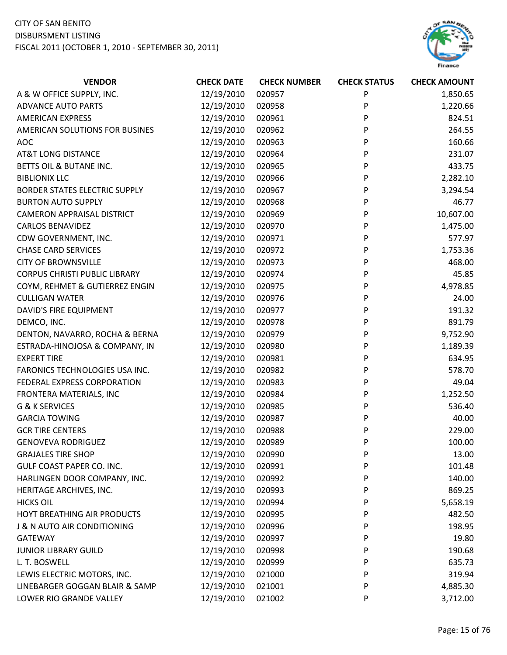## CITY OF SAN BENITO

#### DISBURSMENT LISTING



| <b>VENDOR</b>                        | <b>CHECK DATE</b> | <b>CHECK NUMBER</b> | <b>CHECK STATUS</b> | <b>CHECK AMOUNT</b> |
|--------------------------------------|-------------------|---------------------|---------------------|---------------------|
| A & W OFFICE SUPPLY, INC.            | 12/19/2010        | 020957              | P                   | 1,850.65            |
| <b>ADVANCE AUTO PARTS</b>            | 12/19/2010        | 020958              | P                   | 1,220.66            |
| <b>AMERICAN EXPRESS</b>              | 12/19/2010        | 020961              | P                   | 824.51              |
| AMERICAN SOLUTIONS FOR BUSINES       | 12/19/2010        | 020962              | P                   | 264.55              |
| <b>AOC</b>                           | 12/19/2010        | 020963              | P                   | 160.66              |
| <b>AT&amp;T LONG DISTANCE</b>        | 12/19/2010        | 020964              | P                   | 231.07              |
| BETTS OIL & BUTANE INC.              | 12/19/2010        | 020965              | P                   | 433.75              |
| <b>BIBLIONIX LLC</b>                 | 12/19/2010        | 020966              | P                   | 2,282.10            |
| <b>BORDER STATES ELECTRIC SUPPLY</b> | 12/19/2010        | 020967              | P                   | 3,294.54            |
| <b>BURTON AUTO SUPPLY</b>            | 12/19/2010        | 020968              | P                   | 46.77               |
| <b>CAMERON APPRAISAL DISTRICT</b>    | 12/19/2010        | 020969              | P                   | 10,607.00           |
| <b>CARLOS BENAVIDEZ</b>              | 12/19/2010        | 020970              | P                   | 1,475.00            |
| CDW GOVERNMENT, INC.                 | 12/19/2010        | 020971              | P                   | 577.97              |
| <b>CHASE CARD SERVICES</b>           | 12/19/2010        | 020972              | P                   | 1,753.36            |
| <b>CITY OF BROWNSVILLE</b>           | 12/19/2010        | 020973              | P                   | 468.00              |
| <b>CORPUS CHRISTI PUBLIC LIBRARY</b> | 12/19/2010        | 020974              | P                   | 45.85               |
| COYM, REHMET & GUTIERREZ ENGIN       | 12/19/2010        | 020975              | P                   | 4,978.85            |
| <b>CULLIGAN WATER</b>                | 12/19/2010        | 020976              | P                   | 24.00               |
| DAVID'S FIRE EQUIPMENT               | 12/19/2010        | 020977              | P                   | 191.32              |
| DEMCO, INC.                          | 12/19/2010        | 020978              | P                   | 891.79              |
| DENTON, NAVARRO, ROCHA & BERNA       | 12/19/2010        | 020979              | P                   | 9,752.90            |
| ESTRADA-HINOJOSA & COMPANY, IN       | 12/19/2010        | 020980              | P                   | 1,189.39            |
| <b>EXPERT TIRE</b>                   | 12/19/2010        | 020981              | P                   | 634.95              |
| FARONICS TECHNOLOGIES USA INC.       | 12/19/2010        | 020982              | P                   | 578.70              |
| FEDERAL EXPRESS CORPORATION          | 12/19/2010        | 020983              | P                   | 49.04               |
| FRONTERA MATERIALS, INC              | 12/19/2010        | 020984              | P                   | 1,252.50            |
| <b>G &amp; K SERVICES</b>            | 12/19/2010        | 020985              | P                   | 536.40              |
| <b>GARCIA TOWING</b>                 | 12/19/2010        | 020987              | P                   | 40.00               |
| <b>GCR TIRE CENTERS</b>              | 12/19/2010        | 020988              | P                   | 229.00              |
| <b>GENOVEVA RODRIGUEZ</b>            | 12/19/2010        | 020989              | P                   | 100.00              |
| <b>GRAJALES TIRE SHOP</b>            | 12/19/2010        | 020990              | P                   | 13.00               |
| GULF COAST PAPER CO. INC.            | 12/19/2010        | 020991              | P                   | 101.48              |
| HARLINGEN DOOR COMPANY, INC.         | 12/19/2010        | 020992              | P                   | 140.00              |
| HERITAGE ARCHIVES, INC.              | 12/19/2010        | 020993              | P                   | 869.25              |
| <b>HICKS OIL</b>                     | 12/19/2010        | 020994              | P                   | 5,658.19            |
| HOYT BREATHING AIR PRODUCTS          | 12/19/2010        | 020995              | P                   | 482.50              |
| J & N AUTO AIR CONDITIONING          | 12/19/2010        | 020996              | P                   | 198.95              |
| GATEWAY                              | 12/19/2010        | 020997              | P                   | 19.80               |
| <b>JUNIOR LIBRARY GUILD</b>          | 12/19/2010        | 020998              | P                   | 190.68              |
| L. T. BOSWELL                        | 12/19/2010        | 020999              | P                   | 635.73              |
| LEWIS ELECTRIC MOTORS, INC.          | 12/19/2010        | 021000              | P                   | 319.94              |
| LINEBARGER GOGGAN BLAIR & SAMP       | 12/19/2010        | 021001              | P                   | 4,885.30            |
| LOWER RIO GRANDE VALLEY              | 12/19/2010        | 021002              | P                   | 3,712.00            |
|                                      |                   |                     |                     |                     |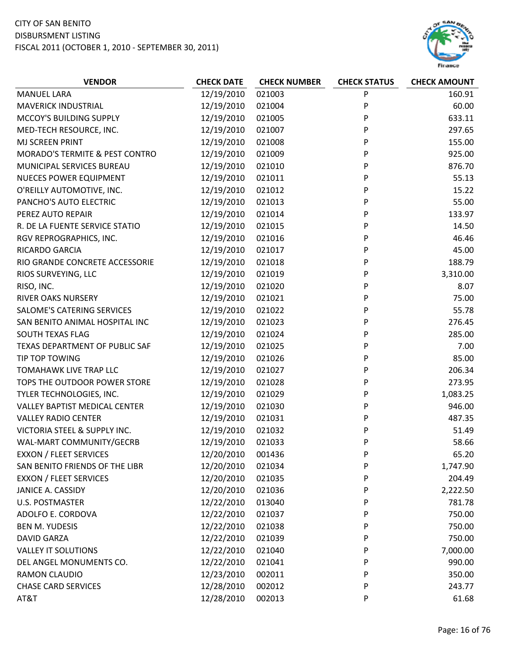

| <b>VENDOR</b>                             | <b>CHECK DATE</b> | <b>CHECK NUMBER</b> | <b>CHECK STATUS</b> | <b>CHECK AMOUNT</b> |
|-------------------------------------------|-------------------|---------------------|---------------------|---------------------|
| <b>MANUEL LARA</b>                        | 12/19/2010        | 021003              | P                   | 160.91              |
| <b>MAVERICK INDUSTRIAL</b>                | 12/19/2010        | 021004              | P                   | 60.00               |
| MCCOY'S BUILDING SUPPLY                   | 12/19/2010        | 021005              | P                   | 633.11              |
| MED-TECH RESOURCE, INC.                   | 12/19/2010        | 021007              | P                   | 297.65              |
| MJ SCREEN PRINT                           | 12/19/2010        | 021008              | P                   | 155.00              |
| <b>MORADO'S TERMITE &amp; PEST CONTRO</b> | 12/19/2010        | 021009              | P                   | 925.00              |
| MUNICIPAL SERVICES BUREAU                 | 12/19/2010        | 021010              | P                   | 876.70              |
| <b>NUECES POWER EQUIPMENT</b>             | 12/19/2010        | 021011              | P                   | 55.13               |
| O'REILLY AUTOMOTIVE, INC.                 | 12/19/2010        | 021012              | P                   | 15.22               |
| PANCHO'S AUTO ELECTRIC                    | 12/19/2010        | 021013              | P                   | 55.00               |
| PEREZ AUTO REPAIR                         | 12/19/2010        | 021014              | P                   | 133.97              |
| R. DE LA FUENTE SERVICE STATIO            | 12/19/2010        | 021015              | P                   | 14.50               |
| RGV REPROGRAPHICS, INC.                   | 12/19/2010        | 021016              | P                   | 46.46               |
| RICARDO GARCIA                            | 12/19/2010        | 021017              | P                   | 45.00               |
| RIO GRANDE CONCRETE ACCESSORIE            | 12/19/2010        | 021018              | P                   | 188.79              |
| RIOS SURVEYING, LLC                       | 12/19/2010        | 021019              | P                   | 3,310.00            |
| RISO, INC.                                | 12/19/2010        | 021020              | P                   | 8.07                |
| <b>RIVER OAKS NURSERY</b>                 | 12/19/2010        | 021021              | P                   | 75.00               |
| SALOME'S CATERING SERVICES                | 12/19/2010        | 021022              | P                   | 55.78               |
| SAN BENITO ANIMAL HOSPITAL INC            | 12/19/2010        | 021023              | P                   | 276.45              |
| SOUTH TEXAS FLAG                          | 12/19/2010        | 021024              | P                   | 285.00              |
| TEXAS DEPARTMENT OF PUBLIC SAF            | 12/19/2010        | 021025              | P                   | 7.00                |
| TIP TOP TOWING                            | 12/19/2010        | 021026              | P                   | 85.00               |
| TOMAHAWK LIVE TRAP LLC                    | 12/19/2010        | 021027              | P                   | 206.34              |
| TOPS THE OUTDOOR POWER STORE              | 12/19/2010        | 021028              | P                   | 273.95              |
| TYLER TECHNOLOGIES, INC.                  | 12/19/2010        | 021029              | P                   | 1,083.25            |
| <b>VALLEY BAPTIST MEDICAL CENTER</b>      | 12/19/2010        | 021030              | P                   | 946.00              |
| <b>VALLEY RADIO CENTER</b>                | 12/19/2010        | 021031              | P                   | 487.35              |
| VICTORIA STEEL & SUPPLY INC.              | 12/19/2010        | 021032              | P                   | 51.49               |
| WAL-MART COMMUNITY/GECRB                  | 12/19/2010        | 021033              | P                   | 58.66               |
| <b>EXXON / FLEET SERVICES</b>             | 12/20/2010        | 001436              | P                   | 65.20               |
| SAN BENITO FRIENDS OF THE LIBR            | 12/20/2010        | 021034              | P                   | 1,747.90            |
| <b>EXXON / FLEET SERVICES</b>             | 12/20/2010        | 021035              | P                   | 204.49              |
| <b>JANICE A. CASSIDY</b>                  | 12/20/2010        | 021036              | P                   | 2,222.50            |
| <b>U.S. POSTMASTER</b>                    | 12/22/2010        | 013040              | P                   | 781.78              |
| ADOLFO E. CORDOVA                         | 12/22/2010        | 021037              | P                   | 750.00              |
| <b>BEN M. YUDESIS</b>                     | 12/22/2010        | 021038              | P                   | 750.00              |
| <b>DAVID GARZA</b>                        | 12/22/2010        | 021039              | P                   | 750.00              |
| <b>VALLEY IT SOLUTIONS</b>                | 12/22/2010        | 021040              | P                   | 7,000.00            |
| DEL ANGEL MONUMENTS CO.                   | 12/22/2010        | 021041              | P                   | 990.00              |
| <b>RAMON CLAUDIO</b>                      | 12/23/2010        | 002011              | P                   | 350.00              |
| <b>CHASE CARD SERVICES</b>                | 12/28/2010        | 002012              | P                   | 243.77              |
| AT&T                                      | 12/28/2010        | 002013              | P                   | 61.68               |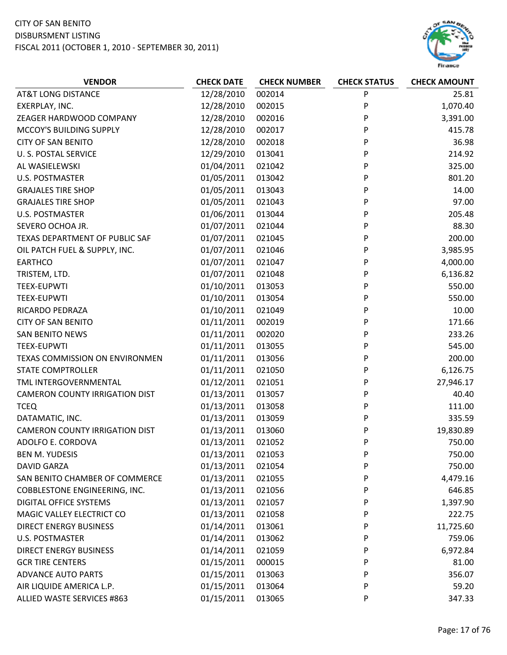

| <b>VENDOR</b>                         | <b>CHECK DATE</b> | <b>CHECK NUMBER</b> | <b>CHECK STATUS</b> | <b>CHECK AMOUNT</b> |
|---------------------------------------|-------------------|---------------------|---------------------|---------------------|
| <b>AT&amp;T LONG DISTANCE</b>         | 12/28/2010        | 002014              | P                   | 25.81               |
| EXERPLAY, INC.                        | 12/28/2010        | 002015              | P                   | 1,070.40            |
| ZEAGER HARDWOOD COMPANY               | 12/28/2010        | 002016              | P                   | 3,391.00            |
| MCCOY'S BUILDING SUPPLY               | 12/28/2010        | 002017              | P                   | 415.78              |
| <b>CITY OF SAN BENITO</b>             | 12/28/2010        | 002018              | P                   | 36.98               |
| <b>U. S. POSTAL SERVICE</b>           | 12/29/2010        | 013041              | P                   | 214.92              |
| AL WASIELEWSKI                        | 01/04/2011        | 021042              | P                   | 325.00              |
| <b>U.S. POSTMASTER</b>                | 01/05/2011        | 013042              | P                   | 801.20              |
| <b>GRAJALES TIRE SHOP</b>             | 01/05/2011        | 013043              | P                   | 14.00               |
| <b>GRAJALES TIRE SHOP</b>             | 01/05/2011        | 021043              | P                   | 97.00               |
| <b>U.S. POSTMASTER</b>                | 01/06/2011        | 013044              | P                   | 205.48              |
| SEVERO OCHOA JR.                      | 01/07/2011        | 021044              | P                   | 88.30               |
| TEXAS DEPARTMENT OF PUBLIC SAF        | 01/07/2011        | 021045              | P                   | 200.00              |
| OIL PATCH FUEL & SUPPLY, INC.         | 01/07/2011        | 021046              | P                   | 3,985.95            |
| <b>EARTHCO</b>                        | 01/07/2011        | 021047              | P                   | 4,000.00            |
| TRISTEM, LTD.                         | 01/07/2011        | 021048              | P                   | 6,136.82            |
| <b>TEEX-EUPWTI</b>                    | 01/10/2011        | 013053              | P                   | 550.00              |
| <b>TEEX-EUPWTI</b>                    | 01/10/2011        | 013054              | P                   | 550.00              |
| RICARDO PEDRAZA                       | 01/10/2011        | 021049              | P                   | 10.00               |
| <b>CITY OF SAN BENITO</b>             | 01/11/2011        | 002019              | P                   | 171.66              |
| <b>SAN BENITO NEWS</b>                | 01/11/2011        | 002020              | P                   | 233.26              |
| <b>TEEX-EUPWTI</b>                    | 01/11/2011        | 013055              | P                   | 545.00              |
| TEXAS COMMISSION ON ENVIRONMEN        | 01/11/2011        | 013056              | P                   | 200.00              |
| <b>STATE COMPTROLLER</b>              | 01/11/2011        | 021050              | P                   | 6,126.75            |
| TML INTERGOVERNMENTAL                 | 01/12/2011        | 021051              | P                   | 27,946.17           |
| <b>CAMERON COUNTY IRRIGATION DIST</b> | 01/13/2011        | 013057              | P                   | 40.40               |
| <b>TCEQ</b>                           | 01/13/2011        | 013058              | P                   | 111.00              |
| DATAMATIC, INC.                       | 01/13/2011        | 013059              | P                   | 335.59              |
| <b>CAMERON COUNTY IRRIGATION DIST</b> | 01/13/2011        | 013060              | P                   | 19,830.89           |
| ADOLFO E. CORDOVA                     | 01/13/2011        | 021052              | P                   | 750.00              |
| <b>BEN M. YUDESIS</b>                 | 01/13/2011        | 021053              | P                   | 750.00              |
| <b>DAVID GARZA</b>                    | 01/13/2011        | 021054              | P                   | 750.00              |
| SAN BENITO CHAMBER OF COMMERCE        | 01/13/2011        | 021055              | P                   | 4,479.16            |
| COBBLESTONE ENGINEERING, INC.         | 01/13/2011        | 021056              | P                   | 646.85              |
| DIGITAL OFFICE SYSTEMS                | 01/13/2011        | 021057              | P                   | 1,397.90            |
| MAGIC VALLEY ELECTRICT CO             | 01/13/2011        | 021058              | P                   | 222.75              |
| <b>DIRECT ENERGY BUSINESS</b>         | 01/14/2011        | 013061              | P                   | 11,725.60           |
| <b>U.S. POSTMASTER</b>                | 01/14/2011        | 013062              | P                   | 759.06              |
| <b>DIRECT ENERGY BUSINESS</b>         | 01/14/2011        | 021059              | P                   | 6,972.84            |
| <b>GCR TIRE CENTERS</b>               | 01/15/2011        | 000015              | P                   | 81.00               |
| <b>ADVANCE AUTO PARTS</b>             | 01/15/2011        | 013063              | P                   | 356.07              |
| AIR LIQUIDE AMERICA L.P.              | 01/15/2011        | 013064              | P                   | 59.20               |
| ALLIED WASTE SERVICES #863            | 01/15/2011        | 013065              | P                   | 347.33              |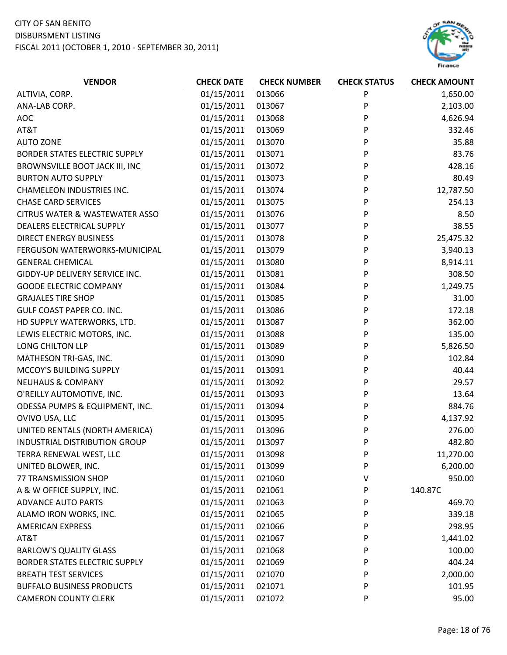

| 01/15/2011<br>013066<br>P<br>1,650.00<br>ALTIVIA, CORP.<br>01/15/2011<br>P<br>2,103.00<br>ANA-LAB CORP.<br>013067<br>AOC<br>01/15/2011<br>P<br>4,626.94<br>013068<br>AT&T<br>01/15/2011<br>013069<br>P<br>332.46<br>01/15/2011<br>013070<br>P<br>35.88<br><b>AUTO ZONE</b><br>P<br>01/15/2011<br>013071<br>83.76<br><b>BORDER STATES ELECTRIC SUPPLY</b><br>01/15/2011<br>P<br>428.16<br>BROWNSVILLE BOOT JACK III, INC<br>013072<br>01/15/2011<br>80.49<br><b>BURTON AUTO SUPPLY</b><br>013073<br>P<br>P<br>01/15/2011<br>013074<br>12,787.50<br><b>CHAMELEON INDUSTRIES INC.</b><br><b>CHASE CARD SERVICES</b><br>01/15/2011<br>P<br>254.13<br>013075<br>P<br>01/15/2011<br>8.50<br><b>CITRUS WATER &amp; WASTEWATER ASSO</b><br>013076<br>P<br>01/15/2011<br>38.55<br>DEALERS ELECTRICAL SUPPLY<br>013077<br><b>DIRECT ENERGY BUSINESS</b><br>01/15/2011<br>013078<br>P<br>25,475.32<br>01/15/2011<br>P<br>3,940.13<br>FERGUSON WATERWORKS-MUNICIPAL<br>013079<br>01/15/2011<br>P<br>8,914.11<br><b>GENERAL CHEMICAL</b><br>013080<br>P<br>308.50<br>01/15/2011<br>013081<br>GIDDY-UP DELIVERY SERVICE INC.<br><b>GOODE ELECTRIC COMPANY</b><br>01/15/2011<br>013084<br>P<br>1,249.75<br><b>GRAJALES TIRE SHOP</b><br>01/15/2011<br>013085<br>P<br>31.00<br><b>GULF COAST PAPER CO. INC.</b><br>01/15/2011<br>P<br>013086<br>172.18<br>HD SUPPLY WATERWORKS, LTD.<br>01/15/2011<br>013087<br>P<br>362.00<br>P<br>01/15/2011<br>135.00<br>LEWIS ELECTRIC MOTORS, INC.<br>013088<br>LONG CHILTON LLP<br>01/15/2011<br>5,826.50<br>013089<br>P<br>MATHESON TRI-GAS, INC.<br>01/15/2011<br>013090<br>P<br>102.84<br>MCCOY'S BUILDING SUPPLY<br>01/15/2011<br>013091<br>P<br>40.44<br><b>NEUHAUS &amp; COMPANY</b><br>01/15/2011<br>013092<br>P<br>29.57<br>O'REILLY AUTOMOTIVE, INC.<br>01/15/2011<br>013093<br>P<br>13.64<br>01/15/2011<br>013094<br>P<br>884.76<br>ODESSA PUMPS & EQUIPMENT, INC.<br>OVIVO USA, LLC<br>01/15/2011<br>P<br>4,137.92<br>013095<br>UNITED RENTALS (NORTH AMERICA)<br>01/15/2011<br>013096<br>276.00<br>P<br>01/15/2011<br>P<br>482.80<br>INDUSTRIAL DISTRIBUTION GROUP<br>013097<br>TERRA RENEWAL WEST, LLC<br>01/15/2011<br>013098<br>P<br>11,270.00<br>01/15/2011<br>6,200.00<br>UNITED BLOWER, INC.<br>013099<br>P<br>01/15/2011<br>77 TRANSMISSION SHOP<br>021060<br>٧<br>950.00<br>A & W OFFICE SUPPLY, INC.<br>01/15/2011<br>021061<br>140.87C<br>P<br>01/15/2011<br><b>ADVANCE AUTO PARTS</b><br>021063<br>P<br>469.70<br>01/15/2011<br>ALAMO IRON WORKS, INC.<br>021065<br>339.18<br>P<br>01/15/2011<br><b>AMERICAN EXPRESS</b><br>021066<br>P<br>298.95<br>01/15/2011<br>AT&T<br>021067<br>P<br>1,441.02<br>01/15/2011<br><b>BARLOW'S QUALITY GLASS</b><br>021068<br>P<br>100.00<br>01/15/2011<br><b>BORDER STATES ELECTRIC SUPPLY</b><br>021069<br>P<br>404.24<br>01/15/2011<br><b>BREATH TEST SERVICES</b><br>021070<br>2,000.00<br>P<br>01/15/2011<br><b>BUFFALO BUSINESS PRODUCTS</b><br>021071<br>P<br>101.95 | <b>VENDOR</b> | <b>CHECK DATE</b> | <b>CHECK NUMBER</b> | <b>CHECK STATUS</b> | <b>CHECK AMOUNT</b> |
|-----------------------------------------------------------------------------------------------------------------------------------------------------------------------------------------------------------------------------------------------------------------------------------------------------------------------------------------------------------------------------------------------------------------------------------------------------------------------------------------------------------------------------------------------------------------------------------------------------------------------------------------------------------------------------------------------------------------------------------------------------------------------------------------------------------------------------------------------------------------------------------------------------------------------------------------------------------------------------------------------------------------------------------------------------------------------------------------------------------------------------------------------------------------------------------------------------------------------------------------------------------------------------------------------------------------------------------------------------------------------------------------------------------------------------------------------------------------------------------------------------------------------------------------------------------------------------------------------------------------------------------------------------------------------------------------------------------------------------------------------------------------------------------------------------------------------------------------------------------------------------------------------------------------------------------------------------------------------------------------------------------------------------------------------------------------------------------------------------------------------------------------------------------------------------------------------------------------------------------------------------------------------------------------------------------------------------------------------------------------------------------------------------------------------------------------------------------------------------------------------------------------------------------------------------------------------------------------------------------------------------------------------------------------------------------------------------------------------------------------------------------------------------------------------------------------------------------------------------------------------------------------------------------------------------------------------------------|---------------|-------------------|---------------------|---------------------|---------------------|
|                                                                                                                                                                                                                                                                                                                                                                                                                                                                                                                                                                                                                                                                                                                                                                                                                                                                                                                                                                                                                                                                                                                                                                                                                                                                                                                                                                                                                                                                                                                                                                                                                                                                                                                                                                                                                                                                                                                                                                                                                                                                                                                                                                                                                                                                                                                                                                                                                                                                                                                                                                                                                                                                                                                                                                                                                                                                                                                                                           |               |                   |                     |                     |                     |
|                                                                                                                                                                                                                                                                                                                                                                                                                                                                                                                                                                                                                                                                                                                                                                                                                                                                                                                                                                                                                                                                                                                                                                                                                                                                                                                                                                                                                                                                                                                                                                                                                                                                                                                                                                                                                                                                                                                                                                                                                                                                                                                                                                                                                                                                                                                                                                                                                                                                                                                                                                                                                                                                                                                                                                                                                                                                                                                                                           |               |                   |                     |                     |                     |
|                                                                                                                                                                                                                                                                                                                                                                                                                                                                                                                                                                                                                                                                                                                                                                                                                                                                                                                                                                                                                                                                                                                                                                                                                                                                                                                                                                                                                                                                                                                                                                                                                                                                                                                                                                                                                                                                                                                                                                                                                                                                                                                                                                                                                                                                                                                                                                                                                                                                                                                                                                                                                                                                                                                                                                                                                                                                                                                                                           |               |                   |                     |                     |                     |
|                                                                                                                                                                                                                                                                                                                                                                                                                                                                                                                                                                                                                                                                                                                                                                                                                                                                                                                                                                                                                                                                                                                                                                                                                                                                                                                                                                                                                                                                                                                                                                                                                                                                                                                                                                                                                                                                                                                                                                                                                                                                                                                                                                                                                                                                                                                                                                                                                                                                                                                                                                                                                                                                                                                                                                                                                                                                                                                                                           |               |                   |                     |                     |                     |
|                                                                                                                                                                                                                                                                                                                                                                                                                                                                                                                                                                                                                                                                                                                                                                                                                                                                                                                                                                                                                                                                                                                                                                                                                                                                                                                                                                                                                                                                                                                                                                                                                                                                                                                                                                                                                                                                                                                                                                                                                                                                                                                                                                                                                                                                                                                                                                                                                                                                                                                                                                                                                                                                                                                                                                                                                                                                                                                                                           |               |                   |                     |                     |                     |
|                                                                                                                                                                                                                                                                                                                                                                                                                                                                                                                                                                                                                                                                                                                                                                                                                                                                                                                                                                                                                                                                                                                                                                                                                                                                                                                                                                                                                                                                                                                                                                                                                                                                                                                                                                                                                                                                                                                                                                                                                                                                                                                                                                                                                                                                                                                                                                                                                                                                                                                                                                                                                                                                                                                                                                                                                                                                                                                                                           |               |                   |                     |                     |                     |
|                                                                                                                                                                                                                                                                                                                                                                                                                                                                                                                                                                                                                                                                                                                                                                                                                                                                                                                                                                                                                                                                                                                                                                                                                                                                                                                                                                                                                                                                                                                                                                                                                                                                                                                                                                                                                                                                                                                                                                                                                                                                                                                                                                                                                                                                                                                                                                                                                                                                                                                                                                                                                                                                                                                                                                                                                                                                                                                                                           |               |                   |                     |                     |                     |
|                                                                                                                                                                                                                                                                                                                                                                                                                                                                                                                                                                                                                                                                                                                                                                                                                                                                                                                                                                                                                                                                                                                                                                                                                                                                                                                                                                                                                                                                                                                                                                                                                                                                                                                                                                                                                                                                                                                                                                                                                                                                                                                                                                                                                                                                                                                                                                                                                                                                                                                                                                                                                                                                                                                                                                                                                                                                                                                                                           |               |                   |                     |                     |                     |
|                                                                                                                                                                                                                                                                                                                                                                                                                                                                                                                                                                                                                                                                                                                                                                                                                                                                                                                                                                                                                                                                                                                                                                                                                                                                                                                                                                                                                                                                                                                                                                                                                                                                                                                                                                                                                                                                                                                                                                                                                                                                                                                                                                                                                                                                                                                                                                                                                                                                                                                                                                                                                                                                                                                                                                                                                                                                                                                                                           |               |                   |                     |                     |                     |
|                                                                                                                                                                                                                                                                                                                                                                                                                                                                                                                                                                                                                                                                                                                                                                                                                                                                                                                                                                                                                                                                                                                                                                                                                                                                                                                                                                                                                                                                                                                                                                                                                                                                                                                                                                                                                                                                                                                                                                                                                                                                                                                                                                                                                                                                                                                                                                                                                                                                                                                                                                                                                                                                                                                                                                                                                                                                                                                                                           |               |                   |                     |                     |                     |
|                                                                                                                                                                                                                                                                                                                                                                                                                                                                                                                                                                                                                                                                                                                                                                                                                                                                                                                                                                                                                                                                                                                                                                                                                                                                                                                                                                                                                                                                                                                                                                                                                                                                                                                                                                                                                                                                                                                                                                                                                                                                                                                                                                                                                                                                                                                                                                                                                                                                                                                                                                                                                                                                                                                                                                                                                                                                                                                                                           |               |                   |                     |                     |                     |
|                                                                                                                                                                                                                                                                                                                                                                                                                                                                                                                                                                                                                                                                                                                                                                                                                                                                                                                                                                                                                                                                                                                                                                                                                                                                                                                                                                                                                                                                                                                                                                                                                                                                                                                                                                                                                                                                                                                                                                                                                                                                                                                                                                                                                                                                                                                                                                                                                                                                                                                                                                                                                                                                                                                                                                                                                                                                                                                                                           |               |                   |                     |                     |                     |
|                                                                                                                                                                                                                                                                                                                                                                                                                                                                                                                                                                                                                                                                                                                                                                                                                                                                                                                                                                                                                                                                                                                                                                                                                                                                                                                                                                                                                                                                                                                                                                                                                                                                                                                                                                                                                                                                                                                                                                                                                                                                                                                                                                                                                                                                                                                                                                                                                                                                                                                                                                                                                                                                                                                                                                                                                                                                                                                                                           |               |                   |                     |                     |                     |
|                                                                                                                                                                                                                                                                                                                                                                                                                                                                                                                                                                                                                                                                                                                                                                                                                                                                                                                                                                                                                                                                                                                                                                                                                                                                                                                                                                                                                                                                                                                                                                                                                                                                                                                                                                                                                                                                                                                                                                                                                                                                                                                                                                                                                                                                                                                                                                                                                                                                                                                                                                                                                                                                                                                                                                                                                                                                                                                                                           |               |                   |                     |                     |                     |
|                                                                                                                                                                                                                                                                                                                                                                                                                                                                                                                                                                                                                                                                                                                                                                                                                                                                                                                                                                                                                                                                                                                                                                                                                                                                                                                                                                                                                                                                                                                                                                                                                                                                                                                                                                                                                                                                                                                                                                                                                                                                                                                                                                                                                                                                                                                                                                                                                                                                                                                                                                                                                                                                                                                                                                                                                                                                                                                                                           |               |                   |                     |                     |                     |
|                                                                                                                                                                                                                                                                                                                                                                                                                                                                                                                                                                                                                                                                                                                                                                                                                                                                                                                                                                                                                                                                                                                                                                                                                                                                                                                                                                                                                                                                                                                                                                                                                                                                                                                                                                                                                                                                                                                                                                                                                                                                                                                                                                                                                                                                                                                                                                                                                                                                                                                                                                                                                                                                                                                                                                                                                                                                                                                                                           |               |                   |                     |                     |                     |
|                                                                                                                                                                                                                                                                                                                                                                                                                                                                                                                                                                                                                                                                                                                                                                                                                                                                                                                                                                                                                                                                                                                                                                                                                                                                                                                                                                                                                                                                                                                                                                                                                                                                                                                                                                                                                                                                                                                                                                                                                                                                                                                                                                                                                                                                                                                                                                                                                                                                                                                                                                                                                                                                                                                                                                                                                                                                                                                                                           |               |                   |                     |                     |                     |
|                                                                                                                                                                                                                                                                                                                                                                                                                                                                                                                                                                                                                                                                                                                                                                                                                                                                                                                                                                                                                                                                                                                                                                                                                                                                                                                                                                                                                                                                                                                                                                                                                                                                                                                                                                                                                                                                                                                                                                                                                                                                                                                                                                                                                                                                                                                                                                                                                                                                                                                                                                                                                                                                                                                                                                                                                                                                                                                                                           |               |                   |                     |                     |                     |
|                                                                                                                                                                                                                                                                                                                                                                                                                                                                                                                                                                                                                                                                                                                                                                                                                                                                                                                                                                                                                                                                                                                                                                                                                                                                                                                                                                                                                                                                                                                                                                                                                                                                                                                                                                                                                                                                                                                                                                                                                                                                                                                                                                                                                                                                                                                                                                                                                                                                                                                                                                                                                                                                                                                                                                                                                                                                                                                                                           |               |                   |                     |                     |                     |
|                                                                                                                                                                                                                                                                                                                                                                                                                                                                                                                                                                                                                                                                                                                                                                                                                                                                                                                                                                                                                                                                                                                                                                                                                                                                                                                                                                                                                                                                                                                                                                                                                                                                                                                                                                                                                                                                                                                                                                                                                                                                                                                                                                                                                                                                                                                                                                                                                                                                                                                                                                                                                                                                                                                                                                                                                                                                                                                                                           |               |                   |                     |                     |                     |
|                                                                                                                                                                                                                                                                                                                                                                                                                                                                                                                                                                                                                                                                                                                                                                                                                                                                                                                                                                                                                                                                                                                                                                                                                                                                                                                                                                                                                                                                                                                                                                                                                                                                                                                                                                                                                                                                                                                                                                                                                                                                                                                                                                                                                                                                                                                                                                                                                                                                                                                                                                                                                                                                                                                                                                                                                                                                                                                                                           |               |                   |                     |                     |                     |
|                                                                                                                                                                                                                                                                                                                                                                                                                                                                                                                                                                                                                                                                                                                                                                                                                                                                                                                                                                                                                                                                                                                                                                                                                                                                                                                                                                                                                                                                                                                                                                                                                                                                                                                                                                                                                                                                                                                                                                                                                                                                                                                                                                                                                                                                                                                                                                                                                                                                                                                                                                                                                                                                                                                                                                                                                                                                                                                                                           |               |                   |                     |                     |                     |
|                                                                                                                                                                                                                                                                                                                                                                                                                                                                                                                                                                                                                                                                                                                                                                                                                                                                                                                                                                                                                                                                                                                                                                                                                                                                                                                                                                                                                                                                                                                                                                                                                                                                                                                                                                                                                                                                                                                                                                                                                                                                                                                                                                                                                                                                                                                                                                                                                                                                                                                                                                                                                                                                                                                                                                                                                                                                                                                                                           |               |                   |                     |                     |                     |
|                                                                                                                                                                                                                                                                                                                                                                                                                                                                                                                                                                                                                                                                                                                                                                                                                                                                                                                                                                                                                                                                                                                                                                                                                                                                                                                                                                                                                                                                                                                                                                                                                                                                                                                                                                                                                                                                                                                                                                                                                                                                                                                                                                                                                                                                                                                                                                                                                                                                                                                                                                                                                                                                                                                                                                                                                                                                                                                                                           |               |                   |                     |                     |                     |
|                                                                                                                                                                                                                                                                                                                                                                                                                                                                                                                                                                                                                                                                                                                                                                                                                                                                                                                                                                                                                                                                                                                                                                                                                                                                                                                                                                                                                                                                                                                                                                                                                                                                                                                                                                                                                                                                                                                                                                                                                                                                                                                                                                                                                                                                                                                                                                                                                                                                                                                                                                                                                                                                                                                                                                                                                                                                                                                                                           |               |                   |                     |                     |                     |
|                                                                                                                                                                                                                                                                                                                                                                                                                                                                                                                                                                                                                                                                                                                                                                                                                                                                                                                                                                                                                                                                                                                                                                                                                                                                                                                                                                                                                                                                                                                                                                                                                                                                                                                                                                                                                                                                                                                                                                                                                                                                                                                                                                                                                                                                                                                                                                                                                                                                                                                                                                                                                                                                                                                                                                                                                                                                                                                                                           |               |                   |                     |                     |                     |
|                                                                                                                                                                                                                                                                                                                                                                                                                                                                                                                                                                                                                                                                                                                                                                                                                                                                                                                                                                                                                                                                                                                                                                                                                                                                                                                                                                                                                                                                                                                                                                                                                                                                                                                                                                                                                                                                                                                                                                                                                                                                                                                                                                                                                                                                                                                                                                                                                                                                                                                                                                                                                                                                                                                                                                                                                                                                                                                                                           |               |                   |                     |                     |                     |
|                                                                                                                                                                                                                                                                                                                                                                                                                                                                                                                                                                                                                                                                                                                                                                                                                                                                                                                                                                                                                                                                                                                                                                                                                                                                                                                                                                                                                                                                                                                                                                                                                                                                                                                                                                                                                                                                                                                                                                                                                                                                                                                                                                                                                                                                                                                                                                                                                                                                                                                                                                                                                                                                                                                                                                                                                                                                                                                                                           |               |                   |                     |                     |                     |
|                                                                                                                                                                                                                                                                                                                                                                                                                                                                                                                                                                                                                                                                                                                                                                                                                                                                                                                                                                                                                                                                                                                                                                                                                                                                                                                                                                                                                                                                                                                                                                                                                                                                                                                                                                                                                                                                                                                                                                                                                                                                                                                                                                                                                                                                                                                                                                                                                                                                                                                                                                                                                                                                                                                                                                                                                                                                                                                                                           |               |                   |                     |                     |                     |
|                                                                                                                                                                                                                                                                                                                                                                                                                                                                                                                                                                                                                                                                                                                                                                                                                                                                                                                                                                                                                                                                                                                                                                                                                                                                                                                                                                                                                                                                                                                                                                                                                                                                                                                                                                                                                                                                                                                                                                                                                                                                                                                                                                                                                                                                                                                                                                                                                                                                                                                                                                                                                                                                                                                                                                                                                                                                                                                                                           |               |                   |                     |                     |                     |
|                                                                                                                                                                                                                                                                                                                                                                                                                                                                                                                                                                                                                                                                                                                                                                                                                                                                                                                                                                                                                                                                                                                                                                                                                                                                                                                                                                                                                                                                                                                                                                                                                                                                                                                                                                                                                                                                                                                                                                                                                                                                                                                                                                                                                                                                                                                                                                                                                                                                                                                                                                                                                                                                                                                                                                                                                                                                                                                                                           |               |                   |                     |                     |                     |
|                                                                                                                                                                                                                                                                                                                                                                                                                                                                                                                                                                                                                                                                                                                                                                                                                                                                                                                                                                                                                                                                                                                                                                                                                                                                                                                                                                                                                                                                                                                                                                                                                                                                                                                                                                                                                                                                                                                                                                                                                                                                                                                                                                                                                                                                                                                                                                                                                                                                                                                                                                                                                                                                                                                                                                                                                                                                                                                                                           |               |                   |                     |                     |                     |
|                                                                                                                                                                                                                                                                                                                                                                                                                                                                                                                                                                                                                                                                                                                                                                                                                                                                                                                                                                                                                                                                                                                                                                                                                                                                                                                                                                                                                                                                                                                                                                                                                                                                                                                                                                                                                                                                                                                                                                                                                                                                                                                                                                                                                                                                                                                                                                                                                                                                                                                                                                                                                                                                                                                                                                                                                                                                                                                                                           |               |                   |                     |                     |                     |
|                                                                                                                                                                                                                                                                                                                                                                                                                                                                                                                                                                                                                                                                                                                                                                                                                                                                                                                                                                                                                                                                                                                                                                                                                                                                                                                                                                                                                                                                                                                                                                                                                                                                                                                                                                                                                                                                                                                                                                                                                                                                                                                                                                                                                                                                                                                                                                                                                                                                                                                                                                                                                                                                                                                                                                                                                                                                                                                                                           |               |                   |                     |                     |                     |
|                                                                                                                                                                                                                                                                                                                                                                                                                                                                                                                                                                                                                                                                                                                                                                                                                                                                                                                                                                                                                                                                                                                                                                                                                                                                                                                                                                                                                                                                                                                                                                                                                                                                                                                                                                                                                                                                                                                                                                                                                                                                                                                                                                                                                                                                                                                                                                                                                                                                                                                                                                                                                                                                                                                                                                                                                                                                                                                                                           |               |                   |                     |                     |                     |
|                                                                                                                                                                                                                                                                                                                                                                                                                                                                                                                                                                                                                                                                                                                                                                                                                                                                                                                                                                                                                                                                                                                                                                                                                                                                                                                                                                                                                                                                                                                                                                                                                                                                                                                                                                                                                                                                                                                                                                                                                                                                                                                                                                                                                                                                                                                                                                                                                                                                                                                                                                                                                                                                                                                                                                                                                                                                                                                                                           |               |                   |                     |                     |                     |
|                                                                                                                                                                                                                                                                                                                                                                                                                                                                                                                                                                                                                                                                                                                                                                                                                                                                                                                                                                                                                                                                                                                                                                                                                                                                                                                                                                                                                                                                                                                                                                                                                                                                                                                                                                                                                                                                                                                                                                                                                                                                                                                                                                                                                                                                                                                                                                                                                                                                                                                                                                                                                                                                                                                                                                                                                                                                                                                                                           |               |                   |                     |                     |                     |
|                                                                                                                                                                                                                                                                                                                                                                                                                                                                                                                                                                                                                                                                                                                                                                                                                                                                                                                                                                                                                                                                                                                                                                                                                                                                                                                                                                                                                                                                                                                                                                                                                                                                                                                                                                                                                                                                                                                                                                                                                                                                                                                                                                                                                                                                                                                                                                                                                                                                                                                                                                                                                                                                                                                                                                                                                                                                                                                                                           |               |                   |                     |                     |                     |
|                                                                                                                                                                                                                                                                                                                                                                                                                                                                                                                                                                                                                                                                                                                                                                                                                                                                                                                                                                                                                                                                                                                                                                                                                                                                                                                                                                                                                                                                                                                                                                                                                                                                                                                                                                                                                                                                                                                                                                                                                                                                                                                                                                                                                                                                                                                                                                                                                                                                                                                                                                                                                                                                                                                                                                                                                                                                                                                                                           |               |                   |                     |                     |                     |
|                                                                                                                                                                                                                                                                                                                                                                                                                                                                                                                                                                                                                                                                                                                                                                                                                                                                                                                                                                                                                                                                                                                                                                                                                                                                                                                                                                                                                                                                                                                                                                                                                                                                                                                                                                                                                                                                                                                                                                                                                                                                                                                                                                                                                                                                                                                                                                                                                                                                                                                                                                                                                                                                                                                                                                                                                                                                                                                                                           |               |                   |                     |                     |                     |
|                                                                                                                                                                                                                                                                                                                                                                                                                                                                                                                                                                                                                                                                                                                                                                                                                                                                                                                                                                                                                                                                                                                                                                                                                                                                                                                                                                                                                                                                                                                                                                                                                                                                                                                                                                                                                                                                                                                                                                                                                                                                                                                                                                                                                                                                                                                                                                                                                                                                                                                                                                                                                                                                                                                                                                                                                                                                                                                                                           |               |                   |                     |                     |                     |
|                                                                                                                                                                                                                                                                                                                                                                                                                                                                                                                                                                                                                                                                                                                                                                                                                                                                                                                                                                                                                                                                                                                                                                                                                                                                                                                                                                                                                                                                                                                                                                                                                                                                                                                                                                                                                                                                                                                                                                                                                                                                                                                                                                                                                                                                                                                                                                                                                                                                                                                                                                                                                                                                                                                                                                                                                                                                                                                                                           |               |                   |                     |                     |                     |
| 01/15/2011<br><b>CAMERON COUNTY CLERK</b><br>021072<br>P<br>95.00                                                                                                                                                                                                                                                                                                                                                                                                                                                                                                                                                                                                                                                                                                                                                                                                                                                                                                                                                                                                                                                                                                                                                                                                                                                                                                                                                                                                                                                                                                                                                                                                                                                                                                                                                                                                                                                                                                                                                                                                                                                                                                                                                                                                                                                                                                                                                                                                                                                                                                                                                                                                                                                                                                                                                                                                                                                                                         |               |                   |                     |                     |                     |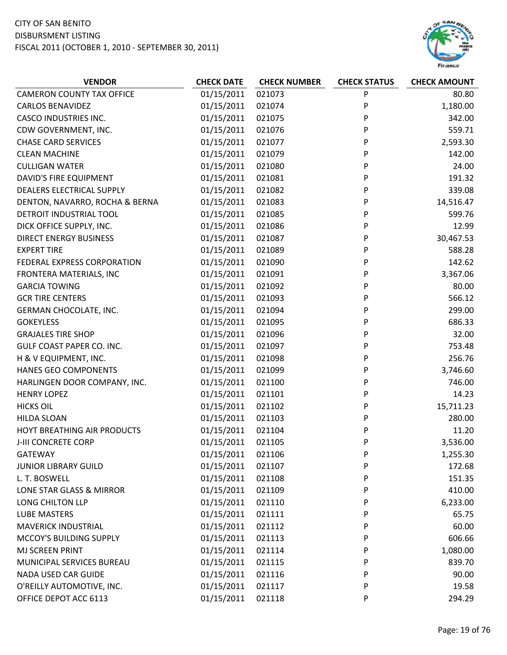

| <b>VENDOR</b>                    | <b>CHECK DATE</b> | <b>CHECK NUMBER</b> | <b>CHECK STATUS</b> | <b>CHECK AMOUNT</b> |
|----------------------------------|-------------------|---------------------|---------------------|---------------------|
| <b>CAMERON COUNTY TAX OFFICE</b> | 01/15/2011        | 021073              | P                   | 80.80               |
| <b>CARLOS BENAVIDEZ</b>          | 01/15/2011        | 021074              | P                   | 1,180.00            |
| <b>CASCO INDUSTRIES INC.</b>     | 01/15/2011        | 021075              | P                   | 342.00              |
| CDW GOVERNMENT, INC.             | 01/15/2011        | 021076              | P                   | 559.71              |
| <b>CHASE CARD SERVICES</b>       | 01/15/2011        | 021077              | P                   | 2,593.30            |
| <b>CLEAN MACHINE</b>             | 01/15/2011        | 021079              | P                   | 142.00              |
| <b>CULLIGAN WATER</b>            | 01/15/2011        | 021080              | P                   | 24.00               |
| DAVID'S FIRE EQUIPMENT           | 01/15/2011        | 021081              | P                   | 191.32              |
| DEALERS ELECTRICAL SUPPLY        | 01/15/2011        | 021082              | P                   | 339.08              |
| DENTON, NAVARRO, ROCHA & BERNA   | 01/15/2011        | 021083              | P                   | 14,516.47           |
| DETROIT INDUSTRIAL TOOL          | 01/15/2011        | 021085              | P                   | 599.76              |
| DICK OFFICE SUPPLY, INC.         | 01/15/2011        | 021086              | P                   | 12.99               |
| <b>DIRECT ENERGY BUSINESS</b>    | 01/15/2011        | 021087              | P                   | 30,467.53           |
| <b>EXPERT TIRE</b>               | 01/15/2011        | 021089              | P                   | 588.28              |
| FEDERAL EXPRESS CORPORATION      | 01/15/2011        | 021090              | P                   | 142.62              |
| FRONTERA MATERIALS, INC          | 01/15/2011        | 021091              | P                   | 3,367.06            |
| <b>GARCIA TOWING</b>             | 01/15/2011        | 021092              | P                   | 80.00               |
| <b>GCR TIRE CENTERS</b>          | 01/15/2011        | 021093              | P                   | 566.12              |
| GERMAN CHOCOLATE, INC.           | 01/15/2011        | 021094              | P                   | 299.00              |
| <b>GOKEYLESS</b>                 | 01/15/2011        | 021095              | P                   | 686.33              |
| <b>GRAJALES TIRE SHOP</b>        | 01/15/2011        | 021096              | P                   | 32.00               |
| <b>GULF COAST PAPER CO. INC.</b> | 01/15/2011        | 021097              | P                   | 753.48              |
| H & V EQUIPMENT, INC.            | 01/15/2011        | 021098              | P                   | 256.76              |
| HANES GEO COMPONENTS             | 01/15/2011        | 021099              | P                   | 3,746.60            |
| HARLINGEN DOOR COMPANY, INC.     | 01/15/2011        | 021100              | P                   | 746.00              |
| <b>HENRY LOPEZ</b>               | 01/15/2011        | 021101              | P                   | 14.23               |
| <b>HICKS OIL</b>                 | 01/15/2011        | 021102              | P                   | 15,711.23           |
| <b>HILDA SLOAN</b>               | 01/15/2011        | 021103              | P                   | 280.00              |
| HOYT BREATHING AIR PRODUCTS      | 01/15/2011        | 021104              | P                   | 11.20               |
| J-III CONCRETE CORP              | 01/15/2011        | 021105              | P                   | 3,536.00            |
| <b>GATEWAY</b>                   | 01/15/2011        | 021106              | P                   | 1,255.30            |
| <b>JUNIOR LIBRARY GUILD</b>      | 01/15/2011        | 021107              | P                   | 172.68              |
| L. T. BOSWELL                    | 01/15/2011        | 021108              | P                   | 151.35              |
| LONE STAR GLASS & MIRROR         | 01/15/2011        | 021109              | P                   | 410.00              |
| LONG CHILTON LLP                 | 01/15/2011        | 021110              | P                   | 6,233.00            |
| <b>LUBE MASTERS</b>              | 01/15/2011        | 021111              | P                   | 65.75               |
| <b>MAVERICK INDUSTRIAL</b>       | 01/15/2011        | 021112              | P                   | 60.00               |
| MCCOY'S BUILDING SUPPLY          | 01/15/2011        | 021113              | P                   | 606.66              |
| MJ SCREEN PRINT                  | 01/15/2011        | 021114              | P                   | 1,080.00            |
| MUNICIPAL SERVICES BUREAU        | 01/15/2011        | 021115              | P                   | 839.70              |
| NADA USED CAR GUIDE              | 01/15/2011        | 021116              | P                   | 90.00               |
| O'REILLY AUTOMOTIVE, INC.        | 01/15/2011        | 021117              | P                   | 19.58               |
| OFFICE DEPOT ACC 6113            | 01/15/2011        | 021118              | P                   | 294.29              |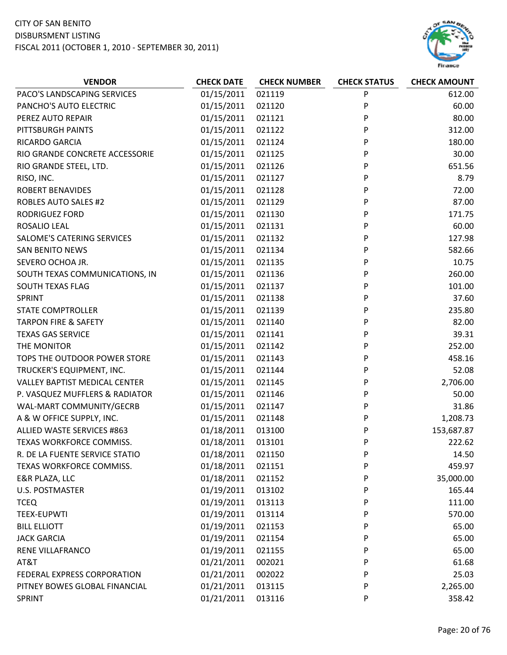

| <b>VENDOR</b>                        | <b>CHECK DATE</b> | <b>CHECK NUMBER</b> | <b>CHECK STATUS</b> | <b>CHECK AMOUNT</b> |
|--------------------------------------|-------------------|---------------------|---------------------|---------------------|
| PACO'S LANDSCAPING SERVICES          | 01/15/2011        | 021119              | P                   | 612.00              |
| PANCHO'S AUTO ELECTRIC               | 01/15/2011        | 021120              | P                   | 60.00               |
| PEREZ AUTO REPAIR                    | 01/15/2011        | 021121              | P                   | 80.00               |
| PITTSBURGH PAINTS                    | 01/15/2011        | 021122              | P                   | 312.00              |
| RICARDO GARCIA                       | 01/15/2011        | 021124              | P                   | 180.00              |
| RIO GRANDE CONCRETE ACCESSORIE       | 01/15/2011        | 021125              | P                   | 30.00               |
| RIO GRANDE STEEL, LTD.               | 01/15/2011        | 021126              | P                   | 651.56              |
| RISO, INC.                           | 01/15/2011        | 021127              | P                   | 8.79                |
| <b>ROBERT BENAVIDES</b>              | 01/15/2011        | 021128              | P                   | 72.00               |
| <b>ROBLES AUTO SALES #2</b>          | 01/15/2011        | 021129              | P                   | 87.00               |
| <b>RODRIGUEZ FORD</b>                | 01/15/2011        | 021130              | P                   | 171.75              |
| ROSALIO LEAL                         | 01/15/2011        | 021131              | P                   | 60.00               |
| SALOME'S CATERING SERVICES           | 01/15/2011        | 021132              | P                   | 127.98              |
| <b>SAN BENITO NEWS</b>               | 01/15/2011        | 021134              | P                   | 582.66              |
| SEVERO OCHOA JR.                     | 01/15/2011        | 021135              | P                   | 10.75               |
| SOUTH TEXAS COMMUNICATIONS, IN       | 01/15/2011        | 021136              | P                   | 260.00              |
| SOUTH TEXAS FLAG                     | 01/15/2011        | 021137              | P                   | 101.00              |
| SPRINT                               | 01/15/2011        | 021138              | P                   | 37.60               |
| <b>STATE COMPTROLLER</b>             | 01/15/2011        | 021139              | P                   | 235.80              |
| <b>TARPON FIRE &amp; SAFETY</b>      | 01/15/2011        | 021140              | P                   | 82.00               |
| <b>TEXAS GAS SERVICE</b>             | 01/15/2011        | 021141              | P                   | 39.31               |
| THE MONITOR                          | 01/15/2011        | 021142              | P                   | 252.00              |
| TOPS THE OUTDOOR POWER STORE         | 01/15/2011        | 021143              | P                   | 458.16              |
| TRUCKER'S EQUIPMENT, INC.            | 01/15/2011        | 021144              | P                   | 52.08               |
| <b>VALLEY BAPTIST MEDICAL CENTER</b> | 01/15/2011        | 021145              | P                   | 2,706.00            |
| P. VASQUEZ MUFFLERS & RADIATOR       | 01/15/2011        | 021146              | P                   | 50.00               |
| WAL-MART COMMUNITY/GECRB             | 01/15/2011        | 021147              | P                   | 31.86               |
| A & W OFFICE SUPPLY, INC.            | 01/15/2011        | 021148              | P                   | 1,208.73            |
| ALLIED WASTE SERVICES #863           | 01/18/2011        | 013100              | P                   | 153,687.87          |
| TEXAS WORKFORCE COMMISS.             | 01/18/2011        | 013101              | P                   | 222.62              |
| R. DE LA FUENTE SERVICE STATIO       | 01/18/2011        | 021150              | P                   | 14.50               |
| TEXAS WORKFORCE COMMISS.             | 01/18/2011        | 021151              | P                   | 459.97              |
| E&R PLAZA, LLC                       | 01/18/2011        | 021152              | P                   | 35,000.00           |
| <b>U.S. POSTMASTER</b>               | 01/19/2011        | 013102              | P                   | 165.44              |
| <b>TCEQ</b>                          | 01/19/2011        | 013113              | P                   | 111.00              |
| <b>TEEX-EUPWTI</b>                   | 01/19/2011        | 013114              | P                   | 570.00              |
| <b>BILL ELLIOTT</b>                  | 01/19/2011        | 021153              | P                   | 65.00               |
| <b>JACK GARCIA</b>                   | 01/19/2011        | 021154              | P                   | 65.00               |
| RENE VILLAFRANCO                     | 01/19/2011        | 021155              | P                   | 65.00               |
| AT&T                                 | 01/21/2011        | 002021              | P                   | 61.68               |
| FEDERAL EXPRESS CORPORATION          | 01/21/2011        | 002022              | P                   | 25.03               |
| PITNEY BOWES GLOBAL FINANCIAL        | 01/21/2011        | 013115              | P                   | 2,265.00            |
| SPRINT                               | 01/21/2011        | 013116              | P                   | 358.42              |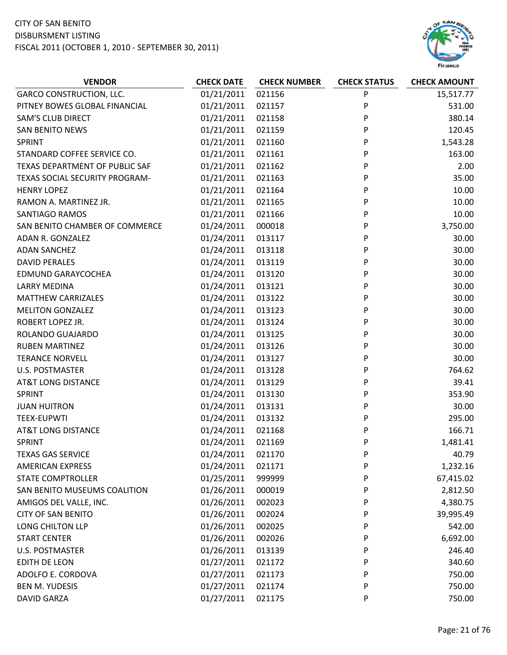

| <b>GARCO CONSTRUCTION, LLC.</b><br>01/21/2011<br>021156<br>P<br>15,517.77<br>01/21/2011<br>P<br>PITNEY BOWES GLOBAL FINANCIAL<br>021157<br>531.00<br><b>SAM'S CLUB DIRECT</b><br>01/21/2011<br>P<br>380.14<br>021158<br><b>SAN BENITO NEWS</b><br>01/21/2011<br>021159<br>P<br>120.45<br>P<br>01/21/2011<br>021160<br>1,543.28<br><b>SPRINT</b><br>P<br>STANDARD COFFEE SERVICE CO.<br>01/21/2011<br>021161<br>163.00<br>TEXAS DEPARTMENT OF PUBLIC SAF<br>01/21/2011<br>021162<br>P<br>2.00<br>01/21/2011<br>021163<br>P<br>35.00<br>TEXAS SOCIAL SECURITY PROGRAM-<br>P<br><b>HENRY LOPEZ</b><br>01/21/2011<br>021164<br>10.00<br>01/21/2011<br>021165<br>P<br>10.00<br>RAMON A. MARTINEZ JR.<br>P<br>01/21/2011<br>021166<br>10.00<br>SANTIAGO RAMOS<br>P<br>01/24/2011<br>000018<br>3,750.00<br>SAN BENITO CHAMBER OF COMMERCE<br>ADAN R. GONZALEZ<br>01/24/2011<br>013117<br>P<br>30.00<br>P<br>01/24/2011<br>30.00<br><b>ADAN SANCHEZ</b><br>013118<br>01/24/2011<br>P<br>30.00<br><b>DAVID PERALES</b><br>013119<br>P<br>30.00<br><b>EDMUND GARAYCOCHEA</b><br>01/24/2011<br>013120<br>P<br><b>LARRY MEDINA</b><br>01/24/2011<br>013121<br>30.00<br><b>MATTHEW CARRIZALES</b><br>01/24/2011<br>013122<br>P<br>30.00<br>P<br>01/24/2011<br>30.00<br><b>MELITON GONZALEZ</b><br>013123<br>ROBERT LOPEZ JR.<br>01/24/2011<br>013124<br>P<br>30.00<br>P<br>01/24/2011<br>30.00<br>ROLANDO GUAJARDO<br>013125<br>01/24/2011<br><b>RUBEN MARTINEZ</b><br>013126<br>P<br>30.00<br><b>TERANCE NORVELL</b><br>01/24/2011<br>013127<br>P<br>30.00<br>P<br><b>U.S. POSTMASTER</b><br>01/24/2011<br>013128<br>764.62<br><b>AT&amp;T LONG DISTANCE</b><br>01/24/2011<br>P<br>39.41<br>013129<br>01/24/2011<br>013130<br>P<br>353.90<br><b>SPRINT</b><br>01/24/2011<br>013131<br>P<br>30.00<br><b>JUAN HUITRON</b><br>P<br>01/24/2011<br>295.00<br><b>TEEX-EUPWTI</b><br>013132<br><b>AT&amp;T LONG DISTANCE</b><br>01/24/2011<br>166.71<br>021168<br>P<br>01/24/2011<br>P<br>SPRINT<br>021169<br>1,481.41<br>01/24/2011<br><b>TEXAS GAS SERVICE</b><br>021170<br>P<br>40.79<br>01/24/2011<br>1,232.16<br><b>AMERICAN EXPRESS</b><br>021171<br>P<br>01/25/2011<br><b>STATE COMPTROLLER</b><br>999999<br>P<br>67,415.02<br>01/26/2011<br>SAN BENITO MUSEUMS COALITION<br>000019<br>P<br>2,812.50<br>01/26/2011<br>AMIGOS DEL VALLE, INC.<br>002023<br>P<br>4,380.75<br>01/26/2011<br><b>CITY OF SAN BENITO</b><br>002024<br>39,995.49<br>P<br>LONG CHILTON LLP<br>01/26/2011<br>002025<br>P<br>542.00<br>01/26/2011<br>6,692.00<br><b>START CENTER</b><br>002026<br>P<br>01/26/2011<br>U.S. POSTMASTER<br>013139<br>P<br>246.40<br>01/27/2011<br>EDITH DE LEON<br>P<br>340.60<br>021172<br>01/27/2011<br>ADOLFO E. CORDOVA<br>021173<br>750.00<br>P | <b>VENDOR</b> | <b>CHECK DATE</b> | <b>CHECK NUMBER</b> | <b>CHECK STATUS</b> | <b>CHECK AMOUNT</b> |
|---------------------------------------------------------------------------------------------------------------------------------------------------------------------------------------------------------------------------------------------------------------------------------------------------------------------------------------------------------------------------------------------------------------------------------------------------------------------------------------------------------------------------------------------------------------------------------------------------------------------------------------------------------------------------------------------------------------------------------------------------------------------------------------------------------------------------------------------------------------------------------------------------------------------------------------------------------------------------------------------------------------------------------------------------------------------------------------------------------------------------------------------------------------------------------------------------------------------------------------------------------------------------------------------------------------------------------------------------------------------------------------------------------------------------------------------------------------------------------------------------------------------------------------------------------------------------------------------------------------------------------------------------------------------------------------------------------------------------------------------------------------------------------------------------------------------------------------------------------------------------------------------------------------------------------------------------------------------------------------------------------------------------------------------------------------------------------------------------------------------------------------------------------------------------------------------------------------------------------------------------------------------------------------------------------------------------------------------------------------------------------------------------------------------------------------------------------------------------------------------------------------------------------------------------------------------------------------------------------------------------------------------------------------------------------------------------------------------------------------------|---------------|-------------------|---------------------|---------------------|---------------------|
|                                                                                                                                                                                                                                                                                                                                                                                                                                                                                                                                                                                                                                                                                                                                                                                                                                                                                                                                                                                                                                                                                                                                                                                                                                                                                                                                                                                                                                                                                                                                                                                                                                                                                                                                                                                                                                                                                                                                                                                                                                                                                                                                                                                                                                                                                                                                                                                                                                                                                                                                                                                                                                                                                                                                             |               |                   |                     |                     |                     |
|                                                                                                                                                                                                                                                                                                                                                                                                                                                                                                                                                                                                                                                                                                                                                                                                                                                                                                                                                                                                                                                                                                                                                                                                                                                                                                                                                                                                                                                                                                                                                                                                                                                                                                                                                                                                                                                                                                                                                                                                                                                                                                                                                                                                                                                                                                                                                                                                                                                                                                                                                                                                                                                                                                                                             |               |                   |                     |                     |                     |
|                                                                                                                                                                                                                                                                                                                                                                                                                                                                                                                                                                                                                                                                                                                                                                                                                                                                                                                                                                                                                                                                                                                                                                                                                                                                                                                                                                                                                                                                                                                                                                                                                                                                                                                                                                                                                                                                                                                                                                                                                                                                                                                                                                                                                                                                                                                                                                                                                                                                                                                                                                                                                                                                                                                                             |               |                   |                     |                     |                     |
|                                                                                                                                                                                                                                                                                                                                                                                                                                                                                                                                                                                                                                                                                                                                                                                                                                                                                                                                                                                                                                                                                                                                                                                                                                                                                                                                                                                                                                                                                                                                                                                                                                                                                                                                                                                                                                                                                                                                                                                                                                                                                                                                                                                                                                                                                                                                                                                                                                                                                                                                                                                                                                                                                                                                             |               |                   |                     |                     |                     |
|                                                                                                                                                                                                                                                                                                                                                                                                                                                                                                                                                                                                                                                                                                                                                                                                                                                                                                                                                                                                                                                                                                                                                                                                                                                                                                                                                                                                                                                                                                                                                                                                                                                                                                                                                                                                                                                                                                                                                                                                                                                                                                                                                                                                                                                                                                                                                                                                                                                                                                                                                                                                                                                                                                                                             |               |                   |                     |                     |                     |
|                                                                                                                                                                                                                                                                                                                                                                                                                                                                                                                                                                                                                                                                                                                                                                                                                                                                                                                                                                                                                                                                                                                                                                                                                                                                                                                                                                                                                                                                                                                                                                                                                                                                                                                                                                                                                                                                                                                                                                                                                                                                                                                                                                                                                                                                                                                                                                                                                                                                                                                                                                                                                                                                                                                                             |               |                   |                     |                     |                     |
|                                                                                                                                                                                                                                                                                                                                                                                                                                                                                                                                                                                                                                                                                                                                                                                                                                                                                                                                                                                                                                                                                                                                                                                                                                                                                                                                                                                                                                                                                                                                                                                                                                                                                                                                                                                                                                                                                                                                                                                                                                                                                                                                                                                                                                                                                                                                                                                                                                                                                                                                                                                                                                                                                                                                             |               |                   |                     |                     |                     |
|                                                                                                                                                                                                                                                                                                                                                                                                                                                                                                                                                                                                                                                                                                                                                                                                                                                                                                                                                                                                                                                                                                                                                                                                                                                                                                                                                                                                                                                                                                                                                                                                                                                                                                                                                                                                                                                                                                                                                                                                                                                                                                                                                                                                                                                                                                                                                                                                                                                                                                                                                                                                                                                                                                                                             |               |                   |                     |                     |                     |
|                                                                                                                                                                                                                                                                                                                                                                                                                                                                                                                                                                                                                                                                                                                                                                                                                                                                                                                                                                                                                                                                                                                                                                                                                                                                                                                                                                                                                                                                                                                                                                                                                                                                                                                                                                                                                                                                                                                                                                                                                                                                                                                                                                                                                                                                                                                                                                                                                                                                                                                                                                                                                                                                                                                                             |               |                   |                     |                     |                     |
|                                                                                                                                                                                                                                                                                                                                                                                                                                                                                                                                                                                                                                                                                                                                                                                                                                                                                                                                                                                                                                                                                                                                                                                                                                                                                                                                                                                                                                                                                                                                                                                                                                                                                                                                                                                                                                                                                                                                                                                                                                                                                                                                                                                                                                                                                                                                                                                                                                                                                                                                                                                                                                                                                                                                             |               |                   |                     |                     |                     |
|                                                                                                                                                                                                                                                                                                                                                                                                                                                                                                                                                                                                                                                                                                                                                                                                                                                                                                                                                                                                                                                                                                                                                                                                                                                                                                                                                                                                                                                                                                                                                                                                                                                                                                                                                                                                                                                                                                                                                                                                                                                                                                                                                                                                                                                                                                                                                                                                                                                                                                                                                                                                                                                                                                                                             |               |                   |                     |                     |                     |
|                                                                                                                                                                                                                                                                                                                                                                                                                                                                                                                                                                                                                                                                                                                                                                                                                                                                                                                                                                                                                                                                                                                                                                                                                                                                                                                                                                                                                                                                                                                                                                                                                                                                                                                                                                                                                                                                                                                                                                                                                                                                                                                                                                                                                                                                                                                                                                                                                                                                                                                                                                                                                                                                                                                                             |               |                   |                     |                     |                     |
|                                                                                                                                                                                                                                                                                                                                                                                                                                                                                                                                                                                                                                                                                                                                                                                                                                                                                                                                                                                                                                                                                                                                                                                                                                                                                                                                                                                                                                                                                                                                                                                                                                                                                                                                                                                                                                                                                                                                                                                                                                                                                                                                                                                                                                                                                                                                                                                                                                                                                                                                                                                                                                                                                                                                             |               |                   |                     |                     |                     |
|                                                                                                                                                                                                                                                                                                                                                                                                                                                                                                                                                                                                                                                                                                                                                                                                                                                                                                                                                                                                                                                                                                                                                                                                                                                                                                                                                                                                                                                                                                                                                                                                                                                                                                                                                                                                                                                                                                                                                                                                                                                                                                                                                                                                                                                                                                                                                                                                                                                                                                                                                                                                                                                                                                                                             |               |                   |                     |                     |                     |
|                                                                                                                                                                                                                                                                                                                                                                                                                                                                                                                                                                                                                                                                                                                                                                                                                                                                                                                                                                                                                                                                                                                                                                                                                                                                                                                                                                                                                                                                                                                                                                                                                                                                                                                                                                                                                                                                                                                                                                                                                                                                                                                                                                                                                                                                                                                                                                                                                                                                                                                                                                                                                                                                                                                                             |               |                   |                     |                     |                     |
|                                                                                                                                                                                                                                                                                                                                                                                                                                                                                                                                                                                                                                                                                                                                                                                                                                                                                                                                                                                                                                                                                                                                                                                                                                                                                                                                                                                                                                                                                                                                                                                                                                                                                                                                                                                                                                                                                                                                                                                                                                                                                                                                                                                                                                                                                                                                                                                                                                                                                                                                                                                                                                                                                                                                             |               |                   |                     |                     |                     |
|                                                                                                                                                                                                                                                                                                                                                                                                                                                                                                                                                                                                                                                                                                                                                                                                                                                                                                                                                                                                                                                                                                                                                                                                                                                                                                                                                                                                                                                                                                                                                                                                                                                                                                                                                                                                                                                                                                                                                                                                                                                                                                                                                                                                                                                                                                                                                                                                                                                                                                                                                                                                                                                                                                                                             |               |                   |                     |                     |                     |
|                                                                                                                                                                                                                                                                                                                                                                                                                                                                                                                                                                                                                                                                                                                                                                                                                                                                                                                                                                                                                                                                                                                                                                                                                                                                                                                                                                                                                                                                                                                                                                                                                                                                                                                                                                                                                                                                                                                                                                                                                                                                                                                                                                                                                                                                                                                                                                                                                                                                                                                                                                                                                                                                                                                                             |               |                   |                     |                     |                     |
|                                                                                                                                                                                                                                                                                                                                                                                                                                                                                                                                                                                                                                                                                                                                                                                                                                                                                                                                                                                                                                                                                                                                                                                                                                                                                                                                                                                                                                                                                                                                                                                                                                                                                                                                                                                                                                                                                                                                                                                                                                                                                                                                                                                                                                                                                                                                                                                                                                                                                                                                                                                                                                                                                                                                             |               |                   |                     |                     |                     |
|                                                                                                                                                                                                                                                                                                                                                                                                                                                                                                                                                                                                                                                                                                                                                                                                                                                                                                                                                                                                                                                                                                                                                                                                                                                                                                                                                                                                                                                                                                                                                                                                                                                                                                                                                                                                                                                                                                                                                                                                                                                                                                                                                                                                                                                                                                                                                                                                                                                                                                                                                                                                                                                                                                                                             |               |                   |                     |                     |                     |
|                                                                                                                                                                                                                                                                                                                                                                                                                                                                                                                                                                                                                                                                                                                                                                                                                                                                                                                                                                                                                                                                                                                                                                                                                                                                                                                                                                                                                                                                                                                                                                                                                                                                                                                                                                                                                                                                                                                                                                                                                                                                                                                                                                                                                                                                                                                                                                                                                                                                                                                                                                                                                                                                                                                                             |               |                   |                     |                     |                     |
|                                                                                                                                                                                                                                                                                                                                                                                                                                                                                                                                                                                                                                                                                                                                                                                                                                                                                                                                                                                                                                                                                                                                                                                                                                                                                                                                                                                                                                                                                                                                                                                                                                                                                                                                                                                                                                                                                                                                                                                                                                                                                                                                                                                                                                                                                                                                                                                                                                                                                                                                                                                                                                                                                                                                             |               |                   |                     |                     |                     |
|                                                                                                                                                                                                                                                                                                                                                                                                                                                                                                                                                                                                                                                                                                                                                                                                                                                                                                                                                                                                                                                                                                                                                                                                                                                                                                                                                                                                                                                                                                                                                                                                                                                                                                                                                                                                                                                                                                                                                                                                                                                                                                                                                                                                                                                                                                                                                                                                                                                                                                                                                                                                                                                                                                                                             |               |                   |                     |                     |                     |
|                                                                                                                                                                                                                                                                                                                                                                                                                                                                                                                                                                                                                                                                                                                                                                                                                                                                                                                                                                                                                                                                                                                                                                                                                                                                                                                                                                                                                                                                                                                                                                                                                                                                                                                                                                                                                                                                                                                                                                                                                                                                                                                                                                                                                                                                                                                                                                                                                                                                                                                                                                                                                                                                                                                                             |               |                   |                     |                     |                     |
|                                                                                                                                                                                                                                                                                                                                                                                                                                                                                                                                                                                                                                                                                                                                                                                                                                                                                                                                                                                                                                                                                                                                                                                                                                                                                                                                                                                                                                                                                                                                                                                                                                                                                                                                                                                                                                                                                                                                                                                                                                                                                                                                                                                                                                                                                                                                                                                                                                                                                                                                                                                                                                                                                                                                             |               |                   |                     |                     |                     |
|                                                                                                                                                                                                                                                                                                                                                                                                                                                                                                                                                                                                                                                                                                                                                                                                                                                                                                                                                                                                                                                                                                                                                                                                                                                                                                                                                                                                                                                                                                                                                                                                                                                                                                                                                                                                                                                                                                                                                                                                                                                                                                                                                                                                                                                                                                                                                                                                                                                                                                                                                                                                                                                                                                                                             |               |                   |                     |                     |                     |
|                                                                                                                                                                                                                                                                                                                                                                                                                                                                                                                                                                                                                                                                                                                                                                                                                                                                                                                                                                                                                                                                                                                                                                                                                                                                                                                                                                                                                                                                                                                                                                                                                                                                                                                                                                                                                                                                                                                                                                                                                                                                                                                                                                                                                                                                                                                                                                                                                                                                                                                                                                                                                                                                                                                                             |               |                   |                     |                     |                     |
|                                                                                                                                                                                                                                                                                                                                                                                                                                                                                                                                                                                                                                                                                                                                                                                                                                                                                                                                                                                                                                                                                                                                                                                                                                                                                                                                                                                                                                                                                                                                                                                                                                                                                                                                                                                                                                                                                                                                                                                                                                                                                                                                                                                                                                                                                                                                                                                                                                                                                                                                                                                                                                                                                                                                             |               |                   |                     |                     |                     |
|                                                                                                                                                                                                                                                                                                                                                                                                                                                                                                                                                                                                                                                                                                                                                                                                                                                                                                                                                                                                                                                                                                                                                                                                                                                                                                                                                                                                                                                                                                                                                                                                                                                                                                                                                                                                                                                                                                                                                                                                                                                                                                                                                                                                                                                                                                                                                                                                                                                                                                                                                                                                                                                                                                                                             |               |                   |                     |                     |                     |
|                                                                                                                                                                                                                                                                                                                                                                                                                                                                                                                                                                                                                                                                                                                                                                                                                                                                                                                                                                                                                                                                                                                                                                                                                                                                                                                                                                                                                                                                                                                                                                                                                                                                                                                                                                                                                                                                                                                                                                                                                                                                                                                                                                                                                                                                                                                                                                                                                                                                                                                                                                                                                                                                                                                                             |               |                   |                     |                     |                     |
|                                                                                                                                                                                                                                                                                                                                                                                                                                                                                                                                                                                                                                                                                                                                                                                                                                                                                                                                                                                                                                                                                                                                                                                                                                                                                                                                                                                                                                                                                                                                                                                                                                                                                                                                                                                                                                                                                                                                                                                                                                                                                                                                                                                                                                                                                                                                                                                                                                                                                                                                                                                                                                                                                                                                             |               |                   |                     |                     |                     |
|                                                                                                                                                                                                                                                                                                                                                                                                                                                                                                                                                                                                                                                                                                                                                                                                                                                                                                                                                                                                                                                                                                                                                                                                                                                                                                                                                                                                                                                                                                                                                                                                                                                                                                                                                                                                                                                                                                                                                                                                                                                                                                                                                                                                                                                                                                                                                                                                                                                                                                                                                                                                                                                                                                                                             |               |                   |                     |                     |                     |
|                                                                                                                                                                                                                                                                                                                                                                                                                                                                                                                                                                                                                                                                                                                                                                                                                                                                                                                                                                                                                                                                                                                                                                                                                                                                                                                                                                                                                                                                                                                                                                                                                                                                                                                                                                                                                                                                                                                                                                                                                                                                                                                                                                                                                                                                                                                                                                                                                                                                                                                                                                                                                                                                                                                                             |               |                   |                     |                     |                     |
|                                                                                                                                                                                                                                                                                                                                                                                                                                                                                                                                                                                                                                                                                                                                                                                                                                                                                                                                                                                                                                                                                                                                                                                                                                                                                                                                                                                                                                                                                                                                                                                                                                                                                                                                                                                                                                                                                                                                                                                                                                                                                                                                                                                                                                                                                                                                                                                                                                                                                                                                                                                                                                                                                                                                             |               |                   |                     |                     |                     |
|                                                                                                                                                                                                                                                                                                                                                                                                                                                                                                                                                                                                                                                                                                                                                                                                                                                                                                                                                                                                                                                                                                                                                                                                                                                                                                                                                                                                                                                                                                                                                                                                                                                                                                                                                                                                                                                                                                                                                                                                                                                                                                                                                                                                                                                                                                                                                                                                                                                                                                                                                                                                                                                                                                                                             |               |                   |                     |                     |                     |
|                                                                                                                                                                                                                                                                                                                                                                                                                                                                                                                                                                                                                                                                                                                                                                                                                                                                                                                                                                                                                                                                                                                                                                                                                                                                                                                                                                                                                                                                                                                                                                                                                                                                                                                                                                                                                                                                                                                                                                                                                                                                                                                                                                                                                                                                                                                                                                                                                                                                                                                                                                                                                                                                                                                                             |               |                   |                     |                     |                     |
|                                                                                                                                                                                                                                                                                                                                                                                                                                                                                                                                                                                                                                                                                                                                                                                                                                                                                                                                                                                                                                                                                                                                                                                                                                                                                                                                                                                                                                                                                                                                                                                                                                                                                                                                                                                                                                                                                                                                                                                                                                                                                                                                                                                                                                                                                                                                                                                                                                                                                                                                                                                                                                                                                                                                             |               |                   |                     |                     |                     |
|                                                                                                                                                                                                                                                                                                                                                                                                                                                                                                                                                                                                                                                                                                                                                                                                                                                                                                                                                                                                                                                                                                                                                                                                                                                                                                                                                                                                                                                                                                                                                                                                                                                                                                                                                                                                                                                                                                                                                                                                                                                                                                                                                                                                                                                                                                                                                                                                                                                                                                                                                                                                                                                                                                                                             |               |                   |                     |                     |                     |
|                                                                                                                                                                                                                                                                                                                                                                                                                                                                                                                                                                                                                                                                                                                                                                                                                                                                                                                                                                                                                                                                                                                                                                                                                                                                                                                                                                                                                                                                                                                                                                                                                                                                                                                                                                                                                                                                                                                                                                                                                                                                                                                                                                                                                                                                                                                                                                                                                                                                                                                                                                                                                                                                                                                                             |               |                   |                     |                     |                     |
|                                                                                                                                                                                                                                                                                                                                                                                                                                                                                                                                                                                                                                                                                                                                                                                                                                                                                                                                                                                                                                                                                                                                                                                                                                                                                                                                                                                                                                                                                                                                                                                                                                                                                                                                                                                                                                                                                                                                                                                                                                                                                                                                                                                                                                                                                                                                                                                                                                                                                                                                                                                                                                                                                                                                             |               |                   |                     |                     |                     |
|                                                                                                                                                                                                                                                                                                                                                                                                                                                                                                                                                                                                                                                                                                                                                                                                                                                                                                                                                                                                                                                                                                                                                                                                                                                                                                                                                                                                                                                                                                                                                                                                                                                                                                                                                                                                                                                                                                                                                                                                                                                                                                                                                                                                                                                                                                                                                                                                                                                                                                                                                                                                                                                                                                                                             |               |                   |                     |                     |                     |
| <b>BEN M. YUDESIS</b><br>021174<br>P                                                                                                                                                                                                                                                                                                                                                                                                                                                                                                                                                                                                                                                                                                                                                                                                                                                                                                                                                                                                                                                                                                                                                                                                                                                                                                                                                                                                                                                                                                                                                                                                                                                                                                                                                                                                                                                                                                                                                                                                                                                                                                                                                                                                                                                                                                                                                                                                                                                                                                                                                                                                                                                                                                        |               | 01/27/2011        |                     |                     | 750.00              |
| 01/27/2011<br>750.00<br><b>DAVID GARZA</b><br>021175<br>P                                                                                                                                                                                                                                                                                                                                                                                                                                                                                                                                                                                                                                                                                                                                                                                                                                                                                                                                                                                                                                                                                                                                                                                                                                                                                                                                                                                                                                                                                                                                                                                                                                                                                                                                                                                                                                                                                                                                                                                                                                                                                                                                                                                                                                                                                                                                                                                                                                                                                                                                                                                                                                                                                   |               |                   |                     |                     |                     |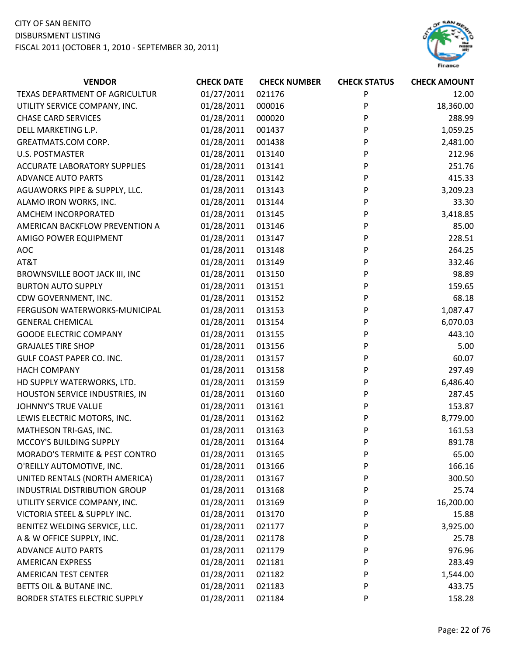

| <b>VENDOR</b>                             | <b>CHECK DATE</b> | <b>CHECK NUMBER</b> | <b>CHECK STATUS</b> | <b>CHECK AMOUNT</b> |
|-------------------------------------------|-------------------|---------------------|---------------------|---------------------|
| TEXAS DEPARTMENT OF AGRICULTUR            | 01/27/2011        | 021176              | P                   | 12.00               |
| UTILITY SERVICE COMPANY, INC.             | 01/28/2011        | 000016              | P                   | 18,360.00           |
| <b>CHASE CARD SERVICES</b>                | 01/28/2011        | 000020              | P                   | 288.99              |
| DELL MARKETING L.P.                       | 01/28/2011        | 001437              | P                   | 1,059.25            |
| GREATMATS.COM CORP.                       | 01/28/2011        | 001438              | P                   | 2,481.00            |
| <b>U.S. POSTMASTER</b>                    | 01/28/2011        | 013140              | P                   | 212.96              |
| <b>ACCURATE LABORATORY SUPPLIES</b>       | 01/28/2011        | 013141              | P                   | 251.76              |
| <b>ADVANCE AUTO PARTS</b>                 | 01/28/2011        | 013142              | P                   | 415.33              |
| AGUAWORKS PIPE & SUPPLY, LLC.             | 01/28/2011        | 013143              | P                   | 3,209.23            |
| ALAMO IRON WORKS, INC.                    | 01/28/2011        | 013144              | P                   | 33.30               |
| AMCHEM INCORPORATED                       | 01/28/2011        | 013145              | P                   | 3,418.85            |
| AMERICAN BACKFLOW PREVENTION A            | 01/28/2011        | 013146              | P                   | 85.00               |
| AMIGO POWER EQUIPMENT                     | 01/28/2011        | 013147              | P                   | 228.51              |
| <b>AOC</b>                                | 01/28/2011        | 013148              | P                   | 264.25              |
| AT&T                                      | 01/28/2011        | 013149              | P                   | 332.46              |
| BROWNSVILLE BOOT JACK III, INC            | 01/28/2011        | 013150              | P                   | 98.89               |
| <b>BURTON AUTO SUPPLY</b>                 | 01/28/2011        | 013151              | P                   | 159.65              |
| CDW GOVERNMENT, INC.                      | 01/28/2011        | 013152              | P                   | 68.18               |
| FERGUSON WATERWORKS-MUNICIPAL             | 01/28/2011        | 013153              | P                   | 1,087.47            |
| <b>GENERAL CHEMICAL</b>                   | 01/28/2011        | 013154              | P                   | 6,070.03            |
| <b>GOODE ELECTRIC COMPANY</b>             | 01/28/2011        | 013155              | P                   | 443.10              |
| <b>GRAJALES TIRE SHOP</b>                 | 01/28/2011        | 013156              | P                   | 5.00                |
| GULF COAST PAPER CO. INC.                 | 01/28/2011        | 013157              | P                   | 60.07               |
| <b>HACH COMPANY</b>                       | 01/28/2011        | 013158              | P                   | 297.49              |
| HD SUPPLY WATERWORKS, LTD.                | 01/28/2011        | 013159              | P                   | 6,486.40            |
| HOUSTON SERVICE INDUSTRIES, IN            | 01/28/2011        | 013160              | P                   | 287.45              |
| <b>JOHNNY'S TRUE VALUE</b>                | 01/28/2011        | 013161              | P                   | 153.87              |
| LEWIS ELECTRIC MOTORS, INC.               | 01/28/2011        | 013162              | P                   | 8,779.00            |
| MATHESON TRI-GAS, INC.                    | 01/28/2011        | 013163              | P                   | 161.53              |
| MCCOY'S BUILDING SUPPLY                   | 01/28/2011        | 013164              | P                   | 891.78              |
| <b>MORADO'S TERMITE &amp; PEST CONTRO</b> | 01/28/2011        | 013165              | P                   | 65.00               |
| O'REILLY AUTOMOTIVE, INC.                 | 01/28/2011        | 013166              | P                   | 166.16              |
| UNITED RENTALS (NORTH AMERICA)            | 01/28/2011        | 013167              | P                   | 300.50              |
| INDUSTRIAL DISTRIBUTION GROUP             | 01/28/2011        | 013168              | P                   | 25.74               |
| UTILITY SERVICE COMPANY, INC.             | 01/28/2011        | 013169              | P                   | 16,200.00           |
| VICTORIA STEEL & SUPPLY INC.              | 01/28/2011        | 013170              | P                   | 15.88               |
| BENITEZ WELDING SERVICE, LLC.             | 01/28/2011        | 021177              | P                   | 3,925.00            |
| A & W OFFICE SUPPLY, INC.                 | 01/28/2011        | 021178              | P                   | 25.78               |
| <b>ADVANCE AUTO PARTS</b>                 | 01/28/2011        | 021179              | P                   | 976.96              |
| AMERICAN EXPRESS                          | 01/28/2011        | 021181              | P                   | 283.49              |
| AMERICAN TEST CENTER                      | 01/28/2011        | 021182              | P                   | 1,544.00            |
| BETTS OIL & BUTANE INC.                   | 01/28/2011        | 021183              | P                   | 433.75              |
| BORDER STATES ELECTRIC SUPPLY             | 01/28/2011        | 021184              | P                   | 158.28              |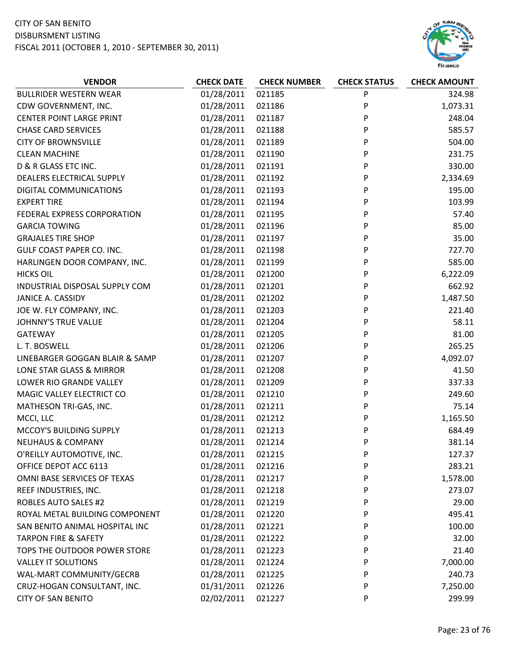

| <b>VENDOR</b>                    | <b>CHECK DATE</b> | <b>CHECK NUMBER</b> | <b>CHECK STATUS</b> | <b>CHECK AMOUNT</b> |
|----------------------------------|-------------------|---------------------|---------------------|---------------------|
| <b>BULLRIDER WESTERN WEAR</b>    | 01/28/2011        | 021185              | ${\sf P}$           | 324.98              |
| CDW GOVERNMENT, INC.             | 01/28/2011        | 021186              | P                   | 1,073.31            |
| <b>CENTER POINT LARGE PRINT</b>  | 01/28/2011        | 021187              | P                   | 248.04              |
| <b>CHASE CARD SERVICES</b>       | 01/28/2011        | 021188              | P                   | 585.57              |
| <b>CITY OF BROWNSVILLE</b>       | 01/28/2011        | 021189              | P                   | 504.00              |
| <b>CLEAN MACHINE</b>             | 01/28/2011        | 021190              | P                   | 231.75              |
| D & R GLASS ETC INC.             | 01/28/2011        | 021191              | P                   | 330.00              |
| DEALERS ELECTRICAL SUPPLY        | 01/28/2011        | 021192              | P                   | 2,334.69            |
| DIGITAL COMMUNICATIONS           | 01/28/2011        | 021193              | P                   | 195.00              |
| <b>EXPERT TIRE</b>               | 01/28/2011        | 021194              | P                   | 103.99              |
| FEDERAL EXPRESS CORPORATION      | 01/28/2011        | 021195              | P                   | 57.40               |
| <b>GARCIA TOWING</b>             | 01/28/2011        | 021196              | P                   | 85.00               |
| <b>GRAJALES TIRE SHOP</b>        | 01/28/2011        | 021197              | P                   | 35.00               |
| <b>GULF COAST PAPER CO. INC.</b> | 01/28/2011        | 021198              | P                   | 727.70              |
| HARLINGEN DOOR COMPANY, INC.     | 01/28/2011        | 021199              | P                   | 585.00              |
| <b>HICKS OIL</b>                 | 01/28/2011        | 021200              | P                   | 6,222.09            |
| INDUSTRIAL DISPOSAL SUPPLY COM   | 01/28/2011        | 021201              | P                   | 662.92              |
| JANICE A. CASSIDY                | 01/28/2011        | 021202              | P                   | 1,487.50            |
| JOE W. FLY COMPANY, INC.         | 01/28/2011        | 021203              | P                   | 221.40              |
| JOHNNY'S TRUE VALUE              | 01/28/2011        | 021204              | P                   | 58.11               |
| <b>GATEWAY</b>                   | 01/28/2011        | 021205              | P                   | 81.00               |
| L. T. BOSWELL                    | 01/28/2011        | 021206              | P                   | 265.25              |
| LINEBARGER GOGGAN BLAIR & SAMP   | 01/28/2011        | 021207              | P                   | 4,092.07            |
| LONE STAR GLASS & MIRROR         | 01/28/2011        | 021208              | P                   | 41.50               |
| LOWER RIO GRANDE VALLEY          | 01/28/2011        | 021209              | P                   | 337.33              |
| MAGIC VALLEY ELECTRICT CO        | 01/28/2011        | 021210              | P                   | 249.60              |
| MATHESON TRI-GAS, INC.           | 01/28/2011        | 021211              | P                   | 75.14               |
| MCCI, LLC                        | 01/28/2011        | 021212              | P                   | 1,165.50            |
| MCCOY'S BUILDING SUPPLY          | 01/28/2011        | 021213              | P                   | 684.49              |
| <b>NEUHAUS &amp; COMPANY</b>     | 01/28/2011        | 021214              | P                   | 381.14              |
| O'REILLY AUTOMOTIVE, INC.        | 01/28/2011        | 021215              | P                   | 127.37              |
| OFFICE DEPOT ACC 6113            | 01/28/2011        | 021216              | P                   | 283.21              |
| OMNI BASE SERVICES OF TEXAS      | 01/28/2011        | 021217              | P                   | 1,578.00            |
| REEF INDUSTRIES, INC.            | 01/28/2011        | 021218              | P                   | 273.07              |
| <b>ROBLES AUTO SALES #2</b>      | 01/28/2011        | 021219              | P                   | 29.00               |
| ROYAL METAL BUILDING COMPONENT   | 01/28/2011        | 021220              | P                   | 495.41              |
| SAN BENITO ANIMAL HOSPITAL INC   | 01/28/2011        | 021221              | P                   | 100.00              |
| <b>TARPON FIRE &amp; SAFETY</b>  | 01/28/2011        | 021222              | P                   | 32.00               |
| TOPS THE OUTDOOR POWER STORE     | 01/28/2011        | 021223              | P                   | 21.40               |
| <b>VALLEY IT SOLUTIONS</b>       | 01/28/2011        | 021224              | P                   | 7,000.00            |
| WAL-MART COMMUNITY/GECRB         | 01/28/2011        | 021225              | P                   | 240.73              |
| CRUZ-HOGAN CONSULTANT, INC.      | 01/31/2011        | 021226              | P                   | 7,250.00            |
| <b>CITY OF SAN BENITO</b>        | 02/02/2011        | 021227              | P                   | 299.99              |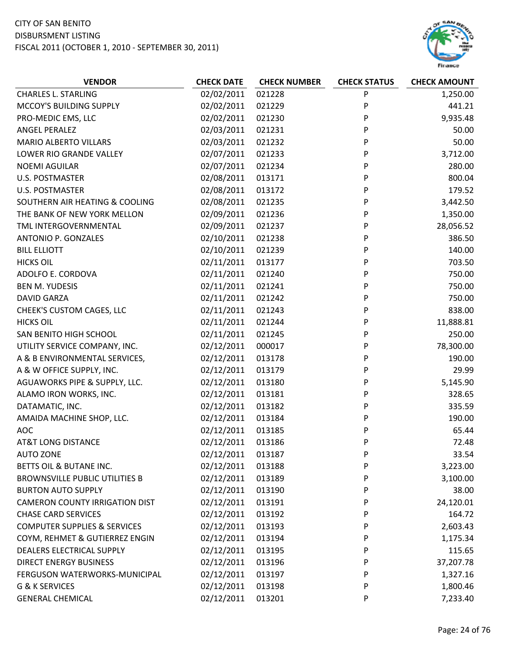## CITY OF SAN BENITO

DISBURSMENT LISTING



| <b>VENDOR</b>                           | <b>CHECK DATE</b> | <b>CHECK NUMBER</b> | <b>CHECK STATUS</b> | <b>CHECK AMOUNT</b> |
|-----------------------------------------|-------------------|---------------------|---------------------|---------------------|
| <b>CHARLES L. STARLING</b>              | 02/02/2011        | 021228              | P                   | 1,250.00            |
| MCCOY'S BUILDING SUPPLY                 | 02/02/2011        | 021229              | P                   | 441.21              |
| PRO-MEDIC EMS, LLC                      | 02/02/2011        | 021230              | P                   | 9,935.48            |
| <b>ANGEL PERALEZ</b>                    | 02/03/2011        | 021231              | P                   | 50.00               |
| <b>MARIO ALBERTO VILLARS</b>            | 02/03/2011        | 021232              | P                   | 50.00               |
| LOWER RIO GRANDE VALLEY                 | 02/07/2011        | 021233              | P                   | 3,712.00            |
| <b>NOEMI AGUILAR</b>                    | 02/07/2011        | 021234              | P                   | 280.00              |
| <b>U.S. POSTMASTER</b>                  | 02/08/2011        | 013171              | P                   | 800.04              |
| <b>U.S. POSTMASTER</b>                  | 02/08/2011        | 013172              | P                   | 179.52              |
| SOUTHERN AIR HEATING & COOLING          | 02/08/2011        | 021235              | P                   | 3,442.50            |
| THE BANK OF NEW YORK MELLON             | 02/09/2011        | 021236              | P                   | 1,350.00            |
| TML INTERGOVERNMENTAL                   | 02/09/2011        | 021237              | P                   | 28,056.52           |
| ANTONIO P. GONZALES                     | 02/10/2011        | 021238              | P                   | 386.50              |
| <b>BILL ELLIOTT</b>                     | 02/10/2011        | 021239              | P                   | 140.00              |
| <b>HICKS OIL</b>                        | 02/11/2011        | 013177              | P                   | 703.50              |
| ADOLFO E. CORDOVA                       | 02/11/2011        | 021240              | P                   | 750.00              |
| <b>BEN M. YUDESIS</b>                   | 02/11/2011        | 021241              | P                   | 750.00              |
| <b>DAVID GARZA</b>                      | 02/11/2011        | 021242              | P                   | 750.00              |
| CHEEK'S CUSTOM CAGES, LLC               | 02/11/2011        | 021243              | P                   | 838.00              |
| <b>HICKS OIL</b>                        | 02/11/2011        | 021244              | P                   | 11,888.81           |
| SAN BENITO HIGH SCHOOL                  | 02/11/2011        | 021245              | P                   | 250.00              |
| UTILITY SERVICE COMPANY, INC.           | 02/12/2011        | 000017              | P                   | 78,300.00           |
| A & B ENVIRONMENTAL SERVICES,           | 02/12/2011        | 013178              | P                   | 190.00              |
| A & W OFFICE SUPPLY, INC.               | 02/12/2011        | 013179              | P                   | 29.99               |
| AGUAWORKS PIPE & SUPPLY, LLC.           | 02/12/2011        | 013180              | P                   | 5,145.90            |
| ALAMO IRON WORKS, INC.                  | 02/12/2011        | 013181              | P                   | 328.65              |
| DATAMATIC, INC.                         | 02/12/2011        | 013182              | P                   | 335.59              |
| AMAIDA MACHINE SHOP, LLC.               | 02/12/2011        | 013184              | P                   | 190.00              |
| <b>AOC</b>                              | 02/12/2011        | 013185              | P                   | 65.44               |
| <b>AT&amp;T LONG DISTANCE</b>           | 02/12/2011        | 013186              | P                   | 72.48               |
| <b>AUTO ZONE</b>                        | 02/12/2011        | 013187              | P                   | 33.54               |
| BETTS OIL & BUTANE INC.                 | 02/12/2011        | 013188              | P                   | 3,223.00            |
| <b>BROWNSVILLE PUBLIC UTILITIES B</b>   | 02/12/2011        | 013189              | P                   | 3,100.00            |
| <b>BURTON AUTO SUPPLY</b>               | 02/12/2011        | 013190              | P                   | 38.00               |
| <b>CAMERON COUNTY IRRIGATION DIST</b>   | 02/12/2011        | 013191              | P                   | 24,120.01           |
| <b>CHASE CARD SERVICES</b>              | 02/12/2011        | 013192              | P                   | 164.72              |
| <b>COMPUTER SUPPLIES &amp; SERVICES</b> | 02/12/2011        | 013193              | P                   | 2,603.43            |
| COYM, REHMET & GUTIERREZ ENGIN          | 02/12/2011        | 013194              | P                   | 1,175.34            |
| DEALERS ELECTRICAL SUPPLY               | 02/12/2011        | 013195              | P                   | 115.65              |
| <b>DIRECT ENERGY BUSINESS</b>           | 02/12/2011        | 013196              | P                   | 37,207.78           |
| FERGUSON WATERWORKS-MUNICIPAL           | 02/12/2011        | 013197              | P                   | 1,327.16            |
| G & K SERVICES                          | 02/12/2011        | 013198              | P                   | 1,800.46            |
| <b>GENERAL CHEMICAL</b>                 | 02/12/2011        | 013201              | P                   | 7,233.40            |
|                                         |                   |                     |                     |                     |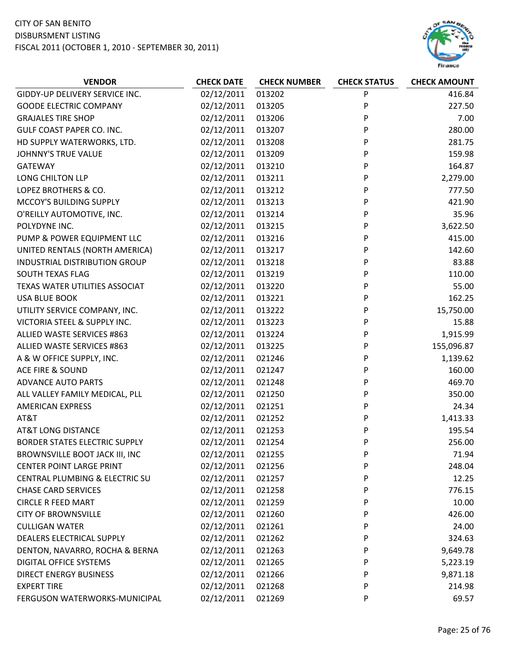

| <b>VENDOR</b>                        | <b>CHECK DATE</b> | <b>CHECK NUMBER</b> | <b>CHECK STATUS</b> | <b>CHECK AMOUNT</b> |
|--------------------------------------|-------------------|---------------------|---------------------|---------------------|
| GIDDY-UP DELIVERY SERVICE INC.       | 02/12/2011        | 013202              | P                   | 416.84              |
| <b>GOODE ELECTRIC COMPANY</b>        | 02/12/2011        | 013205              | P                   | 227.50              |
| <b>GRAJALES TIRE SHOP</b>            | 02/12/2011        | 013206              | P                   | 7.00                |
| GULF COAST PAPER CO. INC.            | 02/12/2011        | 013207              | P                   | 280.00              |
| HD SUPPLY WATERWORKS, LTD.           | 02/12/2011        | 013208              | P                   | 281.75              |
| <b>JOHNNY'S TRUE VALUE</b>           | 02/12/2011        | 013209              | P                   | 159.98              |
| <b>GATEWAY</b>                       | 02/12/2011        | 013210              | P                   | 164.87              |
| LONG CHILTON LLP                     | 02/12/2011        | 013211              | P                   | 2,279.00            |
| LOPEZ BROTHERS & CO.                 | 02/12/2011        | 013212              | P                   | 777.50              |
| MCCOY'S BUILDING SUPPLY              | 02/12/2011        | 013213              | P                   | 421.90              |
| O'REILLY AUTOMOTIVE, INC.            | 02/12/2011        | 013214              | P                   | 35.96               |
| POLYDYNE INC.                        | 02/12/2011        | 013215              | P                   | 3,622.50            |
| PUMP & POWER EQUIPMENT LLC           | 02/12/2011        | 013216              | P                   | 415.00              |
| UNITED RENTALS (NORTH AMERICA)       | 02/12/2011        | 013217              | P                   | 142.60              |
| INDUSTRIAL DISTRIBUTION GROUP        | 02/12/2011        | 013218              | P                   | 83.88               |
| <b>SOUTH TEXAS FLAG</b>              | 02/12/2011        | 013219              | P                   | 110.00              |
| TEXAS WATER UTILITIES ASSOCIAT       | 02/12/2011        | 013220              | P                   | 55.00               |
| <b>USA BLUE BOOK</b>                 | 02/12/2011        | 013221              | P                   | 162.25              |
| UTILITY SERVICE COMPANY, INC.        | 02/12/2011        | 013222              | P                   | 15,750.00           |
| VICTORIA STEEL & SUPPLY INC.         | 02/12/2011        | 013223              | P                   | 15.88               |
| ALLIED WASTE SERVICES #863           | 02/12/2011        | 013224              | P                   | 1,915.99            |
| ALLIED WASTE SERVICES #863           | 02/12/2011        | 013225              | P                   | 155,096.87          |
| A & W OFFICE SUPPLY, INC.            | 02/12/2011        | 021246              | P                   | 1,139.62            |
| <b>ACE FIRE &amp; SOUND</b>          | 02/12/2011        | 021247              | P                   | 160.00              |
| <b>ADVANCE AUTO PARTS</b>            | 02/12/2011        | 021248              | P                   | 469.70              |
| ALL VALLEY FAMILY MEDICAL, PLL       | 02/12/2011        | 021250              | P                   | 350.00              |
| <b>AMERICAN EXPRESS</b>              | 02/12/2011        | 021251              | P                   | 24.34               |
| AT&T                                 | 02/12/2011        | 021252              | P                   | 1,413.33            |
| <b>AT&amp;T LONG DISTANCE</b>        | 02/12/2011        | 021253              | P                   | 195.54              |
| <b>BORDER STATES ELECTRIC SUPPLY</b> | 02/12/2011        | 021254              | P                   | 256.00              |
| BROWNSVILLE BOOT JACK III, INC       | 02/12/2011        | 021255              | P                   | 71.94               |
| <b>CENTER POINT LARGE PRINT</b>      | 02/12/2011        | 021256              | P                   | 248.04              |
| CENTRAL PLUMBING & ELECTRIC SU       | 02/12/2011        | 021257              | P                   | 12.25               |
| <b>CHASE CARD SERVICES</b>           | 02/12/2011        | 021258              | P                   | 776.15              |
| <b>CIRCLE R FEED MART</b>            | 02/12/2011        | 021259              | P                   | 10.00               |
| <b>CITY OF BROWNSVILLE</b>           | 02/12/2011        | 021260              | P                   | 426.00              |
| <b>CULLIGAN WATER</b>                | 02/12/2011        | 021261              | P                   | 24.00               |
| DEALERS ELECTRICAL SUPPLY            | 02/12/2011        | 021262              | P                   | 324.63              |
| DENTON, NAVARRO, ROCHA & BERNA       | 02/12/2011        | 021263              | P                   | 9,649.78            |
| DIGITAL OFFICE SYSTEMS               | 02/12/2011        | 021265              | P                   | 5,223.19            |
| <b>DIRECT ENERGY BUSINESS</b>        | 02/12/2011        | 021266              | P                   | 9,871.18            |
| <b>EXPERT TIRE</b>                   | 02/12/2011        | 021268              | P                   | 214.98              |
| FERGUSON WATERWORKS-MUNICIPAL        | 02/12/2011        | 021269              | P                   | 69.57               |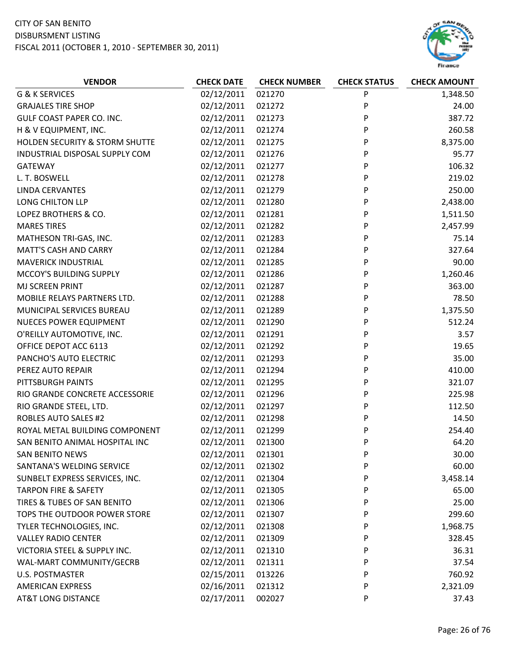## CITY OF SAN BENITO

DISBURSMENT LISTING



| <b>VENDOR</b>                             | <b>CHECK DATE</b> | <b>CHECK NUMBER</b> | <b>CHECK STATUS</b> | <b>CHECK AMOUNT</b> |
|-------------------------------------------|-------------------|---------------------|---------------------|---------------------|
| <b>G &amp; K SERVICES</b>                 | 02/12/2011        | 021270              | P                   | 1,348.50            |
| <b>GRAJALES TIRE SHOP</b>                 | 02/12/2011        | 021272              | P                   | 24.00               |
| GULF COAST PAPER CO. INC.                 | 02/12/2011        | 021273              | P                   | 387.72              |
| H & V EQUIPMENT, INC.                     | 02/12/2011        | 021274              | P                   | 260.58              |
| <b>HOLDEN SECURITY &amp; STORM SHUTTE</b> | 02/12/2011        | 021275              | P                   | 8,375.00            |
| INDUSTRIAL DISPOSAL SUPPLY COM            | 02/12/2011        | 021276              | P                   | 95.77               |
| <b>GATEWAY</b>                            | 02/12/2011        | 021277              | P                   | 106.32              |
| L. T. BOSWELL                             | 02/12/2011        | 021278              | P                   | 219.02              |
| <b>LINDA CERVANTES</b>                    | 02/12/2011        | 021279              | P                   | 250.00              |
| LONG CHILTON LLP                          | 02/12/2011        | 021280              | P                   | 2,438.00            |
| LOPEZ BROTHERS & CO.                      | 02/12/2011        | 021281              | P                   | 1,511.50            |
| <b>MARES TIRES</b>                        | 02/12/2011        | 021282              | P                   | 2,457.99            |
| MATHESON TRI-GAS, INC.                    | 02/12/2011        | 021283              | P                   | 75.14               |
| <b>MATT'S CASH AND CARRY</b>              | 02/12/2011        | 021284              | P                   | 327.64              |
| <b>MAVERICK INDUSTRIAL</b>                | 02/12/2011        | 021285              | P                   | 90.00               |
| MCCOY'S BUILDING SUPPLY                   | 02/12/2011        | 021286              | P                   | 1,260.46            |
| <b>MJ SCREEN PRINT</b>                    | 02/12/2011        | 021287              | P                   | 363.00              |
| MOBILE RELAYS PARTNERS LTD.               | 02/12/2011        | 021288              | P                   | 78.50               |
| MUNICIPAL SERVICES BUREAU                 | 02/12/2011        | 021289              | P                   | 1,375.50            |
| <b>NUECES POWER EQUIPMENT</b>             | 02/12/2011        | 021290              | P                   | 512.24              |
| O'REILLY AUTOMOTIVE, INC.                 | 02/12/2011        | 021291              | P                   | 3.57                |
| OFFICE DEPOT ACC 6113                     | 02/12/2011        | 021292              | P                   | 19.65               |
| PANCHO'S AUTO ELECTRIC                    | 02/12/2011        | 021293              | P                   | 35.00               |
| PEREZ AUTO REPAIR                         | 02/12/2011        | 021294              | P                   | 410.00              |
| PITTSBURGH PAINTS                         | 02/12/2011        | 021295              | P                   | 321.07              |
| RIO GRANDE CONCRETE ACCESSORIE            | 02/12/2011        | 021296              | P                   | 225.98              |
| RIO GRANDE STEEL, LTD.                    | 02/12/2011        | 021297              | P                   | 112.50              |
| <b>ROBLES AUTO SALES #2</b>               | 02/12/2011        | 021298              | P                   | 14.50               |
| ROYAL METAL BUILDING COMPONENT            | 02/12/2011        | 021299              | P                   | 254.40              |
| SAN BENITO ANIMAL HOSPITAL INC            | 02/12/2011        | 021300              | P                   | 64.20               |
| <b>SAN BENITO NEWS</b>                    | 02/12/2011        | 021301              | P                   | 30.00               |
| SANTANA'S WELDING SERVICE                 | 02/12/2011        | 021302              | P                   | 60.00               |
| SUNBELT EXPRESS SERVICES, INC.            | 02/12/2011        | 021304              | P                   | 3,458.14            |
| <b>TARPON FIRE &amp; SAFETY</b>           | 02/12/2011        | 021305              | P                   | 65.00               |
| TIRES & TUBES OF SAN BENITO               | 02/12/2011        | 021306              | P                   | 25.00               |
| TOPS THE OUTDOOR POWER STORE              | 02/12/2011        | 021307              | P                   | 299.60              |
| TYLER TECHNOLOGIES, INC.                  | 02/12/2011        | 021308              | P                   | 1,968.75            |
| <b>VALLEY RADIO CENTER</b>                | 02/12/2011        | 021309              | P                   | 328.45              |
| VICTORIA STEEL & SUPPLY INC.              | 02/12/2011        | 021310              | P                   | 36.31               |
| WAL-MART COMMUNITY/GECRB                  | 02/12/2011        | 021311              | P                   | 37.54               |
| <b>U.S. POSTMASTER</b>                    | 02/15/2011        | 013226              | P                   | 760.92              |
| <b>AMERICAN EXPRESS</b>                   | 02/16/2011        | 021312              | P                   | 2,321.09            |
| <b>AT&amp;T LONG DISTANCE</b>             | 02/17/2011        | 002027              | P                   | 37.43               |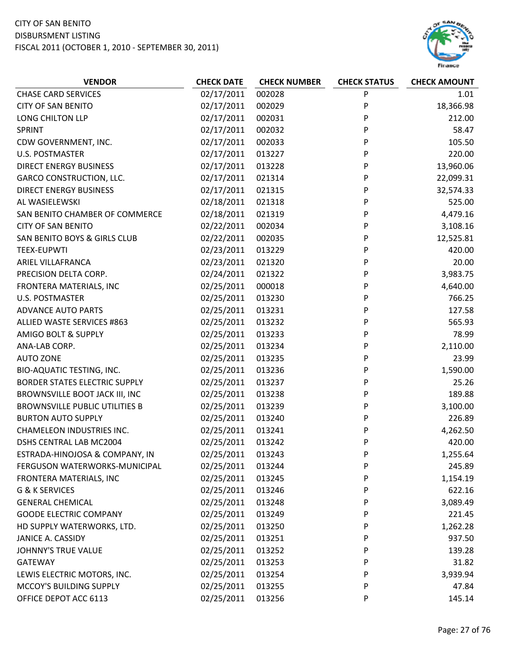

| <b>VENDOR</b>                         | <b>CHECK DATE</b> | <b>CHECK NUMBER</b> | <b>CHECK STATUS</b> | <b>CHECK AMOUNT</b> |
|---------------------------------------|-------------------|---------------------|---------------------|---------------------|
| <b>CHASE CARD SERVICES</b>            | 02/17/2011        | 002028              | P                   | 1.01                |
| <b>CITY OF SAN BENITO</b>             | 02/17/2011        | 002029              | P                   | 18,366.98           |
| LONG CHILTON LLP                      | 02/17/2011        | 002031              | P                   | 212.00              |
| <b>SPRINT</b>                         | 02/17/2011        | 002032              | P                   | 58.47               |
| CDW GOVERNMENT, INC.                  | 02/17/2011        | 002033              | P                   | 105.50              |
| <b>U.S. POSTMASTER</b>                | 02/17/2011        | 013227              | P                   | 220.00              |
| <b>DIRECT ENERGY BUSINESS</b>         | 02/17/2011        | 013228              | P                   | 13,960.06           |
| <b>GARCO CONSTRUCTION, LLC.</b>       | 02/17/2011        | 021314              | P                   | 22,099.31           |
| <b>DIRECT ENERGY BUSINESS</b>         | 02/17/2011        | 021315              | P                   | 32,574.33           |
| AL WASIELEWSKI                        | 02/18/2011        | 021318              | P                   | 525.00              |
| SAN BENITO CHAMBER OF COMMERCE        | 02/18/2011        | 021319              | P                   | 4,479.16            |
| <b>CITY OF SAN BENITO</b>             | 02/22/2011        | 002034              | P                   | 3,108.16            |
| SAN BENITO BOYS & GIRLS CLUB          | 02/22/2011        | 002035              | P                   | 12,525.81           |
| <b>TEEX-EUPWTI</b>                    | 02/23/2011        | 013229              | P                   | 420.00              |
| ARIEL VILLAFRANCA                     | 02/23/2011        | 021320              | P                   | 20.00               |
| PRECISION DELTA CORP.                 | 02/24/2011        | 021322              | P                   | 3,983.75            |
| FRONTERA MATERIALS, INC               | 02/25/2011        | 000018              | P                   | 4,640.00            |
| <b>U.S. POSTMASTER</b>                | 02/25/2011        | 013230              | P                   | 766.25              |
| <b>ADVANCE AUTO PARTS</b>             | 02/25/2011        | 013231              | P                   | 127.58              |
| ALLIED WASTE SERVICES #863            | 02/25/2011        | 013232              | P                   | 565.93              |
| AMIGO BOLT & SUPPLY                   | 02/25/2011        | 013233              | P                   | 78.99               |
| ANA-LAB CORP.                         | 02/25/2011        | 013234              | P                   | 2,110.00            |
| <b>AUTO ZONE</b>                      | 02/25/2011        | 013235              | P                   | 23.99               |
| <b>BIO-AQUATIC TESTING, INC.</b>      | 02/25/2011        | 013236              | P                   | 1,590.00            |
| <b>BORDER STATES ELECTRIC SUPPLY</b>  | 02/25/2011        | 013237              | P                   | 25.26               |
| BROWNSVILLE BOOT JACK III, INC        | 02/25/2011        | 013238              | P                   | 189.88              |
| <b>BROWNSVILLE PUBLIC UTILITIES B</b> | 02/25/2011        | 013239              | P                   | 3,100.00            |
| <b>BURTON AUTO SUPPLY</b>             | 02/25/2011        | 013240              | P                   | 226.89              |
| <b>CHAMELEON INDUSTRIES INC.</b>      | 02/25/2011        | 013241              | P                   | 4,262.50            |
| DSHS CENTRAL LAB MC2004               | 02/25/2011        | 013242              | P                   | 420.00              |
| ESTRADA-HINOJOSA & COMPANY, IN        | 02/25/2011        | 013243              | P                   | 1,255.64            |
| FERGUSON WATERWORKS-MUNICIPAL         | 02/25/2011        | 013244              | P                   | 245.89              |
| FRONTERA MATERIALS, INC               | 02/25/2011        | 013245              | P                   | 1,154.19            |
| G & K SERVICES                        | 02/25/2011        | 013246              | P                   | 622.16              |
| <b>GENERAL CHEMICAL</b>               | 02/25/2011        | 013248              | P                   | 3,089.49            |
| <b>GOODE ELECTRIC COMPANY</b>         | 02/25/2011        | 013249              | P                   | 221.45              |
| HD SUPPLY WATERWORKS, LTD.            | 02/25/2011        | 013250              | P                   | 1,262.28            |
| JANICE A. CASSIDY                     | 02/25/2011        | 013251              | P                   | 937.50              |
| <b>JOHNNY'S TRUE VALUE</b>            | 02/25/2011        | 013252              | P                   | 139.28              |
| GATEWAY                               | 02/25/2011        | 013253              | P                   | 31.82               |
| LEWIS ELECTRIC MOTORS, INC.           | 02/25/2011        | 013254              | P                   | 3,939.94            |
| MCCOY'S BUILDING SUPPLY               | 02/25/2011        | 013255              | P                   | 47.84               |
| OFFICE DEPOT ACC 6113                 | 02/25/2011        | 013256              | P                   | 145.14              |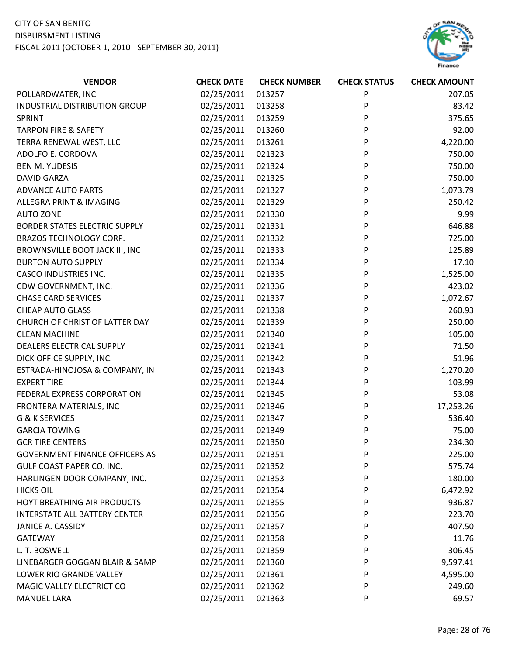# CITY OF SAN BENITO

DISBURSMENT LISTING



| <b>VENDOR</b>                         | <b>CHECK DATE</b> | <b>CHECK NUMBER</b> | <b>CHECK STATUS</b> | <b>CHECK AMOUNT</b> |
|---------------------------------------|-------------------|---------------------|---------------------|---------------------|
| POLLARDWATER, INC                     | 02/25/2011        | 013257              | P                   | 207.05              |
| INDUSTRIAL DISTRIBUTION GROUP         | 02/25/2011        | 013258              | P                   | 83.42               |
| SPRINT                                | 02/25/2011        | 013259              | P                   | 375.65              |
| <b>TARPON FIRE &amp; SAFETY</b>       | 02/25/2011        | 013260              | P                   | 92.00               |
| TERRA RENEWAL WEST, LLC               | 02/25/2011        | 013261              | P                   | 4,220.00            |
| ADOLFO E. CORDOVA                     | 02/25/2011        | 021323              | P                   | 750.00              |
| <b>BEN M. YUDESIS</b>                 | 02/25/2011        | 021324              | P                   | 750.00              |
| <b>DAVID GARZA</b>                    | 02/25/2011        | 021325              | P                   | 750.00              |
| <b>ADVANCE AUTO PARTS</b>             | 02/25/2011        | 021327              | P                   | 1,073.79            |
| ALLEGRA PRINT & IMAGING               | 02/25/2011        | 021329              | P                   | 250.42              |
| <b>AUTO ZONE</b>                      | 02/25/2011        | 021330              | P                   | 9.99                |
| <b>BORDER STATES ELECTRIC SUPPLY</b>  | 02/25/2011        | 021331              | P                   | 646.88              |
| <b>BRAZOS TECHNOLOGY CORP.</b>        | 02/25/2011        | 021332              | P                   | 725.00              |
| BROWNSVILLE BOOT JACK III, INC        | 02/25/2011        | 021333              | P                   | 125.89              |
| <b>BURTON AUTO SUPPLY</b>             | 02/25/2011        | 021334              | P                   | 17.10               |
| <b>CASCO INDUSTRIES INC.</b>          | 02/25/2011        | 021335              | P                   | 1,525.00            |
| CDW GOVERNMENT, INC.                  | 02/25/2011        | 021336              | P                   | 423.02              |
| <b>CHASE CARD SERVICES</b>            | 02/25/2011        | 021337              | P                   | 1,072.67            |
| <b>CHEAP AUTO GLASS</b>               | 02/25/2011        | 021338              | P                   | 260.93              |
| CHURCH OF CHRIST OF LATTER DAY        | 02/25/2011        | 021339              | P                   | 250.00              |
| <b>CLEAN MACHINE</b>                  | 02/25/2011        | 021340              | P                   | 105.00              |
| DEALERS ELECTRICAL SUPPLY             | 02/25/2011        | 021341              | P                   | 71.50               |
| DICK OFFICE SUPPLY, INC.              | 02/25/2011        | 021342              | P                   | 51.96               |
| ESTRADA-HINOJOSA & COMPANY, IN        | 02/25/2011        | 021343              | P                   | 1,270.20            |
| <b>EXPERT TIRE</b>                    | 02/25/2011        | 021344              | P                   | 103.99              |
| FEDERAL EXPRESS CORPORATION           | 02/25/2011        | 021345              | P                   | 53.08               |
| FRONTERA MATERIALS, INC               | 02/25/2011        | 021346              | P                   | 17,253.26           |
| <b>G &amp; K SERVICES</b>             | 02/25/2011        | 021347              | P                   | 536.40              |
| <b>GARCIA TOWING</b>                  | 02/25/2011        | 021349              | P                   | 75.00               |
| <b>GCR TIRE CENTERS</b>               | 02/25/2011        | 021350              | P                   | 234.30              |
| <b>GOVERNMENT FINANCE OFFICERS AS</b> | 02/25/2011        | 021351              | P                   | 225.00              |
| GULF COAST PAPER CO. INC.             | 02/25/2011        | 021352              | P                   | 575.74              |
| HARLINGEN DOOR COMPANY, INC.          | 02/25/2011        | 021353              | P                   | 180.00              |
| <b>HICKS OIL</b>                      | 02/25/2011        | 021354              | P                   | 6,472.92            |
| HOYT BREATHING AIR PRODUCTS           | 02/25/2011        | 021355              | P                   | 936.87              |
| <b>INTERSTATE ALL BATTERY CENTER</b>  | 02/25/2011        | 021356              | P                   | 223.70              |
| JANICE A. CASSIDY                     | 02/25/2011        | 021357              | P                   | 407.50              |
| GATEWAY                               | 02/25/2011        | 021358              | P                   | 11.76               |
| L. T. BOSWELL                         | 02/25/2011        | 021359              | P                   | 306.45              |
| LINEBARGER GOGGAN BLAIR & SAMP        | 02/25/2011        | 021360              | P                   | 9,597.41            |
| LOWER RIO GRANDE VALLEY               | 02/25/2011        | 021361              | P                   | 4,595.00            |
| MAGIC VALLEY ELECTRICT CO             | 02/25/2011        | 021362              | P                   | 249.60              |
| <b>MANUEL LARA</b>                    | 02/25/2011        | 021363              | P                   | 69.57               |
|                                       |                   |                     |                     |                     |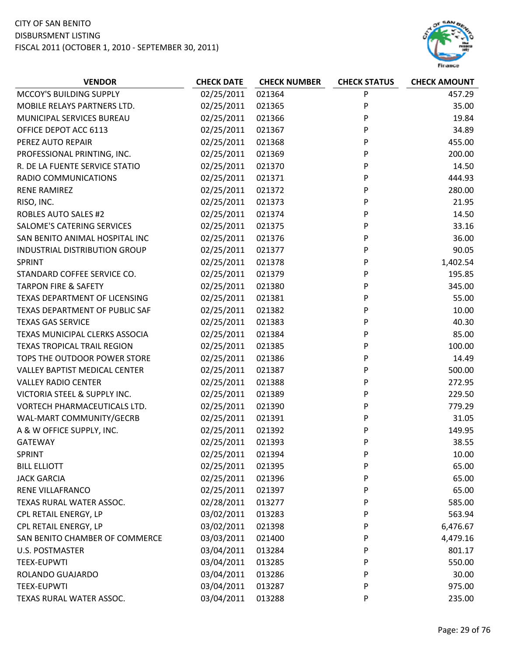

| <b>VENDOR</b>                        | <b>CHECK DATE</b> | <b>CHECK NUMBER</b> | <b>CHECK STATUS</b> | <b>CHECK AMOUNT</b> |
|--------------------------------------|-------------------|---------------------|---------------------|---------------------|
| MCCOY'S BUILDING SUPPLY              | 02/25/2011        | 021364              | P                   | 457.29              |
| MOBILE RELAYS PARTNERS LTD.          | 02/25/2011        | 021365              | P                   | 35.00               |
| MUNICIPAL SERVICES BUREAU            | 02/25/2011        | 021366              | P                   | 19.84               |
| OFFICE DEPOT ACC 6113                | 02/25/2011        | 021367              | P                   | 34.89               |
| PEREZ AUTO REPAIR                    | 02/25/2011        | 021368              | P                   | 455.00              |
| PROFESSIONAL PRINTING, INC.          | 02/25/2011        | 021369              | P                   | 200.00              |
| R. DE LA FUENTE SERVICE STATIO       | 02/25/2011        | 021370              | P                   | 14.50               |
| RADIO COMMUNICATIONS                 | 02/25/2011        | 021371              | P                   | 444.93              |
| <b>RENE RAMIREZ</b>                  | 02/25/2011        | 021372              | P                   | 280.00              |
| RISO, INC.                           | 02/25/2011        | 021373              | P                   | 21.95               |
| <b>ROBLES AUTO SALES #2</b>          | 02/25/2011        | 021374              | P                   | 14.50               |
| SALOME'S CATERING SERVICES           | 02/25/2011        | 021375              | P                   | 33.16               |
| SAN BENITO ANIMAL HOSPITAL INC       | 02/25/2011        | 021376              | P                   | 36.00               |
| INDUSTRIAL DISTRIBUTION GROUP        | 02/25/2011        | 021377              | P                   | 90.05               |
| <b>SPRINT</b>                        | 02/25/2011        | 021378              | P                   | 1,402.54            |
| STANDARD COFFEE SERVICE CO.          | 02/25/2011        | 021379              | P                   | 195.85              |
| <b>TARPON FIRE &amp; SAFETY</b>      | 02/25/2011        | 021380              | P                   | 345.00              |
| TEXAS DEPARTMENT OF LICENSING        | 02/25/2011        | 021381              | P                   | 55.00               |
| TEXAS DEPARTMENT OF PUBLIC SAF       | 02/25/2011        | 021382              | P                   | 10.00               |
| <b>TEXAS GAS SERVICE</b>             | 02/25/2011        | 021383              | P                   | 40.30               |
| TEXAS MUNICIPAL CLERKS ASSOCIA       | 02/25/2011        | 021384              | P                   | 85.00               |
| <b>TEXAS TROPICAL TRAIL REGION</b>   | 02/25/2011        | 021385              | P                   | 100.00              |
| TOPS THE OUTDOOR POWER STORE         | 02/25/2011        | 021386              | P                   | 14.49               |
| <b>VALLEY BAPTIST MEDICAL CENTER</b> | 02/25/2011        | 021387              | P                   | 500.00              |
| <b>VALLEY RADIO CENTER</b>           | 02/25/2011        | 021388              | P                   | 272.95              |
| VICTORIA STEEL & SUPPLY INC.         | 02/25/2011        | 021389              | P                   | 229.50              |
| VORTECH PHARMACEUTICALS LTD.         | 02/25/2011        | 021390              | P                   | 779.29              |
| WAL-MART COMMUNITY/GECRB             | 02/25/2011        | 021391              | P                   | 31.05               |
| A & W OFFICE SUPPLY, INC.            | 02/25/2011        | 021392              | P                   | 149.95              |
| <b>GATEWAY</b>                       | 02/25/2011        | 021393              | P                   | 38.55               |
| <b>SPRINT</b>                        | 02/25/2011        | 021394              | P                   | 10.00               |
| <b>BILL ELLIOTT</b>                  | 02/25/2011        | 021395              | P                   | 65.00               |
| <b>JACK GARCIA</b>                   | 02/25/2011        | 021396              | P                   | 65.00               |
| RENE VILLAFRANCO                     | 02/25/2011        | 021397              | P                   | 65.00               |
| TEXAS RURAL WATER ASSOC.             | 02/28/2011        | 013277              | P                   | 585.00              |
| CPL RETAIL ENERGY, LP                | 03/02/2011        | 013283              | P                   | 563.94              |
| CPL RETAIL ENERGY, LP                | 03/02/2011        | 021398              | P                   | 6,476.67            |
| SAN BENITO CHAMBER OF COMMERCE       | 03/03/2011        | 021400              | P                   | 4,479.16            |
| <b>U.S. POSTMASTER</b>               | 03/04/2011        | 013284              | P                   | 801.17              |
| <b>TEEX-EUPWTI</b>                   | 03/04/2011        | 013285              | P                   | 550.00              |
| ROLANDO GUAJARDO                     | 03/04/2011        | 013286              | P                   | 30.00               |
| <b>TEEX-EUPWTI</b>                   | 03/04/2011        | 013287              | P                   | 975.00              |
| TEXAS RURAL WATER ASSOC.             | 03/04/2011        | 013288              | P                   | 235.00              |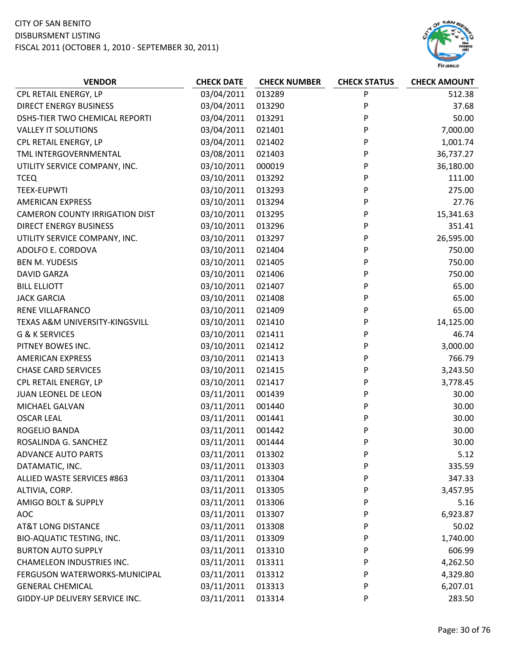

| <b>VENDOR</b>                         | <b>CHECK DATE</b> | <b>CHECK NUMBER</b> | <b>CHECK STATUS</b> | <b>CHECK AMOUNT</b> |
|---------------------------------------|-------------------|---------------------|---------------------|---------------------|
| CPL RETAIL ENERGY, LP                 | 03/04/2011        | 013289              | ${\sf P}$           | 512.38              |
| <b>DIRECT ENERGY BUSINESS</b>         | 03/04/2011        | 013290              | P                   | 37.68               |
| DSHS-TIER TWO CHEMICAL REPORTI        | 03/04/2011        | 013291              | P                   | 50.00               |
| <b>VALLEY IT SOLUTIONS</b>            | 03/04/2011        | 021401              | P                   | 7,000.00            |
| CPL RETAIL ENERGY, LP                 | 03/04/2011        | 021402              | P                   | 1,001.74            |
| TML INTERGOVERNMENTAL                 | 03/08/2011        | 021403              | P                   | 36,737.27           |
| UTILITY SERVICE COMPANY, INC.         | 03/10/2011        | 000019              | P                   | 36,180.00           |
| <b>TCEQ</b>                           | 03/10/2011        | 013292              | P                   | 111.00              |
| <b>TEEX-EUPWTI</b>                    | 03/10/2011        | 013293              | P                   | 275.00              |
| <b>AMERICAN EXPRESS</b>               | 03/10/2011        | 013294              | P                   | 27.76               |
| <b>CAMERON COUNTY IRRIGATION DIST</b> | 03/10/2011        | 013295              | P                   | 15,341.63           |
| <b>DIRECT ENERGY BUSINESS</b>         | 03/10/2011        | 013296              | P                   | 351.41              |
| UTILITY SERVICE COMPANY, INC.         | 03/10/2011        | 013297              | P                   | 26,595.00           |
| ADOLFO E. CORDOVA                     | 03/10/2011        | 021404              | P                   | 750.00              |
| <b>BEN M. YUDESIS</b>                 | 03/10/2011        | 021405              | P                   | 750.00              |
| <b>DAVID GARZA</b>                    | 03/10/2011        | 021406              | P                   | 750.00              |
| <b>BILL ELLIOTT</b>                   | 03/10/2011        | 021407              | P                   | 65.00               |
| <b>JACK GARCIA</b>                    | 03/10/2011        | 021408              | P                   | 65.00               |
| RENE VILLAFRANCO                      | 03/10/2011        | 021409              | P                   | 65.00               |
| TEXAS A&M UNIVERSITY-KINGSVILL        | 03/10/2011        | 021410              | P                   | 14,125.00           |
| G & K SERVICES                        | 03/10/2011        | 021411              | P                   | 46.74               |
| PITNEY BOWES INC.                     | 03/10/2011        | 021412              | P                   | 3,000.00            |
| <b>AMERICAN EXPRESS</b>               | 03/10/2011        | 021413              | P                   | 766.79              |
| <b>CHASE CARD SERVICES</b>            | 03/10/2011        | 021415              | P                   | 3,243.50            |
| CPL RETAIL ENERGY, LP                 | 03/10/2011        | 021417              | P                   | 3,778.45            |
| JUAN LEONEL DE LEON                   | 03/11/2011        | 001439              | P                   | 30.00               |
| MICHAEL GALVAN                        | 03/11/2011        | 001440              | P                   | 30.00               |
| <b>OSCAR LEAL</b>                     | 03/11/2011        | 001441              | P                   | 30.00               |
| ROGELIO BANDA                         | 03/11/2011        | 001442              | P                   | 30.00               |
| ROSALINDA G. SANCHEZ                  | 03/11/2011        | 001444              | P                   | 30.00               |
| <b>ADVANCE AUTO PARTS</b>             | 03/11/2011        | 013302              | P                   | 5.12                |
| DATAMATIC, INC.                       | 03/11/2011        | 013303              | P                   | 335.59              |
| <b>ALLIED WASTE SERVICES #863</b>     | 03/11/2011        | 013304              | P                   | 347.33              |
| ALTIVIA, CORP.                        | 03/11/2011        | 013305              | P                   | 3,457.95            |
| AMIGO BOLT & SUPPLY                   | 03/11/2011        | 013306              | P                   | 5.16                |
| <b>AOC</b>                            | 03/11/2011        | 013307              | P                   | 6,923.87            |
| <b>AT&amp;T LONG DISTANCE</b>         | 03/11/2011        | 013308              | P                   | 50.02               |
| BIO-AQUATIC TESTING, INC.             | 03/11/2011        | 013309              | P                   | 1,740.00            |
| <b>BURTON AUTO SUPPLY</b>             | 03/11/2011        | 013310              | P                   | 606.99              |
| <b>CHAMELEON INDUSTRIES INC.</b>      | 03/11/2011        | 013311              | P                   | 4,262.50            |
| FERGUSON WATERWORKS-MUNICIPAL         | 03/11/2011        | 013312              | P                   | 4,329.80            |
| <b>GENERAL CHEMICAL</b>               | 03/11/2011        | 013313              | P                   | 6,207.01            |
| GIDDY-UP DELIVERY SERVICE INC.        | 03/11/2011        | 013314              | P                   | 283.50              |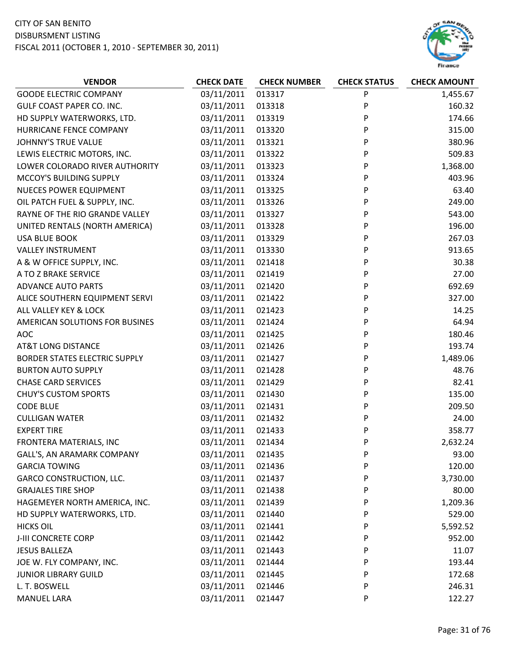

| <b>VENDOR</b>                        | <b>CHECK DATE</b> | <b>CHECK NUMBER</b> | <b>CHECK STATUS</b> | <b>CHECK AMOUNT</b> |
|--------------------------------------|-------------------|---------------------|---------------------|---------------------|
| <b>GOODE ELECTRIC COMPANY</b>        | 03/11/2011        | 013317              | P                   | 1,455.67            |
| GULF COAST PAPER CO. INC.            | 03/11/2011        | 013318              | P                   | 160.32              |
| HD SUPPLY WATERWORKS, LTD.           | 03/11/2011        | 013319              | P                   | 174.66              |
| HURRICANE FENCE COMPANY              | 03/11/2011        | 013320              | P                   | 315.00              |
| <b>JOHNNY'S TRUE VALUE</b>           | 03/11/2011        | 013321              | P                   | 380.96              |
| LEWIS ELECTRIC MOTORS, INC.          | 03/11/2011        | 013322              | P                   | 509.83              |
| LOWER COLORADO RIVER AUTHORITY       | 03/11/2011        | 013323              | P                   | 1,368.00            |
| MCCOY'S BUILDING SUPPLY              | 03/11/2011        | 013324              | P                   | 403.96              |
| <b>NUECES POWER EQUIPMENT</b>        | 03/11/2011        | 013325              | P                   | 63.40               |
| OIL PATCH FUEL & SUPPLY, INC.        | 03/11/2011        | 013326              | P                   | 249.00              |
| RAYNE OF THE RIO GRANDE VALLEY       | 03/11/2011        | 013327              | P                   | 543.00              |
| UNITED RENTALS (NORTH AMERICA)       | 03/11/2011        | 013328              | P                   | 196.00              |
| <b>USA BLUE BOOK</b>                 | 03/11/2011        | 013329              | P                   | 267.03              |
| <b>VALLEY INSTRUMENT</b>             | 03/11/2011        | 013330              | P                   | 913.65              |
| A & W OFFICE SUPPLY, INC.            | 03/11/2011        | 021418              | P                   | 30.38               |
| A TO Z BRAKE SERVICE                 | 03/11/2011        | 021419              | P                   | 27.00               |
| <b>ADVANCE AUTO PARTS</b>            | 03/11/2011        | 021420              | P                   | 692.69              |
| ALICE SOUTHERN EQUIPMENT SERVI       | 03/11/2011        | 021422              | P                   | 327.00              |
| ALL VALLEY KEY & LOCK                | 03/11/2011        | 021423              | P                   | 14.25               |
| AMERICAN SOLUTIONS FOR BUSINES       | 03/11/2011        | 021424              | P                   | 64.94               |
| <b>AOC</b>                           | 03/11/2011        | 021425              | P                   | 180.46              |
| <b>AT&amp;T LONG DISTANCE</b>        | 03/11/2011        | 021426              | P                   | 193.74              |
| <b>BORDER STATES ELECTRIC SUPPLY</b> | 03/11/2011        | 021427              | P                   | 1,489.06            |
| <b>BURTON AUTO SUPPLY</b>            | 03/11/2011        | 021428              | P                   | 48.76               |
| <b>CHASE CARD SERVICES</b>           | 03/11/2011        | 021429              | P                   | 82.41               |
| <b>CHUY'S CUSTOM SPORTS</b>          | 03/11/2011        | 021430              | P                   | 135.00              |
| <b>CODE BLUE</b>                     | 03/11/2011        | 021431              | P                   | 209.50              |
| <b>CULLIGAN WATER</b>                | 03/11/2011        | 021432              | P                   | 24.00               |
| <b>EXPERT TIRE</b>                   | 03/11/2011        | 021433              | P                   | 358.77              |
| FRONTERA MATERIALS, INC              | 03/11/2011        | 021434              | P                   | 2,632.24            |
| GALL'S, AN ARAMARK COMPANY           | 03/11/2011        | 021435              | P                   | 93.00               |
| <b>GARCIA TOWING</b>                 | 03/11/2011        | 021436              | P                   | 120.00              |
| <b>GARCO CONSTRUCTION, LLC.</b>      | 03/11/2011        | 021437              | P                   | 3,730.00            |
| <b>GRAJALES TIRE SHOP</b>            | 03/11/2011        | 021438              | P                   | 80.00               |
| HAGEMEYER NORTH AMERICA, INC.        | 03/11/2011        | 021439              | P                   | 1,209.36            |
| HD SUPPLY WATERWORKS, LTD.           | 03/11/2011        | 021440              | P                   | 529.00              |
| <b>HICKS OIL</b>                     | 03/11/2011        | 021441              | P                   | 5,592.52            |
| J-III CONCRETE CORP                  | 03/11/2011        | 021442              | P                   | 952.00              |
| <b>JESUS BALLEZA</b>                 | 03/11/2011        | 021443              | P                   | 11.07               |
| JOE W. FLY COMPANY, INC.             | 03/11/2011        | 021444              | P                   | 193.44              |
| <b>JUNIOR LIBRARY GUILD</b>          | 03/11/2011        | 021445              | P                   | 172.68              |
| L. T. BOSWELL                        | 03/11/2011        | 021446              | P                   | 246.31              |
| <b>MANUEL LARA</b>                   | 03/11/2011        | 021447              | P                   | 122.27              |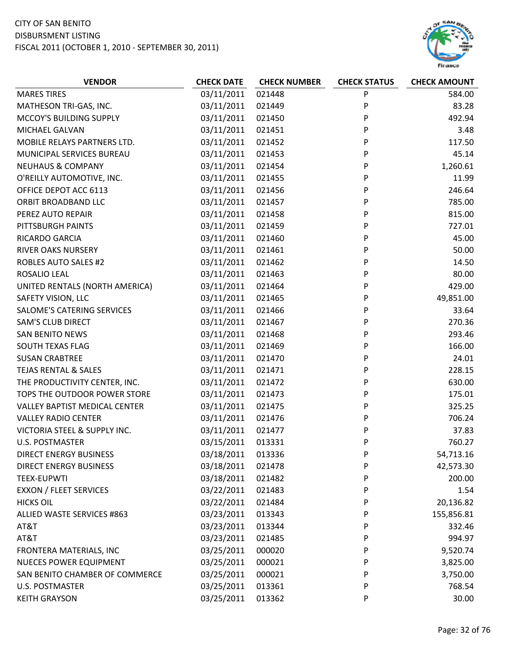

| <b>CHECK DATE</b><br><b>VENDOR</b><br><b>CHECK NUMBER</b><br><b>CHECK STATUS</b> | <b>CHECK AMOUNT</b> |
|----------------------------------------------------------------------------------|---------------------|
| P<br><b>MARES TIRES</b><br>03/11/2011<br>021448                                  | 584.00              |
| 03/11/2011<br>P<br>MATHESON TRI-GAS, INC.<br>021449                              | 83.28               |
| MCCOY'S BUILDING SUPPLY<br>03/11/2011<br>P<br>021450                             | 492.94              |
| P<br>MICHAEL GALVAN<br>03/11/2011<br>021451                                      | 3.48                |
| 03/11/2011<br>021452<br>P<br>MOBILE RELAYS PARTNERS LTD.                         | 117.50              |
| P<br>MUNICIPAL SERVICES BUREAU<br>03/11/2011<br>021453                           | 45.14               |
| P<br><b>NEUHAUS &amp; COMPANY</b><br>03/11/2011<br>021454                        | 1,260.61            |
| O'REILLY AUTOMOTIVE, INC.<br>03/11/2011<br>021455<br>P                           | 11.99               |
| P<br>OFFICE DEPOT ACC 6113<br>03/11/2011<br>021456                               | 246.64              |
| 03/11/2011<br>P<br>ORBIT BROADBAND LLC<br>021457                                 | 785.00              |
| P<br>03/11/2011<br>PEREZ AUTO REPAIR<br>021458                                   | 815.00              |
| 03/11/2011<br>PITTSBURGH PAINTS<br>021459<br>P                                   | 727.01              |
| P<br>RICARDO GARCIA<br>03/11/2011<br>021460                                      | 45.00               |
| P<br>RIVER OAKS NURSERY<br>03/11/2011<br>021461                                  | 50.00               |
| 03/11/2011<br>P<br><b>ROBLES AUTO SALES #2</b><br>021462                         | 14.50               |
| P<br>03/11/2011<br>021463<br>ROSALIO LEAL                                        | 80.00               |
| UNITED RENTALS (NORTH AMERICA)<br>03/11/2011<br>021464<br>P                      | 429.00              |
| P<br>SAFETY VISION, LLC<br>03/11/2011<br>021465                                  | 49,851.00           |
| P<br>SALOME'S CATERING SERVICES<br>03/11/2011<br>021466                          | 33.64               |
| <b>SAM'S CLUB DIRECT</b><br>03/11/2011<br>021467<br>P                            | 270.36              |
| P<br>03/11/2011<br><b>SAN BENITO NEWS</b><br>021468                              | 293.46              |
| SOUTH TEXAS FLAG<br>03/11/2011<br>021469<br>P                                    | 166.00              |
| P<br><b>SUSAN CRABTREE</b><br>03/11/2011<br>021470                               | 24.01               |
| 03/11/2011<br><b>TEJAS RENTAL &amp; SALES</b><br>021471<br>P                     | 228.15              |
| P<br>THE PRODUCTIVITY CENTER, INC.<br>03/11/2011<br>021472                       | 630.00              |
| P<br>TOPS THE OUTDOOR POWER STORE<br>03/11/2011<br>021473                        | 175.01              |
| <b>VALLEY BAPTIST MEDICAL CENTER</b><br>03/11/2011<br>021475<br>P                | 325.25              |
| P<br>03/11/2011<br><b>VALLEY RADIO CENTER</b><br>021476                          | 706.24              |
| VICTORIA STEEL & SUPPLY INC.<br>03/11/2011<br>021477<br>P                        | 37.83               |
| 03/15/2011<br>013331<br>P<br><b>U.S. POSTMASTER</b>                              | 760.27              |
| <b>DIRECT ENERGY BUSINESS</b><br>03/18/2011<br>013336<br>P                       | 54,713.16           |
| 03/18/2011<br>DIRECT ENERGY BUSINESS<br>021478<br>P                              | 42,573.30           |
| 03/18/2011<br><b>TEEX-EUPWTI</b><br>021482<br>P                                  | 200.00              |
| 03/22/2011<br><b>EXXON / FLEET SERVICES</b><br>021483<br>P                       | 1.54                |
| 03/22/2011<br><b>HICKS OIL</b><br>021484<br>P                                    | 20,136.82           |
| 03/23/2011<br>ALLIED WASTE SERVICES #863<br>013343<br>P                          | 155,856.81          |
| 03/23/2011<br>AT&T<br>013344<br>P                                                | 332.46              |
| 03/23/2011<br>AT&T<br>021485<br>P                                                | 994.97              |
| 03/25/2011<br>FRONTERA MATERIALS, INC<br>000020<br>P                             | 9,520.74            |
| <b>NUECES POWER EQUIPMENT</b><br>03/25/2011<br>000021<br>P                       | 3,825.00            |
| 03/25/2011<br>SAN BENITO CHAMBER OF COMMERCE<br>000021<br>P                      | 3,750.00            |
| 03/25/2011<br>U.S. POSTMASTER<br>013361<br>P                                     | 768.54              |
| 03/25/2011<br><b>KEITH GRAYSON</b><br>013362<br>P                                | 30.00               |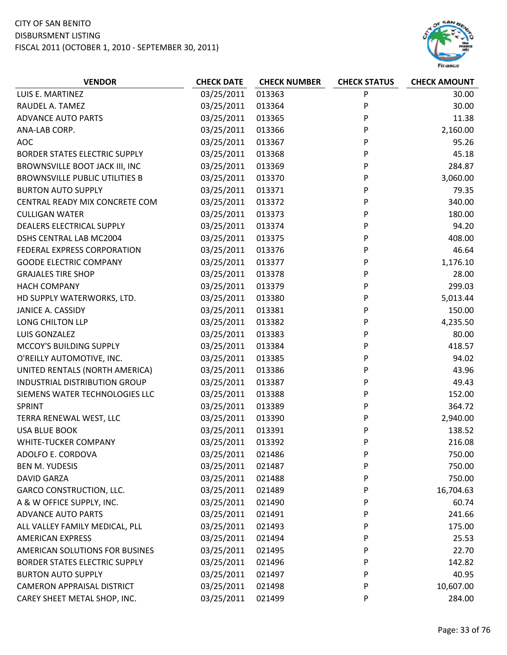

| <b>VENDOR</b>                         | <b>CHECK DATE</b> | <b>CHECK NUMBER</b> | <b>CHECK STATUS</b> | <b>CHECK AMOUNT</b> |
|---------------------------------------|-------------------|---------------------|---------------------|---------------------|
| LUIS E. MARTINEZ                      | 03/25/2011        | 013363              | P                   | 30.00               |
| RAUDEL A. TAMEZ                       | 03/25/2011        | 013364              | P                   | 30.00               |
| <b>ADVANCE AUTO PARTS</b>             | 03/25/2011        | 013365              | P                   | 11.38               |
| ANA-LAB CORP.                         | 03/25/2011        | 013366              | P                   | 2,160.00            |
| <b>AOC</b>                            | 03/25/2011        | 013367              | P                   | 95.26               |
| <b>BORDER STATES ELECTRIC SUPPLY</b>  | 03/25/2011        | 013368              | P                   | 45.18               |
| BROWNSVILLE BOOT JACK III, INC        | 03/25/2011        | 013369              | P                   | 284.87              |
| <b>BROWNSVILLE PUBLIC UTILITIES B</b> | 03/25/2011        | 013370              | P                   | 3,060.00            |
| <b>BURTON AUTO SUPPLY</b>             | 03/25/2011        | 013371              | P                   | 79.35               |
| CENTRAL READY MIX CONCRETE COM        | 03/25/2011        | 013372              | P                   | 340.00              |
| <b>CULLIGAN WATER</b>                 | 03/25/2011        | 013373              | P                   | 180.00              |
| DEALERS ELECTRICAL SUPPLY             | 03/25/2011        | 013374              | P                   | 94.20               |
| <b>DSHS CENTRAL LAB MC2004</b>        | 03/25/2011        | 013375              | P                   | 408.00              |
| FEDERAL EXPRESS CORPORATION           | 03/25/2011        | 013376              | P                   | 46.64               |
| <b>GOODE ELECTRIC COMPANY</b>         | 03/25/2011        | 013377              | P                   | 1,176.10            |
| <b>GRAJALES TIRE SHOP</b>             | 03/25/2011        | 013378              | P                   | 28.00               |
| <b>HACH COMPANY</b>                   | 03/25/2011        | 013379              | P                   | 299.03              |
| HD SUPPLY WATERWORKS, LTD.            | 03/25/2011        | 013380              | P                   | 5,013.44            |
| JANICE A. CASSIDY                     | 03/25/2011        | 013381              | P                   | 150.00              |
| LONG CHILTON LLP                      | 03/25/2011        | 013382              | P                   | 4,235.50            |
| LUIS GONZALEZ                         | 03/25/2011        | 013383              | P                   | 80.00               |
| MCCOY'S BUILDING SUPPLY               | 03/25/2011        | 013384              | P                   | 418.57              |
| O'REILLY AUTOMOTIVE, INC.             | 03/25/2011        | 013385              | P                   | 94.02               |
| UNITED RENTALS (NORTH AMERICA)        | 03/25/2011        | 013386              | P                   | 43.96               |
| INDUSTRIAL DISTRIBUTION GROUP         | 03/25/2011        | 013387              | P                   | 49.43               |
| SIEMENS WATER TECHNOLOGIES LLC        | 03/25/2011        | 013388              | P                   | 152.00              |
| SPRINT                                | 03/25/2011        | 013389              | P                   | 364.72              |
| TERRA RENEWAL WEST, LLC               | 03/25/2011        | 013390              | P                   | 2,940.00            |
| <b>USA BLUE BOOK</b>                  | 03/25/2011        | 013391              | P                   | 138.52              |
| WHITE-TUCKER COMPANY                  | 03/25/2011        | 013392              | P                   | 216.08              |
| ADOLFO E. CORDOVA                     | 03/25/2011        | 021486              | P                   | 750.00              |
| <b>BEN M. YUDESIS</b>                 | 03/25/2011        | 021487              | P                   | 750.00              |
| <b>DAVID GARZA</b>                    | 03/25/2011        | 021488              | P                   | 750.00              |
| <b>GARCO CONSTRUCTION, LLC.</b>       | 03/25/2011        | 021489              | P                   | 16,704.63           |
| A & W OFFICE SUPPLY, INC.             | 03/25/2011        | 021490              | P                   | 60.74               |
| <b>ADVANCE AUTO PARTS</b>             | 03/25/2011        | 021491              | P                   | 241.66              |
| ALL VALLEY FAMILY MEDICAL, PLL        | 03/25/2011        | 021493              | P                   | 175.00              |
| <b>AMERICAN EXPRESS</b>               | 03/25/2011        | 021494              | P                   | 25.53               |
| AMERICAN SOLUTIONS FOR BUSINES        | 03/25/2011        | 021495              | P                   | 22.70               |
| <b>BORDER STATES ELECTRIC SUPPLY</b>  | 03/25/2011        | 021496              | P                   | 142.82              |
| <b>BURTON AUTO SUPPLY</b>             | 03/25/2011        | 021497              | P                   | 40.95               |
| <b>CAMERON APPRAISAL DISTRICT</b>     | 03/25/2011        | 021498              | P                   | 10,607.00           |
| CAREY SHEET METAL SHOP, INC.          | 03/25/2011        | 021499              | P                   | 284.00              |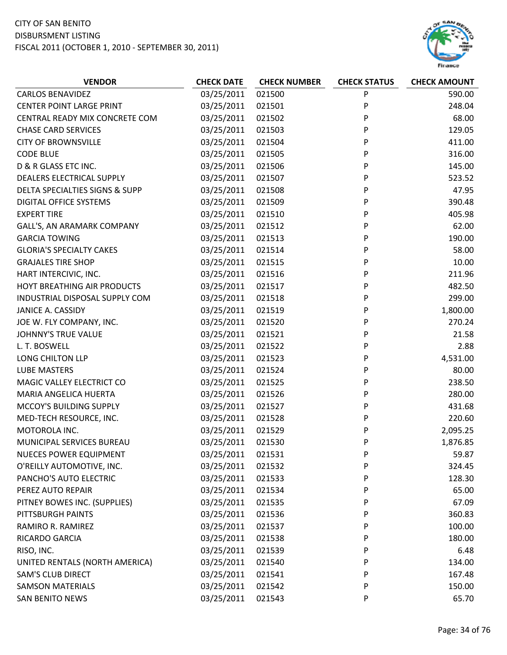

| <b>VENDOR</b>                   | <b>CHECK DATE</b> | <b>CHECK NUMBER</b> | <b>CHECK STATUS</b> | <b>CHECK AMOUNT</b> |
|---------------------------------|-------------------|---------------------|---------------------|---------------------|
| <b>CARLOS BENAVIDEZ</b>         | 03/25/2011        | 021500              | P                   | 590.00              |
| <b>CENTER POINT LARGE PRINT</b> | 03/25/2011        | 021501              | P                   | 248.04              |
| CENTRAL READY MIX CONCRETE COM  | 03/25/2011        | 021502              | P                   | 68.00               |
| <b>CHASE CARD SERVICES</b>      | 03/25/2011        | 021503              | P                   | 129.05              |
| <b>CITY OF BROWNSVILLE</b>      | 03/25/2011        | 021504              | P                   | 411.00              |
| <b>CODE BLUE</b>                | 03/25/2011        | 021505              | P                   | 316.00              |
| D & R GLASS ETC INC.            | 03/25/2011        | 021506              | P                   | 145.00              |
| DEALERS ELECTRICAL SUPPLY       | 03/25/2011        | 021507              | P                   | 523.52              |
| DELTA SPECIALTIES SIGNS & SUPP  | 03/25/2011        | 021508              | P                   | 47.95               |
| DIGITAL OFFICE SYSTEMS          | 03/25/2011        | 021509              | P                   | 390.48              |
| <b>EXPERT TIRE</b>              | 03/25/2011        | 021510              | P                   | 405.98              |
| GALL'S, AN ARAMARK COMPANY      | 03/25/2011        | 021512              | P                   | 62.00               |
| <b>GARCIA TOWING</b>            | 03/25/2011        | 021513              | P                   | 190.00              |
| <b>GLORIA'S SPECIALTY CAKES</b> | 03/25/2011        | 021514              | P                   | 58.00               |
| <b>GRAJALES TIRE SHOP</b>       | 03/25/2011        | 021515              | P                   | 10.00               |
| HART INTERCIVIC, INC.           | 03/25/2011        | 021516              | P                   | 211.96              |
| HOYT BREATHING AIR PRODUCTS     | 03/25/2011        | 021517              | P                   | 482.50              |
| INDUSTRIAL DISPOSAL SUPPLY COM  | 03/25/2011        | 021518              | P                   | 299.00              |
| <b>JANICE A. CASSIDY</b>        | 03/25/2011        | 021519              | P                   | 1,800.00            |
| JOE W. FLY COMPANY, INC.        | 03/25/2011        | 021520              | P                   | 270.24              |
| JOHNNY'S TRUE VALUE             | 03/25/2011        | 021521              | P                   | 21.58               |
| L. T. BOSWELL                   | 03/25/2011        | 021522              | P                   | 2.88                |
| LONG CHILTON LLP                | 03/25/2011        | 021523              | P                   | 4,531.00            |
| <b>LUBE MASTERS</b>             | 03/25/2011        | 021524              | P                   | 80.00               |
| MAGIC VALLEY ELECTRICT CO       | 03/25/2011        | 021525              | P                   | 238.50              |
| MARIA ANGELICA HUERTA           | 03/25/2011        | 021526              | P                   | 280.00              |
| MCCOY'S BUILDING SUPPLY         | 03/25/2011        | 021527              | P                   | 431.68              |
| MED-TECH RESOURCE, INC.         | 03/25/2011        | 021528              | P                   | 220.60              |
| MOTOROLA INC.                   | 03/25/2011        | 021529              | P                   | 2,095.25            |
| MUNICIPAL SERVICES BUREAU       | 03/25/2011        | 021530              | P                   | 1,876.85            |
| <b>NUECES POWER EQUIPMENT</b>   | 03/25/2011        | 021531              | P                   | 59.87               |
| O'REILLY AUTOMOTIVE, INC.       | 03/25/2011        | 021532              | P                   | 324.45              |
| PANCHO'S AUTO ELECTRIC          | 03/25/2011        | 021533              | P                   | 128.30              |
| PEREZ AUTO REPAIR               | 03/25/2011        | 021534              | P                   | 65.00               |
| PITNEY BOWES INC. (SUPPLIES)    | 03/25/2011        | 021535              | P                   | 67.09               |
| PITTSBURGH PAINTS               | 03/25/2011        | 021536              | P                   | 360.83              |
| RAMIRO R. RAMIREZ               | 03/25/2011        | 021537              | P                   | 100.00              |
| <b>RICARDO GARCIA</b>           | 03/25/2011        | 021538              | P                   | 180.00              |
| RISO, INC.                      | 03/25/2011        | 021539              | P                   | 6.48                |
| UNITED RENTALS (NORTH AMERICA)  | 03/25/2011        | 021540              | P                   | 134.00              |
| <b>SAM'S CLUB DIRECT</b>        | 03/25/2011        | 021541              | P                   | 167.48              |
| <b>SAMSON MATERIALS</b>         | 03/25/2011        | 021542              | P                   | 150.00              |
| <b>SAN BENITO NEWS</b>          | 03/25/2011        | 021543              | P                   | 65.70               |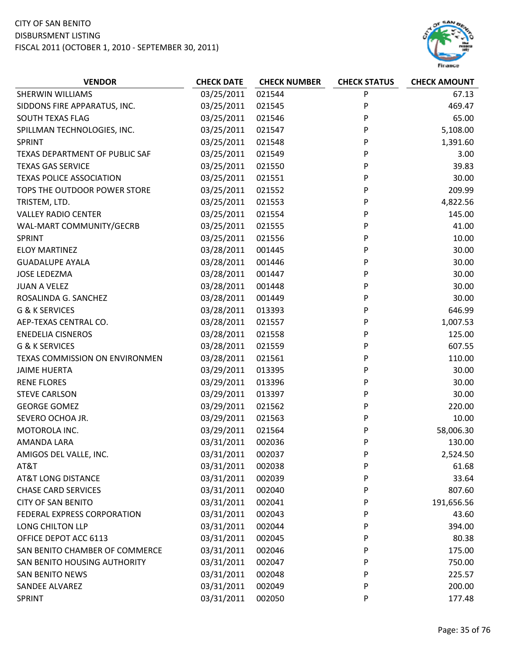

| <b>VENDOR</b>                   | <b>CHECK DATE</b> | <b>CHECK NUMBER</b> | <b>CHECK STATUS</b> | <b>CHECK AMOUNT</b> |
|---------------------------------|-------------------|---------------------|---------------------|---------------------|
| SHERWIN WILLIAMS                | 03/25/2011        | 021544              | P                   | 67.13               |
| SIDDONS FIRE APPARATUS, INC.    | 03/25/2011        | 021545              | P                   | 469.47              |
| SOUTH TEXAS FLAG                | 03/25/2011        | 021546              | P                   | 65.00               |
| SPILLMAN TECHNOLOGIES, INC.     | 03/25/2011        | 021547              | P                   | 5,108.00            |
| <b>SPRINT</b>                   | 03/25/2011        | 021548              | P                   | 1,391.60            |
| TEXAS DEPARTMENT OF PUBLIC SAF  | 03/25/2011        | 021549              | P                   | 3.00                |
| <b>TEXAS GAS SERVICE</b>        | 03/25/2011        | 021550              | P                   | 39.83               |
| <b>TEXAS POLICE ASSOCIATION</b> | 03/25/2011        | 021551              | P                   | 30.00               |
| TOPS THE OUTDOOR POWER STORE    | 03/25/2011        | 021552              | P                   | 209.99              |
| TRISTEM, LTD.                   | 03/25/2011        | 021553              | P                   | 4,822.56            |
| <b>VALLEY RADIO CENTER</b>      | 03/25/2011        | 021554              | P                   | 145.00              |
| WAL-MART COMMUNITY/GECRB        | 03/25/2011        | 021555              | P                   | 41.00               |
| SPRINT                          | 03/25/2011        | 021556              | P                   | 10.00               |
| <b>ELOY MARTINEZ</b>            | 03/28/2011        | 001445              | P                   | 30.00               |
| <b>GUADALUPE AYALA</b>          | 03/28/2011        | 001446              | P                   | 30.00               |
| <b>JOSE LEDEZMA</b>             | 03/28/2011        | 001447              | P                   | 30.00               |
| <b>JUAN A VELEZ</b>             | 03/28/2011        | 001448              | P                   | 30.00               |
| ROSALINDA G. SANCHEZ            | 03/28/2011        | 001449              | P                   | 30.00               |
| <b>G &amp; K SERVICES</b>       | 03/28/2011        | 013393              | P                   | 646.99              |
| AEP-TEXAS CENTRAL CO.           | 03/28/2011        | 021557              | P                   | 1,007.53            |
| <b>ENEDELIA CISNEROS</b>        | 03/28/2011        | 021558              | P                   | 125.00              |
| <b>G &amp; K SERVICES</b>       | 03/28/2011        | 021559              | P                   | 607.55              |
| TEXAS COMMISSION ON ENVIRONMEN  | 03/28/2011        | 021561              | P                   | 110.00              |
| <b>JAIME HUERTA</b>             | 03/29/2011        | 013395              | P                   | 30.00               |
| <b>RENE FLORES</b>              | 03/29/2011        | 013396              | P                   | 30.00               |
| <b>STEVE CARLSON</b>            | 03/29/2011        | 013397              | P                   | 30.00               |
| <b>GEORGE GOMEZ</b>             | 03/29/2011        | 021562              | P                   | 220.00              |
| SEVERO OCHOA JR.                | 03/29/2011        | 021563              | P                   | 10.00               |
| MOTOROLA INC.                   | 03/29/2011        | 021564              | P                   | 58,006.30           |
| AMANDA LARA                     | 03/31/2011        | 002036              | P                   | 130.00              |
| AMIGOS DEL VALLE, INC.          | 03/31/2011        | 002037              | P                   | 2,524.50            |
| AT&T                            | 03/31/2011        | 002038              | P                   | 61.68               |
| <b>AT&amp;T LONG DISTANCE</b>   | 03/31/2011        | 002039              | P                   | 33.64               |
| <b>CHASE CARD SERVICES</b>      | 03/31/2011        | 002040              | P                   | 807.60              |
| <b>CITY OF SAN BENITO</b>       | 03/31/2011        | 002041              | P                   | 191,656.56          |
| FEDERAL EXPRESS CORPORATION     | 03/31/2011        | 002043              | P                   | 43.60               |
| LONG CHILTON LLP                | 03/31/2011        | 002044              | P                   | 394.00              |
| OFFICE DEPOT ACC 6113           | 03/31/2011        | 002045              | P                   | 80.38               |
| SAN BENITO CHAMBER OF COMMERCE  | 03/31/2011        | 002046              | P                   | 175.00              |
| SAN BENITO HOUSING AUTHORITY    | 03/31/2011        | 002047              | P                   | 750.00              |
| <b>SAN BENITO NEWS</b>          | 03/31/2011        | 002048              | P                   | 225.57              |
| <b>SANDEE ALVAREZ</b>           | 03/31/2011        | 002049              | P                   | 200.00              |
| <b>SPRINT</b>                   | 03/31/2011        | 002050              | P                   | 177.48              |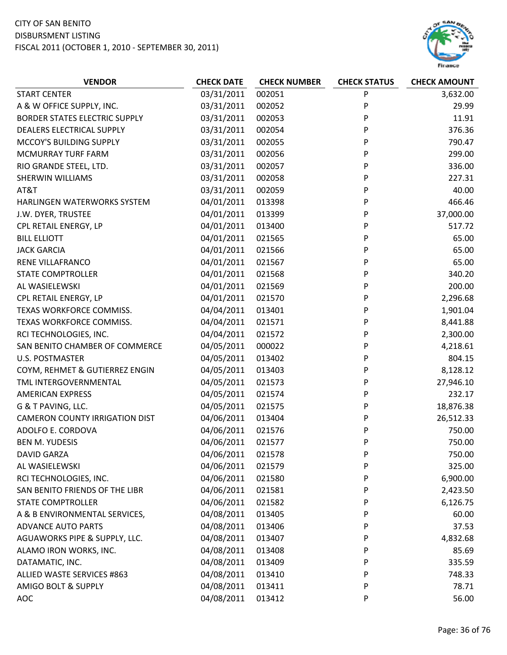

| <b>START CENTER</b><br>03/31/2011<br>002051<br>P<br>3,632.00<br>P<br>A & W OFFICE SUPPLY, INC.<br>03/31/2011<br>002052<br>29.99<br><b>BORDER STATES ELECTRIC SUPPLY</b><br>03/31/2011<br>P<br>11.91<br>002053<br>DEALERS ELECTRICAL SUPPLY<br>03/31/2011<br>002054<br>P<br>376.36<br>MCCOY'S BUILDING SUPPLY<br>03/31/2011<br>002055<br>P<br>790.47<br>03/31/2011<br>002056<br>P<br>299.00<br>MCMURRAY TURF FARM<br>03/31/2011<br>002057<br>P<br>336.00<br>RIO GRANDE STEEL, LTD.<br>03/31/2011<br>002058<br>P<br>227.31<br>SHERWIN WILLIAMS<br>03/31/2011<br>002059<br>P<br>40.00<br>AT&T |
|--------------------------------------------------------------------------------------------------------------------------------------------------------------------------------------------------------------------------------------------------------------------------------------------------------------------------------------------------------------------------------------------------------------------------------------------------------------------------------------------------------------------------------------------------------------------------------------------|
|                                                                                                                                                                                                                                                                                                                                                                                                                                                                                                                                                                                            |
|                                                                                                                                                                                                                                                                                                                                                                                                                                                                                                                                                                                            |
|                                                                                                                                                                                                                                                                                                                                                                                                                                                                                                                                                                                            |
|                                                                                                                                                                                                                                                                                                                                                                                                                                                                                                                                                                                            |
|                                                                                                                                                                                                                                                                                                                                                                                                                                                                                                                                                                                            |
|                                                                                                                                                                                                                                                                                                                                                                                                                                                                                                                                                                                            |
|                                                                                                                                                                                                                                                                                                                                                                                                                                                                                                                                                                                            |
|                                                                                                                                                                                                                                                                                                                                                                                                                                                                                                                                                                                            |
|                                                                                                                                                                                                                                                                                                                                                                                                                                                                                                                                                                                            |
| 466.46<br>04/01/2011<br>P<br>HARLINGEN WATERWORKS SYSTEM<br>013398                                                                                                                                                                                                                                                                                                                                                                                                                                                                                                                         |
| 37,000.00<br>04/01/2011<br>P<br>J.W. DYER, TRUSTEE<br>013399                                                                                                                                                                                                                                                                                                                                                                                                                                                                                                                               |
| 04/01/2011<br>013400<br>P<br>517.72<br>CPL RETAIL ENERGY, LP                                                                                                                                                                                                                                                                                                                                                                                                                                                                                                                               |
| <b>BILL ELLIOTT</b><br>04/01/2011<br>021565<br>P<br>65.00                                                                                                                                                                                                                                                                                                                                                                                                                                                                                                                                  |
| 04/01/2011<br>P<br>65.00<br><b>JACK GARCIA</b><br>021566                                                                                                                                                                                                                                                                                                                                                                                                                                                                                                                                   |
| 65.00<br>04/01/2011<br>P<br>RENE VILLAFRANCO<br>021567                                                                                                                                                                                                                                                                                                                                                                                                                                                                                                                                     |
| 04/01/2011<br>P<br>340.20<br><b>STATE COMPTROLLER</b><br>021568                                                                                                                                                                                                                                                                                                                                                                                                                                                                                                                            |
| AL WASIELEWSKI<br>04/01/2011<br>P<br>200.00<br>021569                                                                                                                                                                                                                                                                                                                                                                                                                                                                                                                                      |
| 04/01/2011<br>P<br>2,296.68<br>CPL RETAIL ENERGY, LP<br>021570                                                                                                                                                                                                                                                                                                                                                                                                                                                                                                                             |
| 04/04/2011<br>P<br>TEXAS WORKFORCE COMMISS.<br>013401<br>1,901.04                                                                                                                                                                                                                                                                                                                                                                                                                                                                                                                          |
| 04/04/2011<br>P<br>TEXAS WORKFORCE COMMISS.<br>021571<br>8,441.88                                                                                                                                                                                                                                                                                                                                                                                                                                                                                                                          |
| P<br>04/04/2011<br>2,300.00<br>RCI TECHNOLOGIES, INC.<br>021572                                                                                                                                                                                                                                                                                                                                                                                                                                                                                                                            |
| 04/05/2011<br>SAN BENITO CHAMBER OF COMMERCE<br>000022<br>P<br>4,218.61                                                                                                                                                                                                                                                                                                                                                                                                                                                                                                                    |
| <b>U.S. POSTMASTER</b><br>04/05/2011<br>P<br>804.15<br>013402                                                                                                                                                                                                                                                                                                                                                                                                                                                                                                                              |
| 04/05/2011<br>013403<br>P<br>8,128.12<br>COYM, REHMET & GUTIERREZ ENGIN                                                                                                                                                                                                                                                                                                                                                                                                                                                                                                                    |
| P<br>27,946.10<br>TML INTERGOVERNMENTAL<br>04/05/2011<br>021573                                                                                                                                                                                                                                                                                                                                                                                                                                                                                                                            |
| 04/05/2011<br>P<br>232.17<br><b>AMERICAN EXPRESS</b><br>021574                                                                                                                                                                                                                                                                                                                                                                                                                                                                                                                             |
| G & T PAVING, LLC.<br>04/05/2011<br>021575<br>P<br>18,876.38                                                                                                                                                                                                                                                                                                                                                                                                                                                                                                                               |
| 04/06/2011<br>P<br>26,512.33<br><b>CAMERON COUNTY IRRIGATION DIST</b><br>013404                                                                                                                                                                                                                                                                                                                                                                                                                                                                                                            |
| 04/06/2011<br>ADOLFO E. CORDOVA<br>750.00<br>021576<br>P                                                                                                                                                                                                                                                                                                                                                                                                                                                                                                                                   |
| 04/06/2011<br>021577<br>P<br>750.00<br><b>BEN M. YUDESIS</b>                                                                                                                                                                                                                                                                                                                                                                                                                                                                                                                               |
| 04/06/2011<br><b>DAVID GARZA</b><br>021578<br>P<br>750.00                                                                                                                                                                                                                                                                                                                                                                                                                                                                                                                                  |
| AL WASIELEWSKI<br>04/06/2011<br>325.00<br>021579<br>P                                                                                                                                                                                                                                                                                                                                                                                                                                                                                                                                      |
| 04/06/2011<br>RCI TECHNOLOGIES, INC.<br>P<br>6,900.00<br>021580                                                                                                                                                                                                                                                                                                                                                                                                                                                                                                                            |
| 04/06/2011<br>SAN BENITO FRIENDS OF THE LIBR<br>021581<br>2,423.50<br>P                                                                                                                                                                                                                                                                                                                                                                                                                                                                                                                    |
| 04/06/2011<br><b>STATE COMPTROLLER</b><br>021582<br>P<br>6,126.75                                                                                                                                                                                                                                                                                                                                                                                                                                                                                                                          |
| 04/08/2011<br>A & B ENVIRONMENTAL SERVICES,<br>013405<br>60.00<br>P                                                                                                                                                                                                                                                                                                                                                                                                                                                                                                                        |
| 04/08/2011<br><b>ADVANCE AUTO PARTS</b><br>013406<br>P<br>37.53                                                                                                                                                                                                                                                                                                                                                                                                                                                                                                                            |
| AGUAWORKS PIPE & SUPPLY, LLC.<br>04/08/2011<br>013407<br>P<br>4,832.68                                                                                                                                                                                                                                                                                                                                                                                                                                                                                                                     |
| 04/08/2011<br>ALAMO IRON WORKS, INC.<br>013408<br>P<br>85.69                                                                                                                                                                                                                                                                                                                                                                                                                                                                                                                               |
| 04/08/2011<br>DATAMATIC, INC.<br>P<br>335.59<br>013409                                                                                                                                                                                                                                                                                                                                                                                                                                                                                                                                     |
| 04/08/2011<br>ALLIED WASTE SERVICES #863<br>013410<br>748.33<br>P                                                                                                                                                                                                                                                                                                                                                                                                                                                                                                                          |
| AMIGO BOLT & SUPPLY<br>04/08/2011<br>78.71<br>013411<br>P                                                                                                                                                                                                                                                                                                                                                                                                                                                                                                                                  |
| 04/08/2011<br>56.00<br><b>AOC</b><br>013412<br>P                                                                                                                                                                                                                                                                                                                                                                                                                                                                                                                                           |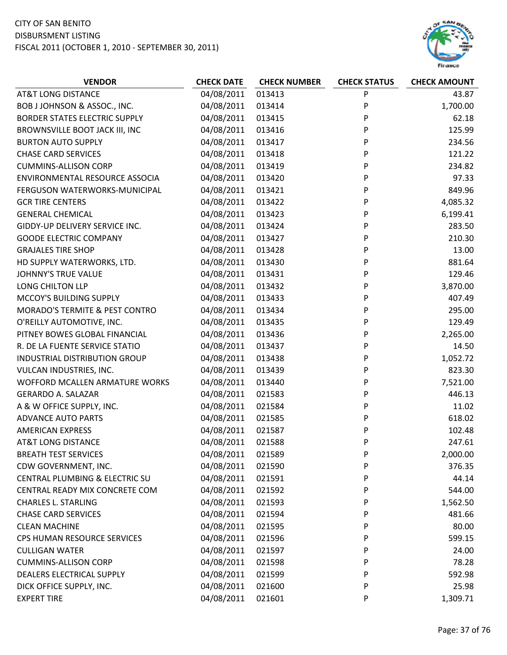

| <b>VENDOR</b>                             | <b>CHECK DATE</b> | <b>CHECK NUMBER</b> | <b>CHECK STATUS</b> | <b>CHECK AMOUNT</b> |
|-------------------------------------------|-------------------|---------------------|---------------------|---------------------|
| <b>AT&amp;T LONG DISTANCE</b>             | 04/08/2011        | 013413              | P                   | 43.87               |
| BOB J JOHNSON & ASSOC., INC.              | 04/08/2011        | 013414              | P                   | 1,700.00            |
| <b>BORDER STATES ELECTRIC SUPPLY</b>      | 04/08/2011        | 013415              | P                   | 62.18               |
| BROWNSVILLE BOOT JACK III, INC            | 04/08/2011        | 013416              | P                   | 125.99              |
| <b>BURTON AUTO SUPPLY</b>                 | 04/08/2011        | 013417              | P                   | 234.56              |
| <b>CHASE CARD SERVICES</b>                | 04/08/2011        | 013418              | P                   | 121.22              |
| <b>CUMMINS-ALLISON CORP</b>               | 04/08/2011        | 013419              | P                   | 234.82              |
| ENVIRONMENTAL RESOURCE ASSOCIA            | 04/08/2011        | 013420              | P                   | 97.33               |
| FERGUSON WATERWORKS-MUNICIPAL             | 04/08/2011        | 013421              | P                   | 849.96              |
| <b>GCR TIRE CENTERS</b>                   | 04/08/2011        | 013422              | P                   | 4,085.32            |
| <b>GENERAL CHEMICAL</b>                   | 04/08/2011        | 013423              | P                   | 6,199.41            |
| GIDDY-UP DELIVERY SERVICE INC.            | 04/08/2011        | 013424              | P                   | 283.50              |
| <b>GOODE ELECTRIC COMPANY</b>             | 04/08/2011        | 013427              | P                   | 210.30              |
| <b>GRAJALES TIRE SHOP</b>                 | 04/08/2011        | 013428              | P                   | 13.00               |
| HD SUPPLY WATERWORKS, LTD.                | 04/08/2011        | 013430              | P                   | 881.64              |
| JOHNNY'S TRUE VALUE                       | 04/08/2011        | 013431              | P                   | 129.46              |
| LONG CHILTON LLP                          | 04/08/2011        | 013432              | P                   | 3,870.00            |
| MCCOY'S BUILDING SUPPLY                   | 04/08/2011        | 013433              | P                   | 407.49              |
| <b>MORADO'S TERMITE &amp; PEST CONTRO</b> | 04/08/2011        | 013434              | P                   | 295.00              |
| O'REILLY AUTOMOTIVE, INC.                 | 04/08/2011        | 013435              | P                   | 129.49              |
| PITNEY BOWES GLOBAL FINANCIAL             | 04/08/2011        | 013436              | P                   | 2,265.00            |
| R. DE LA FUENTE SERVICE STATIO            | 04/08/2011        | 013437              | P                   | 14.50               |
| INDUSTRIAL DISTRIBUTION GROUP             | 04/08/2011        | 013438              | P                   | 1,052.72            |
| VULCAN INDUSTRIES, INC.                   | 04/08/2011        | 013439              | P                   | 823.30              |
| WOFFORD MCALLEN ARMATURE WORKS            | 04/08/2011        | 013440              | P                   | 7,521.00            |
| <b>GERARDO A. SALAZAR</b>                 | 04/08/2011        | 021583              | P                   | 446.13              |
| A & W OFFICE SUPPLY, INC.                 | 04/08/2011        | 021584              | P                   | 11.02               |
| <b>ADVANCE AUTO PARTS</b>                 | 04/08/2011        | 021585              | P                   | 618.02              |
| <b>AMERICAN EXPRESS</b>                   | 04/08/2011        | 021587              | P                   | 102.48              |
| <b>AT&amp;T LONG DISTANCE</b>             | 04/08/2011        | 021588              | P                   | 247.61              |
| <b>BREATH TEST SERVICES</b>               | 04/08/2011        | 021589              | P                   | 2,000.00            |
| CDW GOVERNMENT, INC.                      | 04/08/2011        | 021590              | P                   | 376.35              |
| CENTRAL PLUMBING & ELECTRIC SU            | 04/08/2011        | 021591              | P                   | 44.14               |
| CENTRAL READY MIX CONCRETE COM            | 04/08/2011        | 021592              | P                   | 544.00              |
| <b>CHARLES L. STARLING</b>                | 04/08/2011        | 021593              | P                   | 1,562.50            |
| <b>CHASE CARD SERVICES</b>                | 04/08/2011        | 021594              | P                   | 481.66              |
| <b>CLEAN MACHINE</b>                      | 04/08/2011        | 021595              | P                   | 80.00               |
| CPS HUMAN RESOURCE SERVICES               | 04/08/2011        | 021596              | P                   | 599.15              |
| <b>CULLIGAN WATER</b>                     | 04/08/2011        | 021597              | P                   | 24.00               |
| <b>CUMMINS-ALLISON CORP</b>               | 04/08/2011        | 021598              | P                   | 78.28               |
| DEALERS ELECTRICAL SUPPLY                 | 04/08/2011        | 021599              | P                   | 592.98              |
| DICK OFFICE SUPPLY, INC.                  | 04/08/2011        | 021600              | P                   | 25.98               |
| <b>EXPERT TIRE</b>                        | 04/08/2011        | 021601              | P                   | 1,309.71            |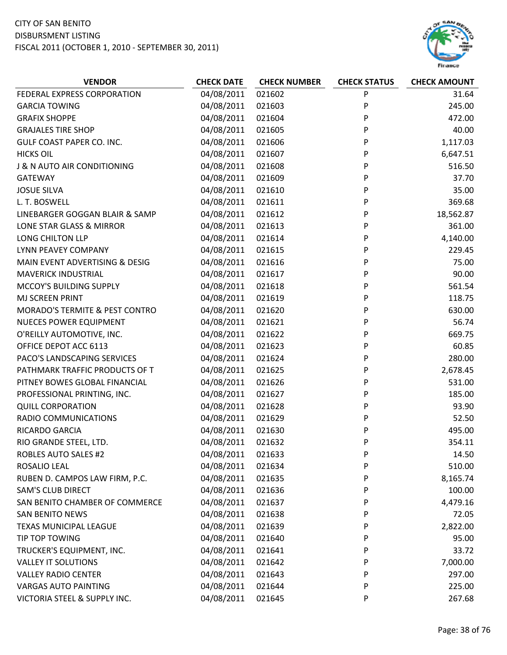

| <b>VENDOR</b>                  | <b>CHECK DATE</b> | <b>CHECK NUMBER</b> | <b>CHECK STATUS</b> | <b>CHECK AMOUNT</b> |
|--------------------------------|-------------------|---------------------|---------------------|---------------------|
| FEDERAL EXPRESS CORPORATION    | 04/08/2011        | 021602              | P                   | 31.64               |
| <b>GARCIA TOWING</b>           | 04/08/2011        | 021603              | P                   | 245.00              |
| <b>GRAFIX SHOPPE</b>           | 04/08/2011        | 021604              | P                   | 472.00              |
| <b>GRAJALES TIRE SHOP</b>      | 04/08/2011        | 021605              | P                   | 40.00               |
| GULF COAST PAPER CO. INC.      | 04/08/2011        | 021606              | P                   | 1,117.03            |
| <b>HICKS OIL</b>               | 04/08/2011        | 021607              | P                   | 6,647.51            |
| J & N AUTO AIR CONDITIONING    | 04/08/2011        | 021608              | P                   | 516.50              |
| <b>GATEWAY</b>                 | 04/08/2011        | 021609              | P                   | 37.70               |
| <b>JOSUE SILVA</b>             | 04/08/2011        | 021610              | P                   | 35.00               |
| L. T. BOSWELL                  | 04/08/2011        | 021611              | P                   | 369.68              |
| LINEBARGER GOGGAN BLAIR & SAMP | 04/08/2011        | 021612              | P                   | 18,562.87           |
| LONE STAR GLASS & MIRROR       | 04/08/2011        | 021613              | P                   | 361.00              |
| LONG CHILTON LLP               | 04/08/2011        | 021614              | P                   | 4,140.00            |
| LYNN PEAVEY COMPANY            | 04/08/2011        | 021615              | P                   | 229.45              |
| MAIN EVENT ADVERTISING & DESIG | 04/08/2011        | 021616              | P                   | 75.00               |
| <b>MAVERICK INDUSTRIAL</b>     | 04/08/2011        | 021617              | P                   | 90.00               |
| MCCOY'S BUILDING SUPPLY        | 04/08/2011        | 021618              | P                   | 561.54              |
| MJ SCREEN PRINT                | 04/08/2011        | 021619              | P                   | 118.75              |
| MORADO'S TERMITE & PEST CONTRO | 04/08/2011        | 021620              | P                   | 630.00              |
| <b>NUECES POWER EQUIPMENT</b>  | 04/08/2011        | 021621              | P                   | 56.74               |
| O'REILLY AUTOMOTIVE, INC.      | 04/08/2011        | 021622              | P                   | 669.75              |
| OFFICE DEPOT ACC 6113          | 04/08/2011        | 021623              | P                   | 60.85               |
| PACO'S LANDSCAPING SERVICES    | 04/08/2011        | 021624              | P                   | 280.00              |
| PATHMARK TRAFFIC PRODUCTS OF T | 04/08/2011        | 021625              | P                   | 2,678.45            |
| PITNEY BOWES GLOBAL FINANCIAL  | 04/08/2011        | 021626              | P                   | 531.00              |
| PROFESSIONAL PRINTING, INC.    | 04/08/2011        | 021627              | P                   | 185.00              |
| <b>QUILL CORPORATION</b>       | 04/08/2011        | 021628              | P                   | 93.90               |
| RADIO COMMUNICATIONS           | 04/08/2011        | 021629              | P                   | 52.50               |
| RICARDO GARCIA                 | 04/08/2011        | 021630              | P                   | 495.00              |
| RIO GRANDE STEEL, LTD.         | 04/08/2011        | 021632              | P                   | 354.11              |
| ROBLES AUTO SALES #2           | 04/08/2011        | 021633              | P                   | 14.50               |
| ROSALIO LEAL                   | 04/08/2011        | 021634              | P                   | 510.00              |
| RUBEN D. CAMPOS LAW FIRM, P.C. | 04/08/2011        | 021635              | P                   | 8,165.74            |
| <b>SAM'S CLUB DIRECT</b>       | 04/08/2011        | 021636              | P                   | 100.00              |
| SAN BENITO CHAMBER OF COMMERCE | 04/08/2011        | 021637              | P                   | 4,479.16            |
| <b>SAN BENITO NEWS</b>         | 04/08/2011        | 021638              | P                   | 72.05               |
| <b>TEXAS MUNICIPAL LEAGUE</b>  | 04/08/2011        | 021639              | P                   | 2,822.00            |
| TIP TOP TOWING                 | 04/08/2011        | 021640              | P                   | 95.00               |
| TRUCKER'S EQUIPMENT, INC.      | 04/08/2011        | 021641              | P                   | 33.72               |
| <b>VALLEY IT SOLUTIONS</b>     | 04/08/2011        | 021642              | P                   | 7,000.00            |
| <b>VALLEY RADIO CENTER</b>     | 04/08/2011        | 021643              | P                   | 297.00              |
| <b>VARGAS AUTO PAINTING</b>    | 04/08/2011        | 021644              | P                   | 225.00              |
| VICTORIA STEEL & SUPPLY INC.   | 04/08/2011        | 021645              | P                   | 267.68              |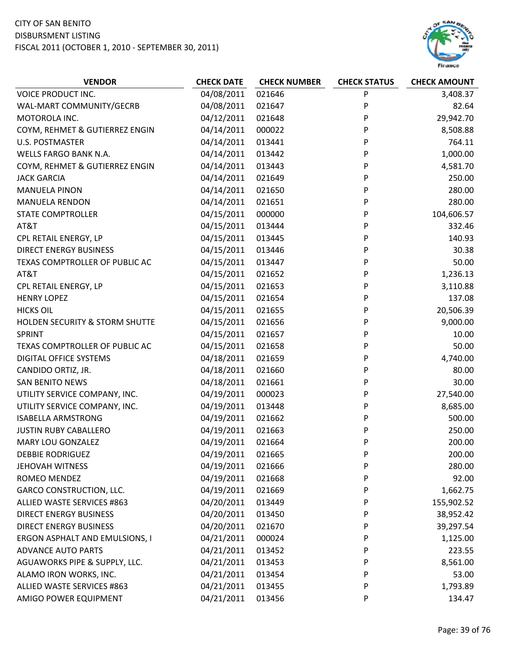

| <b>VENDOR</b>                   | <b>CHECK DATE</b> | <b>CHECK NUMBER</b> | <b>CHECK STATUS</b> | <b>CHECK AMOUNT</b> |
|---------------------------------|-------------------|---------------------|---------------------|---------------------|
| VOICE PRODUCT INC.              | 04/08/2011        | 021646              | P                   | 3,408.37            |
| WAL-MART COMMUNITY/GECRB        | 04/08/2011        | 021647              | P                   | 82.64               |
| MOTOROLA INC.                   | 04/12/2011        | 021648              | P                   | 29,942.70           |
| COYM, REHMET & GUTIERREZ ENGIN  | 04/14/2011        | 000022              | P                   | 8,508.88            |
| <b>U.S. POSTMASTER</b>          | 04/14/2011        | 013441              | P                   | 764.11              |
| WELLS FARGO BANK N.A.           | 04/14/2011        | 013442              | P                   | 1,000.00            |
| COYM, REHMET & GUTIERREZ ENGIN  | 04/14/2011        | 013443              | P                   | 4,581.70            |
| <b>JACK GARCIA</b>              | 04/14/2011        | 021649              | P                   | 250.00              |
| <b>MANUELA PINON</b>            | 04/14/2011        | 021650              | P                   | 280.00              |
| <b>MANUELA RENDON</b>           | 04/14/2011        | 021651              | P                   | 280.00              |
| <b>STATE COMPTROLLER</b>        | 04/15/2011        | 000000              | P                   | 104,606.57          |
| AT&T                            | 04/15/2011        | 013444              | P                   | 332.46              |
| CPL RETAIL ENERGY, LP           | 04/15/2011        | 013445              | P                   | 140.93              |
| <b>DIRECT ENERGY BUSINESS</b>   | 04/15/2011        | 013446              | P                   | 30.38               |
| TEXAS COMPTROLLER OF PUBLIC AC  | 04/15/2011        | 013447              | P                   | 50.00               |
| AT&T                            | 04/15/2011        | 021652              | P                   | 1,236.13            |
| CPL RETAIL ENERGY, LP           | 04/15/2011        | 021653              | P                   | 3,110.88            |
| <b>HENRY LOPEZ</b>              | 04/15/2011        | 021654              | P                   | 137.08              |
| <b>HICKS OIL</b>                | 04/15/2011        | 021655              | P                   | 20,506.39           |
| HOLDEN SECURITY & STORM SHUTTE  | 04/15/2011        | 021656              | P                   | 9,000.00            |
| <b>SPRINT</b>                   | 04/15/2011        | 021657              | P                   | 10.00               |
| TEXAS COMPTROLLER OF PUBLIC AC  | 04/15/2011        | 021658              | P                   | 50.00               |
| DIGITAL OFFICE SYSTEMS          | 04/18/2011        | 021659              | P                   | 4,740.00            |
| CANDIDO ORTIZ, JR.              | 04/18/2011        | 021660              | P                   | 80.00               |
| <b>SAN BENITO NEWS</b>          | 04/18/2011        | 021661              | P                   | 30.00               |
| UTILITY SERVICE COMPANY, INC.   | 04/19/2011        | 000023              | P                   | 27,540.00           |
| UTILITY SERVICE COMPANY, INC.   | 04/19/2011        | 013448              | P                   | 8,685.00            |
| <b>ISABELLA ARMSTRONG</b>       | 04/19/2011        | 021662              | P                   | 500.00              |
| <b>JUSTIN RUBY CABALLERO</b>    | 04/19/2011        | 021663              | P                   | 250.00              |
| MARY LOU GONZALEZ               | 04/19/2011        | 021664              | P                   | 200.00              |
| <b>DEBBIE RODRIGUEZ</b>         | 04/19/2011        | 021665              | P                   | 200.00              |
| JEHOVAH WITNESS                 | 04/19/2011        | 021666              | P                   | 280.00              |
| ROMEO MENDEZ                    | 04/19/2011        | 021668              | P                   | 92.00               |
| <b>GARCO CONSTRUCTION, LLC.</b> | 04/19/2011        | 021669              | P                   | 1,662.75            |
| ALLIED WASTE SERVICES #863      | 04/20/2011        | 013449              | P                   | 155,902.52          |
| <b>DIRECT ENERGY BUSINESS</b>   | 04/20/2011        | 013450              | P                   | 38,952.42           |
| <b>DIRECT ENERGY BUSINESS</b>   | 04/20/2011        | 021670              | P                   | 39,297.54           |
| ERGON ASPHALT AND EMULSIONS, I  | 04/21/2011        | 000024              | P                   | 1,125.00            |
| <b>ADVANCE AUTO PARTS</b>       | 04/21/2011        | 013452              | P                   | 223.55              |
| AGUAWORKS PIPE & SUPPLY, LLC.   | 04/21/2011        | 013453              | P                   | 8,561.00            |
| ALAMO IRON WORKS, INC.          | 04/21/2011        | 013454              | P                   | 53.00               |
| ALLIED WASTE SERVICES #863      | 04/21/2011        | 013455              | P                   | 1,793.89            |
| AMIGO POWER EQUIPMENT           | 04/21/2011        | 013456              | P                   | 134.47              |
|                                 |                   |                     |                     |                     |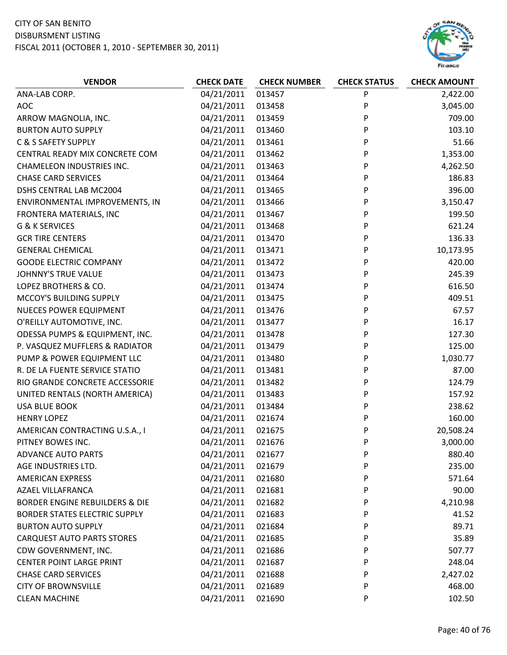

| <b>VENDOR</b>                        | <b>CHECK DATE</b> | <b>CHECK NUMBER</b> | <b>CHECK STATUS</b> | <b>CHECK AMOUNT</b> |
|--------------------------------------|-------------------|---------------------|---------------------|---------------------|
| ANA-LAB CORP.                        | 04/21/2011        | 013457              | P                   | 2,422.00            |
| <b>AOC</b>                           | 04/21/2011        | 013458              | P                   | 3,045.00            |
| ARROW MAGNOLIA, INC.                 | 04/21/2011        | 013459              | P                   | 709.00              |
| <b>BURTON AUTO SUPPLY</b>            | 04/21/2011        | 013460              | P                   | 103.10              |
| C & S SAFETY SUPPLY                  | 04/21/2011        | 013461              | P                   | 51.66               |
| CENTRAL READY MIX CONCRETE COM       | 04/21/2011        | 013462              | P                   | 1,353.00            |
| <b>CHAMELEON INDUSTRIES INC.</b>     | 04/21/2011        | 013463              | P                   | 4,262.50            |
| <b>CHASE CARD SERVICES</b>           | 04/21/2011        | 013464              | P                   | 186.83              |
| DSHS CENTRAL LAB MC2004              | 04/21/2011        | 013465              | P                   | 396.00              |
| ENVIRONMENTAL IMPROVEMENTS, IN       | 04/21/2011        | 013466              | P                   | 3,150.47            |
| FRONTERA MATERIALS, INC              | 04/21/2011        | 013467              | P                   | 199.50              |
| G & K SERVICES                       | 04/21/2011        | 013468              | P                   | 621.24              |
| <b>GCR TIRE CENTERS</b>              | 04/21/2011        | 013470              | P                   | 136.33              |
| <b>GENERAL CHEMICAL</b>              | 04/21/2011        | 013471              | P                   | 10,173.95           |
| <b>GOODE ELECTRIC COMPANY</b>        | 04/21/2011        | 013472              | P                   | 420.00              |
| <b>JOHNNY'S TRUE VALUE</b>           | 04/21/2011        | 013473              | P                   | 245.39              |
| LOPEZ BROTHERS & CO.                 | 04/21/2011        | 013474              | P                   | 616.50              |
| MCCOY'S BUILDING SUPPLY              | 04/21/2011        | 013475              | P                   | 409.51              |
| <b>NUECES POWER EQUIPMENT</b>        | 04/21/2011        | 013476              | P                   | 67.57               |
| O'REILLY AUTOMOTIVE, INC.            | 04/21/2011        | 013477              | P                   | 16.17               |
| ODESSA PUMPS & EQUIPMENT, INC.       | 04/21/2011        | 013478              | P                   | 127.30              |
| P. VASQUEZ MUFFLERS & RADIATOR       | 04/21/2011        | 013479              | P                   | 125.00              |
| PUMP & POWER EQUIPMENT LLC           | 04/21/2011        | 013480              | P                   | 1,030.77            |
| R. DE LA FUENTE SERVICE STATIO       | 04/21/2011        | 013481              | P                   | 87.00               |
| RIO GRANDE CONCRETE ACCESSORIE       | 04/21/2011        | 013482              | P                   | 124.79              |
| UNITED RENTALS (NORTH AMERICA)       | 04/21/2011        | 013483              | P                   | 157.92              |
| <b>USA BLUE BOOK</b>                 | 04/21/2011        | 013484              | P                   | 238.62              |
| <b>HENRY LOPEZ</b>                   | 04/21/2011        | 021674              | P                   | 160.00              |
| AMERICAN CONTRACTING U.S.A., I       | 04/21/2011        | 021675              | P                   | 20,508.24           |
| PITNEY BOWES INC.                    | 04/21/2011        | 021676              | P                   | 3,000.00            |
| <b>ADVANCE AUTO PARTS</b>            | 04/21/2011        | 021677              | P                   | 880.40              |
| AGE INDUSTRIES LTD.                  | 04/21/2011        | 021679              | P                   | 235.00              |
| <b>AMERICAN EXPRESS</b>              | 04/21/2011        | 021680              | P                   | 571.64              |
| <b>AZAEL VILLAFRANCA</b>             | 04/21/2011        | 021681              | P                   | 90.00               |
| BORDER ENGINE REBUILDERS & DIE       | 04/21/2011        | 021682              | P                   | 4,210.98            |
| <b>BORDER STATES ELECTRIC SUPPLY</b> | 04/21/2011        | 021683              | P                   | 41.52               |
| <b>BURTON AUTO SUPPLY</b>            | 04/21/2011        | 021684              | P                   | 89.71               |
| <b>CARQUEST AUTO PARTS STORES</b>    | 04/21/2011        | 021685              | P                   | 35.89               |
| CDW GOVERNMENT, INC.                 | 04/21/2011        | 021686              | P                   | 507.77              |
| <b>CENTER POINT LARGE PRINT</b>      | 04/21/2011        | 021687              | P                   | 248.04              |
| <b>CHASE CARD SERVICES</b>           | 04/21/2011        | 021688              | P                   | 2,427.02            |
| <b>CITY OF BROWNSVILLE</b>           | 04/21/2011        | 021689              | P                   | 468.00              |
| <b>CLEAN MACHINE</b>                 | 04/21/2011        | 021690              | P                   | 102.50              |
|                                      |                   |                     |                     |                     |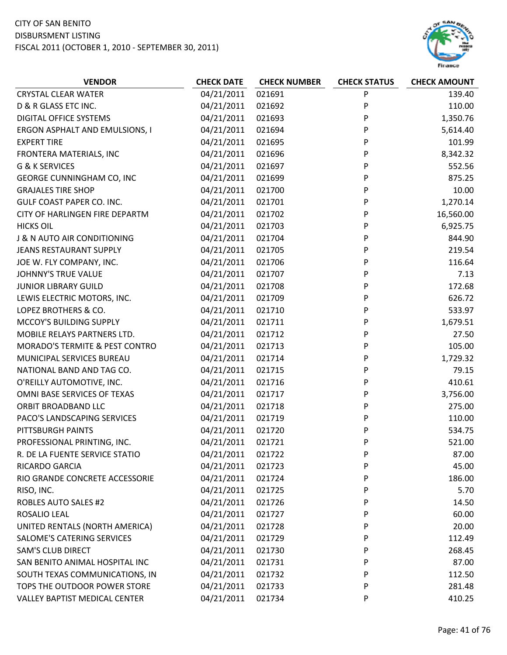# CITY OF SAN BENITO

#### DISBURSMENT LISTING



| <b>VENDOR</b>                    | <b>CHECK DATE</b> | <b>CHECK NUMBER</b> | <b>CHECK STATUS</b> | <b>CHECK AMOUNT</b> |
|----------------------------------|-------------------|---------------------|---------------------|---------------------|
| <b>CRYSTAL CLEAR WATER</b>       | 04/21/2011        | 021691              | P                   | 139.40              |
| D & R GLASS ETC INC.             | 04/21/2011        | 021692              | P                   | 110.00              |
| <b>DIGITAL OFFICE SYSTEMS</b>    | 04/21/2011        | 021693              | P                   | 1,350.76            |
| ERGON ASPHALT AND EMULSIONS, I   | 04/21/2011        | 021694              | P                   | 5,614.40            |
| <b>EXPERT TIRE</b>               | 04/21/2011        | 021695              | P                   | 101.99              |
| FRONTERA MATERIALS, INC          | 04/21/2011        | 021696              | P                   | 8,342.32            |
| G & K SERVICES                   | 04/21/2011        | 021697              | P                   | 552.56              |
| GEORGE CUNNINGHAM CO, INC        | 04/21/2011        | 021699              | P                   | 875.25              |
| <b>GRAJALES TIRE SHOP</b>        | 04/21/2011        | 021700              | P                   | 10.00               |
| <b>GULF COAST PAPER CO. INC.</b> | 04/21/2011        | 021701              | P                   | 1,270.14            |
| CITY OF HARLINGEN FIRE DEPARTM   | 04/21/2011        | 021702              | P                   | 16,560.00           |
| <b>HICKS OIL</b>                 | 04/21/2011        | 021703              | P                   | 6,925.75            |
| J & N AUTO AIR CONDITIONING      | 04/21/2011        | 021704              | P                   | 844.90              |
| JEANS RESTAURANT SUPPLY          | 04/21/2011        | 021705              | P                   | 219.54              |
| JOE W. FLY COMPANY, INC.         | 04/21/2011        | 021706              | P                   | 116.64              |
| <b>JOHNNY'S TRUE VALUE</b>       | 04/21/2011        | 021707              | P                   | 7.13                |
| <b>JUNIOR LIBRARY GUILD</b>      | 04/21/2011        | 021708              | P                   | 172.68              |
| LEWIS ELECTRIC MOTORS, INC.      | 04/21/2011        | 021709              | P                   | 626.72              |
| LOPEZ BROTHERS & CO.             | 04/21/2011        | 021710              | P                   | 533.97              |
| MCCOY'S BUILDING SUPPLY          | 04/21/2011        | 021711              | P                   | 1,679.51            |
| MOBILE RELAYS PARTNERS LTD.      | 04/21/2011        | 021712              | P                   | 27.50               |
| MORADO'S TERMITE & PEST CONTRO   | 04/21/2011        | 021713              | P                   | 105.00              |
| MUNICIPAL SERVICES BUREAU        | 04/21/2011        | 021714              | P                   | 1,729.32            |
| NATIONAL BAND AND TAG CO.        | 04/21/2011        | 021715              | P                   | 79.15               |
| O'REILLY AUTOMOTIVE, INC.        | 04/21/2011        | 021716              | P                   | 410.61              |
| OMNI BASE SERVICES OF TEXAS      | 04/21/2011        | 021717              | P                   | 3,756.00            |
| ORBIT BROADBAND LLC              | 04/21/2011        | 021718              | P                   | 275.00              |
| PACO'S LANDSCAPING SERVICES      | 04/21/2011        | 021719              | P                   | 110.00              |
| PITTSBURGH PAINTS                | 04/21/2011        | 021720              | P                   | 534.75              |
| PROFESSIONAL PRINTING, INC.      | 04/21/2011        | 021721              | P                   | 521.00              |
| R. DE LA FUENTE SERVICE STATIO   | 04/21/2011        | 021722              | P                   | 87.00               |
| RICARDO GARCIA                   | 04/21/2011        | 021723              | P                   | 45.00               |
| RIO GRANDE CONCRETE ACCESSORIE   | 04/21/2011        | 021724              | P                   | 186.00              |
| RISO, INC.                       | 04/21/2011        | 021725              | P                   | 5.70                |
| <b>ROBLES AUTO SALES #2</b>      | 04/21/2011        | 021726              | P                   | 14.50               |
| ROSALIO LEAL                     | 04/21/2011        | 021727              | P                   | 60.00               |
| UNITED RENTALS (NORTH AMERICA)   | 04/21/2011        | 021728              | P                   | 20.00               |
| SALOME'S CATERING SERVICES       | 04/21/2011        | 021729              | P                   | 112.49              |
| <b>SAM'S CLUB DIRECT</b>         | 04/21/2011        | 021730              | P                   | 268.45              |
| SAN BENITO ANIMAL HOSPITAL INC   | 04/21/2011        | 021731              | P                   | 87.00               |
| SOUTH TEXAS COMMUNICATIONS, IN   | 04/21/2011        | 021732              | P                   | 112.50              |
| TOPS THE OUTDOOR POWER STORE     | 04/21/2011        | 021733              | P                   | 281.48              |
| VALLEY BAPTIST MEDICAL CENTER    | 04/21/2011        | 021734              | P                   | 410.25              |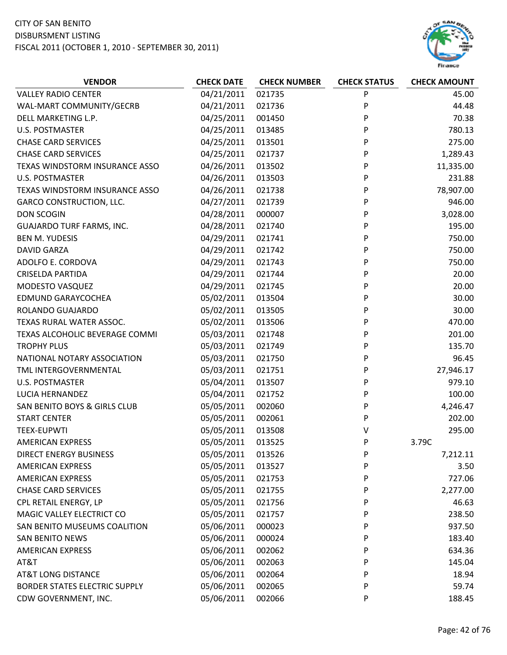# CITY OF SAN BENITO

DISBURSMENT LISTING



| <b>VENDOR</b>                        | <b>CHECK DATE</b> | <b>CHECK NUMBER</b> | <b>CHECK STATUS</b> | <b>CHECK AMOUNT</b> |
|--------------------------------------|-------------------|---------------------|---------------------|---------------------|
| <b>VALLEY RADIO CENTER</b>           | 04/21/2011        | 021735              | P                   | 45.00               |
| WAL-MART COMMUNITY/GECRB             | 04/21/2011        | 021736              | P                   | 44.48               |
| DELL MARKETING L.P.                  | 04/25/2011        | 001450              | P                   | 70.38               |
| <b>U.S. POSTMASTER</b>               | 04/25/2011        | 013485              | P                   | 780.13              |
| <b>CHASE CARD SERVICES</b>           | 04/25/2011        | 013501              | P                   | 275.00              |
| <b>CHASE CARD SERVICES</b>           | 04/25/2011        | 021737              | P                   | 1,289.43            |
| TEXAS WINDSTORM INSURANCE ASSO       | 04/26/2011        | 013502              | P                   | 11,335.00           |
| <b>U.S. POSTMASTER</b>               | 04/26/2011        | 013503              | P                   | 231.88              |
| TEXAS WINDSTORM INSURANCE ASSO       | 04/26/2011        | 021738              | P                   | 78,907.00           |
| <b>GARCO CONSTRUCTION, LLC.</b>      | 04/27/2011        | 021739              | P                   | 946.00              |
| <b>DON SCOGIN</b>                    | 04/28/2011        | 000007              | P                   | 3,028.00            |
| <b>GUAJARDO TURF FARMS, INC.</b>     | 04/28/2011        | 021740              | P                   | 195.00              |
| <b>BEN M. YUDESIS</b>                | 04/29/2011        | 021741              | P                   | 750.00              |
| <b>DAVID GARZA</b>                   | 04/29/2011        | 021742              | P                   | 750.00              |
| ADOLFO E. CORDOVA                    | 04/29/2011        | 021743              | P                   | 750.00              |
| <b>CRISELDA PARTIDA</b>              | 04/29/2011        | 021744              | P                   | 20.00               |
| MODESTO VASQUEZ                      | 04/29/2011        | 021745              | P                   | 20.00               |
| EDMUND GARAYCOCHEA                   | 05/02/2011        | 013504              | P                   | 30.00               |
| ROLANDO GUAJARDO                     | 05/02/2011        | 013505              | P                   | 30.00               |
| TEXAS RURAL WATER ASSOC.             | 05/02/2011        | 013506              | P                   | 470.00              |
| TEXAS ALCOHOLIC BEVERAGE COMMI       | 05/03/2011        | 021748              | P                   | 201.00              |
| <b>TROPHY PLUS</b>                   | 05/03/2011        | 021749              | P                   | 135.70              |
| NATIONAL NOTARY ASSOCIATION          | 05/03/2011        | 021750              | P                   | 96.45               |
| TML INTERGOVERNMENTAL                | 05/03/2011        | 021751              | P                   | 27,946.17           |
| <b>U.S. POSTMASTER</b>               | 05/04/2011        | 013507              | P                   | 979.10              |
| LUCIA HERNANDEZ                      | 05/04/2011        | 021752              | P                   | 100.00              |
| SAN BENITO BOYS & GIRLS CLUB         | 05/05/2011        | 002060              | P                   | 4,246.47            |
| <b>START CENTER</b>                  | 05/05/2011        | 002061              | P                   | 202.00              |
| <b>TEEX-EUPWTI</b>                   | 05/05/2011        | 013508              | V                   | 295.00              |
| <b>AMERICAN EXPRESS</b>              | 05/05/2011        | 013525              | P                   | 3.79C               |
| <b>DIRECT ENERGY BUSINESS</b>        | 05/05/2011        | 013526              | P                   | 7,212.11            |
| <b>AMERICAN EXPRESS</b>              | 05/05/2011        | 013527              | P                   | 3.50                |
| <b>AMERICAN EXPRESS</b>              | 05/05/2011        | 021753              | P                   | 727.06              |
| <b>CHASE CARD SERVICES</b>           | 05/05/2011        | 021755              | P                   | 2,277.00            |
| CPL RETAIL ENERGY, LP                | 05/05/2011        | 021756              | P                   | 46.63               |
| MAGIC VALLEY ELECTRICT CO            | 05/05/2011        | 021757              | P                   | 238.50              |
| SAN BENITO MUSEUMS COALITION         | 05/06/2011        | 000023              | P                   | 937.50              |
| <b>SAN BENITO NEWS</b>               | 05/06/2011        | 000024              | P                   | 183.40              |
| <b>AMERICAN EXPRESS</b>              | 05/06/2011        | 002062              | P                   | 634.36              |
| AT&T                                 | 05/06/2011        | 002063              | P                   | 145.04              |
| <b>AT&amp;T LONG DISTANCE</b>        | 05/06/2011        | 002064              | P                   | 18.94               |
| <b>BORDER STATES ELECTRIC SUPPLY</b> | 05/06/2011        | 002065              | P                   | 59.74               |
| CDW GOVERNMENT, INC.                 | 05/06/2011        | 002066              | P                   | 188.45              |
|                                      |                   |                     |                     |                     |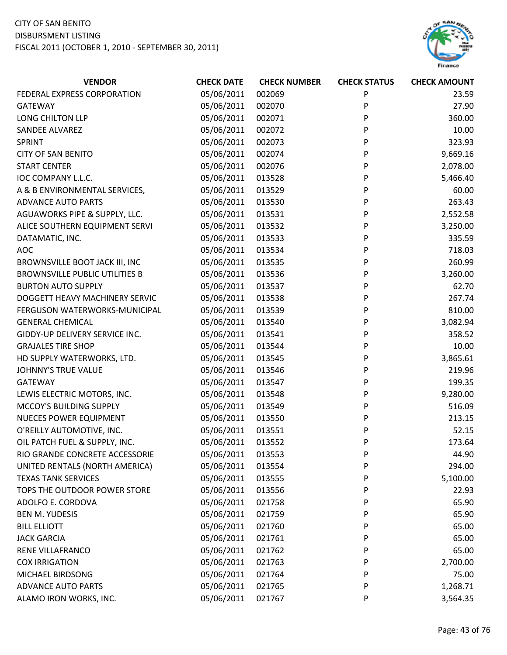

| <b>VENDOR</b>                         | <b>CHECK DATE</b> | <b>CHECK NUMBER</b> | <b>CHECK STATUS</b> | <b>CHECK AMOUNT</b> |
|---------------------------------------|-------------------|---------------------|---------------------|---------------------|
| FEDERAL EXPRESS CORPORATION           | 05/06/2011        | 002069              | P                   | 23.59               |
| GATEWAY                               | 05/06/2011        | 002070              | P                   | 27.90               |
| LONG CHILTON LLP                      | 05/06/2011        | 002071              | P                   | 360.00              |
| SANDEE ALVAREZ                        | 05/06/2011        | 002072              | P                   | 10.00               |
| <b>SPRINT</b>                         | 05/06/2011        | 002073              | P                   | 323.93              |
| <b>CITY OF SAN BENITO</b>             | 05/06/2011        | 002074              | P                   | 9,669.16            |
| <b>START CENTER</b>                   | 05/06/2011        | 002076              | P                   | 2,078.00            |
| IOC COMPANY L.L.C.                    | 05/06/2011        | 013528              | P                   | 5,466.40            |
| A & B ENVIRONMENTAL SERVICES,         | 05/06/2011        | 013529              | P                   | 60.00               |
| <b>ADVANCE AUTO PARTS</b>             | 05/06/2011        | 013530              | P                   | 263.43              |
| AGUAWORKS PIPE & SUPPLY, LLC.         | 05/06/2011        | 013531              | P                   | 2,552.58            |
| ALICE SOUTHERN EQUIPMENT SERVI        | 05/06/2011        | 013532              | P                   | 3,250.00            |
| DATAMATIC, INC.                       | 05/06/2011        | 013533              | P                   | 335.59              |
| AOC                                   | 05/06/2011        | 013534              | P                   | 718.03              |
| BROWNSVILLE BOOT JACK III, INC        | 05/06/2011        | 013535              | P                   | 260.99              |
| <b>BROWNSVILLE PUBLIC UTILITIES B</b> | 05/06/2011        | 013536              | P                   | 3,260.00            |
| <b>BURTON AUTO SUPPLY</b>             | 05/06/2011        | 013537              | P                   | 62.70               |
| DOGGETT HEAVY MACHINERY SERVIC        | 05/06/2011        | 013538              | P                   | 267.74              |
| FERGUSON WATERWORKS-MUNICIPAL         | 05/06/2011        | 013539              | P                   | 810.00              |
| <b>GENERAL CHEMICAL</b>               | 05/06/2011        | 013540              | P                   | 3,082.94            |
| GIDDY-UP DELIVERY SERVICE INC.        | 05/06/2011        | 013541              | P                   | 358.52              |
| <b>GRAJALES TIRE SHOP</b>             | 05/06/2011        | 013544              | P                   | 10.00               |
| HD SUPPLY WATERWORKS, LTD.            | 05/06/2011        | 013545              | P                   | 3,865.61            |
| <b>JOHNNY'S TRUE VALUE</b>            | 05/06/2011        | 013546              | P                   | 219.96              |
| GATEWAY                               | 05/06/2011        | 013547              | P                   | 199.35              |
| LEWIS ELECTRIC MOTORS, INC.           | 05/06/2011        | 013548              | P                   | 9,280.00            |
| MCCOY'S BUILDING SUPPLY               | 05/06/2011        | 013549              | P                   | 516.09              |
| <b>NUECES POWER EQUIPMENT</b>         | 05/06/2011        | 013550              | P                   | 213.15              |
| O'REILLY AUTOMOTIVE, INC.             | 05/06/2011        | 013551              | P                   | 52.15               |
| OIL PATCH FUEL & SUPPLY, INC.         | 05/06/2011        | 013552              | P                   | 173.64              |
| RIO GRANDE CONCRETE ACCESSORIE        | 05/06/2011        | 013553              | P                   | 44.90               |
| UNITED RENTALS (NORTH AMERICA)        | 05/06/2011        | 013554              | P                   | 294.00              |
| <b>TEXAS TANK SERVICES</b>            | 05/06/2011        | 013555              | P                   | 5,100.00            |
| TOPS THE OUTDOOR POWER STORE          | 05/06/2011        | 013556              | P                   | 22.93               |
| ADOLFO E. CORDOVA                     | 05/06/2011        | 021758              | P                   | 65.90               |
| <b>BEN M. YUDESIS</b>                 | 05/06/2011        | 021759              | P                   | 65.90               |
| <b>BILL ELLIOTT</b>                   | 05/06/2011        | 021760              | P                   | 65.00               |
| <b>JACK GARCIA</b>                    | 05/06/2011        | 021761              | P                   | 65.00               |
| RENE VILLAFRANCO                      | 05/06/2011        | 021762              | P                   | 65.00               |
| <b>COX IRRIGATION</b>                 | 05/06/2011        | 021763              | P                   | 2,700.00            |
| MICHAEL BIRDSONG                      | 05/06/2011        | 021764              | P                   | 75.00               |
| <b>ADVANCE AUTO PARTS</b>             | 05/06/2011        | 021765              | P                   | 1,268.71            |
| ALAMO IRON WORKS, INC.                | 05/06/2011        | 021767              | P                   | 3,564.35            |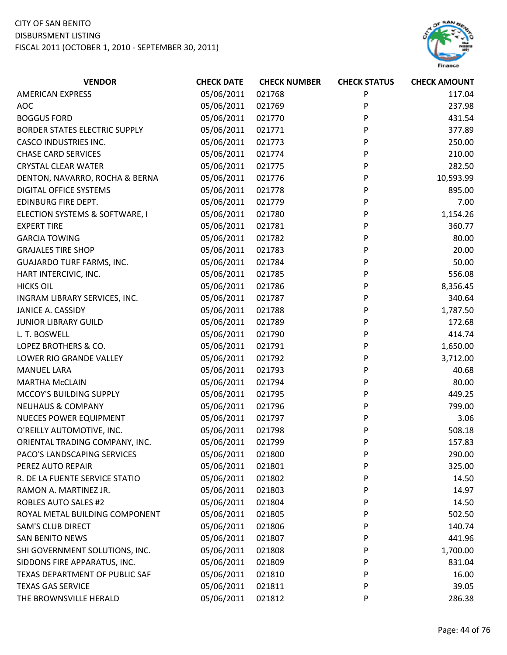

| <b>VENDOR</b>                        | <b>CHECK DATE</b> | <b>CHECK NUMBER</b> | <b>CHECK STATUS</b> | <b>CHECK AMOUNT</b> |
|--------------------------------------|-------------------|---------------------|---------------------|---------------------|
| <b>AMERICAN EXPRESS</b>              | 05/06/2011        | 021768              | P                   | 117.04              |
| <b>AOC</b>                           | 05/06/2011        | 021769              | P                   | 237.98              |
| <b>BOGGUS FORD</b>                   | 05/06/2011        | 021770              | P                   | 431.54              |
| <b>BORDER STATES ELECTRIC SUPPLY</b> | 05/06/2011        | 021771              | P                   | 377.89              |
| <b>CASCO INDUSTRIES INC.</b>         | 05/06/2011        | 021773              | P                   | 250.00              |
| <b>CHASE CARD SERVICES</b>           | 05/06/2011        | 021774              | P                   | 210.00              |
| <b>CRYSTAL CLEAR WATER</b>           | 05/06/2011        | 021775              | P                   | 282.50              |
| DENTON, NAVARRO, ROCHA & BERNA       | 05/06/2011        | 021776              | P                   | 10,593.99           |
| <b>DIGITAL OFFICE SYSTEMS</b>        | 05/06/2011        | 021778              | P                   | 895.00              |
| EDINBURG FIRE DEPT.                  | 05/06/2011        | 021779              | P                   | 7.00                |
| ELECTION SYSTEMS & SOFTWARE, I       | 05/06/2011        | 021780              | P                   | 1,154.26            |
| <b>EXPERT TIRE</b>                   | 05/06/2011        | 021781              | P                   | 360.77              |
| <b>GARCIA TOWING</b>                 | 05/06/2011        | 021782              | P                   | 80.00               |
| <b>GRAJALES TIRE SHOP</b>            | 05/06/2011        | 021783              | P                   | 20.00               |
| <b>GUAJARDO TURF FARMS, INC.</b>     | 05/06/2011        | 021784              | P                   | 50.00               |
| HART INTERCIVIC, INC.                | 05/06/2011        | 021785              | P                   | 556.08              |
| <b>HICKS OIL</b>                     | 05/06/2011        | 021786              | P                   | 8,356.45            |
| INGRAM LIBRARY SERVICES, INC.        | 05/06/2011        | 021787              | P                   | 340.64              |
| JANICE A. CASSIDY                    | 05/06/2011        | 021788              | P                   | 1,787.50            |
| <b>JUNIOR LIBRARY GUILD</b>          | 05/06/2011        | 021789              | P                   | 172.68              |
| L. T. BOSWELL                        | 05/06/2011        | 021790              | P                   | 414.74              |
| LOPEZ BROTHERS & CO.                 | 05/06/2011        | 021791              | P                   | 1,650.00            |
| LOWER RIO GRANDE VALLEY              | 05/06/2011        | 021792              | P                   | 3,712.00            |
| <b>MANUEL LARA</b>                   | 05/06/2011        | 021793              | P                   | 40.68               |
| <b>MARTHA McCLAIN</b>                | 05/06/2011        | 021794              | P                   | 80.00               |
| MCCOY'S BUILDING SUPPLY              | 05/06/2011        | 021795              | P                   | 449.25              |
| <b>NEUHAUS &amp; COMPANY</b>         | 05/06/2011        | 021796              | P                   | 799.00              |
| NUECES POWER EQUIPMENT               | 05/06/2011        | 021797              | P                   | 3.06                |
| O'REILLY AUTOMOTIVE, INC.            | 05/06/2011        | 021798              | P                   | 508.18              |
| ORIENTAL TRADING COMPANY, INC.       | 05/06/2011        | 021799              | P                   | 157.83              |
| PACO'S LANDSCAPING SERVICES          | 05/06/2011        | 021800              | P                   | 290.00              |
| PEREZ AUTO REPAIR                    | 05/06/2011        | 021801              | P                   | 325.00              |
| R. DE LA FUENTE SERVICE STATIO       | 05/06/2011        | 021802              | P                   | 14.50               |
| RAMON A. MARTINEZ JR.                | 05/06/2011        | 021803              | P                   | 14.97               |
| <b>ROBLES AUTO SALES #2</b>          | 05/06/2011        | 021804              | P                   | 14.50               |
| ROYAL METAL BUILDING COMPONENT       | 05/06/2011        | 021805              | P                   | 502.50              |
| <b>SAM'S CLUB DIRECT</b>             | 05/06/2011        | 021806              | P                   | 140.74              |
| <b>SAN BENITO NEWS</b>               | 05/06/2011        | 021807              | P                   | 441.96              |
| SHI GOVERNMENT SOLUTIONS, INC.       | 05/06/2011        | 021808              | P                   | 1,700.00            |
| SIDDONS FIRE APPARATUS, INC.         | 05/06/2011        | 021809              | P                   | 831.04              |
| TEXAS DEPARTMENT OF PUBLIC SAF       | 05/06/2011        | 021810              | P                   | 16.00               |
| <b>TEXAS GAS SERVICE</b>             | 05/06/2011        | 021811              | P                   | 39.05               |
| THE BROWNSVILLE HERALD               | 05/06/2011        | 021812              | P                   | 286.38              |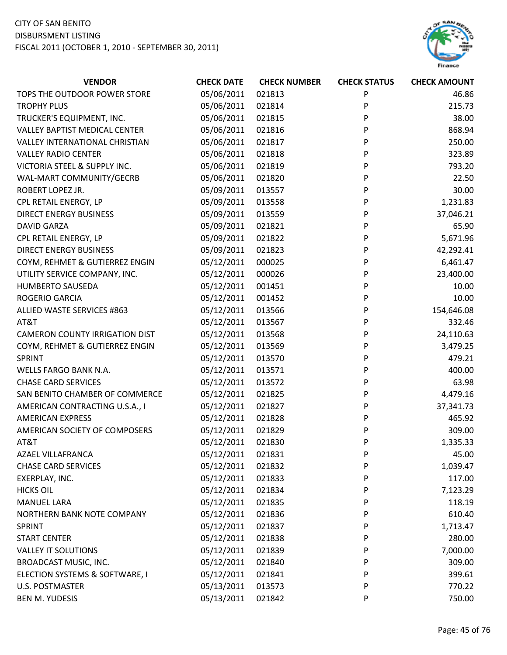

| <b>VENDOR</b>                         | <b>CHECK DATE</b> | <b>CHECK NUMBER</b> | <b>CHECK STATUS</b> | <b>CHECK AMOUNT</b> |
|---------------------------------------|-------------------|---------------------|---------------------|---------------------|
| TOPS THE OUTDOOR POWER STORE          | 05/06/2011        | 021813              | P                   | 46.86               |
| <b>TROPHY PLUS</b>                    | 05/06/2011        | 021814              | P                   | 215.73              |
| TRUCKER'S EQUIPMENT, INC.             | 05/06/2011        | 021815              | P                   | 38.00               |
| <b>VALLEY BAPTIST MEDICAL CENTER</b>  | 05/06/2011        | 021816              | P                   | 868.94              |
| <b>VALLEY INTERNATIONAL CHRISTIAN</b> | 05/06/2011        | 021817              | P                   | 250.00              |
| <b>VALLEY RADIO CENTER</b>            | 05/06/2011        | 021818              | P                   | 323.89              |
| VICTORIA STEEL & SUPPLY INC.          | 05/06/2011        | 021819              | P                   | 793.20              |
| WAL-MART COMMUNITY/GECRB              | 05/06/2011        | 021820              | P                   | 22.50               |
| ROBERT LOPEZ JR.                      | 05/09/2011        | 013557              | P                   | 30.00               |
| CPL RETAIL ENERGY, LP                 | 05/09/2011        | 013558              | P                   | 1,231.83            |
| <b>DIRECT ENERGY BUSINESS</b>         | 05/09/2011        | 013559              | P                   | 37,046.21           |
| <b>DAVID GARZA</b>                    | 05/09/2011        | 021821              | P                   | 65.90               |
| CPL RETAIL ENERGY, LP                 | 05/09/2011        | 021822              | P                   | 5,671.96            |
| <b>DIRECT ENERGY BUSINESS</b>         | 05/09/2011        | 021823              | P                   | 42,292.41           |
| COYM, REHMET & GUTIERREZ ENGIN        | 05/12/2011        | 000025              | P                   | 6,461.47            |
| UTILITY SERVICE COMPANY, INC.         | 05/12/2011        | 000026              | P                   | 23,400.00           |
| HUMBERTO SAUSEDA                      | 05/12/2011        | 001451              | P                   | 10.00               |
| ROGERIO GARCIA                        | 05/12/2011        | 001452              | P                   | 10.00               |
| ALLIED WASTE SERVICES #863            | 05/12/2011        | 013566              | P                   | 154,646.08          |
| AT&T                                  | 05/12/2011        | 013567              | P                   | 332.46              |
| <b>CAMERON COUNTY IRRIGATION DIST</b> | 05/12/2011        | 013568              | P                   | 24,110.63           |
| COYM, REHMET & GUTIERREZ ENGIN        | 05/12/2011        | 013569              | P                   | 3,479.25            |
| SPRINT                                | 05/12/2011        | 013570              | P                   | 479.21              |
| WELLS FARGO BANK N.A.                 | 05/12/2011        | 013571              | P                   | 400.00              |
| <b>CHASE CARD SERVICES</b>            | 05/12/2011        | 013572              | P                   | 63.98               |
| SAN BENITO CHAMBER OF COMMERCE        | 05/12/2011        | 021825              | P                   | 4,479.16            |
| AMERICAN CONTRACTING U.S.A., I        | 05/12/2011        | 021827              | P                   | 37,341.73           |
| <b>AMERICAN EXPRESS</b>               | 05/12/2011        | 021828              | P                   | 465.92              |
| AMERICAN SOCIETY OF COMPOSERS         | 05/12/2011        | 021829              | P                   | 309.00              |
| AT&T                                  | 05/12/2011        | 021830              | P                   | 1,335.33            |
| <b>AZAEL VILLAFRANCA</b>              | 05/12/2011        | 021831              | P                   | 45.00               |
| <b>CHASE CARD SERVICES</b>            | 05/12/2011        | 021832              | P                   | 1,039.47            |
| EXERPLAY, INC.                        | 05/12/2011        | 021833              | P                   | 117.00              |
| <b>HICKS OIL</b>                      | 05/12/2011        | 021834              | P                   | 7,123.29            |
| <b>MANUEL LARA</b>                    | 05/12/2011        | 021835              | P                   | 118.19              |
| NORTHERN BANK NOTE COMPANY            | 05/12/2011        | 021836              | P                   | 610.40              |
| <b>SPRINT</b>                         | 05/12/2011        | 021837              | P                   | 1,713.47            |
| <b>START CENTER</b>                   | 05/12/2011        | 021838              | P                   | 280.00              |
| <b>VALLEY IT SOLUTIONS</b>            | 05/12/2011        | 021839              | P                   | 7,000.00            |
| BROADCAST MUSIC, INC.                 | 05/12/2011        | 021840              | P                   | 309.00              |
| ELECTION SYSTEMS & SOFTWARE, I        | 05/12/2011        | 021841              | P                   | 399.61              |
| <b>U.S. POSTMASTER</b>                | 05/13/2011        | 013573              | P                   | 770.22              |
| <b>BEN M. YUDESIS</b>                 | 05/13/2011        | 021842              | P                   | 750.00              |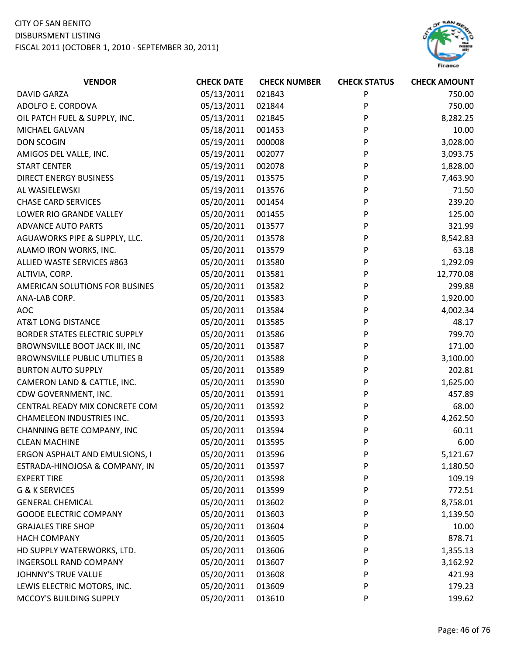# CITY OF SAN BENITO

#### DISBURSMENT LISTING



| <b>VENDOR</b>                         | <b>CHECK DATE</b> | <b>CHECK NUMBER</b> | <b>CHECK STATUS</b> | <b>CHECK AMOUNT</b> |
|---------------------------------------|-------------------|---------------------|---------------------|---------------------|
| <b>DAVID GARZA</b>                    | 05/13/2011        | 021843              | P                   | 750.00              |
| ADOLFO E. CORDOVA                     | 05/13/2011        | 021844              | P                   | 750.00              |
| OIL PATCH FUEL & SUPPLY, INC.         | 05/13/2011        | 021845              | P                   | 8,282.25            |
| MICHAEL GALVAN                        | 05/18/2011        | 001453              | P                   | 10.00               |
| <b>DON SCOGIN</b>                     | 05/19/2011        | 000008              | P                   | 3,028.00            |
| AMIGOS DEL VALLE, INC.                | 05/19/2011        | 002077              | P                   | 3,093.75            |
| <b>START CENTER</b>                   | 05/19/2011        | 002078              | P                   | 1,828.00            |
| <b>DIRECT ENERGY BUSINESS</b>         | 05/19/2011        | 013575              | P                   | 7,463.90            |
| AL WASIELEWSKI                        | 05/19/2011        | 013576              | P                   | 71.50               |
| <b>CHASE CARD SERVICES</b>            | 05/20/2011        | 001454              | P                   | 239.20              |
| LOWER RIO GRANDE VALLEY               | 05/20/2011        | 001455              | P                   | 125.00              |
| <b>ADVANCE AUTO PARTS</b>             | 05/20/2011        | 013577              | P                   | 321.99              |
| AGUAWORKS PIPE & SUPPLY, LLC.         | 05/20/2011        | 013578              | P                   | 8,542.83            |
| ALAMO IRON WORKS, INC.                | 05/20/2011        | 013579              | P                   | 63.18               |
| ALLIED WASTE SERVICES #863            | 05/20/2011        | 013580              | P                   | 1,292.09            |
| ALTIVIA, CORP.                        | 05/20/2011        | 013581              | P                   | 12,770.08           |
| AMERICAN SOLUTIONS FOR BUSINES        | 05/20/2011        | 013582              | P                   | 299.88              |
| ANA-LAB CORP.                         | 05/20/2011        | 013583              | P                   | 1,920.00            |
| AOC                                   | 05/20/2011        | 013584              | P                   | 4,002.34            |
| <b>AT&amp;T LONG DISTANCE</b>         | 05/20/2011        | 013585              | P                   | 48.17               |
| <b>BORDER STATES ELECTRIC SUPPLY</b>  | 05/20/2011        | 013586              | P                   | 799.70              |
| BROWNSVILLE BOOT JACK III, INC        | 05/20/2011        | 013587              | P                   | 171.00              |
| <b>BROWNSVILLE PUBLIC UTILITIES B</b> | 05/20/2011        | 013588              | P                   | 3,100.00            |
| <b>BURTON AUTO SUPPLY</b>             | 05/20/2011        | 013589              | P                   | 202.81              |
| CAMERON LAND & CATTLE, INC.           | 05/20/2011        | 013590              | P                   | 1,625.00            |
| CDW GOVERNMENT, INC.                  | 05/20/2011        | 013591              | P                   | 457.89              |
| CENTRAL READY MIX CONCRETE COM        | 05/20/2011        | 013592              | P                   | 68.00               |
| CHAMELEON INDUSTRIES INC.             | 05/20/2011        | 013593              | P                   | 4,262.50            |
| CHANNING BETE COMPANY, INC            | 05/20/2011        | 013594              | P                   | 60.11               |
| <b>CLEAN MACHINE</b>                  | 05/20/2011        | 013595              | P                   | 6.00                |
| ERGON ASPHALT AND EMULSIONS, I        | 05/20/2011        | 013596              | P                   | 5,121.67            |
| ESTRADA-HINOJOSA & COMPANY, IN        | 05/20/2011        | 013597              | P                   | 1,180.50            |
| <b>EXPERT TIRE</b>                    | 05/20/2011        | 013598              | P                   | 109.19              |
| G & K SERVICES                        | 05/20/2011        | 013599              | P                   | 772.51              |
| <b>GENERAL CHEMICAL</b>               | 05/20/2011        | 013602              | P                   | 8,758.01            |
| <b>GOODE ELECTRIC COMPANY</b>         | 05/20/2011        | 013603              | P                   | 1,139.50            |
| <b>GRAJALES TIRE SHOP</b>             | 05/20/2011        | 013604              | P                   | 10.00               |
| <b>HACH COMPANY</b>                   | 05/20/2011        | 013605              | P                   | 878.71              |
| HD SUPPLY WATERWORKS, LTD.            | 05/20/2011        | 013606              | P                   | 1,355.13            |
| <b>INGERSOLL RAND COMPANY</b>         | 05/20/2011        | 013607              | P                   | 3,162.92            |
| <b>JOHNNY'S TRUE VALUE</b>            | 05/20/2011        | 013608              | P                   | 421.93              |
| LEWIS ELECTRIC MOTORS, INC.           | 05/20/2011        | 013609              | P                   | 179.23              |
| MCCOY'S BUILDING SUPPLY               | 05/20/2011        | 013610              | P                   | 199.62              |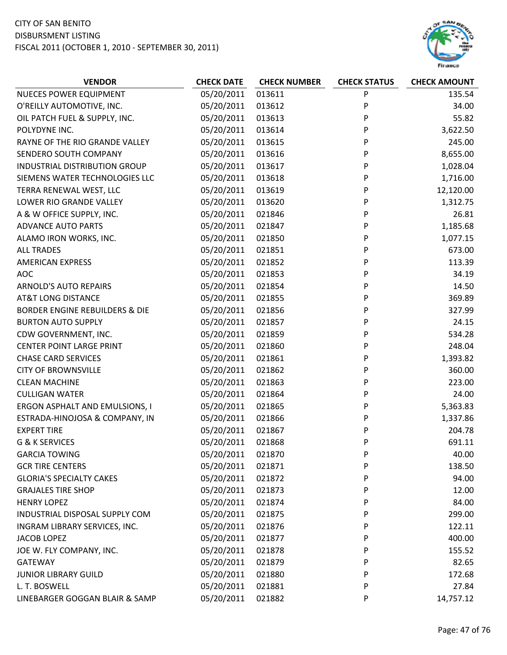

| <b>VENDOR</b>                             | <b>CHECK DATE</b> | <b>CHECK NUMBER</b> | <b>CHECK STATUS</b> | <b>CHECK AMOUNT</b> |
|-------------------------------------------|-------------------|---------------------|---------------------|---------------------|
| <b>NUECES POWER EQUIPMENT</b>             | 05/20/2011        | 013611              | P                   | 135.54              |
| O'REILLY AUTOMOTIVE, INC.                 | 05/20/2011        | 013612              | P                   | 34.00               |
| OIL PATCH FUEL & SUPPLY, INC.             | 05/20/2011        | 013613              | P                   | 55.82               |
| POLYDYNE INC.                             | 05/20/2011        | 013614              | P                   | 3,622.50            |
| RAYNE OF THE RIO GRANDE VALLEY            | 05/20/2011        | 013615              | P                   | 245.00              |
| SENDERO SOUTH COMPANY                     | 05/20/2011        | 013616              | P                   | 8,655.00            |
| INDUSTRIAL DISTRIBUTION GROUP             | 05/20/2011        | 013617              | P                   | 1,028.04            |
| SIEMENS WATER TECHNOLOGIES LLC            | 05/20/2011        | 013618              | P                   | 1,716.00            |
| TERRA RENEWAL WEST, LLC                   | 05/20/2011        | 013619              | P                   | 12,120.00           |
| LOWER RIO GRANDE VALLEY                   | 05/20/2011        | 013620              | P                   | 1,312.75            |
| A & W OFFICE SUPPLY, INC.                 | 05/20/2011        | 021846              | P                   | 26.81               |
| <b>ADVANCE AUTO PARTS</b>                 | 05/20/2011        | 021847              | P                   | 1,185.68            |
| ALAMO IRON WORKS, INC.                    | 05/20/2011        | 021850              | P                   | 1,077.15            |
| <b>ALL TRADES</b>                         | 05/20/2011        | 021851              | P                   | 673.00              |
| <b>AMERICAN EXPRESS</b>                   | 05/20/2011        | 021852              | P                   | 113.39              |
| <b>AOC</b>                                | 05/20/2011        | 021853              | P                   | 34.19               |
| <b>ARNOLD'S AUTO REPAIRS</b>              | 05/20/2011        | 021854              | P                   | 14.50               |
| <b>AT&amp;T LONG DISTANCE</b>             | 05/20/2011        | 021855              | P                   | 369.89              |
| <b>BORDER ENGINE REBUILDERS &amp; DIE</b> | 05/20/2011        | 021856              | P                   | 327.99              |
| <b>BURTON AUTO SUPPLY</b>                 | 05/20/2011        | 021857              | P                   | 24.15               |
| CDW GOVERNMENT, INC.                      | 05/20/2011        | 021859              | P                   | 534.28              |
| <b>CENTER POINT LARGE PRINT</b>           | 05/20/2011        | 021860              | P                   | 248.04              |
| <b>CHASE CARD SERVICES</b>                | 05/20/2011        | 021861              | P                   | 1,393.82            |
| <b>CITY OF BROWNSVILLE</b>                | 05/20/2011        | 021862              | P                   | 360.00              |
| <b>CLEAN MACHINE</b>                      | 05/20/2011        | 021863              | P                   | 223.00              |
| <b>CULLIGAN WATER</b>                     | 05/20/2011        | 021864              | P                   | 24.00               |
| ERGON ASPHALT AND EMULSIONS, I            | 05/20/2011        | 021865              | P                   | 5,363.83            |
| ESTRADA-HINOJOSA & COMPANY, IN            | 05/20/2011        | 021866              | P                   | 1,337.86            |
| <b>EXPERT TIRE</b>                        | 05/20/2011        | 021867              | P                   | 204.78              |
| G & K SERVICES                            | 05/20/2011        | 021868              | P                   | 691.11              |
| <b>GARCIA TOWING</b>                      | 05/20/2011        | 021870              | P                   | 40.00               |
| <b>GCR TIRE CENTERS</b>                   | 05/20/2011        | 021871              | P                   | 138.50              |
| <b>GLORIA'S SPECIALTY CAKES</b>           | 05/20/2011        | 021872              | P                   | 94.00               |
| <b>GRAJALES TIRE SHOP</b>                 | 05/20/2011        | 021873              | P                   | 12.00               |
| <b>HENRY LOPEZ</b>                        | 05/20/2011        | 021874              | P                   | 84.00               |
| INDUSTRIAL DISPOSAL SUPPLY COM            | 05/20/2011        | 021875              | P                   | 299.00              |
| INGRAM LIBRARY SERVICES, INC.             | 05/20/2011        | 021876              | P                   | 122.11              |
| <b>JACOB LOPEZ</b>                        | 05/20/2011        | 021877              | P                   | 400.00              |
| JOE W. FLY COMPANY, INC.                  | 05/20/2011        | 021878              | P                   | 155.52              |
| <b>GATEWAY</b>                            | 05/20/2011        | 021879              | P                   | 82.65               |
| <b>JUNIOR LIBRARY GUILD</b>               | 05/20/2011        | 021880              | P                   | 172.68              |
| L. T. BOSWELL                             | 05/20/2011        | 021881              | P                   | 27.84               |
| LINEBARGER GOGGAN BLAIR & SAMP            | 05/20/2011        | 021882              | P                   | 14,757.12           |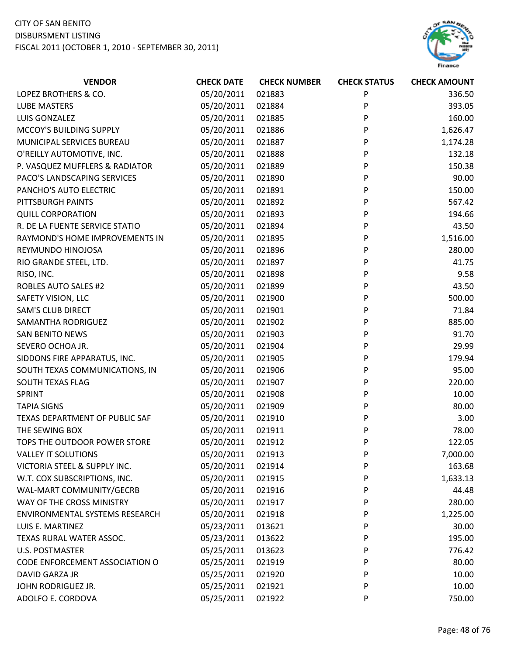# CITY OF SAN BENITO

DISBURSMENT LISTING



| <b>VENDOR</b>                  | <b>CHECK DATE</b> | <b>CHECK NUMBER</b> | <b>CHECK STATUS</b> | <b>CHECK AMOUNT</b> |
|--------------------------------|-------------------|---------------------|---------------------|---------------------|
| LOPEZ BROTHERS & CO.           | 05/20/2011        | 021883              | P                   | 336.50              |
| <b>LUBE MASTERS</b>            | 05/20/2011        | 021884              | P                   | 393.05              |
| LUIS GONZALEZ                  | 05/20/2011        | 021885              | P                   | 160.00              |
| MCCOY'S BUILDING SUPPLY        | 05/20/2011        | 021886              | P                   | 1,626.47            |
| MUNICIPAL SERVICES BUREAU      | 05/20/2011        | 021887              | P                   | 1,174.28            |
| O'REILLY AUTOMOTIVE, INC.      | 05/20/2011        | 021888              | P                   | 132.18              |
| P. VASQUEZ MUFFLERS & RADIATOR | 05/20/2011        | 021889              | P                   | 150.38              |
| PACO'S LANDSCAPING SERVICES    | 05/20/2011        | 021890              | P                   | 90.00               |
| PANCHO'S AUTO ELECTRIC         | 05/20/2011        | 021891              | P                   | 150.00              |
| PITTSBURGH PAINTS              | 05/20/2011        | 021892              | P                   | 567.42              |
| <b>QUILL CORPORATION</b>       | 05/20/2011        | 021893              | P                   | 194.66              |
| R. DE LA FUENTE SERVICE STATIO | 05/20/2011        | 021894              | P                   | 43.50               |
| RAYMOND'S HOME IMPROVEMENTS IN | 05/20/2011        | 021895              | P                   | 1,516.00            |
| REYMUNDO HINOJOSA              | 05/20/2011        | 021896              | P                   | 280.00              |
| RIO GRANDE STEEL, LTD.         | 05/20/2011        | 021897              | P                   | 41.75               |
| RISO, INC.                     | 05/20/2011        | 021898              | P                   | 9.58                |
| <b>ROBLES AUTO SALES #2</b>    | 05/20/2011        | 021899              | P                   | 43.50               |
| SAFETY VISION, LLC             | 05/20/2011        | 021900              | P                   | 500.00              |
| <b>SAM'S CLUB DIRECT</b>       | 05/20/2011        | 021901              | P                   | 71.84               |
| SAMANTHA RODRIGUEZ             | 05/20/2011        | 021902              | P                   | 885.00              |
| <b>SAN BENITO NEWS</b>         | 05/20/2011        | 021903              | P                   | 91.70               |
| SEVERO OCHOA JR.               | 05/20/2011        | 021904              | P                   | 29.99               |
| SIDDONS FIRE APPARATUS, INC.   | 05/20/2011        | 021905              | P                   | 179.94              |
| SOUTH TEXAS COMMUNICATIONS, IN | 05/20/2011        | 021906              | P                   | 95.00               |
| SOUTH TEXAS FLAG               | 05/20/2011        | 021907              | P                   | 220.00              |
| SPRINT                         | 05/20/2011        | 021908              | P                   | 10.00               |
| <b>TAPIA SIGNS</b>             | 05/20/2011        | 021909              | P                   | 80.00               |
| TEXAS DEPARTMENT OF PUBLIC SAF | 05/20/2011        | 021910              | P                   | 3.00                |
| THE SEWING BOX                 | 05/20/2011        | 021911              | P                   | 78.00               |
| TOPS THE OUTDOOR POWER STORE   | 05/20/2011        | 021912              | P                   | 122.05              |
| <b>VALLEY IT SOLUTIONS</b>     | 05/20/2011        | 021913              | P                   | 7,000.00            |
| VICTORIA STEEL & SUPPLY INC.   | 05/20/2011        | 021914              | P                   | 163.68              |
| W.T. COX SUBSCRIPTIONS, INC.   | 05/20/2011        | 021915              | P                   | 1,633.13            |
| WAL-MART COMMUNITY/GECRB       | 05/20/2011        | 021916              | P                   | 44.48               |
| WAY OF THE CROSS MINISTRY      | 05/20/2011        | 021917              | P                   | 280.00              |
| ENVIRONMENTAL SYSTEMS RESEARCH | 05/20/2011        | 021918              | P                   | 1,225.00            |
| LUIS E. MARTINEZ               | 05/23/2011        | 013621              | P                   | 30.00               |
| TEXAS RURAL WATER ASSOC.       | 05/23/2011        | 013622              | P                   | 195.00              |
| U.S. POSTMASTER                | 05/25/2011        | 013623              | P                   | 776.42              |
| CODE ENFORCEMENT ASSOCIATION O | 05/25/2011        | 021919              | P                   | 80.00               |
| DAVID GARZA JR                 | 05/25/2011        | 021920              | P                   | 10.00               |
| JOHN RODRIGUEZ JR.             | 05/25/2011        | 021921              | P                   | 10.00               |
| ADOLFO E. CORDOVA              | 05/25/2011        | 021922              | P                   | 750.00              |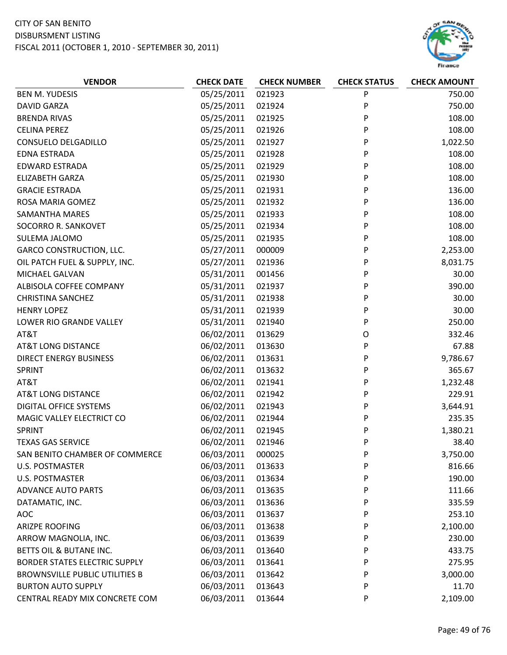

| <b>VENDOR</b>                         | <b>CHECK DATE</b> | <b>CHECK NUMBER</b> | <b>CHECK STATUS</b> | <b>CHECK AMOUNT</b> |
|---------------------------------------|-------------------|---------------------|---------------------|---------------------|
| <b>BEN M. YUDESIS</b>                 | 05/25/2011        | 021923              | P                   | 750.00              |
| <b>DAVID GARZA</b>                    | 05/25/2011        | 021924              | P                   | 750.00              |
| <b>BRENDA RIVAS</b>                   | 05/25/2011        | 021925              | P                   | 108.00              |
| <b>CELINA PEREZ</b>                   | 05/25/2011        | 021926              | P                   | 108.00              |
| CONSUELO DELGADILLO                   | 05/25/2011        | 021927              | P                   | 1,022.50            |
| <b>EDNA ESTRADA</b>                   | 05/25/2011        | 021928              | P                   | 108.00              |
| <b>EDWARD ESTRADA</b>                 | 05/25/2011        | 021929              | P                   | 108.00              |
| <b>ELIZABETH GARZA</b>                | 05/25/2011        | 021930              | P                   | 108.00              |
| <b>GRACIE ESTRADA</b>                 | 05/25/2011        | 021931              | P                   | 136.00              |
| ROSA MARIA GOMEZ                      | 05/25/2011        | 021932              | P                   | 136.00              |
| <b>SAMANTHA MARES</b>                 | 05/25/2011        | 021933              | P                   | 108.00              |
| SOCORRO R. SANKOVET                   | 05/25/2011        | 021934              | P                   | 108.00              |
| SULEMA JALOMO                         | 05/25/2011        | 021935              | P                   | 108.00              |
| <b>GARCO CONSTRUCTION, LLC.</b>       | 05/27/2011        | 000009              | P                   | 2,253.00            |
| OIL PATCH FUEL & SUPPLY, INC.         | 05/27/2011        | 021936              | P                   | 8,031.75            |
| MICHAEL GALVAN                        | 05/31/2011        | 001456              | P                   | 30.00               |
| ALBISOLA COFFEE COMPANY               | 05/31/2011        | 021937              | P                   | 390.00              |
| <b>CHRISTINA SANCHEZ</b>              | 05/31/2011        | 021938              | P                   | 30.00               |
| <b>HENRY LOPEZ</b>                    | 05/31/2011        | 021939              | P                   | 30.00               |
| LOWER RIO GRANDE VALLEY               | 05/31/2011        | 021940              | P                   | 250.00              |
| AT&T                                  | 06/02/2011        | 013629              | O                   | 332.46              |
| <b>AT&amp;T LONG DISTANCE</b>         | 06/02/2011        | 013630              | P                   | 67.88               |
| <b>DIRECT ENERGY BUSINESS</b>         | 06/02/2011        | 013631              | P                   | 9,786.67            |
| SPRINT                                | 06/02/2011        | 013632              | P                   | 365.67              |
| AT&T                                  | 06/02/2011        | 021941              | P                   | 1,232.48            |
| <b>AT&amp;T LONG DISTANCE</b>         | 06/02/2011        | 021942              | P                   | 229.91              |
| <b>DIGITAL OFFICE SYSTEMS</b>         | 06/02/2011        | 021943              | P                   | 3,644.91            |
| MAGIC VALLEY ELECTRICT CO             | 06/02/2011        | 021944              | P                   | 235.35              |
| SPRINT                                | 06/02/2011        | 021945              | P                   | 1,380.21            |
| <b>TEXAS GAS SERVICE</b>              | 06/02/2011        | 021946              | P                   | 38.40               |
| SAN BENITO CHAMBER OF COMMERCE        | 06/03/2011        | 000025              | P                   | 3,750.00            |
| <b>U.S. POSTMASTER</b>                | 06/03/2011        | 013633              | P                   | 816.66              |
| <b>U.S. POSTMASTER</b>                | 06/03/2011        | 013634              | P                   | 190.00              |
| <b>ADVANCE AUTO PARTS</b>             | 06/03/2011        | 013635              | P                   | 111.66              |
| DATAMATIC, INC.                       | 06/03/2011        | 013636              | P                   | 335.59              |
| <b>AOC</b>                            | 06/03/2011        | 013637              | P                   | 253.10              |
| <b>ARIZPE ROOFING</b>                 | 06/03/2011        | 013638              | P                   | 2,100.00            |
| ARROW MAGNOLIA, INC.                  | 06/03/2011        | 013639              | P                   | 230.00              |
| BETTS OIL & BUTANE INC.               | 06/03/2011        | 013640              | P                   | 433.75              |
| <b>BORDER STATES ELECTRIC SUPPLY</b>  | 06/03/2011        | 013641              | P                   | 275.95              |
| <b>BROWNSVILLE PUBLIC UTILITIES B</b> | 06/03/2011        | 013642              | P                   | 3,000.00            |
| <b>BURTON AUTO SUPPLY</b>             | 06/03/2011        | 013643              | P                   | 11.70               |
| CENTRAL READY MIX CONCRETE COM        | 06/03/2011        | 013644              | P                   | 2,109.00            |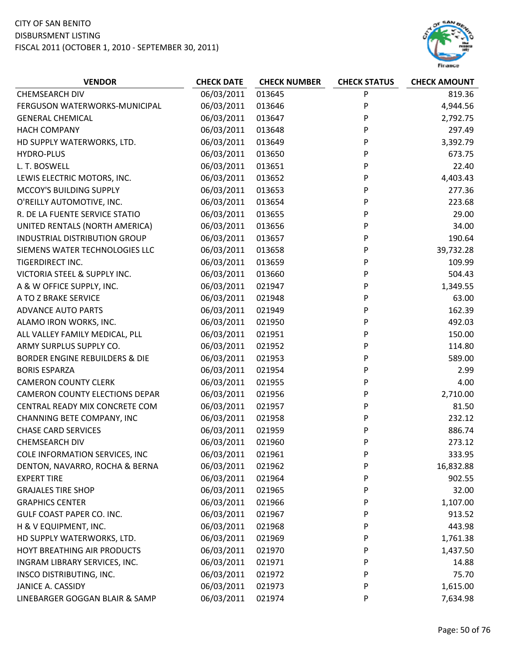

| <b>VENDOR</b>                             | <b>CHECK DATE</b> | <b>CHECK NUMBER</b> | <b>CHECK STATUS</b> | <b>CHECK AMOUNT</b> |
|-------------------------------------------|-------------------|---------------------|---------------------|---------------------|
| <b>CHEMSEARCH DIV</b>                     | 06/03/2011        | 013645              | P                   | 819.36              |
| FERGUSON WATERWORKS-MUNICIPAL             | 06/03/2011        | 013646              | P                   | 4,944.56            |
| <b>GENERAL CHEMICAL</b>                   | 06/03/2011        | 013647              | P                   | 2,792.75            |
| <b>HACH COMPANY</b>                       | 06/03/2011        | 013648              | P                   | 297.49              |
| HD SUPPLY WATERWORKS, LTD.                | 06/03/2011        | 013649              | P                   | 3,392.79            |
| HYDRO-PLUS                                | 06/03/2011        | 013650              | P                   | 673.75              |
| L. T. BOSWELL                             | 06/03/2011        | 013651              | P                   | 22.40               |
| LEWIS ELECTRIC MOTORS, INC.               | 06/03/2011        | 013652              | P                   | 4,403.43            |
| MCCOY'S BUILDING SUPPLY                   | 06/03/2011        | 013653              | P                   | 277.36              |
| O'REILLY AUTOMOTIVE, INC.                 | 06/03/2011        | 013654              | P                   | 223.68              |
| R. DE LA FUENTE SERVICE STATIO            | 06/03/2011        | 013655              | P                   | 29.00               |
| UNITED RENTALS (NORTH AMERICA)            | 06/03/2011        | 013656              | P                   | 34.00               |
| <b>INDUSTRIAL DISTRIBUTION GROUP</b>      | 06/03/2011        | 013657              | P                   | 190.64              |
| SIEMENS WATER TECHNOLOGIES LLC            | 06/03/2011        | 013658              | P                   | 39,732.28           |
| TIGERDIRECT INC.                          | 06/03/2011        | 013659              | P                   | 109.99              |
| VICTORIA STEEL & SUPPLY INC.              | 06/03/2011        | 013660              | P                   | 504.43              |
| A & W OFFICE SUPPLY, INC.                 | 06/03/2011        | 021947              | P                   | 1,349.55            |
| A TO Z BRAKE SERVICE                      | 06/03/2011        | 021948              | P                   | 63.00               |
| <b>ADVANCE AUTO PARTS</b>                 | 06/03/2011        | 021949              | P                   | 162.39              |
| ALAMO IRON WORKS, INC.                    | 06/03/2011        | 021950              | P                   | 492.03              |
| ALL VALLEY FAMILY MEDICAL, PLL            | 06/03/2011        | 021951              | P                   | 150.00              |
| ARMY SURPLUS SUPPLY CO.                   | 06/03/2011        | 021952              | P                   | 114.80              |
| <b>BORDER ENGINE REBUILDERS &amp; DIE</b> | 06/03/2011        | 021953              | P                   | 589.00              |
| <b>BORIS ESPARZA</b>                      | 06/03/2011        | 021954              | P                   | 2.99                |
| <b>CAMERON COUNTY CLERK</b>               | 06/03/2011        | 021955              | P                   | 4.00                |
| <b>CAMERON COUNTY ELECTIONS DEPAR</b>     | 06/03/2011        | 021956              | P                   | 2,710.00            |
| CENTRAL READY MIX CONCRETE COM            | 06/03/2011        | 021957              | P                   | 81.50               |
| CHANNING BETE COMPANY, INC                | 06/03/2011        | 021958              | P                   | 232.12              |
| <b>CHASE CARD SERVICES</b>                | 06/03/2011        | 021959              | P                   | 886.74              |
| <b>CHEMSEARCH DIV</b>                     | 06/03/2011        | 021960              | P                   | 273.12              |
| COLE INFORMATION SERVICES, INC            | 06/03/2011        | 021961              | P                   | 333.95              |
| DENTON, NAVARRO, ROCHA & BERNA            | 06/03/2011        | 021962              | P                   | 16,832.88           |
| <b>EXPERT TIRE</b>                        | 06/03/2011        | 021964              | P                   | 902.55              |
| <b>GRAJALES TIRE SHOP</b>                 | 06/03/2011        | 021965              | P                   | 32.00               |
| <b>GRAPHICS CENTER</b>                    | 06/03/2011        | 021966              | P                   | 1,107.00            |
| GULF COAST PAPER CO. INC.                 | 06/03/2011        | 021967              | P                   | 913.52              |
| H & V EQUIPMENT, INC.                     | 06/03/2011        | 021968              | P                   | 443.98              |
| HD SUPPLY WATERWORKS, LTD.                | 06/03/2011        | 021969              | P                   | 1,761.38            |
| HOYT BREATHING AIR PRODUCTS               | 06/03/2011        | 021970              | P                   | 1,437.50            |
| INGRAM LIBRARY SERVICES, INC.             | 06/03/2011        | 021971              | P                   | 14.88               |
| INSCO DISTRIBUTING, INC.                  | 06/03/2011        | 021972              | P                   | 75.70               |
| JANICE A. CASSIDY                         | 06/03/2011        | 021973              | P                   | 1,615.00            |
| LINEBARGER GOGGAN BLAIR & SAMP            | 06/03/2011        | 021974              | P                   | 7,634.98            |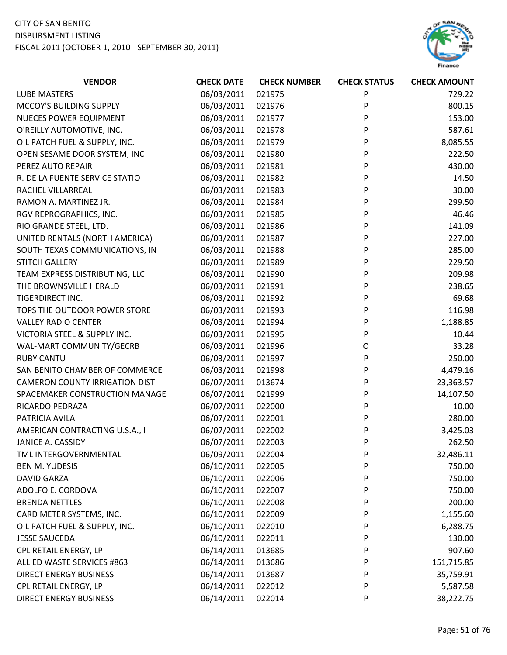

| <b>VENDOR</b>                         | <b>CHECK DATE</b> | <b>CHECK NUMBER</b> | <b>CHECK STATUS</b> | <b>CHECK AMOUNT</b> |
|---------------------------------------|-------------------|---------------------|---------------------|---------------------|
| <b>LUBE MASTERS</b>                   | 06/03/2011        | 021975              | P                   | 729.22              |
| MCCOY'S BUILDING SUPPLY               | 06/03/2011        | 021976              | P                   | 800.15              |
| <b>NUECES POWER EQUIPMENT</b>         | 06/03/2011        | 021977              | P                   | 153.00              |
| O'REILLY AUTOMOTIVE, INC.             | 06/03/2011        | 021978              | P                   | 587.61              |
| OIL PATCH FUEL & SUPPLY, INC.         | 06/03/2011        | 021979              | P                   | 8,085.55            |
| OPEN SESAME DOOR SYSTEM, INC          | 06/03/2011        | 021980              | P                   | 222.50              |
| PEREZ AUTO REPAIR                     | 06/03/2011        | 021981              | P                   | 430.00              |
| R. DE LA FUENTE SERVICE STATIO        | 06/03/2011        | 021982              | P                   | 14.50               |
| RACHEL VILLARREAL                     | 06/03/2011        | 021983              | P                   | 30.00               |
| RAMON A. MARTINEZ JR.                 | 06/03/2011        | 021984              | P                   | 299.50              |
| RGV REPROGRAPHICS, INC.               | 06/03/2011        | 021985              | P                   | 46.46               |
| RIO GRANDE STEEL, LTD.                | 06/03/2011        | 021986              | P                   | 141.09              |
| UNITED RENTALS (NORTH AMERICA)        | 06/03/2011        | 021987              | P                   | 227.00              |
| SOUTH TEXAS COMMUNICATIONS, IN        | 06/03/2011        | 021988              | P                   | 285.00              |
| STITCH GALLERY                        | 06/03/2011        | 021989              | P                   | 229.50              |
| TEAM EXPRESS DISTRIBUTING, LLC        | 06/03/2011        | 021990              | P                   | 209.98              |
| THE BROWNSVILLE HERALD                | 06/03/2011        | 021991              | P                   | 238.65              |
| TIGERDIRECT INC.                      | 06/03/2011        | 021992              | P                   | 69.68               |
| TOPS THE OUTDOOR POWER STORE          | 06/03/2011        | 021993              | P                   | 116.98              |
| <b>VALLEY RADIO CENTER</b>            | 06/03/2011        | 021994              | P                   | 1,188.85            |
| VICTORIA STEEL & SUPPLY INC.          | 06/03/2011        | 021995              | P                   | 10.44               |
| WAL-MART COMMUNITY/GECRB              | 06/03/2011        | 021996              | O                   | 33.28               |
| <b>RUBY CANTU</b>                     | 06/03/2011        | 021997              | P                   | 250.00              |
| SAN BENITO CHAMBER OF COMMERCE        | 06/03/2011        | 021998              | P                   | 4,479.16            |
| <b>CAMERON COUNTY IRRIGATION DIST</b> | 06/07/2011        | 013674              | P                   | 23,363.57           |
| SPACEMAKER CONSTRUCTION MANAGE        | 06/07/2011        | 021999              | P                   | 14,107.50           |
| RICARDO PEDRAZA                       | 06/07/2011        | 022000              | P                   | 10.00               |
| PATRICIA AVILA                        | 06/07/2011        | 022001              | P                   | 280.00              |
| AMERICAN CONTRACTING U.S.A., I        | 06/07/2011        | 022002              | P                   | 3,425.03            |
| <b>JANICE A. CASSIDY</b>              | 06/07/2011        | 022003              | P                   | 262.50              |
| TML INTERGOVERNMENTAL                 | 06/09/2011        | 022004              | P                   | 32,486.11           |
| <b>BEN M. YUDESIS</b>                 | 06/10/2011        | 022005              | P                   | 750.00              |
| <b>DAVID GARZA</b>                    | 06/10/2011        | 022006              | P                   | 750.00              |
| ADOLFO E. CORDOVA                     | 06/10/2011        | 022007              | P                   | 750.00              |
| <b>BRENDA NETTLES</b>                 | 06/10/2011        | 022008              | P                   | 200.00              |
| CARD METER SYSTEMS, INC.              | 06/10/2011        | 022009              | P                   | 1,155.60            |
| OIL PATCH FUEL & SUPPLY, INC.         | 06/10/2011        | 022010              | P                   | 6,288.75            |
| <b>JESSE SAUCEDA</b>                  | 06/10/2011        | 022011              | P                   | 130.00              |
| CPL RETAIL ENERGY, LP                 | 06/14/2011        | 013685              | P                   | 907.60              |
| ALLIED WASTE SERVICES #863            | 06/14/2011        | 013686              | P                   | 151,715.85          |
| <b>DIRECT ENERGY BUSINESS</b>         | 06/14/2011        | 013687              | P                   | 35,759.91           |
| CPL RETAIL ENERGY, LP                 | 06/14/2011        | 022012              | P                   | 5,587.58            |
| <b>DIRECT ENERGY BUSINESS</b>         | 06/14/2011        | 022014              | P                   | 38,222.75           |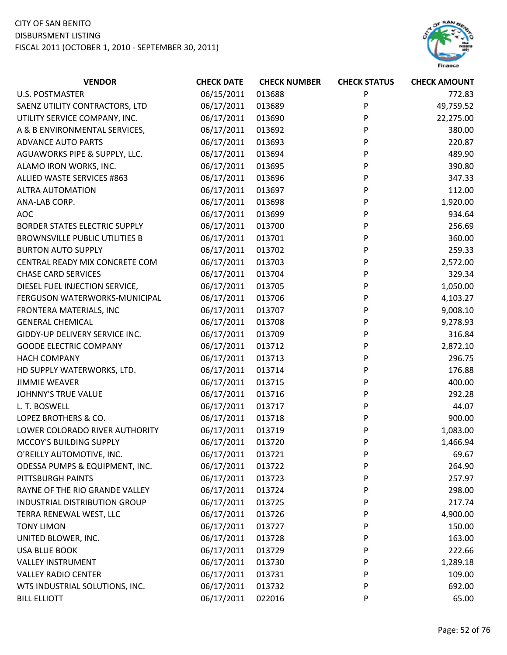

| <b>VENDOR</b>                         | <b>CHECK DATE</b> | <b>CHECK NUMBER</b> | <b>CHECK STATUS</b> | <b>CHECK AMOUNT</b> |
|---------------------------------------|-------------------|---------------------|---------------------|---------------------|
| <b>U.S. POSTMASTER</b>                | 06/15/2011        | 013688              | P                   | 772.83              |
| SAENZ UTILITY CONTRACTORS, LTD        | 06/17/2011        | 013689              | P                   | 49,759.52           |
| UTILITY SERVICE COMPANY, INC.         | 06/17/2011        | 013690              | P                   | 22,275.00           |
| A & B ENVIRONMENTAL SERVICES,         | 06/17/2011        | 013692              | P                   | 380.00              |
| <b>ADVANCE AUTO PARTS</b>             | 06/17/2011        | 013693              | P                   | 220.87              |
| AGUAWORKS PIPE & SUPPLY, LLC.         | 06/17/2011        | 013694              | P                   | 489.90              |
| ALAMO IRON WORKS, INC.                | 06/17/2011        | 013695              | P                   | 390.80              |
| ALLIED WASTE SERVICES #863            | 06/17/2011        | 013696              | P                   | 347.33              |
| <b>ALTRA AUTOMATION</b>               | 06/17/2011        | 013697              | P                   | 112.00              |
| ANA-LAB CORP.                         | 06/17/2011        | 013698              | P                   | 1,920.00            |
| <b>AOC</b>                            | 06/17/2011        | 013699              | P                   | 934.64              |
| <b>BORDER STATES ELECTRIC SUPPLY</b>  | 06/17/2011        | 013700              | P                   | 256.69              |
| <b>BROWNSVILLE PUBLIC UTILITIES B</b> | 06/17/2011        | 013701              | P                   | 360.00              |
| <b>BURTON AUTO SUPPLY</b>             | 06/17/2011        | 013702              | P                   | 259.33              |
| CENTRAL READY MIX CONCRETE COM        | 06/17/2011        | 013703              | P                   | 2,572.00            |
| <b>CHASE CARD SERVICES</b>            | 06/17/2011        | 013704              | P                   | 329.34              |
| DIESEL FUEL INJECTION SERVICE,        | 06/17/2011        | 013705              | P                   | 1,050.00            |
| FERGUSON WATERWORKS-MUNICIPAL         | 06/17/2011        | 013706              | P                   | 4,103.27            |
| FRONTERA MATERIALS, INC               | 06/17/2011        | 013707              | P                   | 9,008.10            |
| <b>GENERAL CHEMICAL</b>               | 06/17/2011        | 013708              | P                   | 9,278.93            |
| GIDDY-UP DELIVERY SERVICE INC.        | 06/17/2011        | 013709              | P                   | 316.84              |
| <b>GOODE ELECTRIC COMPANY</b>         | 06/17/2011        | 013712              | P                   | 2,872.10            |
| <b>HACH COMPANY</b>                   | 06/17/2011        | 013713              | P                   | 296.75              |
| HD SUPPLY WATERWORKS, LTD.            | 06/17/2011        | 013714              | P                   | 176.88              |
| <b>JIMMIE WEAVER</b>                  | 06/17/2011        | 013715              | P                   | 400.00              |
| JOHNNY'S TRUE VALUE                   | 06/17/2011        | 013716              | P                   | 292.28              |
| L. T. BOSWELL                         | 06/17/2011        | 013717              | P                   | 44.07               |
| LOPEZ BROTHERS & CO.                  | 06/17/2011        | 013718              | P                   | 900.00              |
| LOWER COLORADO RIVER AUTHORITY        | 06/17/2011        | 013719              | P                   | 1,083.00            |
| MCCOY'S BUILDING SUPPLY               | 06/17/2011        | 013720              | P                   | 1,466.94            |
| O'REILLY AUTOMOTIVE, INC.             | 06/17/2011        | 013721              | P                   | 69.67               |
| ODESSA PUMPS & EQUIPMENT, INC.        | 06/17/2011        | 013722              | P                   | 264.90              |
| PITTSBURGH PAINTS                     | 06/17/2011        | 013723              | P                   | 257.97              |
| RAYNE OF THE RIO GRANDE VALLEY        | 06/17/2011        | 013724              | P                   | 298.00              |
| INDUSTRIAL DISTRIBUTION GROUP         | 06/17/2011        | 013725              | P                   | 217.74              |
| TERRA RENEWAL WEST, LLC               | 06/17/2011        | 013726              | P                   | 4,900.00            |
| <b>TONY LIMON</b>                     | 06/17/2011        | 013727              | P                   | 150.00              |
| UNITED BLOWER, INC.                   | 06/17/2011        | 013728              | P                   | 163.00              |
| <b>USA BLUE BOOK</b>                  | 06/17/2011        | 013729              | P                   | 222.66              |
| <b>VALLEY INSTRUMENT</b>              | 06/17/2011        | 013730              | P                   | 1,289.18            |
| <b>VALLEY RADIO CENTER</b>            | 06/17/2011        | 013731              | P                   | 109.00              |
| WTS INDUSTRIAL SOLUTIONS, INC.        | 06/17/2011        | 013732              | P                   | 692.00              |
| <b>BILL ELLIOTT</b>                   | 06/17/2011        | 022016              | P                   | 65.00               |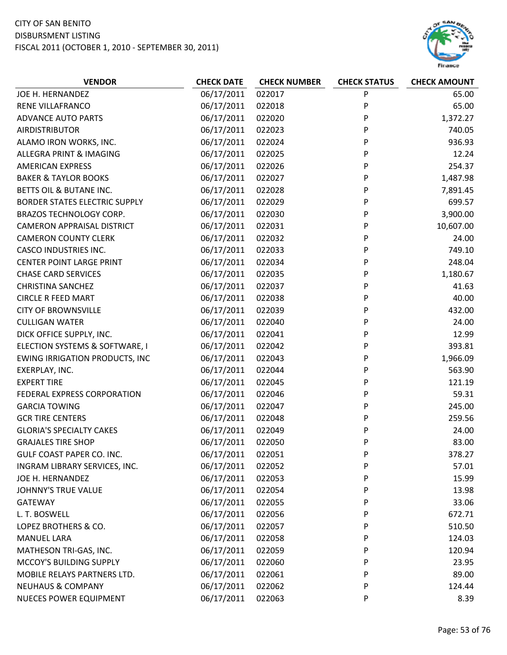

| <b>VENDOR</b>                         | <b>CHECK DATE</b> | <b>CHECK NUMBER</b> | <b>CHECK STATUS</b> | <b>CHECK AMOUNT</b> |
|---------------------------------------|-------------------|---------------------|---------------------|---------------------|
| JOE H. HERNANDEZ                      | 06/17/2011        | 022017              | P                   | 65.00               |
| RENE VILLAFRANCO                      | 06/17/2011        | 022018              | P                   | 65.00               |
| <b>ADVANCE AUTO PARTS</b>             | 06/17/2011        | 022020              | P                   | 1,372.27            |
| <b>AIRDISTRIBUTOR</b>                 | 06/17/2011        | 022023              | P                   | 740.05              |
| ALAMO IRON WORKS, INC.                | 06/17/2011        | 022024              | P                   | 936.93              |
| ALLEGRA PRINT & IMAGING               | 06/17/2011        | 022025              | P                   | 12.24               |
| <b>AMERICAN EXPRESS</b>               | 06/17/2011        | 022026              | P                   | 254.37              |
| <b>BAKER &amp; TAYLOR BOOKS</b>       | 06/17/2011        | 022027              | P                   | 1,487.98            |
| BETTS OIL & BUTANE INC.               | 06/17/2011        | 022028              | P                   | 7,891.45            |
| <b>BORDER STATES ELECTRIC SUPPLY</b>  | 06/17/2011        | 022029              | P                   | 699.57              |
| <b>BRAZOS TECHNOLOGY CORP.</b>        | 06/17/2011        | 022030              | P                   | 3,900.00            |
| <b>CAMERON APPRAISAL DISTRICT</b>     | 06/17/2011        | 022031              | P                   | 10,607.00           |
| <b>CAMERON COUNTY CLERK</b>           | 06/17/2011        | 022032              | P                   | 24.00               |
| <b>CASCO INDUSTRIES INC.</b>          | 06/17/2011        | 022033              | P                   | 749.10              |
| <b>CENTER POINT LARGE PRINT</b>       | 06/17/2011        | 022034              | P                   | 248.04              |
| <b>CHASE CARD SERVICES</b>            | 06/17/2011        | 022035              | P                   | 1,180.67            |
| <b>CHRISTINA SANCHEZ</b>              | 06/17/2011        | 022037              | P                   | 41.63               |
| <b>CIRCLE R FEED MART</b>             | 06/17/2011        | 022038              | P                   | 40.00               |
| <b>CITY OF BROWNSVILLE</b>            | 06/17/2011        | 022039              | P                   | 432.00              |
| <b>CULLIGAN WATER</b>                 | 06/17/2011        | 022040              | P                   | 24.00               |
| DICK OFFICE SUPPLY, INC.              | 06/17/2011        | 022041              | P                   | 12.99               |
| ELECTION SYSTEMS & SOFTWARE, I        | 06/17/2011        | 022042              | P                   | 393.81              |
| <b>EWING IRRIGATION PRODUCTS, INC</b> | 06/17/2011        | 022043              | P                   | 1,966.09            |
| EXERPLAY, INC.                        | 06/17/2011        | 022044              | P                   | 563.90              |
| <b>EXPERT TIRE</b>                    | 06/17/2011        | 022045              | P                   | 121.19              |
| FEDERAL EXPRESS CORPORATION           | 06/17/2011        | 022046              | P                   | 59.31               |
| <b>GARCIA TOWING</b>                  | 06/17/2011        | 022047              | P                   | 245.00              |
| <b>GCR TIRE CENTERS</b>               | 06/17/2011        | 022048              | P                   | 259.56              |
| <b>GLORIA'S SPECIALTY CAKES</b>       | 06/17/2011        | 022049              | P                   | 24.00               |
| <b>GRAJALES TIRE SHOP</b>             | 06/17/2011        | 022050              | P                   | 83.00               |
| GULF COAST PAPER CO. INC.             | 06/17/2011        | 022051              | P                   | 378.27              |
| INGRAM LIBRARY SERVICES, INC.         | 06/17/2011        | 022052              | P                   | 57.01               |
| JOE H. HERNANDEZ                      | 06/17/2011        | 022053              | P                   | 15.99               |
| <b>JOHNNY'S TRUE VALUE</b>            | 06/17/2011        | 022054              | P                   | 13.98               |
| <b>GATEWAY</b>                        | 06/17/2011        | 022055              | P                   | 33.06               |
| L. T. BOSWELL                         | 06/17/2011        | 022056              | P                   | 672.71              |
| LOPEZ BROTHERS & CO.                  | 06/17/2011        | 022057              | P                   | 510.50              |
| <b>MANUEL LARA</b>                    | 06/17/2011        | 022058              | P                   | 124.03              |
| MATHESON TRI-GAS, INC.                | 06/17/2011        | 022059              | P                   | 120.94              |
| MCCOY'S BUILDING SUPPLY               | 06/17/2011        | 022060              | P                   | 23.95               |
| MOBILE RELAYS PARTNERS LTD.           | 06/17/2011        | 022061              | P                   | 89.00               |
| <b>NEUHAUS &amp; COMPANY</b>          | 06/17/2011        | 022062              | P                   | 124.44              |
| <b>NUECES POWER EQUIPMENT</b>         | 06/17/2011        | 022063              | P                   | 8.39                |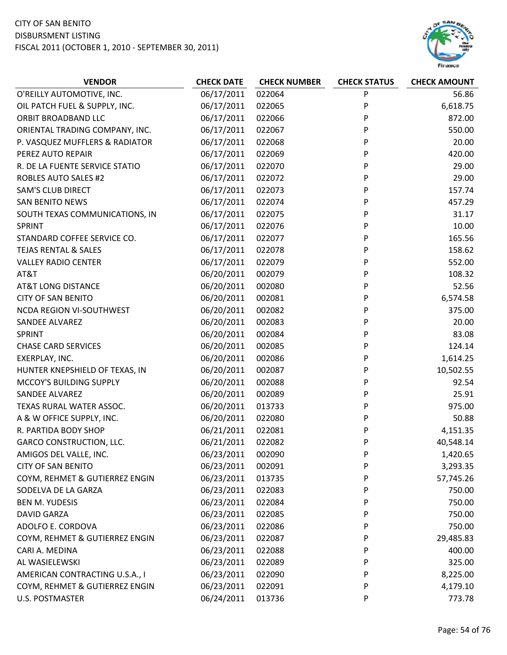

| <b>VENDOR</b>                   | <b>CHECK DATE</b> | <b>CHECK NUMBER</b> | <b>CHECK STATUS</b> | <b>CHECK AMOUNT</b> |
|---------------------------------|-------------------|---------------------|---------------------|---------------------|
| O'REILLY AUTOMOTIVE, INC.       | 06/17/2011        | 022064              | P                   | 56.86               |
| OIL PATCH FUEL & SUPPLY, INC.   | 06/17/2011        | 022065              | P                   | 6,618.75            |
| ORBIT BROADBAND LLC             | 06/17/2011        | 022066              | P                   | 872.00              |
| ORIENTAL TRADING COMPANY, INC.  | 06/17/2011        | 022067              | P                   | 550.00              |
| P. VASQUEZ MUFFLERS & RADIATOR  | 06/17/2011        | 022068              | P                   | 20.00               |
| PEREZ AUTO REPAIR               | 06/17/2011        | 022069              | P                   | 420.00              |
| R. DE LA FUENTE SERVICE STATIO  | 06/17/2011        | 022070              | P                   | 29.00               |
| <b>ROBLES AUTO SALES #2</b>     | 06/17/2011        | 022072              | P                   | 29.00               |
| <b>SAM'S CLUB DIRECT</b>        | 06/17/2011        | 022073              | P                   | 157.74              |
| <b>SAN BENITO NEWS</b>          | 06/17/2011        | 022074              | P                   | 457.29              |
| SOUTH TEXAS COMMUNICATIONS, IN  | 06/17/2011        | 022075              | P                   | 31.17               |
| <b>SPRINT</b>                   | 06/17/2011        | 022076              | P                   | 10.00               |
| STANDARD COFFEE SERVICE CO.     | 06/17/2011        | 022077              | P                   | 165.56              |
| <b>TEJAS RENTAL &amp; SALES</b> | 06/17/2011        | 022078              | P                   | 158.62              |
| <b>VALLEY RADIO CENTER</b>      | 06/17/2011        | 022079              | P                   | 552.00              |
| AT&T                            | 06/20/2011        | 002079              | P                   | 108.32              |
| <b>AT&amp;T LONG DISTANCE</b>   | 06/20/2011        | 002080              | P                   | 52.56               |
| <b>CITY OF SAN BENITO</b>       | 06/20/2011        | 002081              | P                   | 6,574.58            |
| <b>NCDA REGION VI-SOUTHWEST</b> | 06/20/2011        | 002082              | P                   | 375.00              |
| <b>SANDEE ALVAREZ</b>           | 06/20/2011        | 002083              | P                   | 20.00               |
| <b>SPRINT</b>                   | 06/20/2011        | 002084              | P                   | 83.08               |
| <b>CHASE CARD SERVICES</b>      | 06/20/2011        | 002085              | P                   | 124.14              |
| EXERPLAY, INC.                  | 06/20/2011        | 002086              | P                   | 1,614.25            |
| HUNTER KNEPSHIELD OF TEXAS, IN  | 06/20/2011        | 002087              | P                   | 10,502.55           |
| MCCOY'S BUILDING SUPPLY         | 06/20/2011        | 002088              | P                   | 92.54               |
| SANDEE ALVAREZ                  | 06/20/2011        | 002089              | P                   | 25.91               |
| TEXAS RURAL WATER ASSOC.        | 06/20/2011        | 013733              | P                   | 975.00              |
| A & W OFFICE SUPPLY, INC.       | 06/20/2011        | 022080              | P                   | 50.88               |
| R. PARTIDA BODY SHOP            | 06/21/2011        | 022081              | P                   | 4,151.35            |
| <b>GARCO CONSTRUCTION, LLC.</b> | 06/21/2011        | 022082              | P                   | 40,548.14           |
| AMIGOS DEL VALLE, INC.          | 06/23/2011        | 002090              | P                   | 1,420.65            |
| <b>CITY OF SAN BENITO</b>       | 06/23/2011        | 002091              | P                   | 3,293.35            |
| COYM, REHMET & GUTIERREZ ENGIN  | 06/23/2011        | 013735              | P                   | 57,745.26           |
| SODELVA DE LA GARZA             | 06/23/2011        | 022083              | P                   | 750.00              |
| <b>BEN M. YUDESIS</b>           | 06/23/2011        | 022084              | P                   | 750.00              |
| <b>DAVID GARZA</b>              | 06/23/2011        | 022085              | P                   | 750.00              |
| ADOLFO E. CORDOVA               | 06/23/2011        | 022086              | P                   | 750.00              |
| COYM, REHMET & GUTIERREZ ENGIN  | 06/23/2011        | 022087              | P                   | 29,485.83           |
| CARI A. MEDINA                  | 06/23/2011        | 022088              | P                   | 400.00              |
| AL WASIELEWSKI                  | 06/23/2011        | 022089              | P                   | 325.00              |
| AMERICAN CONTRACTING U.S.A., I  | 06/23/2011        | 022090              | P                   | 8,225.00            |
| COYM, REHMET & GUTIERREZ ENGIN  | 06/23/2011        | 022091              | P                   | 4,179.10            |
| U.S. POSTMASTER                 | 06/24/2011        | 013736              | P                   | 773.78              |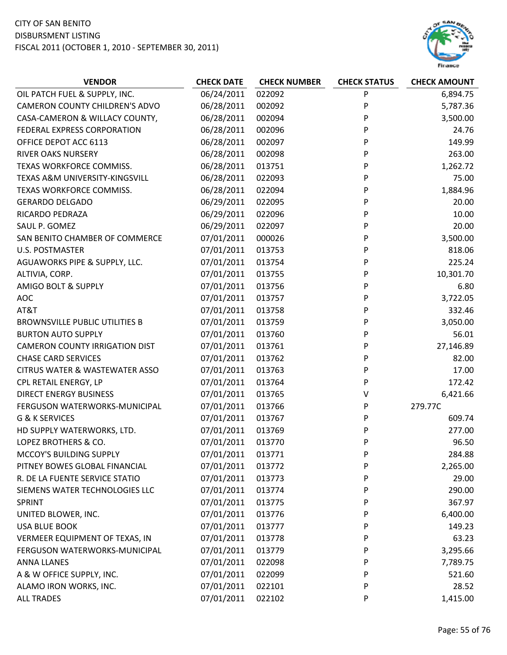

| <b>VENDOR</b>                             | <b>CHECK DATE</b> | <b>CHECK NUMBER</b> | <b>CHECK STATUS</b> | <b>CHECK AMOUNT</b> |
|-------------------------------------------|-------------------|---------------------|---------------------|---------------------|
| OIL PATCH FUEL & SUPPLY, INC.             | 06/24/2011        | 022092              | P                   | 6,894.75            |
| <b>CAMERON COUNTY CHILDREN'S ADVO</b>     | 06/28/2011        | 002092              | P                   | 5,787.36            |
| CASA-CAMERON & WILLACY COUNTY,            | 06/28/2011        | 002094              | P                   | 3,500.00            |
| FEDERAL EXPRESS CORPORATION               | 06/28/2011        | 002096              | P                   | 24.76               |
| OFFICE DEPOT ACC 6113                     | 06/28/2011        | 002097              | P                   | 149.99              |
| <b>RIVER OAKS NURSERY</b>                 | 06/28/2011        | 002098              | P                   | 263.00              |
| TEXAS WORKFORCE COMMISS.                  | 06/28/2011        | 013751              | P                   | 1,262.72            |
| TEXAS A&M UNIVERSITY-KINGSVILL            | 06/28/2011        | 022093              | P                   | 75.00               |
| TEXAS WORKFORCE COMMISS.                  | 06/28/2011        | 022094              | P                   | 1,884.96            |
| <b>GERARDO DELGADO</b>                    | 06/29/2011        | 022095              | P                   | 20.00               |
| RICARDO PEDRAZA                           | 06/29/2011        | 022096              | P                   | 10.00               |
| SAUL P. GOMEZ                             | 06/29/2011        | 022097              | P                   | 20.00               |
| SAN BENITO CHAMBER OF COMMERCE            | 07/01/2011        | 000026              | P                   | 3,500.00            |
| <b>U.S. POSTMASTER</b>                    | 07/01/2011        | 013753              | P                   | 818.06              |
| AGUAWORKS PIPE & SUPPLY, LLC.             | 07/01/2011        | 013754              | P                   | 225.24              |
| ALTIVIA, CORP.                            | 07/01/2011        | 013755              | P                   | 10,301.70           |
| AMIGO BOLT & SUPPLY                       | 07/01/2011        | 013756              | P                   | 6.80                |
| <b>AOC</b>                                | 07/01/2011        | 013757              | P                   | 3,722.05            |
| AT&T                                      | 07/01/2011        | 013758              | P                   | 332.46              |
| <b>BROWNSVILLE PUBLIC UTILITIES B</b>     | 07/01/2011        | 013759              | P                   | 3,050.00            |
| <b>BURTON AUTO SUPPLY</b>                 | 07/01/2011        | 013760              | P                   | 56.01               |
| <b>CAMERON COUNTY IRRIGATION DIST</b>     | 07/01/2011        | 013761              | P                   | 27,146.89           |
| <b>CHASE CARD SERVICES</b>                | 07/01/2011        | 013762              | P                   | 82.00               |
| <b>CITRUS WATER &amp; WASTEWATER ASSO</b> | 07/01/2011        | 013763              | P                   | 17.00               |
| CPL RETAIL ENERGY, LP                     | 07/01/2011        | 013764              | P                   | 172.42              |
| <b>DIRECT ENERGY BUSINESS</b>             | 07/01/2011        | 013765              | ٧                   | 6,421.66            |
| FERGUSON WATERWORKS-MUNICIPAL             | 07/01/2011        | 013766              | P                   | 279.77C             |
| G & K SERVICES                            | 07/01/2011        | 013767              | P                   | 609.74              |
| HD SUPPLY WATERWORKS, LTD.                | 07/01/2011        | 013769              | P                   | 277.00              |
| LOPEZ BROTHERS & CO.                      | 07/01/2011        | 013770              | P                   | 96.50               |
| MCCOY'S BUILDING SUPPLY                   | 07/01/2011        | 013771              | P                   | 284.88              |
| PITNEY BOWES GLOBAL FINANCIAL             | 07/01/2011        | 013772              | P                   | 2,265.00            |
| R. DE LA FUENTE SERVICE STATIO            | 07/01/2011        | 013773              | P                   | 29.00               |
| SIEMENS WATER TECHNOLOGIES LLC            | 07/01/2011        | 013774              | P                   | 290.00              |
| SPRINT                                    | 07/01/2011        | 013775              | P                   | 367.97              |
| UNITED BLOWER, INC.                       | 07/01/2011        | 013776              | P                   | 6,400.00            |
| <b>USA BLUE BOOK</b>                      | 07/01/2011        | 013777              | P                   | 149.23              |
| VERMEER EQUIPMENT OF TEXAS, IN            | 07/01/2011        | 013778              | P                   | 63.23               |
| FERGUSON WATERWORKS-MUNICIPAL             | 07/01/2011        | 013779              | P                   | 3,295.66            |
| <b>ANNA LLANES</b>                        | 07/01/2011        | 022098              | P                   | 7,789.75            |
| A & W OFFICE SUPPLY, INC.                 | 07/01/2011        | 022099              | P                   | 521.60              |
| ALAMO IRON WORKS, INC.                    | 07/01/2011        | 022101              | P                   | 28.52               |
| <b>ALL TRADES</b>                         | 07/01/2011        | 022102              | P                   | 1,415.00            |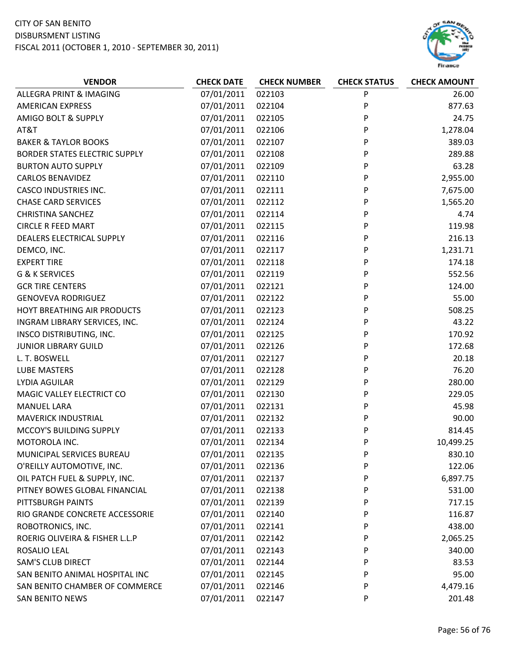

| <b>VENDOR</b>                        | <b>CHECK DATE</b> | <b>CHECK NUMBER</b> | <b>CHECK STATUS</b> | <b>CHECK AMOUNT</b> |
|--------------------------------------|-------------------|---------------------|---------------------|---------------------|
| ALLEGRA PRINT & IMAGING              | 07/01/2011        | 022103              | P                   | 26.00               |
| <b>AMERICAN EXPRESS</b>              | 07/01/2011        | 022104              | P                   | 877.63              |
| <b>AMIGO BOLT &amp; SUPPLY</b>       | 07/01/2011        | 022105              | P                   | 24.75               |
| AT&T                                 | 07/01/2011        | 022106              | P                   | 1,278.04            |
| <b>BAKER &amp; TAYLOR BOOKS</b>      | 07/01/2011        | 022107              | P                   | 389.03              |
| <b>BORDER STATES ELECTRIC SUPPLY</b> | 07/01/2011        | 022108              | P                   | 289.88              |
| <b>BURTON AUTO SUPPLY</b>            | 07/01/2011        | 022109              | P                   | 63.28               |
| <b>CARLOS BENAVIDEZ</b>              | 07/01/2011        | 022110              | P                   | 2,955.00            |
| <b>CASCO INDUSTRIES INC.</b>         | 07/01/2011        | 022111              | P                   | 7,675.00            |
| <b>CHASE CARD SERVICES</b>           | 07/01/2011        | 022112              | P                   | 1,565.20            |
| <b>CHRISTINA SANCHEZ</b>             | 07/01/2011        | 022114              | P                   | 4.74                |
| <b>CIRCLE R FEED MART</b>            | 07/01/2011        | 022115              | P                   | 119.98              |
| DEALERS ELECTRICAL SUPPLY            | 07/01/2011        | 022116              | P                   | 216.13              |
| DEMCO, INC.                          | 07/01/2011        | 022117              | P                   | 1,231.71            |
| <b>EXPERT TIRE</b>                   | 07/01/2011        | 022118              | P                   | 174.18              |
| <b>G &amp; K SERVICES</b>            | 07/01/2011        | 022119              | P                   | 552.56              |
| <b>GCR TIRE CENTERS</b>              | 07/01/2011        | 022121              | P                   | 124.00              |
| <b>GENOVEVA RODRIGUEZ</b>            | 07/01/2011        | 022122              | P                   | 55.00               |
| HOYT BREATHING AIR PRODUCTS          | 07/01/2011        | 022123              | P                   | 508.25              |
| INGRAM LIBRARY SERVICES, INC.        | 07/01/2011        | 022124              | P                   | 43.22               |
| INSCO DISTRIBUTING, INC.             | 07/01/2011        | 022125              | P                   | 170.92              |
| <b>JUNIOR LIBRARY GUILD</b>          | 07/01/2011        | 022126              | P                   | 172.68              |
| L. T. BOSWELL                        | 07/01/2011        | 022127              | P                   | 20.18               |
| <b>LUBE MASTERS</b>                  | 07/01/2011        | 022128              | P                   | 76.20               |
| LYDIA AGUILAR                        | 07/01/2011        | 022129              | P                   | 280.00              |
| MAGIC VALLEY ELECTRICT CO            | 07/01/2011        | 022130              | P                   | 229.05              |
| <b>MANUEL LARA</b>                   | 07/01/2011        | 022131              | P                   | 45.98               |
| <b>MAVERICK INDUSTRIAL</b>           | 07/01/2011        | 022132              | P                   | 90.00               |
| MCCOY'S BUILDING SUPPLY              | 07/01/2011        | 022133              | P                   | 814.45              |
| MOTOROLA INC.                        | 07/01/2011        | 022134              | P                   | 10,499.25           |
| MUNICIPAL SERVICES BUREAU            | 07/01/2011        | 022135              | P                   | 830.10              |
| O'REILLY AUTOMOTIVE, INC.            | 07/01/2011        | 022136              | P                   | 122.06              |
| OIL PATCH FUEL & SUPPLY, INC.        | 07/01/2011        | 022137              | P                   | 6,897.75            |
| PITNEY BOWES GLOBAL FINANCIAL        | 07/01/2011        | 022138              | P                   | 531.00              |
| PITTSBURGH PAINTS                    | 07/01/2011        | 022139              | P                   | 717.15              |
| RIO GRANDE CONCRETE ACCESSORIE       | 07/01/2011        | 022140              | P                   | 116.87              |
| ROBOTRONICS, INC.                    | 07/01/2011        | 022141              | P                   | 438.00              |
| ROERIG OLIVEIRA & FISHER L.L.P       | 07/01/2011        | 022142              | P                   | 2,065.25            |
| ROSALIO LEAL                         | 07/01/2011        | 022143              | P                   | 340.00              |
| <b>SAM'S CLUB DIRECT</b>             | 07/01/2011        | 022144              | P                   | 83.53               |
| SAN BENITO ANIMAL HOSPITAL INC       | 07/01/2011        | 022145              | P                   | 95.00               |
| SAN BENITO CHAMBER OF COMMERCE       | 07/01/2011        | 022146              | P                   | 4,479.16            |
| SAN BENITO NEWS                      | 07/01/2011        | 022147              | P                   | 201.48              |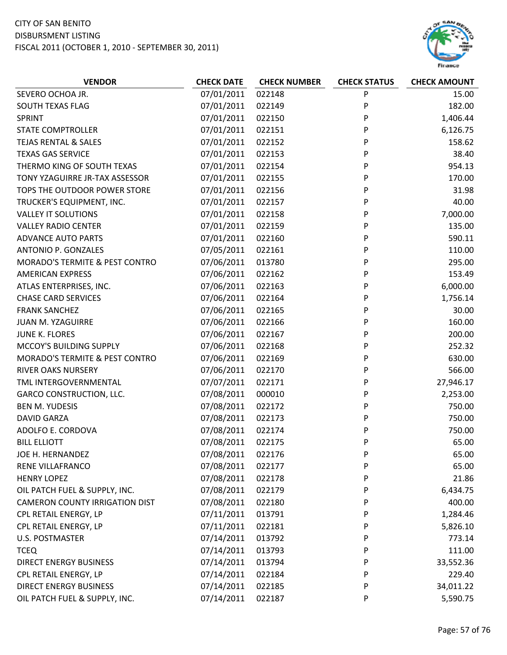

| <b>VENDOR</b>                             | <b>CHECK DATE</b> | <b>CHECK NUMBER</b> | <b>CHECK STATUS</b> | <b>CHECK AMOUNT</b> |
|-------------------------------------------|-------------------|---------------------|---------------------|---------------------|
| SEVERO OCHOA JR.                          | 07/01/2011        | 022148              | P                   | 15.00               |
| SOUTH TEXAS FLAG                          | 07/01/2011        | 022149              | P                   | 182.00              |
| <b>SPRINT</b>                             | 07/01/2011        | 022150              | P                   | 1,406.44            |
| <b>STATE COMPTROLLER</b>                  | 07/01/2011        | 022151              | P                   | 6,126.75            |
| <b>TEJAS RENTAL &amp; SALES</b>           | 07/01/2011        | 022152              | P                   | 158.62              |
| <b>TEXAS GAS SERVICE</b>                  | 07/01/2011        | 022153              | P                   | 38.40               |
| THERMO KING OF SOUTH TEXAS                | 07/01/2011        | 022154              | P                   | 954.13              |
| TONY YZAGUIRRE JR-TAX ASSESSOR            | 07/01/2011        | 022155              | P                   | 170.00              |
| TOPS THE OUTDOOR POWER STORE              | 07/01/2011        | 022156              | P                   | 31.98               |
| TRUCKER'S EQUIPMENT, INC.                 | 07/01/2011        | 022157              | P                   | 40.00               |
| <b>VALLEY IT SOLUTIONS</b>                | 07/01/2011        | 022158              | P                   | 7,000.00            |
| <b>VALLEY RADIO CENTER</b>                | 07/01/2011        | 022159              | P                   | 135.00              |
| <b>ADVANCE AUTO PARTS</b>                 | 07/01/2011        | 022160              | P                   | 590.11              |
| ANTONIO P. GONZALES                       | 07/05/2011        | 022161              | P                   | 110.00              |
| MORADO'S TERMITE & PEST CONTRO            | 07/06/2011        | 013780              | P                   | 295.00              |
| <b>AMERICAN EXPRESS</b>                   | 07/06/2011        | 022162              | P                   | 153.49              |
| ATLAS ENTERPRISES, INC.                   | 07/06/2011        | 022163              | P                   | 6,000.00            |
| <b>CHASE CARD SERVICES</b>                | 07/06/2011        | 022164              | P                   | 1,756.14            |
| <b>FRANK SANCHEZ</b>                      | 07/06/2011        | 022165              | P                   | 30.00               |
| JUAN M. YZAGUIRRE                         | 07/06/2011        | 022166              | P                   | 160.00              |
| JUNE K. FLORES                            | 07/06/2011        | 022167              | P                   | 200.00              |
| MCCOY'S BUILDING SUPPLY                   | 07/06/2011        | 022168              | P                   | 252.32              |
| <b>MORADO'S TERMITE &amp; PEST CONTRO</b> | 07/06/2011        | 022169              | P                   | 630.00              |
| <b>RIVER OAKS NURSERY</b>                 | 07/06/2011        | 022170              | P                   | 566.00              |
| TML INTERGOVERNMENTAL                     | 07/07/2011        | 022171              | P                   | 27,946.17           |
| <b>GARCO CONSTRUCTION, LLC.</b>           | 07/08/2011        | 000010              | P                   | 2,253.00            |
| <b>BEN M. YUDESIS</b>                     | 07/08/2011        | 022172              | P                   | 750.00              |
| <b>DAVID GARZA</b>                        | 07/08/2011        | 022173              | P                   | 750.00              |
| ADOLFO E. CORDOVA                         | 07/08/2011        | 022174              | P                   | 750.00              |
| <b>BILL ELLIOTT</b>                       | 07/08/2011        | 022175              | P                   | 65.00               |
| JOE H. HERNANDEZ                          | 07/08/2011        | 022176              | P                   | 65.00               |
| RENE VILLAFRANCO                          | 07/08/2011        | 022177              | P                   | 65.00               |
| <b>HENRY LOPEZ</b>                        | 07/08/2011        | 022178              | P                   | 21.86               |
| OIL PATCH FUEL & SUPPLY, INC.             | 07/08/2011        | 022179              | P                   | 6,434.75            |
| <b>CAMERON COUNTY IRRIGATION DIST</b>     | 07/08/2011        | 022180              | P                   | 400.00              |
| CPL RETAIL ENERGY, LP                     | 07/11/2011        | 013791              | P                   | 1,284.46            |
| CPL RETAIL ENERGY, LP                     | 07/11/2011        | 022181              | P                   | 5,826.10            |
| <b>U.S. POSTMASTER</b>                    | 07/14/2011        | 013792              | P                   | 773.14              |
| <b>TCEQ</b>                               | 07/14/2011        | 013793              | P                   | 111.00              |
| <b>DIRECT ENERGY BUSINESS</b>             | 07/14/2011        | 013794              | P                   | 33,552.36           |
| CPL RETAIL ENERGY, LP                     | 07/14/2011        | 022184              | P                   | 229.40              |
| <b>DIRECT ENERGY BUSINESS</b>             | 07/14/2011        | 022185              | P                   | 34,011.22           |
| OIL PATCH FUEL & SUPPLY, INC.             | 07/14/2011        | 022187              | P                   | 5,590.75            |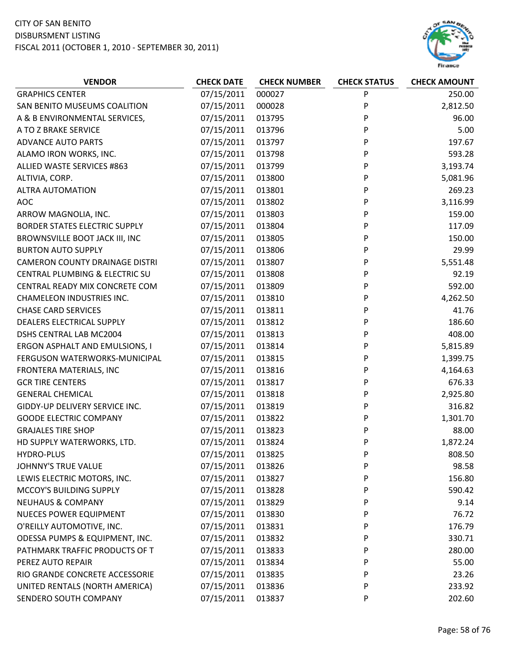

| <b>VENDOR</b>                         | <b>CHECK DATE</b> | <b>CHECK NUMBER</b> | <b>CHECK STATUS</b> | <b>CHECK AMOUNT</b> |
|---------------------------------------|-------------------|---------------------|---------------------|---------------------|
| <b>GRAPHICS CENTER</b>                | 07/15/2011        | 000027              | P                   | 250.00              |
| SAN BENITO MUSEUMS COALITION          | 07/15/2011        | 000028              | P                   | 2,812.50            |
| A & B ENVIRONMENTAL SERVICES,         | 07/15/2011        | 013795              | P                   | 96.00               |
| A TO Z BRAKE SERVICE                  | 07/15/2011        | 013796              | P                   | 5.00                |
| <b>ADVANCE AUTO PARTS</b>             | 07/15/2011        | 013797              | P                   | 197.67              |
| ALAMO IRON WORKS, INC.                | 07/15/2011        | 013798              | P                   | 593.28              |
| ALLIED WASTE SERVICES #863            | 07/15/2011        | 013799              | P                   | 3,193.74            |
| ALTIVIA, CORP.                        | 07/15/2011        | 013800              | P                   | 5,081.96            |
| <b>ALTRA AUTOMATION</b>               | 07/15/2011        | 013801              | P                   | 269.23              |
| <b>AOC</b>                            | 07/15/2011        | 013802              | P                   | 3,116.99            |
| ARROW MAGNOLIA, INC.                  | 07/15/2011        | 013803              | P                   | 159.00              |
| <b>BORDER STATES ELECTRIC SUPPLY</b>  | 07/15/2011        | 013804              | P                   | 117.09              |
| BROWNSVILLE BOOT JACK III, INC        | 07/15/2011        | 013805              | P                   | 150.00              |
| <b>BURTON AUTO SUPPLY</b>             | 07/15/2011        | 013806              | P                   | 29.99               |
| <b>CAMERON COUNTY DRAINAGE DISTRI</b> | 07/15/2011        | 013807              | P                   | 5,551.48            |
| CENTRAL PLUMBING & ELECTRIC SU        | 07/15/2011        | 013808              | P                   | 92.19               |
| CENTRAL READY MIX CONCRETE COM        | 07/15/2011        | 013809              | P                   | 592.00              |
| <b>CHAMELEON INDUSTRIES INC.</b>      | 07/15/2011        | 013810              | P                   | 4,262.50            |
| <b>CHASE CARD SERVICES</b>            | 07/15/2011        | 013811              | P                   | 41.76               |
| DEALERS ELECTRICAL SUPPLY             | 07/15/2011        | 013812              | P                   | 186.60              |
| DSHS CENTRAL LAB MC2004               | 07/15/2011        | 013813              | P                   | 408.00              |
| ERGON ASPHALT AND EMULSIONS, I        | 07/15/2011        | 013814              | P                   | 5,815.89            |
| FERGUSON WATERWORKS-MUNICIPAL         | 07/15/2011        | 013815              | P                   | 1,399.75            |
| FRONTERA MATERIALS, INC               | 07/15/2011        | 013816              | P                   | 4,164.63            |
| <b>GCR TIRE CENTERS</b>               | 07/15/2011        | 013817              | P                   | 676.33              |
| <b>GENERAL CHEMICAL</b>               | 07/15/2011        | 013818              | P                   | 2,925.80            |
| GIDDY-UP DELIVERY SERVICE INC.        | 07/15/2011        | 013819              | P                   | 316.82              |
| <b>GOODE ELECTRIC COMPANY</b>         | 07/15/2011        | 013822              | P                   | 1,301.70            |
| <b>GRAJALES TIRE SHOP</b>             | 07/15/2011        | 013823              | P                   | 88.00               |
| HD SUPPLY WATERWORKS, LTD.            | 07/15/2011        | 013824              | P                   | 1,872.24            |
| <b>HYDRO-PLUS</b>                     | 07/15/2011        | 013825              | P                   | 808.50              |
| JOHNNY'S TRUE VALUE                   | 07/15/2011        | 013826              | P                   | 98.58               |
| LEWIS ELECTRIC MOTORS, INC.           | 07/15/2011        | 013827              | P                   | 156.80              |
| MCCOY'S BUILDING SUPPLY               | 07/15/2011        | 013828              | P                   | 590.42              |
| <b>NEUHAUS &amp; COMPANY</b>          | 07/15/2011        | 013829              | P                   | 9.14                |
| <b>NUECES POWER EQUIPMENT</b>         | 07/15/2011        | 013830              | P                   | 76.72               |
| O'REILLY AUTOMOTIVE, INC.             | 07/15/2011        | 013831              | P                   | 176.79              |
| ODESSA PUMPS & EQUIPMENT, INC.        | 07/15/2011        | 013832              | P                   | 330.71              |
| PATHMARK TRAFFIC PRODUCTS OF T        | 07/15/2011        | 013833              | P                   | 280.00              |
| PEREZ AUTO REPAIR                     | 07/15/2011        | 013834              | P                   | 55.00               |
| RIO GRANDE CONCRETE ACCESSORIE        | 07/15/2011        | 013835              | P                   | 23.26               |
| UNITED RENTALS (NORTH AMERICA)        | 07/15/2011        | 013836              | P                   | 233.92              |
| SENDERO SOUTH COMPANY                 | 07/15/2011        | 013837              | P                   | 202.60              |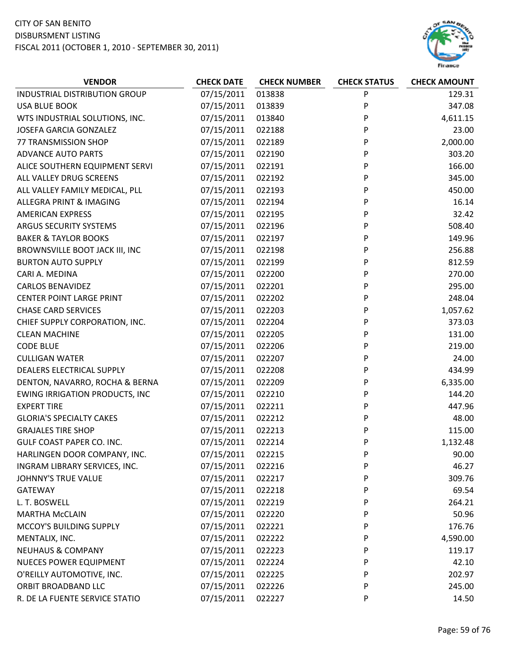

| <b>VENDOR</b>                         | <b>CHECK DATE</b> | <b>CHECK NUMBER</b> | <b>CHECK STATUS</b> | <b>CHECK AMOUNT</b> |
|---------------------------------------|-------------------|---------------------|---------------------|---------------------|
| INDUSTRIAL DISTRIBUTION GROUP         | 07/15/2011        | 013838              | P                   | 129.31              |
| <b>USA BLUE BOOK</b>                  | 07/15/2011        | 013839              | P                   | 347.08              |
| WTS INDUSTRIAL SOLUTIONS, INC.        | 07/15/2011        | 013840              | P                   | 4,611.15            |
| <b>JOSEFA GARCIA GONZALEZ</b>         | 07/15/2011        | 022188              | P                   | 23.00               |
| 77 TRANSMISSION SHOP                  | 07/15/2011        | 022189              | P                   | 2,000.00            |
| <b>ADVANCE AUTO PARTS</b>             | 07/15/2011        | 022190              | P                   | 303.20              |
| ALICE SOUTHERN EQUIPMENT SERVI        | 07/15/2011        | 022191              | P                   | 166.00              |
| ALL VALLEY DRUG SCREENS               | 07/15/2011        | 022192              | P                   | 345.00              |
| ALL VALLEY FAMILY MEDICAL, PLL        | 07/15/2011        | 022193              | P                   | 450.00              |
| ALLEGRA PRINT & IMAGING               | 07/15/2011        | 022194              | P                   | 16.14               |
| <b>AMERICAN EXPRESS</b>               | 07/15/2011        | 022195              | P                   | 32.42               |
| ARGUS SECURITY SYSTEMS                | 07/15/2011        | 022196              | P                   | 508.40              |
| <b>BAKER &amp; TAYLOR BOOKS</b>       | 07/15/2011        | 022197              | P                   | 149.96              |
| BROWNSVILLE BOOT JACK III, INC        | 07/15/2011        | 022198              | P                   | 256.88              |
| <b>BURTON AUTO SUPPLY</b>             | 07/15/2011        | 022199              | P                   | 812.59              |
| CARI A. MEDINA                        | 07/15/2011        | 022200              | P                   | 270.00              |
| <b>CARLOS BENAVIDEZ</b>               | 07/15/2011        | 022201              | P                   | 295.00              |
| <b>CENTER POINT LARGE PRINT</b>       | 07/15/2011        | 022202              | P                   | 248.04              |
| <b>CHASE CARD SERVICES</b>            | 07/15/2011        | 022203              | P                   | 1,057.62            |
| CHIEF SUPPLY CORPORATION, INC.        | 07/15/2011        | 022204              | P                   | 373.03              |
| <b>CLEAN MACHINE</b>                  | 07/15/2011        | 022205              | P                   | 131.00              |
| <b>CODE BLUE</b>                      | 07/15/2011        | 022206              | P                   | 219.00              |
| <b>CULLIGAN WATER</b>                 | 07/15/2011        | 022207              | P                   | 24.00               |
| DEALERS ELECTRICAL SUPPLY             | 07/15/2011        | 022208              | P                   | 434.99              |
| DENTON, NAVARRO, ROCHA & BERNA        | 07/15/2011        | 022209              | P                   | 6,335.00            |
| <b>EWING IRRIGATION PRODUCTS, INC</b> | 07/15/2011        | 022210              | P                   | 144.20              |
| <b>EXPERT TIRE</b>                    | 07/15/2011        | 022211              | P                   | 447.96              |
| <b>GLORIA'S SPECIALTY CAKES</b>       | 07/15/2011        | 022212              | P                   | 48.00               |
| <b>GRAJALES TIRE SHOP</b>             | 07/15/2011        | 022213              | P                   | 115.00              |
| <b>GULF COAST PAPER CO. INC.</b>      | 07/15/2011        | 022214              | P                   | 1,132.48            |
| HARLINGEN DOOR COMPANY, INC.          | 07/15/2011        | 022215              | P                   | 90.00               |
| INGRAM LIBRARY SERVICES, INC.         | 07/15/2011        | 022216              | P                   | 46.27               |
| <b>JOHNNY'S TRUE VALUE</b>            | 07/15/2011        | 022217              | P                   | 309.76              |
| <b>GATEWAY</b>                        | 07/15/2011        | 022218              | P                   | 69.54               |
| L. T. BOSWELL                         | 07/15/2011        | 022219              | P                   | 264.21              |
| <b>MARTHA McCLAIN</b>                 | 07/15/2011        | 022220              | P                   | 50.96               |
| MCCOY'S BUILDING SUPPLY               | 07/15/2011        | 022221              | P                   | 176.76              |
| MENTALIX, INC.                        | 07/15/2011        | 022222              | P                   | 4,590.00            |
| <b>NEUHAUS &amp; COMPANY</b>          | 07/15/2011        | 022223              | P                   | 119.17              |
| <b>NUECES POWER EQUIPMENT</b>         | 07/15/2011        | 022224              | P                   | 42.10               |
| O'REILLY AUTOMOTIVE, INC.             | 07/15/2011        | 022225              | P                   | 202.97              |
| ORBIT BROADBAND LLC                   | 07/15/2011        | 022226              | P                   | 245.00              |
| R. DE LA FUENTE SERVICE STATIO        | 07/15/2011        | 022227              | P                   | 14.50               |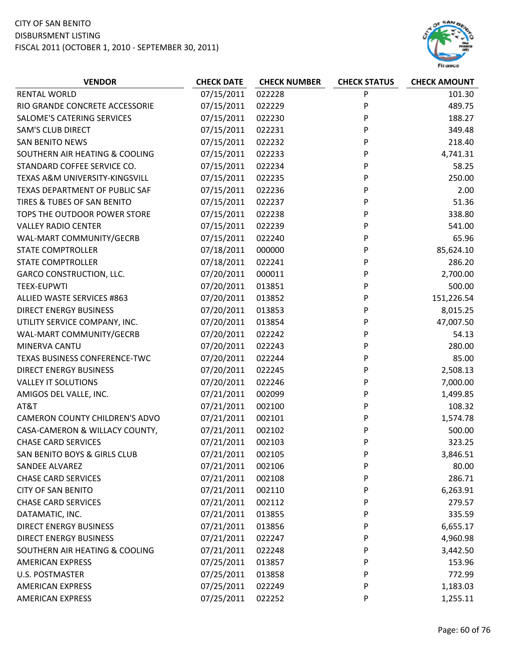

| <b>VENDOR</b>                         | <b>CHECK DATE</b> | <b>CHECK NUMBER</b> | <b>CHECK STATUS</b> | <b>CHECK AMOUNT</b> |
|---------------------------------------|-------------------|---------------------|---------------------|---------------------|
| <b>RENTAL WORLD</b>                   | 07/15/2011        | 022228              | P                   | 101.30              |
| RIO GRANDE CONCRETE ACCESSORIE        | 07/15/2011        | 022229              | P                   | 489.75              |
| SALOME'S CATERING SERVICES            | 07/15/2011        | 022230              | P                   | 188.27              |
| <b>SAM'S CLUB DIRECT</b>              | 07/15/2011        | 022231              | P                   | 349.48              |
| <b>SAN BENITO NEWS</b>                | 07/15/2011        | 022232              | P                   | 218.40              |
| SOUTHERN AIR HEATING & COOLING        | 07/15/2011        | 022233              | P                   | 4,741.31            |
| STANDARD COFFEE SERVICE CO.           | 07/15/2011        | 022234              | P                   | 58.25               |
| TEXAS A&M UNIVERSITY-KINGSVILL        | 07/15/2011        | 022235              | P                   | 250.00              |
| TEXAS DEPARTMENT OF PUBLIC SAF        | 07/15/2011        | 022236              | P                   | 2.00                |
| TIRES & TUBES OF SAN BENITO           | 07/15/2011        | 022237              | P                   | 51.36               |
| TOPS THE OUTDOOR POWER STORE          | 07/15/2011        | 022238              | P                   | 338.80              |
| <b>VALLEY RADIO CENTER</b>            | 07/15/2011        | 022239              | P                   | 541.00              |
| WAL-MART COMMUNITY/GECRB              | 07/15/2011        | 022240              | P                   | 65.96               |
| <b>STATE COMPTROLLER</b>              | 07/18/2011        | 000000              | P                   | 85,624.10           |
| <b>STATE COMPTROLLER</b>              | 07/18/2011        | 022241              | P                   | 286.20              |
| <b>GARCO CONSTRUCTION, LLC.</b>       | 07/20/2011        | 000011              | P                   | 2,700.00            |
| <b>TEEX-EUPWTI</b>                    | 07/20/2011        | 013851              | P                   | 500.00              |
| ALLIED WASTE SERVICES #863            | 07/20/2011        | 013852              | P                   | 151,226.54          |
| <b>DIRECT ENERGY BUSINESS</b>         | 07/20/2011        | 013853              | P                   | 8,015.25            |
| UTILITY SERVICE COMPANY, INC.         | 07/20/2011        | 013854              | P                   | 47,007.50           |
| WAL-MART COMMUNITY/GECRB              | 07/20/2011        | 022242              | P                   | 54.13               |
| MINERVA CANTU                         | 07/20/2011        | 022243              | P                   | 280.00              |
| TEXAS BUSINESS CONFERENCE-TWC         | 07/20/2011        | 022244              | P                   | 85.00               |
| <b>DIRECT ENERGY BUSINESS</b>         | 07/20/2011        | 022245              | P                   | 2,508.13            |
| <b>VALLEY IT SOLUTIONS</b>            | 07/20/2011        | 022246              | P                   | 7,000.00            |
| AMIGOS DEL VALLE, INC.                | 07/21/2011        | 002099              | P                   | 1,499.85            |
| AT&T                                  | 07/21/2011        | 002100              | P                   | 108.32              |
| <b>CAMERON COUNTY CHILDREN'S ADVO</b> | 07/21/2011        | 002101              | P                   | 1,574.78            |
| CASA-CAMERON & WILLACY COUNTY,        | 07/21/2011        | 002102              | P                   | 500.00              |
| <b>CHASE CARD SERVICES</b>            | 07/21/2011        | 002103              | P                   | 323.25              |
| SAN BENITO BOYS & GIRLS CLUB          | 07/21/2011        | 002105              | P                   | 3,846.51            |
| <b>SANDEE ALVAREZ</b>                 | 07/21/2011        | 002106              | P                   | 80.00               |
| <b>CHASE CARD SERVICES</b>            | 07/21/2011        | 002108              | P                   | 286.71              |
| <b>CITY OF SAN BENITO</b>             | 07/21/2011        | 002110              | P                   | 6,263.91            |
| <b>CHASE CARD SERVICES</b>            | 07/21/2011        | 002112              | P                   | 279.57              |
| DATAMATIC, INC.                       | 07/21/2011        | 013855              | P                   | 335.59              |
| <b>DIRECT ENERGY BUSINESS</b>         | 07/21/2011        | 013856              | P                   | 6,655.17            |
| <b>DIRECT ENERGY BUSINESS</b>         | 07/21/2011        | 022247              | P                   | 4,960.98            |
| SOUTHERN AIR HEATING & COOLING        | 07/21/2011        | 022248              | P                   | 3,442.50            |
| <b>AMERICAN EXPRESS</b>               | 07/25/2011        | 013857              | P                   | 153.96              |
| U.S. POSTMASTER                       | 07/25/2011        | 013858              | P                   | 772.99              |
| <b>AMERICAN EXPRESS</b>               | 07/25/2011        | 022249              | P                   | 1,183.03            |
| <b>AMERICAN EXPRESS</b>               | 07/25/2011        | 022252              | P                   | 1,255.11            |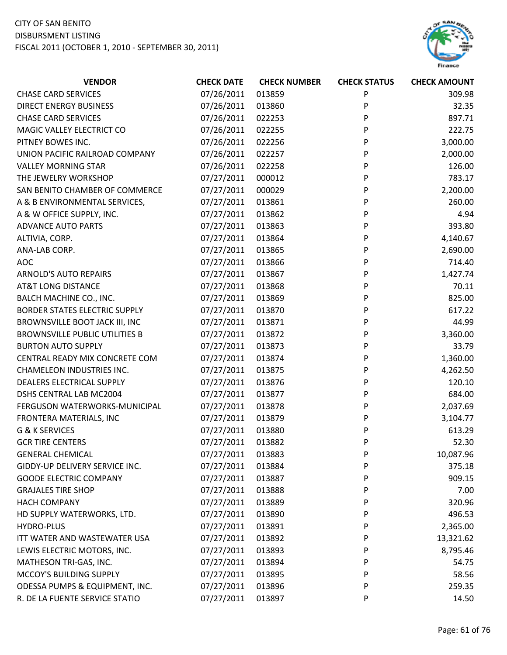

| <b>VENDOR</b>                         | <b>CHECK DATE</b> | <b>CHECK NUMBER</b> | <b>CHECK STATUS</b> | <b>CHECK AMOUNT</b> |
|---------------------------------------|-------------------|---------------------|---------------------|---------------------|
| <b>CHASE CARD SERVICES</b>            | 07/26/2011        | 013859              | P                   | 309.98              |
| <b>DIRECT ENERGY BUSINESS</b>         | 07/26/2011        | 013860              | P                   | 32.35               |
| <b>CHASE CARD SERVICES</b>            | 07/26/2011        | 022253              | P                   | 897.71              |
| MAGIC VALLEY ELECTRICT CO             | 07/26/2011        | 022255              | P                   | 222.75              |
| PITNEY BOWES INC.                     | 07/26/2011        | 022256              | P                   | 3,000.00            |
| UNION PACIFIC RAILROAD COMPANY        | 07/26/2011        | 022257              | P                   | 2,000.00            |
| <b>VALLEY MORNING STAR</b>            | 07/26/2011        | 022258              | P                   | 126.00              |
| THE JEWELRY WORKSHOP                  | 07/27/2011        | 000012              | P                   | 783.17              |
| SAN BENITO CHAMBER OF COMMERCE        | 07/27/2011        | 000029              | P                   | 2,200.00            |
| A & B ENVIRONMENTAL SERVICES,         | 07/27/2011        | 013861              | P                   | 260.00              |
| A & W OFFICE SUPPLY, INC.             | 07/27/2011        | 013862              | P                   | 4.94                |
| <b>ADVANCE AUTO PARTS</b>             | 07/27/2011        | 013863              | P                   | 393.80              |
| ALTIVIA, CORP.                        | 07/27/2011        | 013864              | P                   | 4,140.67            |
| ANA-LAB CORP.                         | 07/27/2011        | 013865              | P                   | 2,690.00            |
| <b>AOC</b>                            | 07/27/2011        | 013866              | P                   | 714.40              |
| <b>ARNOLD'S AUTO REPAIRS</b>          | 07/27/2011        | 013867              | P                   | 1,427.74            |
| <b>AT&amp;T LONG DISTANCE</b>         | 07/27/2011        | 013868              | P                   | 70.11               |
| <b>BALCH MACHINE CO., INC.</b>        | 07/27/2011        | 013869              | P                   | 825.00              |
| <b>BORDER STATES ELECTRIC SUPPLY</b>  | 07/27/2011        | 013870              | P                   | 617.22              |
| BROWNSVILLE BOOT JACK III, INC        | 07/27/2011        | 013871              | P                   | 44.99               |
| <b>BROWNSVILLE PUBLIC UTILITIES B</b> | 07/27/2011        | 013872              | P                   | 3,360.00            |
| <b>BURTON AUTO SUPPLY</b>             | 07/27/2011        | 013873              | P                   | 33.79               |
| CENTRAL READY MIX CONCRETE COM        | 07/27/2011        | 013874              | P                   | 1,360.00            |
| <b>CHAMELEON INDUSTRIES INC.</b>      | 07/27/2011        | 013875              | P                   | 4,262.50            |
| DEALERS ELECTRICAL SUPPLY             | 07/27/2011        | 013876              | P                   | 120.10              |
| DSHS CENTRAL LAB MC2004               | 07/27/2011        | 013877              | P                   | 684.00              |
| FERGUSON WATERWORKS-MUNICIPAL         | 07/27/2011        | 013878              | P                   | 2,037.69            |
| FRONTERA MATERIALS, INC               | 07/27/2011        | 013879              | P                   | 3,104.77            |
| G & K SERVICES                        | 07/27/2011        | 013880              | P                   | 613.29              |
| <b>GCR TIRE CENTERS</b>               | 07/27/2011        | 013882              | P                   | 52.30               |
| <b>GENERAL CHEMICAL</b>               | 07/27/2011        | 013883              | P                   | 10,087.96           |
| GIDDY-UP DELIVERY SERVICE INC.        | 07/27/2011        | 013884              | P                   | 375.18              |
| <b>GOODE ELECTRIC COMPANY</b>         | 07/27/2011        | 013887              | P                   | 909.15              |
| <b>GRAJALES TIRE SHOP</b>             | 07/27/2011        | 013888              | P                   | 7.00                |
| <b>HACH COMPANY</b>                   | 07/27/2011        | 013889              | P                   | 320.96              |
| HD SUPPLY WATERWORKS, LTD.            | 07/27/2011        | 013890              | P                   | 496.53              |
| <b>HYDRO-PLUS</b>                     | 07/27/2011        | 013891              | P                   | 2,365.00            |
| ITT WATER AND WASTEWATER USA          | 07/27/2011        | 013892              | P                   | 13,321.62           |
| LEWIS ELECTRIC MOTORS, INC.           | 07/27/2011        | 013893              | P                   | 8,795.46            |
| MATHESON TRI-GAS, INC.                | 07/27/2011        | 013894              | P                   | 54.75               |
| MCCOY'S BUILDING SUPPLY               | 07/27/2011        | 013895              | P                   | 58.56               |
| ODESSA PUMPS & EQUIPMENT, INC.        | 07/27/2011        | 013896              | P                   | 259.35              |
| R. DE LA FUENTE SERVICE STATIO        | 07/27/2011        | 013897              | P                   | 14.50               |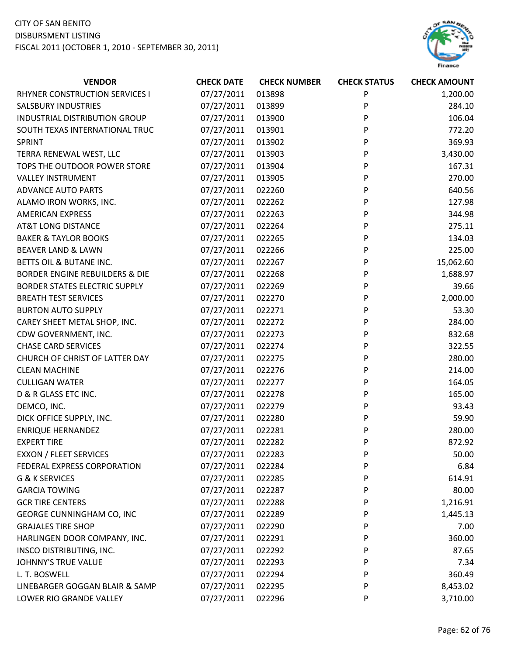

| <b>VENDOR</b>                             | <b>CHECK DATE</b> | <b>CHECK NUMBER</b> | <b>CHECK STATUS</b> | <b>CHECK AMOUNT</b> |
|-------------------------------------------|-------------------|---------------------|---------------------|---------------------|
| RHYNER CONSTRUCTION SERVICES I            | 07/27/2011        | 013898              | P                   | 1,200.00            |
| <b>SALSBURY INDUSTRIES</b>                | 07/27/2011        | 013899              | P                   | 284.10              |
| INDUSTRIAL DISTRIBUTION GROUP             | 07/27/2011        | 013900              | P                   | 106.04              |
| SOUTH TEXAS INTERNATIONAL TRUC            | 07/27/2011        | 013901              | P                   | 772.20              |
| <b>SPRINT</b>                             | 07/27/2011        | 013902              | P                   | 369.93              |
| TERRA RENEWAL WEST, LLC                   | 07/27/2011        | 013903              | P                   | 3,430.00            |
| TOPS THE OUTDOOR POWER STORE              | 07/27/2011        | 013904              | P                   | 167.31              |
| <b>VALLEY INSTRUMENT</b>                  | 07/27/2011        | 013905              | P                   | 270.00              |
| <b>ADVANCE AUTO PARTS</b>                 | 07/27/2011        | 022260              | P                   | 640.56              |
| ALAMO IRON WORKS, INC.                    | 07/27/2011        | 022262              | P                   | 127.98              |
| <b>AMERICAN EXPRESS</b>                   | 07/27/2011        | 022263              | P                   | 344.98              |
| <b>AT&amp;T LONG DISTANCE</b>             | 07/27/2011        | 022264              | P                   | 275.11              |
| <b>BAKER &amp; TAYLOR BOOKS</b>           | 07/27/2011        | 022265              | P                   | 134.03              |
| <b>BEAVER LAND &amp; LAWN</b>             | 07/27/2011        | 022266              | P                   | 225.00              |
| BETTS OIL & BUTANE INC.                   | 07/27/2011        | 022267              | P                   | 15,062.60           |
| <b>BORDER ENGINE REBUILDERS &amp; DIE</b> | 07/27/2011        | 022268              | P                   | 1,688.97            |
| <b>BORDER STATES ELECTRIC SUPPLY</b>      | 07/27/2011        | 022269              | P                   | 39.66               |
| <b>BREATH TEST SERVICES</b>               | 07/27/2011        | 022270              | P                   | 2,000.00            |
| <b>BURTON AUTO SUPPLY</b>                 | 07/27/2011        | 022271              | P                   | 53.30               |
| CAREY SHEET METAL SHOP, INC.              | 07/27/2011        | 022272              | P                   | 284.00              |
| CDW GOVERNMENT, INC.                      | 07/27/2011        | 022273              | P                   | 832.68              |
| <b>CHASE CARD SERVICES</b>                | 07/27/2011        | 022274              | P                   | 322.55              |
| CHURCH OF CHRIST OF LATTER DAY            | 07/27/2011        | 022275              | P                   | 280.00              |
| <b>CLEAN MACHINE</b>                      | 07/27/2011        | 022276              | P                   | 214.00              |
| <b>CULLIGAN WATER</b>                     | 07/27/2011        | 022277              | P                   | 164.05              |
| D & R GLASS ETC INC.                      | 07/27/2011        | 022278              | P                   | 165.00              |
| DEMCO, INC.                               | 07/27/2011        | 022279              | P                   | 93.43               |
| DICK OFFICE SUPPLY, INC.                  | 07/27/2011        | 022280              | P                   | 59.90               |
| <b>ENRIQUE HERNANDEZ</b>                  | 07/27/2011        | 022281              | P                   | 280.00              |
| <b>EXPERT TIRE</b>                        | 07/27/2011        | 022282              | P                   | 872.92              |
| <b>EXXON / FLEET SERVICES</b>             | 07/27/2011        | 022283              | P                   | 50.00               |
| FEDERAL EXPRESS CORPORATION               | 07/27/2011        | 022284              | P                   | 6.84                |
| G & K SERVICES                            | 07/27/2011        | 022285              | P                   | 614.91              |
| <b>GARCIA TOWING</b>                      | 07/27/2011        | 022287              | P                   | 80.00               |
| <b>GCR TIRE CENTERS</b>                   | 07/27/2011        | 022288              | P                   | 1,216.91            |
| GEORGE CUNNINGHAM CO, INC                 | 07/27/2011        | 022289              | P                   | 1,445.13            |
| <b>GRAJALES TIRE SHOP</b>                 | 07/27/2011        | 022290              | P                   | 7.00                |
| HARLINGEN DOOR COMPANY, INC.              | 07/27/2011        | 022291              | P                   | 360.00              |
| INSCO DISTRIBUTING, INC.                  | 07/27/2011        | 022292              | P                   | 87.65               |
| JOHNNY'S TRUE VALUE                       | 07/27/2011        | 022293              | P                   | 7.34                |
| L. T. BOSWELL                             | 07/27/2011        | 022294              | P                   | 360.49              |
| LINEBARGER GOGGAN BLAIR & SAMP            | 07/27/2011        | 022295              | P                   | 8,453.02            |
| LOWER RIO GRANDE VALLEY                   | 07/27/2011        | 022296              | P                   | 3,710.00            |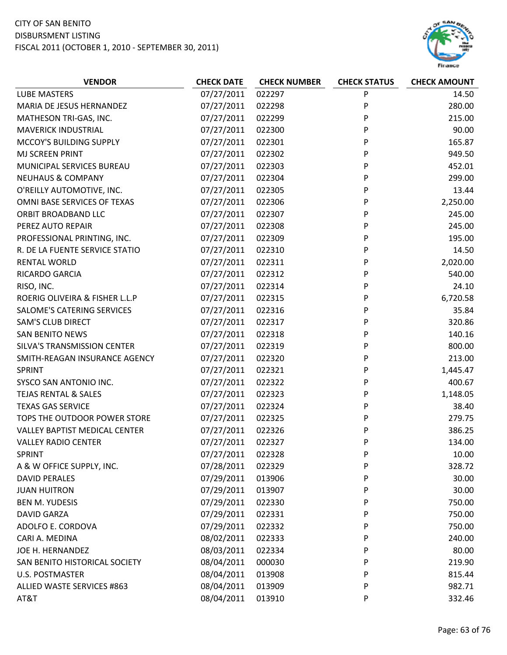

| <b>LUBE MASTERS</b><br>07/27/2011<br>022297<br>P<br>14.50<br>P<br>MARIA DE JESUS HERNANDEZ<br>07/27/2011<br>022298<br>280.00<br>07/27/2011<br>P<br>215.00<br>MATHESON TRI-GAS, INC.<br>022299<br>P<br><b>MAVERICK INDUSTRIAL</b><br>07/27/2011<br>022300<br>90.00<br>MCCOY'S BUILDING SUPPLY<br>07/27/2011<br>022301<br>P<br>165.87<br>MJ SCREEN PRINT<br>07/27/2011<br>022302<br>P<br>949.50<br>P<br>07/27/2011<br>022303<br>452.01<br>MUNICIPAL SERVICES BUREAU<br><b>NEUHAUS &amp; COMPANY</b><br>07/27/2011<br>022304<br>P<br>299.00<br>O'REILLY AUTOMOTIVE, INC.<br>07/27/2011<br>022305<br>P<br>13.44<br>OMNI BASE SERVICES OF TEXAS<br>07/27/2011<br>P<br>2,250.00<br>022306<br>P<br>245.00<br>ORBIT BROADBAND LLC<br>07/27/2011<br>022307<br>PEREZ AUTO REPAIR<br>07/27/2011<br>022308<br>P<br>245.00<br>P<br>PROFESSIONAL PRINTING, INC.<br>07/27/2011<br>022309<br>195.00<br>P<br>07/27/2011<br>022310<br>14.50<br>R. DE LA FUENTE SERVICE STATIO<br>2,020.00<br>07/27/2011<br>P<br><b>RENTAL WORLD</b><br>022311<br>P<br>07/27/2011<br>022312<br>540.00<br>RICARDO GARCIA<br>07/27/2011<br>022314<br>P<br>24.10<br>RISO, INC.<br>ROERIG OLIVEIRA & FISHER L.L.P<br>022315<br>P<br>6,720.58<br>07/27/2011<br>P<br>07/27/2011<br>022316<br>35.84<br>SALOME'S CATERING SERVICES<br><b>SAM'S CLUB DIRECT</b><br>07/27/2011<br>022317<br>P<br>320.86<br>P<br>07/27/2011<br>140.16<br><b>SAN BENITO NEWS</b><br>022318<br>SILVA'S TRANSMISSION CENTER<br>07/27/2011<br>022319<br>P<br>800.00<br>07/27/2011<br>022320<br>P<br>213.00<br>SMITH-REAGAN INSURANCE AGENCY<br>07/27/2011<br>022321<br>P<br>1,445.47<br><b>SPRINT</b><br>P<br>022322<br>400.67<br>SYSCO SAN ANTONIO INC.<br>07/27/2011<br>P<br>07/27/2011<br>022323<br>1,148.05<br>TEJAS RENTAL & SALES<br><b>TEXAS GAS SERVICE</b><br>07/27/2011<br>022324<br>P<br>38.40<br>07/27/2011<br>P<br>TOPS THE OUTDOOR POWER STORE<br>022325<br>279.75<br>07/27/2011<br>022326<br>386.25<br>VALLEY BAPTIST MEDICAL CENTER<br>P<br>07/27/2011<br>022327<br>P<br>134.00<br><b>VALLEY RADIO CENTER</b><br>07/27/2011<br>SPRINT<br>022328<br>P<br>10.00<br>07/28/2011<br>022329<br>328.72<br>A & W OFFICE SUPPLY, INC.<br>P<br>07/29/2011<br>30.00<br><b>DAVID PERALES</b><br>013906<br>P<br>07/29/2011<br>30.00<br><b>JUAN HUITRON</b><br>013907<br>P<br>07/29/2011<br>750.00<br><b>BEN M. YUDESIS</b><br>022330<br>P<br>07/29/2011<br><b>DAVID GARZA</b><br>022331<br>750.00<br>P<br>ADOLFO E. CORDOVA<br>07/29/2011<br>750.00<br>022332<br>P<br>CARI A. MEDINA<br>08/02/2011<br>022333<br>P<br>240.00<br>JOE H. HERNANDEZ<br>08/03/2011<br>80.00<br>022334<br>P<br>08/04/2011<br>219.90<br>SAN BENITO HISTORICAL SOCIETY<br>000030<br>P<br>08/04/2011<br><b>U.S. POSTMASTER</b><br>013908<br>815.44<br>P<br>08/04/2011<br>ALLIED WASTE SERVICES #863<br>013909<br>P<br>982.71 | <b>VENDOR</b> | <b>CHECK DATE</b> | <b>CHECK NUMBER</b> | <b>CHECK STATUS</b> | <b>CHECK AMOUNT</b> |
|--------------------------------------------------------------------------------------------------------------------------------------------------------------------------------------------------------------------------------------------------------------------------------------------------------------------------------------------------------------------------------------------------------------------------------------------------------------------------------------------------------------------------------------------------------------------------------------------------------------------------------------------------------------------------------------------------------------------------------------------------------------------------------------------------------------------------------------------------------------------------------------------------------------------------------------------------------------------------------------------------------------------------------------------------------------------------------------------------------------------------------------------------------------------------------------------------------------------------------------------------------------------------------------------------------------------------------------------------------------------------------------------------------------------------------------------------------------------------------------------------------------------------------------------------------------------------------------------------------------------------------------------------------------------------------------------------------------------------------------------------------------------------------------------------------------------------------------------------------------------------------------------------------------------------------------------------------------------------------------------------------------------------------------------------------------------------------------------------------------------------------------------------------------------------------------------------------------------------------------------------------------------------------------------------------------------------------------------------------------------------------------------------------------------------------------------------------------------------------------------------------------------------------------------------------------------------------------------------------------------------------------------------------------------------------------------------------------------------------------------------------------------------------------------------------------------------------------|---------------|-------------------|---------------------|---------------------|---------------------|
|                                                                                                                                                                                                                                                                                                                                                                                                                                                                                                                                                                                                                                                                                                                                                                                                                                                                                                                                                                                                                                                                                                                                                                                                                                                                                                                                                                                                                                                                                                                                                                                                                                                                                                                                                                                                                                                                                                                                                                                                                                                                                                                                                                                                                                                                                                                                                                                                                                                                                                                                                                                                                                                                                                                                                                                                                                      |               |                   |                     |                     |                     |
|                                                                                                                                                                                                                                                                                                                                                                                                                                                                                                                                                                                                                                                                                                                                                                                                                                                                                                                                                                                                                                                                                                                                                                                                                                                                                                                                                                                                                                                                                                                                                                                                                                                                                                                                                                                                                                                                                                                                                                                                                                                                                                                                                                                                                                                                                                                                                                                                                                                                                                                                                                                                                                                                                                                                                                                                                                      |               |                   |                     |                     |                     |
|                                                                                                                                                                                                                                                                                                                                                                                                                                                                                                                                                                                                                                                                                                                                                                                                                                                                                                                                                                                                                                                                                                                                                                                                                                                                                                                                                                                                                                                                                                                                                                                                                                                                                                                                                                                                                                                                                                                                                                                                                                                                                                                                                                                                                                                                                                                                                                                                                                                                                                                                                                                                                                                                                                                                                                                                                                      |               |                   |                     |                     |                     |
|                                                                                                                                                                                                                                                                                                                                                                                                                                                                                                                                                                                                                                                                                                                                                                                                                                                                                                                                                                                                                                                                                                                                                                                                                                                                                                                                                                                                                                                                                                                                                                                                                                                                                                                                                                                                                                                                                                                                                                                                                                                                                                                                                                                                                                                                                                                                                                                                                                                                                                                                                                                                                                                                                                                                                                                                                                      |               |                   |                     |                     |                     |
|                                                                                                                                                                                                                                                                                                                                                                                                                                                                                                                                                                                                                                                                                                                                                                                                                                                                                                                                                                                                                                                                                                                                                                                                                                                                                                                                                                                                                                                                                                                                                                                                                                                                                                                                                                                                                                                                                                                                                                                                                                                                                                                                                                                                                                                                                                                                                                                                                                                                                                                                                                                                                                                                                                                                                                                                                                      |               |                   |                     |                     |                     |
|                                                                                                                                                                                                                                                                                                                                                                                                                                                                                                                                                                                                                                                                                                                                                                                                                                                                                                                                                                                                                                                                                                                                                                                                                                                                                                                                                                                                                                                                                                                                                                                                                                                                                                                                                                                                                                                                                                                                                                                                                                                                                                                                                                                                                                                                                                                                                                                                                                                                                                                                                                                                                                                                                                                                                                                                                                      |               |                   |                     |                     |                     |
|                                                                                                                                                                                                                                                                                                                                                                                                                                                                                                                                                                                                                                                                                                                                                                                                                                                                                                                                                                                                                                                                                                                                                                                                                                                                                                                                                                                                                                                                                                                                                                                                                                                                                                                                                                                                                                                                                                                                                                                                                                                                                                                                                                                                                                                                                                                                                                                                                                                                                                                                                                                                                                                                                                                                                                                                                                      |               |                   |                     |                     |                     |
|                                                                                                                                                                                                                                                                                                                                                                                                                                                                                                                                                                                                                                                                                                                                                                                                                                                                                                                                                                                                                                                                                                                                                                                                                                                                                                                                                                                                                                                                                                                                                                                                                                                                                                                                                                                                                                                                                                                                                                                                                                                                                                                                                                                                                                                                                                                                                                                                                                                                                                                                                                                                                                                                                                                                                                                                                                      |               |                   |                     |                     |                     |
|                                                                                                                                                                                                                                                                                                                                                                                                                                                                                                                                                                                                                                                                                                                                                                                                                                                                                                                                                                                                                                                                                                                                                                                                                                                                                                                                                                                                                                                                                                                                                                                                                                                                                                                                                                                                                                                                                                                                                                                                                                                                                                                                                                                                                                                                                                                                                                                                                                                                                                                                                                                                                                                                                                                                                                                                                                      |               |                   |                     |                     |                     |
|                                                                                                                                                                                                                                                                                                                                                                                                                                                                                                                                                                                                                                                                                                                                                                                                                                                                                                                                                                                                                                                                                                                                                                                                                                                                                                                                                                                                                                                                                                                                                                                                                                                                                                                                                                                                                                                                                                                                                                                                                                                                                                                                                                                                                                                                                                                                                                                                                                                                                                                                                                                                                                                                                                                                                                                                                                      |               |                   |                     |                     |                     |
|                                                                                                                                                                                                                                                                                                                                                                                                                                                                                                                                                                                                                                                                                                                                                                                                                                                                                                                                                                                                                                                                                                                                                                                                                                                                                                                                                                                                                                                                                                                                                                                                                                                                                                                                                                                                                                                                                                                                                                                                                                                                                                                                                                                                                                                                                                                                                                                                                                                                                                                                                                                                                                                                                                                                                                                                                                      |               |                   |                     |                     |                     |
|                                                                                                                                                                                                                                                                                                                                                                                                                                                                                                                                                                                                                                                                                                                                                                                                                                                                                                                                                                                                                                                                                                                                                                                                                                                                                                                                                                                                                                                                                                                                                                                                                                                                                                                                                                                                                                                                                                                                                                                                                                                                                                                                                                                                                                                                                                                                                                                                                                                                                                                                                                                                                                                                                                                                                                                                                                      |               |                   |                     |                     |                     |
|                                                                                                                                                                                                                                                                                                                                                                                                                                                                                                                                                                                                                                                                                                                                                                                                                                                                                                                                                                                                                                                                                                                                                                                                                                                                                                                                                                                                                                                                                                                                                                                                                                                                                                                                                                                                                                                                                                                                                                                                                                                                                                                                                                                                                                                                                                                                                                                                                                                                                                                                                                                                                                                                                                                                                                                                                                      |               |                   |                     |                     |                     |
|                                                                                                                                                                                                                                                                                                                                                                                                                                                                                                                                                                                                                                                                                                                                                                                                                                                                                                                                                                                                                                                                                                                                                                                                                                                                                                                                                                                                                                                                                                                                                                                                                                                                                                                                                                                                                                                                                                                                                                                                                                                                                                                                                                                                                                                                                                                                                                                                                                                                                                                                                                                                                                                                                                                                                                                                                                      |               |                   |                     |                     |                     |
|                                                                                                                                                                                                                                                                                                                                                                                                                                                                                                                                                                                                                                                                                                                                                                                                                                                                                                                                                                                                                                                                                                                                                                                                                                                                                                                                                                                                                                                                                                                                                                                                                                                                                                                                                                                                                                                                                                                                                                                                                                                                                                                                                                                                                                                                                                                                                                                                                                                                                                                                                                                                                                                                                                                                                                                                                                      |               |                   |                     |                     |                     |
|                                                                                                                                                                                                                                                                                                                                                                                                                                                                                                                                                                                                                                                                                                                                                                                                                                                                                                                                                                                                                                                                                                                                                                                                                                                                                                                                                                                                                                                                                                                                                                                                                                                                                                                                                                                                                                                                                                                                                                                                                                                                                                                                                                                                                                                                                                                                                                                                                                                                                                                                                                                                                                                                                                                                                                                                                                      |               |                   |                     |                     |                     |
|                                                                                                                                                                                                                                                                                                                                                                                                                                                                                                                                                                                                                                                                                                                                                                                                                                                                                                                                                                                                                                                                                                                                                                                                                                                                                                                                                                                                                                                                                                                                                                                                                                                                                                                                                                                                                                                                                                                                                                                                                                                                                                                                                                                                                                                                                                                                                                                                                                                                                                                                                                                                                                                                                                                                                                                                                                      |               |                   |                     |                     |                     |
|                                                                                                                                                                                                                                                                                                                                                                                                                                                                                                                                                                                                                                                                                                                                                                                                                                                                                                                                                                                                                                                                                                                                                                                                                                                                                                                                                                                                                                                                                                                                                                                                                                                                                                                                                                                                                                                                                                                                                                                                                                                                                                                                                                                                                                                                                                                                                                                                                                                                                                                                                                                                                                                                                                                                                                                                                                      |               |                   |                     |                     |                     |
|                                                                                                                                                                                                                                                                                                                                                                                                                                                                                                                                                                                                                                                                                                                                                                                                                                                                                                                                                                                                                                                                                                                                                                                                                                                                                                                                                                                                                                                                                                                                                                                                                                                                                                                                                                                                                                                                                                                                                                                                                                                                                                                                                                                                                                                                                                                                                                                                                                                                                                                                                                                                                                                                                                                                                                                                                                      |               |                   |                     |                     |                     |
|                                                                                                                                                                                                                                                                                                                                                                                                                                                                                                                                                                                                                                                                                                                                                                                                                                                                                                                                                                                                                                                                                                                                                                                                                                                                                                                                                                                                                                                                                                                                                                                                                                                                                                                                                                                                                                                                                                                                                                                                                                                                                                                                                                                                                                                                                                                                                                                                                                                                                                                                                                                                                                                                                                                                                                                                                                      |               |                   |                     |                     |                     |
|                                                                                                                                                                                                                                                                                                                                                                                                                                                                                                                                                                                                                                                                                                                                                                                                                                                                                                                                                                                                                                                                                                                                                                                                                                                                                                                                                                                                                                                                                                                                                                                                                                                                                                                                                                                                                                                                                                                                                                                                                                                                                                                                                                                                                                                                                                                                                                                                                                                                                                                                                                                                                                                                                                                                                                                                                                      |               |                   |                     |                     |                     |
|                                                                                                                                                                                                                                                                                                                                                                                                                                                                                                                                                                                                                                                                                                                                                                                                                                                                                                                                                                                                                                                                                                                                                                                                                                                                                                                                                                                                                                                                                                                                                                                                                                                                                                                                                                                                                                                                                                                                                                                                                                                                                                                                                                                                                                                                                                                                                                                                                                                                                                                                                                                                                                                                                                                                                                                                                                      |               |                   |                     |                     |                     |
|                                                                                                                                                                                                                                                                                                                                                                                                                                                                                                                                                                                                                                                                                                                                                                                                                                                                                                                                                                                                                                                                                                                                                                                                                                                                                                                                                                                                                                                                                                                                                                                                                                                                                                                                                                                                                                                                                                                                                                                                                                                                                                                                                                                                                                                                                                                                                                                                                                                                                                                                                                                                                                                                                                                                                                                                                                      |               |                   |                     |                     |                     |
|                                                                                                                                                                                                                                                                                                                                                                                                                                                                                                                                                                                                                                                                                                                                                                                                                                                                                                                                                                                                                                                                                                                                                                                                                                                                                                                                                                                                                                                                                                                                                                                                                                                                                                                                                                                                                                                                                                                                                                                                                                                                                                                                                                                                                                                                                                                                                                                                                                                                                                                                                                                                                                                                                                                                                                                                                                      |               |                   |                     |                     |                     |
|                                                                                                                                                                                                                                                                                                                                                                                                                                                                                                                                                                                                                                                                                                                                                                                                                                                                                                                                                                                                                                                                                                                                                                                                                                                                                                                                                                                                                                                                                                                                                                                                                                                                                                                                                                                                                                                                                                                                                                                                                                                                                                                                                                                                                                                                                                                                                                                                                                                                                                                                                                                                                                                                                                                                                                                                                                      |               |                   |                     |                     |                     |
|                                                                                                                                                                                                                                                                                                                                                                                                                                                                                                                                                                                                                                                                                                                                                                                                                                                                                                                                                                                                                                                                                                                                                                                                                                                                                                                                                                                                                                                                                                                                                                                                                                                                                                                                                                                                                                                                                                                                                                                                                                                                                                                                                                                                                                                                                                                                                                                                                                                                                                                                                                                                                                                                                                                                                                                                                                      |               |                   |                     |                     |                     |
|                                                                                                                                                                                                                                                                                                                                                                                                                                                                                                                                                                                                                                                                                                                                                                                                                                                                                                                                                                                                                                                                                                                                                                                                                                                                                                                                                                                                                                                                                                                                                                                                                                                                                                                                                                                                                                                                                                                                                                                                                                                                                                                                                                                                                                                                                                                                                                                                                                                                                                                                                                                                                                                                                                                                                                                                                                      |               |                   |                     |                     |                     |
|                                                                                                                                                                                                                                                                                                                                                                                                                                                                                                                                                                                                                                                                                                                                                                                                                                                                                                                                                                                                                                                                                                                                                                                                                                                                                                                                                                                                                                                                                                                                                                                                                                                                                                                                                                                                                                                                                                                                                                                                                                                                                                                                                                                                                                                                                                                                                                                                                                                                                                                                                                                                                                                                                                                                                                                                                                      |               |                   |                     |                     |                     |
|                                                                                                                                                                                                                                                                                                                                                                                                                                                                                                                                                                                                                                                                                                                                                                                                                                                                                                                                                                                                                                                                                                                                                                                                                                                                                                                                                                                                                                                                                                                                                                                                                                                                                                                                                                                                                                                                                                                                                                                                                                                                                                                                                                                                                                                                                                                                                                                                                                                                                                                                                                                                                                                                                                                                                                                                                                      |               |                   |                     |                     |                     |
|                                                                                                                                                                                                                                                                                                                                                                                                                                                                                                                                                                                                                                                                                                                                                                                                                                                                                                                                                                                                                                                                                                                                                                                                                                                                                                                                                                                                                                                                                                                                                                                                                                                                                                                                                                                                                                                                                                                                                                                                                                                                                                                                                                                                                                                                                                                                                                                                                                                                                                                                                                                                                                                                                                                                                                                                                                      |               |                   |                     |                     |                     |
|                                                                                                                                                                                                                                                                                                                                                                                                                                                                                                                                                                                                                                                                                                                                                                                                                                                                                                                                                                                                                                                                                                                                                                                                                                                                                                                                                                                                                                                                                                                                                                                                                                                                                                                                                                                                                                                                                                                                                                                                                                                                                                                                                                                                                                                                                                                                                                                                                                                                                                                                                                                                                                                                                                                                                                                                                                      |               |                   |                     |                     |                     |
|                                                                                                                                                                                                                                                                                                                                                                                                                                                                                                                                                                                                                                                                                                                                                                                                                                                                                                                                                                                                                                                                                                                                                                                                                                                                                                                                                                                                                                                                                                                                                                                                                                                                                                                                                                                                                                                                                                                                                                                                                                                                                                                                                                                                                                                                                                                                                                                                                                                                                                                                                                                                                                                                                                                                                                                                                                      |               |                   |                     |                     |                     |
|                                                                                                                                                                                                                                                                                                                                                                                                                                                                                                                                                                                                                                                                                                                                                                                                                                                                                                                                                                                                                                                                                                                                                                                                                                                                                                                                                                                                                                                                                                                                                                                                                                                                                                                                                                                                                                                                                                                                                                                                                                                                                                                                                                                                                                                                                                                                                                                                                                                                                                                                                                                                                                                                                                                                                                                                                                      |               |                   |                     |                     |                     |
|                                                                                                                                                                                                                                                                                                                                                                                                                                                                                                                                                                                                                                                                                                                                                                                                                                                                                                                                                                                                                                                                                                                                                                                                                                                                                                                                                                                                                                                                                                                                                                                                                                                                                                                                                                                                                                                                                                                                                                                                                                                                                                                                                                                                                                                                                                                                                                                                                                                                                                                                                                                                                                                                                                                                                                                                                                      |               |                   |                     |                     |                     |
|                                                                                                                                                                                                                                                                                                                                                                                                                                                                                                                                                                                                                                                                                                                                                                                                                                                                                                                                                                                                                                                                                                                                                                                                                                                                                                                                                                                                                                                                                                                                                                                                                                                                                                                                                                                                                                                                                                                                                                                                                                                                                                                                                                                                                                                                                                                                                                                                                                                                                                                                                                                                                                                                                                                                                                                                                                      |               |                   |                     |                     |                     |
|                                                                                                                                                                                                                                                                                                                                                                                                                                                                                                                                                                                                                                                                                                                                                                                                                                                                                                                                                                                                                                                                                                                                                                                                                                                                                                                                                                                                                                                                                                                                                                                                                                                                                                                                                                                                                                                                                                                                                                                                                                                                                                                                                                                                                                                                                                                                                                                                                                                                                                                                                                                                                                                                                                                                                                                                                                      |               |                   |                     |                     |                     |
|                                                                                                                                                                                                                                                                                                                                                                                                                                                                                                                                                                                                                                                                                                                                                                                                                                                                                                                                                                                                                                                                                                                                                                                                                                                                                                                                                                                                                                                                                                                                                                                                                                                                                                                                                                                                                                                                                                                                                                                                                                                                                                                                                                                                                                                                                                                                                                                                                                                                                                                                                                                                                                                                                                                                                                                                                                      |               |                   |                     |                     |                     |
|                                                                                                                                                                                                                                                                                                                                                                                                                                                                                                                                                                                                                                                                                                                                                                                                                                                                                                                                                                                                                                                                                                                                                                                                                                                                                                                                                                                                                                                                                                                                                                                                                                                                                                                                                                                                                                                                                                                                                                                                                                                                                                                                                                                                                                                                                                                                                                                                                                                                                                                                                                                                                                                                                                                                                                                                                                      |               |                   |                     |                     |                     |
|                                                                                                                                                                                                                                                                                                                                                                                                                                                                                                                                                                                                                                                                                                                                                                                                                                                                                                                                                                                                                                                                                                                                                                                                                                                                                                                                                                                                                                                                                                                                                                                                                                                                                                                                                                                                                                                                                                                                                                                                                                                                                                                                                                                                                                                                                                                                                                                                                                                                                                                                                                                                                                                                                                                                                                                                                                      |               |                   |                     |                     |                     |
|                                                                                                                                                                                                                                                                                                                                                                                                                                                                                                                                                                                                                                                                                                                                                                                                                                                                                                                                                                                                                                                                                                                                                                                                                                                                                                                                                                                                                                                                                                                                                                                                                                                                                                                                                                                                                                                                                                                                                                                                                                                                                                                                                                                                                                                                                                                                                                                                                                                                                                                                                                                                                                                                                                                                                                                                                                      |               |                   |                     |                     |                     |
|                                                                                                                                                                                                                                                                                                                                                                                                                                                                                                                                                                                                                                                                                                                                                                                                                                                                                                                                                                                                                                                                                                                                                                                                                                                                                                                                                                                                                                                                                                                                                                                                                                                                                                                                                                                                                                                                                                                                                                                                                                                                                                                                                                                                                                                                                                                                                                                                                                                                                                                                                                                                                                                                                                                                                                                                                                      |               |                   |                     |                     |                     |
|                                                                                                                                                                                                                                                                                                                                                                                                                                                                                                                                                                                                                                                                                                                                                                                                                                                                                                                                                                                                                                                                                                                                                                                                                                                                                                                                                                                                                                                                                                                                                                                                                                                                                                                                                                                                                                                                                                                                                                                                                                                                                                                                                                                                                                                                                                                                                                                                                                                                                                                                                                                                                                                                                                                                                                                                                                      |               |                   |                     |                     |                     |
|                                                                                                                                                                                                                                                                                                                                                                                                                                                                                                                                                                                                                                                                                                                                                                                                                                                                                                                                                                                                                                                                                                                                                                                                                                                                                                                                                                                                                                                                                                                                                                                                                                                                                                                                                                                                                                                                                                                                                                                                                                                                                                                                                                                                                                                                                                                                                                                                                                                                                                                                                                                                                                                                                                                                                                                                                                      | AT&T          | 08/04/2011        | 013910              | P                   | 332.46              |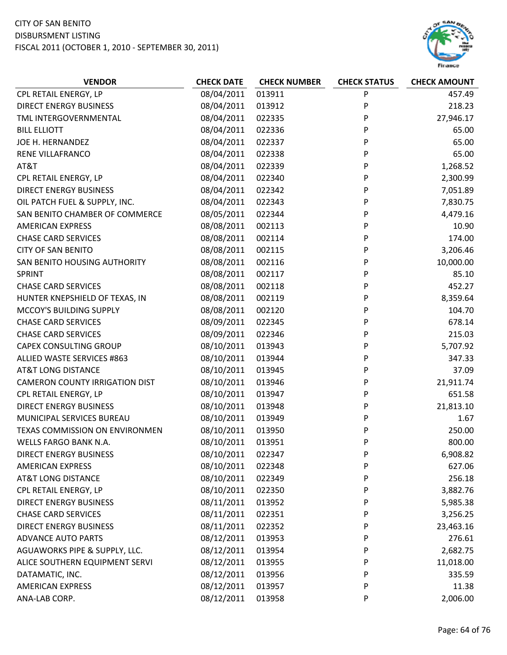

| <b>VENDOR</b>                         | <b>CHECK DATE</b> | <b>CHECK NUMBER</b> | <b>CHECK STATUS</b> | <b>CHECK AMOUNT</b> |
|---------------------------------------|-------------------|---------------------|---------------------|---------------------|
| CPL RETAIL ENERGY, LP                 | 08/04/2011        | 013911              | P                   | 457.49              |
| <b>DIRECT ENERGY BUSINESS</b>         | 08/04/2011        | 013912              | P                   | 218.23              |
| TML INTERGOVERNMENTAL                 | 08/04/2011        | 022335              | P                   | 27,946.17           |
| <b>BILL ELLIOTT</b>                   | 08/04/2011        | 022336              | P                   | 65.00               |
| JOE H. HERNANDEZ                      | 08/04/2011        | 022337              | P                   | 65.00               |
| RENE VILLAFRANCO                      | 08/04/2011        | 022338              | P                   | 65.00               |
| AT&T                                  | 08/04/2011        | 022339              | P                   | 1,268.52            |
| CPL RETAIL ENERGY, LP                 | 08/04/2011        | 022340              | P                   | 2,300.99            |
| <b>DIRECT ENERGY BUSINESS</b>         | 08/04/2011        | 022342              | P                   | 7,051.89            |
| OIL PATCH FUEL & SUPPLY, INC.         | 08/04/2011        | 022343              | P                   | 7,830.75            |
| SAN BENITO CHAMBER OF COMMERCE        | 08/05/2011        | 022344              | P                   | 4,479.16            |
| <b>AMERICAN EXPRESS</b>               | 08/08/2011        | 002113              | P                   | 10.90               |
| <b>CHASE CARD SERVICES</b>            | 08/08/2011        | 002114              | P                   | 174.00              |
| <b>CITY OF SAN BENITO</b>             | 08/08/2011        | 002115              | P                   | 3,206.46            |
| SAN BENITO HOUSING AUTHORITY          | 08/08/2011        | 002116              | P                   | 10,000.00           |
| <b>SPRINT</b>                         | 08/08/2011        | 002117              | P                   | 85.10               |
| <b>CHASE CARD SERVICES</b>            | 08/08/2011        | 002118              | P                   | 452.27              |
| HUNTER KNEPSHIELD OF TEXAS, IN        | 08/08/2011        | 002119              | P                   | 8,359.64            |
| MCCOY'S BUILDING SUPPLY               | 08/08/2011        | 002120              | P                   | 104.70              |
| <b>CHASE CARD SERVICES</b>            | 08/09/2011        | 022345              | P                   | 678.14              |
| <b>CHASE CARD SERVICES</b>            | 08/09/2011        | 022346              | P                   | 215.03              |
| <b>CAPEX CONSULTING GROUP</b>         | 08/10/2011        | 013943              | P                   | 5,707.92            |
| ALLIED WASTE SERVICES #863            | 08/10/2011        | 013944              | P                   | 347.33              |
| <b>AT&amp;T LONG DISTANCE</b>         | 08/10/2011        | 013945              | P                   | 37.09               |
| <b>CAMERON COUNTY IRRIGATION DIST</b> | 08/10/2011        | 013946              | P                   | 21,911.74           |
| CPL RETAIL ENERGY, LP                 | 08/10/2011        | 013947              | P                   | 651.58              |
| <b>DIRECT ENERGY BUSINESS</b>         | 08/10/2011        | 013948              | P                   | 21,813.10           |
| MUNICIPAL SERVICES BUREAU             | 08/10/2011        | 013949              | P                   | 1.67                |
| TEXAS COMMISSION ON ENVIRONMEN        | 08/10/2011        | 013950              | P                   | 250.00              |
| <b>WELLS FARGO BANK N.A.</b>          | 08/10/2011        | 013951              | P                   | 800.00              |
| <b>DIRECT ENERGY BUSINESS</b>         | 08/10/2011        | 022347              | P                   | 6,908.82            |
| <b>AMERICAN EXPRESS</b>               | 08/10/2011        | 022348              | P                   | 627.06              |
| <b>AT&amp;T LONG DISTANCE</b>         | 08/10/2011        | 022349              | P                   | 256.18              |
| CPL RETAIL ENERGY, LP                 | 08/10/2011        | 022350              | P                   | 3,882.76            |
| <b>DIRECT ENERGY BUSINESS</b>         | 08/11/2011        | 013952              | P                   | 5,985.38            |
| <b>CHASE CARD SERVICES</b>            | 08/11/2011        | 022351              | P                   | 3,256.25            |
| <b>DIRECT ENERGY BUSINESS</b>         | 08/11/2011        | 022352              | P                   | 23,463.16           |
| <b>ADVANCE AUTO PARTS</b>             | 08/12/2011        | 013953              | P                   | 276.61              |
| AGUAWORKS PIPE & SUPPLY, LLC.         | 08/12/2011        | 013954              | P                   | 2,682.75            |
| ALICE SOUTHERN EQUIPMENT SERVI        | 08/12/2011        | 013955              | P                   | 11,018.00           |
| DATAMATIC, INC.                       | 08/12/2011        | 013956              | P                   | 335.59              |
| <b>AMERICAN EXPRESS</b>               | 08/12/2011        | 013957              | P                   | 11.38               |
| ANA-LAB CORP.                         | 08/12/2011        | 013958              | P                   | 2,006.00            |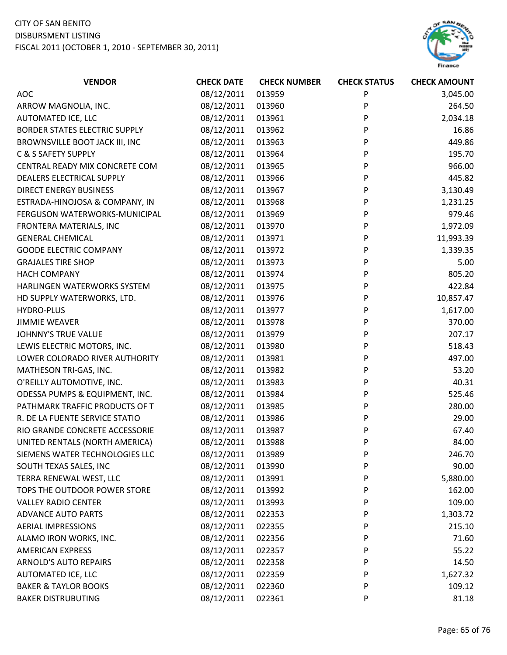

| <b>VENDOR</b>                   | <b>CHECK DATE</b> | <b>CHECK NUMBER</b> | <b>CHECK STATUS</b> | <b>CHECK AMOUNT</b> |
|---------------------------------|-------------------|---------------------|---------------------|---------------------|
| AOC                             | 08/12/2011        | 013959              | P                   | 3,045.00            |
| ARROW MAGNOLIA, INC.            | 08/12/2011        | 013960              | P                   | 264.50              |
| AUTOMATED ICE, LLC              | 08/12/2011        | 013961              | P                   | 2,034.18            |
| BORDER STATES ELECTRIC SUPPLY   | 08/12/2011        | 013962              | P                   | 16.86               |
| BROWNSVILLE BOOT JACK III, INC  | 08/12/2011        | 013963              | P                   | 449.86              |
| C & S SAFETY SUPPLY             | 08/12/2011        | 013964              | P                   | 195.70              |
| CENTRAL READY MIX CONCRETE COM  | 08/12/2011        | 013965              | P                   | 966.00              |
| DEALERS ELECTRICAL SUPPLY       | 08/12/2011        | 013966              | P                   | 445.82              |
| <b>DIRECT ENERGY BUSINESS</b>   | 08/12/2011        | 013967              | P                   | 3,130.49            |
| ESTRADA-HINOJOSA & COMPANY, IN  | 08/12/2011        | 013968              | P                   | 1,231.25            |
| FERGUSON WATERWORKS-MUNICIPAL   | 08/12/2011        | 013969              | P                   | 979.46              |
| FRONTERA MATERIALS, INC         | 08/12/2011        | 013970              | P                   | 1,972.09            |
| <b>GENERAL CHEMICAL</b>         | 08/12/2011        | 013971              | P                   | 11,993.39           |
| <b>GOODE ELECTRIC COMPANY</b>   | 08/12/2011        | 013972              | P                   | 1,339.35            |
| <b>GRAJALES TIRE SHOP</b>       | 08/12/2011        | 013973              | P                   | 5.00                |
| <b>HACH COMPANY</b>             | 08/12/2011        | 013974              | P                   | 805.20              |
| HARLINGEN WATERWORKS SYSTEM     | 08/12/2011        | 013975              | P                   | 422.84              |
| HD SUPPLY WATERWORKS, LTD.      | 08/12/2011        | 013976              | P                   | 10,857.47           |
| <b>HYDRO-PLUS</b>               | 08/12/2011        | 013977              | P                   | 1,617.00            |
| <b>JIMMIE WEAVER</b>            | 08/12/2011        | 013978              | P                   | 370.00              |
| JOHNNY'S TRUE VALUE             | 08/12/2011        | 013979              | P                   | 207.17              |
| LEWIS ELECTRIC MOTORS, INC.     | 08/12/2011        | 013980              | P                   | 518.43              |
| LOWER COLORADO RIVER AUTHORITY  | 08/12/2011        | 013981              | P                   | 497.00              |
| MATHESON TRI-GAS, INC.          | 08/12/2011        | 013982              | P                   | 53.20               |
| O'REILLY AUTOMOTIVE, INC.       | 08/12/2011        | 013983              | P                   | 40.31               |
| ODESSA PUMPS & EQUIPMENT, INC.  | 08/12/2011        | 013984              | P                   | 525.46              |
| PATHMARK TRAFFIC PRODUCTS OF T  | 08/12/2011        | 013985              | P                   | 280.00              |
| R. DE LA FUENTE SERVICE STATIO  | 08/12/2011        | 013986              | P                   | 29.00               |
| RIO GRANDE CONCRETE ACCESSORIE  | 08/12/2011        | 013987              | P                   | 67.40               |
| UNITED RENTALS (NORTH AMERICA)  | 08/12/2011        | 013988              | P                   | 84.00               |
| SIEMENS WATER TECHNOLOGIES LLC  | 08/12/2011        | 013989              | P                   | 246.70              |
| SOUTH TEXAS SALES, INC          | 08/12/2011        | 013990              | P                   | 90.00               |
| TERRA RENEWAL WEST, LLC         | 08/12/2011        | 013991              | P                   | 5,880.00            |
| TOPS THE OUTDOOR POWER STORE    | 08/12/2011        | 013992              | P                   | 162.00              |
| <b>VALLEY RADIO CENTER</b>      | 08/12/2011        | 013993              | P                   | 109.00              |
| <b>ADVANCE AUTO PARTS</b>       | 08/12/2011        | 022353              | P                   | 1,303.72            |
| <b>AERIAL IMPRESSIONS</b>       | 08/12/2011        | 022355              | P                   | 215.10              |
| ALAMO IRON WORKS, INC.          | 08/12/2011        | 022356              | P                   | 71.60               |
| <b>AMERICAN EXPRESS</b>         | 08/12/2011        | 022357              | P                   | 55.22               |
| <b>ARNOLD'S AUTO REPAIRS</b>    | 08/12/2011        | 022358              | P                   | 14.50               |
| AUTOMATED ICE, LLC              | 08/12/2011        | 022359              | P                   | 1,627.32            |
| <b>BAKER &amp; TAYLOR BOOKS</b> | 08/12/2011        | 022360              | P                   | 109.12              |
| <b>BAKER DISTRUBUTING</b>       | 08/12/2011        | 022361              | P                   | 81.18               |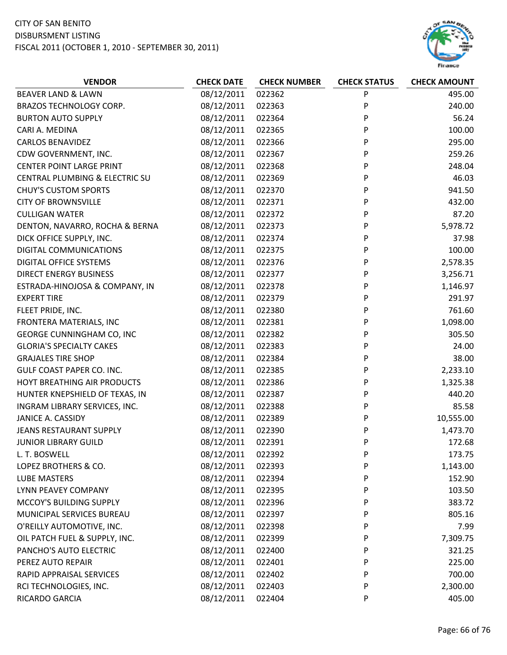

| <b>VENDOR</b>                   | <b>CHECK DATE</b> | <b>CHECK NUMBER</b> | <b>CHECK STATUS</b> | <b>CHECK AMOUNT</b> |
|---------------------------------|-------------------|---------------------|---------------------|---------------------|
| <b>BEAVER LAND &amp; LAWN</b>   | 08/12/2011        | 022362              | P                   | 495.00              |
| BRAZOS TECHNOLOGY CORP.         | 08/12/2011        | 022363              | P                   | 240.00              |
| <b>BURTON AUTO SUPPLY</b>       | 08/12/2011        | 022364              | P                   | 56.24               |
| CARI A. MEDINA                  | 08/12/2011        | 022365              | P                   | 100.00              |
| <b>CARLOS BENAVIDEZ</b>         | 08/12/2011        | 022366              | P                   | 295.00              |
| CDW GOVERNMENT, INC.            | 08/12/2011        | 022367              | P                   | 259.26              |
| <b>CENTER POINT LARGE PRINT</b> | 08/12/2011        | 022368              | P                   | 248.04              |
| CENTRAL PLUMBING & ELECTRIC SU  | 08/12/2011        | 022369              | P                   | 46.03               |
| <b>CHUY'S CUSTOM SPORTS</b>     | 08/12/2011        | 022370              | P                   | 941.50              |
| <b>CITY OF BROWNSVILLE</b>      | 08/12/2011        | 022371              | P                   | 432.00              |
| <b>CULLIGAN WATER</b>           | 08/12/2011        | 022372              | P                   | 87.20               |
| DENTON, NAVARRO, ROCHA & BERNA  | 08/12/2011        | 022373              | P                   | 5,978.72            |
| DICK OFFICE SUPPLY, INC.        | 08/12/2011        | 022374              | P                   | 37.98               |
| DIGITAL COMMUNICATIONS          | 08/12/2011        | 022375              | P                   | 100.00              |
| <b>DIGITAL OFFICE SYSTEMS</b>   | 08/12/2011        | 022376              | P                   | 2,578.35            |
| <b>DIRECT ENERGY BUSINESS</b>   | 08/12/2011        | 022377              | P                   | 3,256.71            |
| ESTRADA-HINOJOSA & COMPANY, IN  | 08/12/2011        | 022378              | P                   | 1,146.97            |
| <b>EXPERT TIRE</b>              | 08/12/2011        | 022379              | P                   | 291.97              |
| FLEET PRIDE, INC.               | 08/12/2011        | 022380              | P                   | 761.60              |
| FRONTERA MATERIALS, INC         | 08/12/2011        | 022381              | P                   | 1,098.00            |
| GEORGE CUNNINGHAM CO, INC       | 08/12/2011        | 022382              | P                   | 305.50              |
| <b>GLORIA'S SPECIALTY CAKES</b> | 08/12/2011        | 022383              | P                   | 24.00               |
| <b>GRAJALES TIRE SHOP</b>       | 08/12/2011        | 022384              | P                   | 38.00               |
| GULF COAST PAPER CO. INC.       | 08/12/2011        | 022385              | P                   | 2,233.10            |
| HOYT BREATHING AIR PRODUCTS     | 08/12/2011        | 022386              | P                   | 1,325.38            |
| HUNTER KNEPSHIELD OF TEXAS, IN  | 08/12/2011        | 022387              | P                   | 440.20              |
| INGRAM LIBRARY SERVICES, INC.   | 08/12/2011        | 022388              | P                   | 85.58               |
| JANICE A. CASSIDY               | 08/12/2011        | 022389              | P                   | 10,555.00           |
| JEANS RESTAURANT SUPPLY         | 08/12/2011        | 022390              | P                   | 1,473.70            |
| <b>JUNIOR LIBRARY GUILD</b>     | 08/12/2011        | 022391              | P                   | 172.68              |
| L. T. BOSWELL                   | 08/12/2011        | 022392              | P                   | 173.75              |
| LOPEZ BROTHERS & CO.            | 08/12/2011        | 022393              | P                   | 1,143.00            |
| <b>LUBE MASTERS</b>             | 08/12/2011        | 022394              | P                   | 152.90              |
| LYNN PEAVEY COMPANY             | 08/12/2011        | 022395              | P                   | 103.50              |
| MCCOY'S BUILDING SUPPLY         | 08/12/2011        | 022396              | P                   | 383.72              |
| MUNICIPAL SERVICES BUREAU       | 08/12/2011        | 022397              | P                   | 805.16              |
| O'REILLY AUTOMOTIVE, INC.       | 08/12/2011        | 022398              | P                   | 7.99                |
| OIL PATCH FUEL & SUPPLY, INC.   | 08/12/2011        | 022399              | P                   | 7,309.75            |
| PANCHO'S AUTO ELECTRIC          | 08/12/2011        | 022400              | P                   | 321.25              |
| PEREZ AUTO REPAIR               | 08/12/2011        | 022401              | P                   | 225.00              |
| RAPID APPRAISAL SERVICES        | 08/12/2011        | 022402              | P                   | 700.00              |
| RCI TECHNOLOGIES, INC.          | 08/12/2011        | 022403              | P                   | 2,300.00            |
| RICARDO GARCIA                  | 08/12/2011        | 022404              | P                   | 405.00              |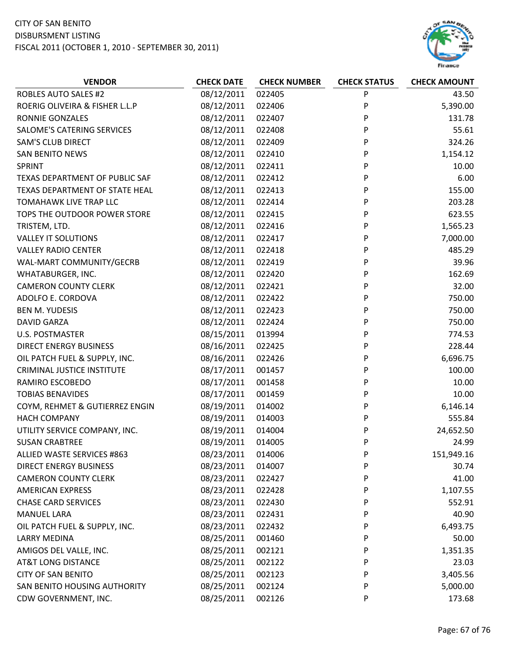

| P<br><b>ROBLES AUTO SALES #2</b><br>08/12/2011<br>022405<br>43.50<br>08/12/2011<br>P<br>5,390.00<br>ROERIG OLIVEIRA & FISHER L.L.P<br>022406<br>08/12/2011<br>022407<br>P<br>RONNIE GONZALES<br>131.78<br><b>SALOME'S CATERING SERVICES</b><br>08/12/2011<br>022408<br>P<br>55.61<br><b>SAM'S CLUB DIRECT</b><br>08/12/2011<br>022409<br>P<br>324.26<br><b>SAN BENITO NEWS</b><br>08/12/2011<br>022410<br>P<br>1,154.12<br>08/12/2011<br>022411<br>P<br>10.00<br>SPRINT<br>TEXAS DEPARTMENT OF PUBLIC SAF<br>08/12/2011<br>022412<br>P<br>6.00<br>08/12/2011<br>022413<br>P<br>155.00<br>TEXAS DEPARTMENT OF STATE HEAL<br>08/12/2011<br>022414<br>P<br>TOMAHAWK LIVE TRAP LLC<br>203.28<br>TOPS THE OUTDOOR POWER STORE<br>08/12/2011<br>022415<br>P<br>623.55<br>08/12/2011<br>022416<br>P<br>1,565.23<br>TRISTEM, LTD.<br><b>VALLEY IT SOLUTIONS</b><br>08/12/2011<br>022417<br>P<br>7,000.00<br>08/12/2011<br>022418<br>P<br>485.29<br><b>VALLEY RADIO CENTER</b><br>08/12/2011<br>022419<br>P<br>39.96<br>WAL-MART COMMUNITY/GECRB<br>P<br>08/12/2011<br>022420<br>162.69<br>WHATABURGER, INC. |
|-----------------------------------------------------------------------------------------------------------------------------------------------------------------------------------------------------------------------------------------------------------------------------------------------------------------------------------------------------------------------------------------------------------------------------------------------------------------------------------------------------------------------------------------------------------------------------------------------------------------------------------------------------------------------------------------------------------------------------------------------------------------------------------------------------------------------------------------------------------------------------------------------------------------------------------------------------------------------------------------------------------------------------------------------------------------------------------------------------|
|                                                                                                                                                                                                                                                                                                                                                                                                                                                                                                                                                                                                                                                                                                                                                                                                                                                                                                                                                                                                                                                                                                     |
|                                                                                                                                                                                                                                                                                                                                                                                                                                                                                                                                                                                                                                                                                                                                                                                                                                                                                                                                                                                                                                                                                                     |
|                                                                                                                                                                                                                                                                                                                                                                                                                                                                                                                                                                                                                                                                                                                                                                                                                                                                                                                                                                                                                                                                                                     |
|                                                                                                                                                                                                                                                                                                                                                                                                                                                                                                                                                                                                                                                                                                                                                                                                                                                                                                                                                                                                                                                                                                     |
|                                                                                                                                                                                                                                                                                                                                                                                                                                                                                                                                                                                                                                                                                                                                                                                                                                                                                                                                                                                                                                                                                                     |
|                                                                                                                                                                                                                                                                                                                                                                                                                                                                                                                                                                                                                                                                                                                                                                                                                                                                                                                                                                                                                                                                                                     |
|                                                                                                                                                                                                                                                                                                                                                                                                                                                                                                                                                                                                                                                                                                                                                                                                                                                                                                                                                                                                                                                                                                     |
|                                                                                                                                                                                                                                                                                                                                                                                                                                                                                                                                                                                                                                                                                                                                                                                                                                                                                                                                                                                                                                                                                                     |
|                                                                                                                                                                                                                                                                                                                                                                                                                                                                                                                                                                                                                                                                                                                                                                                                                                                                                                                                                                                                                                                                                                     |
|                                                                                                                                                                                                                                                                                                                                                                                                                                                                                                                                                                                                                                                                                                                                                                                                                                                                                                                                                                                                                                                                                                     |
|                                                                                                                                                                                                                                                                                                                                                                                                                                                                                                                                                                                                                                                                                                                                                                                                                                                                                                                                                                                                                                                                                                     |
|                                                                                                                                                                                                                                                                                                                                                                                                                                                                                                                                                                                                                                                                                                                                                                                                                                                                                                                                                                                                                                                                                                     |
|                                                                                                                                                                                                                                                                                                                                                                                                                                                                                                                                                                                                                                                                                                                                                                                                                                                                                                                                                                                                                                                                                                     |
|                                                                                                                                                                                                                                                                                                                                                                                                                                                                                                                                                                                                                                                                                                                                                                                                                                                                                                                                                                                                                                                                                                     |
|                                                                                                                                                                                                                                                                                                                                                                                                                                                                                                                                                                                                                                                                                                                                                                                                                                                                                                                                                                                                                                                                                                     |
|                                                                                                                                                                                                                                                                                                                                                                                                                                                                                                                                                                                                                                                                                                                                                                                                                                                                                                                                                                                                                                                                                                     |
| 08/12/2011<br>022421<br>P<br>32.00<br><b>CAMERON COUNTY CLERK</b>                                                                                                                                                                                                                                                                                                                                                                                                                                                                                                                                                                                                                                                                                                                                                                                                                                                                                                                                                                                                                                   |
| ADOLFO E. CORDOVA<br>08/12/2011<br>022422<br>P<br>750.00                                                                                                                                                                                                                                                                                                                                                                                                                                                                                                                                                                                                                                                                                                                                                                                                                                                                                                                                                                                                                                            |
| P<br>08/12/2011<br>022423<br>750.00<br><b>BEN M. YUDESIS</b>                                                                                                                                                                                                                                                                                                                                                                                                                                                                                                                                                                                                                                                                                                                                                                                                                                                                                                                                                                                                                                        |
| 08/12/2011<br>022424<br>P<br>750.00<br><b>DAVID GARZA</b>                                                                                                                                                                                                                                                                                                                                                                                                                                                                                                                                                                                                                                                                                                                                                                                                                                                                                                                                                                                                                                           |
| P<br>08/15/2011<br>013994<br>774.53<br><b>U.S. POSTMASTER</b>                                                                                                                                                                                                                                                                                                                                                                                                                                                                                                                                                                                                                                                                                                                                                                                                                                                                                                                                                                                                                                       |
| <b>DIRECT ENERGY BUSINESS</b><br>08/16/2011<br>022425<br>P<br>228.44                                                                                                                                                                                                                                                                                                                                                                                                                                                                                                                                                                                                                                                                                                                                                                                                                                                                                                                                                                                                                                |
| OIL PATCH FUEL & SUPPLY, INC.<br>08/16/2011<br>P<br>6,696.75<br>022426                                                                                                                                                                                                                                                                                                                                                                                                                                                                                                                                                                                                                                                                                                                                                                                                                                                                                                                                                                                                                              |
| <b>CRIMINAL JUSTICE INSTITUTE</b><br>08/17/2011<br>001457<br>P<br>100.00                                                                                                                                                                                                                                                                                                                                                                                                                                                                                                                                                                                                                                                                                                                                                                                                                                                                                                                                                                                                                            |
| 08/17/2011<br>001458<br>P<br>10.00<br>RAMIRO ESCOBEDO                                                                                                                                                                                                                                                                                                                                                                                                                                                                                                                                                                                                                                                                                                                                                                                                                                                                                                                                                                                                                                               |
| 08/17/2011<br>001459<br>P<br>10.00<br><b>TOBIAS BENAVIDES</b>                                                                                                                                                                                                                                                                                                                                                                                                                                                                                                                                                                                                                                                                                                                                                                                                                                                                                                                                                                                                                                       |
| 08/19/2011<br>014002<br>6,146.14<br>COYM, REHMET & GUTIERREZ ENGIN<br>P                                                                                                                                                                                                                                                                                                                                                                                                                                                                                                                                                                                                                                                                                                                                                                                                                                                                                                                                                                                                                             |
| 08/19/2011<br>P<br>555.84<br><b>HACH COMPANY</b><br>014003                                                                                                                                                                                                                                                                                                                                                                                                                                                                                                                                                                                                                                                                                                                                                                                                                                                                                                                                                                                                                                          |
| 08/19/2011<br>24,652.50<br>UTILITY SERVICE COMPANY, INC.<br>014004<br>P                                                                                                                                                                                                                                                                                                                                                                                                                                                                                                                                                                                                                                                                                                                                                                                                                                                                                                                                                                                                                             |
| 08/19/2011<br>014005<br>P<br><b>SUSAN CRABTREE</b><br>24.99                                                                                                                                                                                                                                                                                                                                                                                                                                                                                                                                                                                                                                                                                                                                                                                                                                                                                                                                                                                                                                         |
| <b>ALLIED WASTE SERVICES #863</b><br>08/23/2011<br>014006<br>P<br>151,949.16                                                                                                                                                                                                                                                                                                                                                                                                                                                                                                                                                                                                                                                                                                                                                                                                                                                                                                                                                                                                                        |
| 08/23/2011<br>30.74<br><b>DIRECT ENERGY BUSINESS</b><br>014007<br>P                                                                                                                                                                                                                                                                                                                                                                                                                                                                                                                                                                                                                                                                                                                                                                                                                                                                                                                                                                                                                                 |
| 08/23/2011<br><b>CAMERON COUNTY CLERK</b><br>P<br>41.00<br>022427                                                                                                                                                                                                                                                                                                                                                                                                                                                                                                                                                                                                                                                                                                                                                                                                                                                                                                                                                                                                                                   |
| 08/23/2011<br><b>AMERICAN EXPRESS</b><br>022428<br>1,107.55<br>P                                                                                                                                                                                                                                                                                                                                                                                                                                                                                                                                                                                                                                                                                                                                                                                                                                                                                                                                                                                                                                    |
| 08/23/2011<br><b>CHASE CARD SERVICES</b><br>022430<br>P<br>552.91                                                                                                                                                                                                                                                                                                                                                                                                                                                                                                                                                                                                                                                                                                                                                                                                                                                                                                                                                                                                                                   |
| 08/23/2011<br><b>MANUEL LARA</b><br>022431<br>40.90<br>P                                                                                                                                                                                                                                                                                                                                                                                                                                                                                                                                                                                                                                                                                                                                                                                                                                                                                                                                                                                                                                            |
| 08/23/2011<br>6,493.75<br>OIL PATCH FUEL & SUPPLY, INC.<br>022432<br>P                                                                                                                                                                                                                                                                                                                                                                                                                                                                                                                                                                                                                                                                                                                                                                                                                                                                                                                                                                                                                              |
| 08/25/2011<br><b>LARRY MEDINA</b><br>001460<br>P<br>50.00                                                                                                                                                                                                                                                                                                                                                                                                                                                                                                                                                                                                                                                                                                                                                                                                                                                                                                                                                                                                                                           |
| 08/25/2011<br>AMIGOS DEL VALLE, INC.<br>002121<br>P<br>1,351.35                                                                                                                                                                                                                                                                                                                                                                                                                                                                                                                                                                                                                                                                                                                                                                                                                                                                                                                                                                                                                                     |
| <b>AT&amp;T LONG DISTANCE</b><br>08/25/2011<br>P<br>23.03<br>002122                                                                                                                                                                                                                                                                                                                                                                                                                                                                                                                                                                                                                                                                                                                                                                                                                                                                                                                                                                                                                                 |
| 08/25/2011<br><b>CITY OF SAN BENITO</b><br>002123<br>3,405.56<br>P                                                                                                                                                                                                                                                                                                                                                                                                                                                                                                                                                                                                                                                                                                                                                                                                                                                                                                                                                                                                                                  |
| 08/25/2011<br>5,000.00<br>SAN BENITO HOUSING AUTHORITY<br>002124<br>P                                                                                                                                                                                                                                                                                                                                                                                                                                                                                                                                                                                                                                                                                                                                                                                                                                                                                                                                                                                                                               |
| 08/25/2011<br>CDW GOVERNMENT, INC.<br>002126<br>173.68<br>P                                                                                                                                                                                                                                                                                                                                                                                                                                                                                                                                                                                                                                                                                                                                                                                                                                                                                                                                                                                                                                         |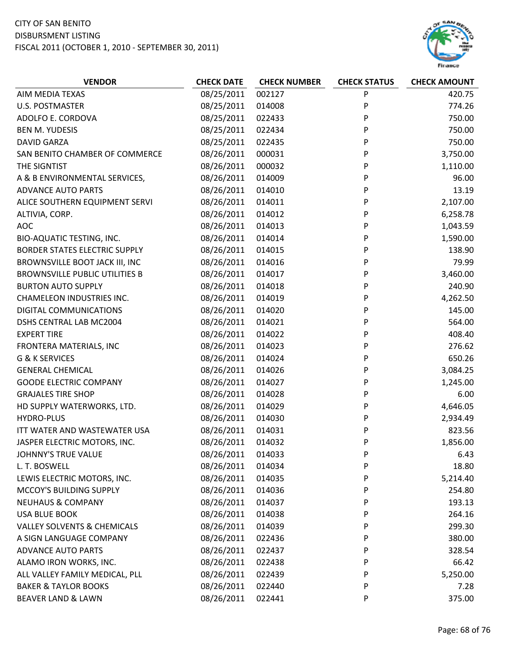# CITY OF SAN BENITO

DISBURSMENT LISTING FISCAL 2011 (OCTOBER 1, 2010 ‐ SEPTEMBER 30, 2011)



| <b>VENDOR</b>                          | <b>CHECK DATE</b> | <b>CHECK NUMBER</b> | <b>CHECK STATUS</b> | <b>CHECK AMOUNT</b> |
|----------------------------------------|-------------------|---------------------|---------------------|---------------------|
| AIM MEDIA TEXAS                        | 08/25/2011        | 002127              | P                   | 420.75              |
| <b>U.S. POSTMASTER</b>                 | 08/25/2011        | 014008              | P                   | 774.26              |
| ADOLFO E. CORDOVA                      | 08/25/2011        | 022433              | P                   | 750.00              |
| <b>BEN M. YUDESIS</b>                  | 08/25/2011        | 022434              | P                   | 750.00              |
| <b>DAVID GARZA</b>                     | 08/25/2011        | 022435              | P                   | 750.00              |
| SAN BENITO CHAMBER OF COMMERCE         | 08/26/2011        | 000031              | P                   | 3,750.00            |
| THE SIGNTIST                           | 08/26/2011        | 000032              | P                   | 1,110.00            |
| A & B ENVIRONMENTAL SERVICES,          | 08/26/2011        | 014009              | P                   | 96.00               |
| <b>ADVANCE AUTO PARTS</b>              | 08/26/2011        | 014010              | P                   | 13.19               |
| ALICE SOUTHERN EQUIPMENT SERVI         | 08/26/2011        | 014011              | P                   | 2,107.00            |
| ALTIVIA, CORP.                         | 08/26/2011        | 014012              | P                   | 6,258.78            |
| AOC                                    | 08/26/2011        | 014013              | P                   | 1,043.59            |
| <b>BIO-AQUATIC TESTING, INC.</b>       | 08/26/2011        | 014014              | P                   | 1,590.00            |
| <b>BORDER STATES ELECTRIC SUPPLY</b>   | 08/26/2011        | 014015              | P                   | 138.90              |
| BROWNSVILLE BOOT JACK III, INC         | 08/26/2011        | 014016              | P                   | 79.99               |
| <b>BROWNSVILLE PUBLIC UTILITIES B</b>  | 08/26/2011        | 014017              | P                   | 3,460.00            |
| <b>BURTON AUTO SUPPLY</b>              | 08/26/2011        | 014018              | P                   | 240.90              |
| <b>CHAMELEON INDUSTRIES INC.</b>       | 08/26/2011        | 014019              | P                   | 4,262.50            |
| DIGITAL COMMUNICATIONS                 | 08/26/2011        | 014020              | P                   | 145.00              |
| DSHS CENTRAL LAB MC2004                | 08/26/2011        | 014021              | P                   | 564.00              |
| <b>EXPERT TIRE</b>                     | 08/26/2011        | 014022              | P                   | 408.40              |
| FRONTERA MATERIALS, INC                | 08/26/2011        | 014023              | P                   | 276.62              |
| <b>G &amp; K SERVICES</b>              | 08/26/2011        | 014024              | P                   | 650.26              |
| <b>GENERAL CHEMICAL</b>                | 08/26/2011        | 014026              | P                   | 3,084.25            |
| <b>GOODE ELECTRIC COMPANY</b>          | 08/26/2011        | 014027              | P                   | 1,245.00            |
| <b>GRAJALES TIRE SHOP</b>              | 08/26/2011        | 014028              | P                   | 6.00                |
| HD SUPPLY WATERWORKS, LTD.             | 08/26/2011        | 014029              | P                   | 4,646.05            |
| <b>HYDRO-PLUS</b>                      | 08/26/2011        | 014030              | P                   | 2,934.49            |
| ITT WATER AND WASTEWATER USA           | 08/26/2011        | 014031              | P                   | 823.56              |
| JASPER ELECTRIC MOTORS, INC.           | 08/26/2011        | 014032              | P                   | 1,856.00            |
| <b>JOHNNY'S TRUE VALUE</b>             | 08/26/2011        | 014033              | P                   | 6.43                |
| L. T. BOSWELL                          | 08/26/2011        | 014034              | P                   | 18.80               |
| LEWIS ELECTRIC MOTORS, INC.            | 08/26/2011        | 014035              | P                   | 5,214.40            |
| MCCOY'S BUILDING SUPPLY                | 08/26/2011        | 014036              | P                   | 254.80              |
| <b>NEUHAUS &amp; COMPANY</b>           | 08/26/2011        | 014037              | P                   | 193.13              |
| <b>USA BLUE BOOK</b>                   | 08/26/2011        | 014038              | P                   | 264.16              |
| <b>VALLEY SOLVENTS &amp; CHEMICALS</b> | 08/26/2011        | 014039              | P                   | 299.30              |
| A SIGN LANGUAGE COMPANY                | 08/26/2011        | 022436              | P                   | 380.00              |
| <b>ADVANCE AUTO PARTS</b>              | 08/26/2011        | 022437              | P                   | 328.54              |
| ALAMO IRON WORKS, INC.                 | 08/26/2011        | 022438              | P                   | 66.42               |
| ALL VALLEY FAMILY MEDICAL, PLL         | 08/26/2011        | 022439              | P                   | 5,250.00            |
| <b>BAKER &amp; TAYLOR BOOKS</b>        | 08/26/2011        | 022440              | P                   | 7.28                |
| <b>BEAVER LAND &amp; LAWN</b>          | 08/26/2011        | 022441              | P                   | 375.00              |
|                                        |                   |                     |                     |                     |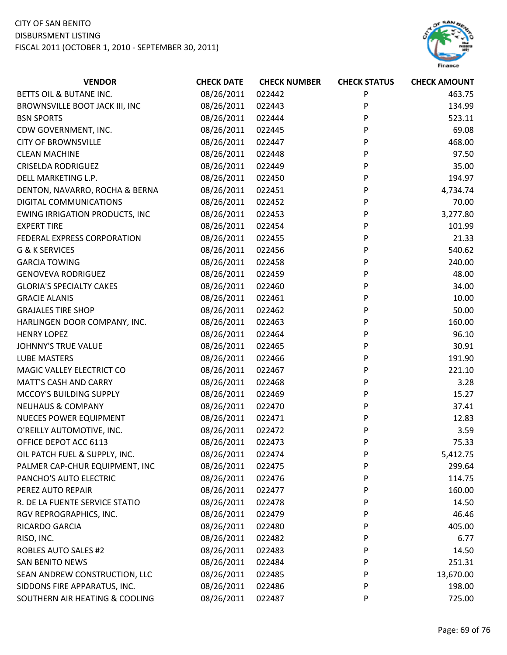

| <b>VENDOR</b>                         | <b>CHECK DATE</b> | <b>CHECK NUMBER</b> | <b>CHECK STATUS</b> | <b>CHECK AMOUNT</b> |
|---------------------------------------|-------------------|---------------------|---------------------|---------------------|
| BETTS OIL & BUTANE INC.               | 08/26/2011        | 022442              | P                   | 463.75              |
| BROWNSVILLE BOOT JACK III, INC        | 08/26/2011        | 022443              | P                   | 134.99              |
| <b>BSN SPORTS</b>                     | 08/26/2011        | 022444              | P                   | 523.11              |
| CDW GOVERNMENT, INC.                  | 08/26/2011        | 022445              | P                   | 69.08               |
| <b>CITY OF BROWNSVILLE</b>            | 08/26/2011        | 022447              | P                   | 468.00              |
| <b>CLEAN MACHINE</b>                  | 08/26/2011        | 022448              | P                   | 97.50               |
| <b>CRISELDA RODRIGUEZ</b>             | 08/26/2011        | 022449              | P                   | 35.00               |
| DELL MARKETING L.P.                   | 08/26/2011        | 022450              | P                   | 194.97              |
| DENTON, NAVARRO, ROCHA & BERNA        | 08/26/2011        | 022451              | P                   | 4,734.74            |
| DIGITAL COMMUNICATIONS                | 08/26/2011        | 022452              | P                   | 70.00               |
| <b>EWING IRRIGATION PRODUCTS, INC</b> | 08/26/2011        | 022453              | P                   | 3,277.80            |
| <b>EXPERT TIRE</b>                    | 08/26/2011        | 022454              | P                   | 101.99              |
| FEDERAL EXPRESS CORPORATION           | 08/26/2011        | 022455              | P                   | 21.33               |
| G & K SERVICES                        | 08/26/2011        | 022456              | P                   | 540.62              |
| <b>GARCIA TOWING</b>                  | 08/26/2011        | 022458              | P                   | 240.00              |
| <b>GENOVEVA RODRIGUEZ</b>             | 08/26/2011        | 022459              | P                   | 48.00               |
| <b>GLORIA'S SPECIALTY CAKES</b>       | 08/26/2011        | 022460              | P                   | 34.00               |
| <b>GRACIE ALANIS</b>                  | 08/26/2011        | 022461              | P                   | 10.00               |
| <b>GRAJALES TIRE SHOP</b>             | 08/26/2011        | 022462              | P                   | 50.00               |
| HARLINGEN DOOR COMPANY, INC.          | 08/26/2011        | 022463              | P                   | 160.00              |
| <b>HENRY LOPEZ</b>                    | 08/26/2011        | 022464              | P                   | 96.10               |
| <b>JOHNNY'S TRUE VALUE</b>            | 08/26/2011        | 022465              | P                   | 30.91               |
| <b>LUBE MASTERS</b>                   | 08/26/2011        | 022466              | P                   | 191.90              |
| MAGIC VALLEY ELECTRICT CO             | 08/26/2011        | 022467              | P                   | 221.10              |
| <b>MATT'S CASH AND CARRY</b>          | 08/26/2011        | 022468              | P                   | 3.28                |
| MCCOY'S BUILDING SUPPLY               | 08/26/2011        | 022469              | P                   | 15.27               |
| <b>NEUHAUS &amp; COMPANY</b>          | 08/26/2011        | 022470              | P                   | 37.41               |
| <b>NUECES POWER EQUIPMENT</b>         | 08/26/2011        | 022471              | P                   | 12.83               |
| O'REILLY AUTOMOTIVE, INC.             | 08/26/2011        | 022472              | P                   | 3.59                |
| OFFICE DEPOT ACC 6113                 | 08/26/2011        | 022473              | P                   | 75.33               |
| OIL PATCH FUEL & SUPPLY, INC.         | 08/26/2011        | 022474              | P                   | 5,412.75            |
| PALMER CAP-CHUR EQUIPMENT, INC        | 08/26/2011        | 022475              | P                   | 299.64              |
| PANCHO'S AUTO ELECTRIC                | 08/26/2011        | 022476              | P                   | 114.75              |
| PEREZ AUTO REPAIR                     | 08/26/2011        | 022477              | P                   | 160.00              |
| R. DE LA FUENTE SERVICE STATIO        | 08/26/2011        | 022478              | P                   | 14.50               |
| RGV REPROGRAPHICS, INC.               | 08/26/2011        | 022479              | P                   | 46.46               |
| RICARDO GARCIA                        | 08/26/2011        | 022480              | P                   | 405.00              |
| RISO, INC.                            | 08/26/2011        | 022482              | P                   | 6.77                |
| <b>ROBLES AUTO SALES #2</b>           | 08/26/2011        | 022483              | P                   | 14.50               |
| <b>SAN BENITO NEWS</b>                | 08/26/2011        | 022484              | P                   | 251.31              |
| SEAN ANDREW CONSTRUCTION, LLC         | 08/26/2011        | 022485              | P                   | 13,670.00           |
| SIDDONS FIRE APPARATUS, INC.          | 08/26/2011        | 022486              | P                   | 198.00              |
| SOUTHERN AIR HEATING & COOLING        | 08/26/2011        | 022487              | P                   | 725.00              |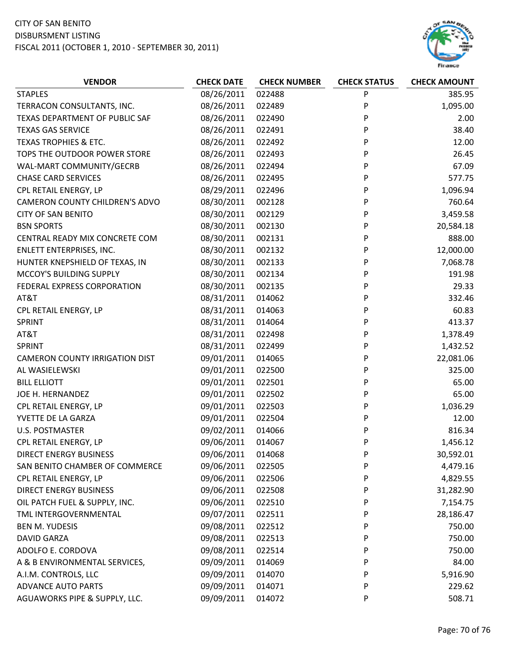

| <b>VENDOR</b>                    | <b>CHECK DATE</b> | <b>CHECK NUMBER</b> | <b>CHECK STATUS</b> | <b>CHECK AMOUNT</b> |
|----------------------------------|-------------------|---------------------|---------------------|---------------------|
| <b>STAPLES</b>                   | 08/26/2011        | 022488              | P                   | 385.95              |
| TERRACON CONSULTANTS, INC.       | 08/26/2011        | 022489              | P                   | 1,095.00            |
| TEXAS DEPARTMENT OF PUBLIC SAF   | 08/26/2011        | 022490              | P                   | 2.00                |
| <b>TEXAS GAS SERVICE</b>         | 08/26/2011        | 022491              | P                   | 38.40               |
| <b>TEXAS TROPHIES &amp; ETC.</b> | 08/26/2011        | 022492              | P                   | 12.00               |
| TOPS THE OUTDOOR POWER STORE     | 08/26/2011        | 022493              | P                   | 26.45               |
| WAL-MART COMMUNITY/GECRB         | 08/26/2011        | 022494              | P                   | 67.09               |
| <b>CHASE CARD SERVICES</b>       | 08/26/2011        | 022495              | P                   | 577.75              |
| CPL RETAIL ENERGY, LP            | 08/29/2011        | 022496              | P                   | 1,096.94            |
| CAMERON COUNTY CHILDREN'S ADVO   | 08/30/2011        | 002128              | P                   | 760.64              |
| <b>CITY OF SAN BENITO</b>        | 08/30/2011        | 002129              | P                   | 3,459.58            |
| <b>BSN SPORTS</b>                | 08/30/2011        | 002130              | P                   | 20,584.18           |
| CENTRAL READY MIX CONCRETE COM   | 08/30/2011        | 002131              | P                   | 888.00              |
| ENLETT ENTERPRISES, INC.         | 08/30/2011        | 002132              | P                   | 12,000.00           |
| HUNTER KNEPSHIELD OF TEXAS, IN   | 08/30/2011        | 002133              | P                   | 7,068.78            |
| MCCOY'S BUILDING SUPPLY          | 08/30/2011        | 002134              | P                   | 191.98              |
| FEDERAL EXPRESS CORPORATION      | 08/30/2011        | 002135              | P                   | 29.33               |
| AT&T                             | 08/31/2011        | 014062              | P                   | 332.46              |
| CPL RETAIL ENERGY, LP            | 08/31/2011        | 014063              | P                   | 60.83               |
| SPRINT                           | 08/31/2011        | 014064              | P                   | 413.37              |
| AT&T                             | 08/31/2011        | 022498              | P                   | 1,378.49            |
| <b>SPRINT</b>                    | 08/31/2011        | 022499              | P                   | 1,432.52            |
| CAMERON COUNTY IRRIGATION DIST   | 09/01/2011        | 014065              | P                   | 22,081.06           |
| AL WASIELEWSKI                   | 09/01/2011        | 022500              | P                   | 325.00              |
| <b>BILL ELLIOTT</b>              | 09/01/2011        | 022501              | P                   | 65.00               |
| JOE H. HERNANDEZ                 | 09/01/2011        | 022502              | P                   | 65.00               |
| CPL RETAIL ENERGY, LP            | 09/01/2011        | 022503              | P                   | 1,036.29            |
| YVETTE DE LA GARZA               | 09/01/2011        | 022504              | P                   | 12.00               |
| <b>U.S. POSTMASTER</b>           | 09/02/2011        | 014066              | P                   | 816.34              |
| CPL RETAIL ENERGY, LP            | 09/06/2011        | 014067              | P                   | 1,456.12            |
| <b>DIRECT ENERGY BUSINESS</b>    | 09/06/2011        | 014068              | P                   | 30,592.01           |
| SAN BENITO CHAMBER OF COMMERCE   | 09/06/2011        | 022505              | P                   | 4,479.16            |
| CPL RETAIL ENERGY, LP            | 09/06/2011        | 022506              | P                   | 4,829.55            |
| <b>DIRECT ENERGY BUSINESS</b>    | 09/06/2011        | 022508              | P                   | 31,282.90           |
| OIL PATCH FUEL & SUPPLY, INC.    | 09/06/2011        | 022510              | P                   | 7,154.75            |
| TML INTERGOVERNMENTAL            | 09/07/2011        | 022511              | P                   | 28,186.47           |
| <b>BEN M. YUDESIS</b>            | 09/08/2011        | 022512              | P                   | 750.00              |
| <b>DAVID GARZA</b>               | 09/08/2011        | 022513              | P                   | 750.00              |
| ADOLFO E. CORDOVA                | 09/08/2011        | 022514              | P                   | 750.00              |
| A & B ENVIRONMENTAL SERVICES,    | 09/09/2011        | 014069              | P                   | 84.00               |
| A.I.M. CONTROLS, LLC             | 09/09/2011        | 014070              | P                   | 5,916.90            |
| <b>ADVANCE AUTO PARTS</b>        | 09/09/2011        | 014071              | P                   | 229.62              |
| AGUAWORKS PIPE & SUPPLY, LLC.    | 09/09/2011        | 014072              | P                   | 508.71              |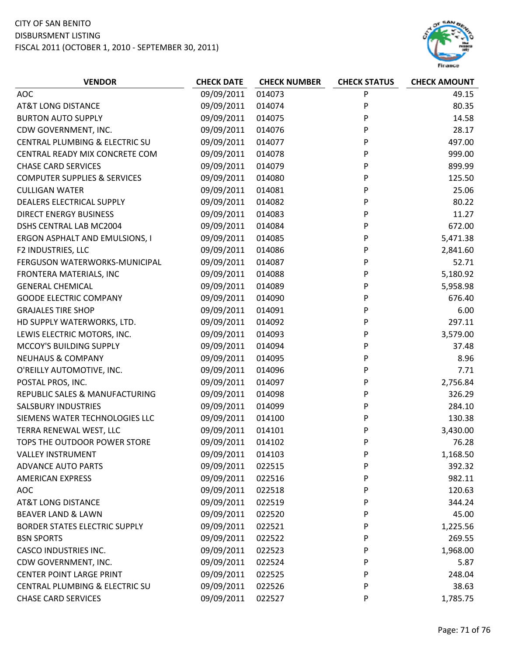

| <b>VENDOR</b>                           | <b>CHECK DATE</b> | <b>CHECK NUMBER</b> | <b>CHECK STATUS</b> | <b>CHECK AMOUNT</b> |
|-----------------------------------------|-------------------|---------------------|---------------------|---------------------|
| AOC                                     | 09/09/2011        | 014073              | P                   | 49.15               |
| <b>AT&amp;T LONG DISTANCE</b>           | 09/09/2011        | 014074              | P                   | 80.35               |
| <b>BURTON AUTO SUPPLY</b>               | 09/09/2011        | 014075              | P                   | 14.58               |
| CDW GOVERNMENT, INC.                    | 09/09/2011        | 014076              | P                   | 28.17               |
| CENTRAL PLUMBING & ELECTRIC SU          | 09/09/2011        | 014077              | P                   | 497.00              |
| CENTRAL READY MIX CONCRETE COM          | 09/09/2011        | 014078              | P                   | 999.00              |
| <b>CHASE CARD SERVICES</b>              | 09/09/2011        | 014079              | P                   | 899.99              |
| <b>COMPUTER SUPPLIES &amp; SERVICES</b> | 09/09/2011        | 014080              | P                   | 125.50              |
| <b>CULLIGAN WATER</b>                   | 09/09/2011        | 014081              | P                   | 25.06               |
| DEALERS ELECTRICAL SUPPLY               | 09/09/2011        | 014082              | P                   | 80.22               |
| DIRECT ENERGY BUSINESS                  | 09/09/2011        | 014083              | P                   | 11.27               |
| DSHS CENTRAL LAB MC2004                 | 09/09/2011        | 014084              | P                   | 672.00              |
| ERGON ASPHALT AND EMULSIONS, I          | 09/09/2011        | 014085              | P                   | 5,471.38            |
| F2 INDUSTRIES, LLC                      | 09/09/2011        | 014086              | P                   | 2,841.60            |
| FERGUSON WATERWORKS-MUNICIPAL           | 09/09/2011        | 014087              | P                   | 52.71               |
| FRONTERA MATERIALS, INC                 | 09/09/2011        | 014088              | P                   | 5,180.92            |
| <b>GENERAL CHEMICAL</b>                 | 09/09/2011        | 014089              | P                   | 5,958.98            |
| <b>GOODE ELECTRIC COMPANY</b>           | 09/09/2011        | 014090              | P                   | 676.40              |
| <b>GRAJALES TIRE SHOP</b>               | 09/09/2011        | 014091              | P                   | 6.00                |
| HD SUPPLY WATERWORKS, LTD.              | 09/09/2011        | 014092              | P                   | 297.11              |
| LEWIS ELECTRIC MOTORS, INC.             | 09/09/2011        | 014093              | P                   | 3,579.00            |
| MCCOY'S BUILDING SUPPLY                 | 09/09/2011        | 014094              | P                   | 37.48               |
| <b>NEUHAUS &amp; COMPANY</b>            | 09/09/2011        | 014095              | P                   | 8.96                |
| O'REILLY AUTOMOTIVE, INC.               | 09/09/2011        | 014096              | P                   | 7.71                |
| POSTAL PROS, INC.                       | 09/09/2011        | 014097              | P                   | 2,756.84            |
| REPUBLIC SALES & MANUFACTURING          | 09/09/2011        | 014098              | P                   | 326.29              |
| <b>SALSBURY INDUSTRIES</b>              | 09/09/2011        | 014099              | P                   | 284.10              |
| SIEMENS WATER TECHNOLOGIES LLC          | 09/09/2011        | 014100              | P                   | 130.38              |
| TERRA RENEWAL WEST, LLC                 | 09/09/2011        | 014101              | P                   | 3,430.00            |
| TOPS THE OUTDOOR POWER STORE            | 09/09/2011        | 014102              | P                   | 76.28               |
| <b>VALLEY INSTRUMENT</b>                | 09/09/2011        | 014103              | P                   | 1,168.50            |
| <b>ADVANCE AUTO PARTS</b>               | 09/09/2011        | 022515              | P                   | 392.32              |
| <b>AMERICAN EXPRESS</b>                 | 09/09/2011        | 022516              | P                   | 982.11              |
| AOC                                     | 09/09/2011        | 022518              | P                   | 120.63              |
| <b>AT&amp;T LONG DISTANCE</b>           | 09/09/2011        | 022519              | P                   | 344.24              |
| <b>BEAVER LAND &amp; LAWN</b>           | 09/09/2011        | 022520              | P                   | 45.00               |
| <b>BORDER STATES ELECTRIC SUPPLY</b>    | 09/09/2011        | 022521              | P                   | 1,225.56            |
| <b>BSN SPORTS</b>                       | 09/09/2011        | 022522              | P                   | 269.55              |
| <b>CASCO INDUSTRIES INC.</b>            | 09/09/2011        | 022523              | P                   | 1,968.00            |
| CDW GOVERNMENT, INC.                    | 09/09/2011        | 022524              | P                   | 5.87                |
| <b>CENTER POINT LARGE PRINT</b>         | 09/09/2011        | 022525              | P                   | 248.04              |
| CENTRAL PLUMBING & ELECTRIC SU          | 09/09/2011        | 022526              | P                   | 38.63               |
| <b>CHASE CARD SERVICES</b>              | 09/09/2011        | 022527              | P                   | 1,785.75            |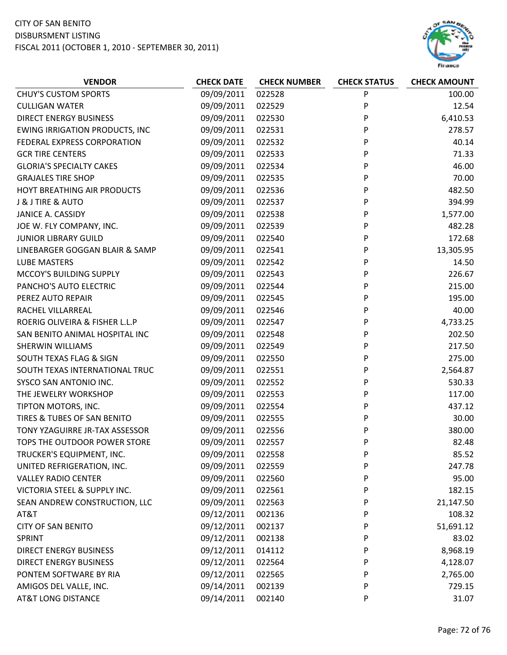

| <b>VENDOR</b>                         | <b>CHECK DATE</b> | <b>CHECK NUMBER</b> | <b>CHECK STATUS</b> | <b>CHECK AMOUNT</b> |
|---------------------------------------|-------------------|---------------------|---------------------|---------------------|
| <b>CHUY'S CUSTOM SPORTS</b>           | 09/09/2011        | 022528              | P                   | 100.00              |
| <b>CULLIGAN WATER</b>                 | 09/09/2011        | 022529              | P                   | 12.54               |
| <b>DIRECT ENERGY BUSINESS</b>         | 09/09/2011        | 022530              | P                   | 6,410.53            |
| <b>EWING IRRIGATION PRODUCTS, INC</b> | 09/09/2011        | 022531              | P                   | 278.57              |
| FEDERAL EXPRESS CORPORATION           | 09/09/2011        | 022532              | P                   | 40.14               |
| <b>GCR TIRE CENTERS</b>               | 09/09/2011        | 022533              | P                   | 71.33               |
| <b>GLORIA'S SPECIALTY CAKES</b>       | 09/09/2011        | 022534              | P                   | 46.00               |
| <b>GRAJALES TIRE SHOP</b>             | 09/09/2011        | 022535              | P                   | 70.00               |
| HOYT BREATHING AIR PRODUCTS           | 09/09/2011        | 022536              | P                   | 482.50              |
| J & J TIRE & AUTO                     | 09/09/2011        | 022537              | P                   | 394.99              |
| JANICE A. CASSIDY                     | 09/09/2011        | 022538              | P                   | 1,577.00            |
| JOE W. FLY COMPANY, INC.              | 09/09/2011        | 022539              | P                   | 482.28              |
| <b>JUNIOR LIBRARY GUILD</b>           | 09/09/2011        | 022540              | P                   | 172.68              |
| LINEBARGER GOGGAN BLAIR & SAMP        | 09/09/2011        | 022541              | P                   | 13,305.95           |
| <b>LUBE MASTERS</b>                   | 09/09/2011        | 022542              | P                   | 14.50               |
| MCCOY'S BUILDING SUPPLY               | 09/09/2011        | 022543              | P                   | 226.67              |
| PANCHO'S AUTO ELECTRIC                | 09/09/2011        | 022544              | P                   | 215.00              |
| PEREZ AUTO REPAIR                     | 09/09/2011        | 022545              | P                   | 195.00              |
| RACHEL VILLARREAL                     | 09/09/2011        | 022546              | P                   | 40.00               |
| ROERIG OLIVEIRA & FISHER L.L.P        | 09/09/2011        | 022547              | P                   | 4,733.25            |
| SAN BENITO ANIMAL HOSPITAL INC        | 09/09/2011        | 022548              | P                   | 202.50              |
| SHERWIN WILLIAMS                      | 09/09/2011        | 022549              | P                   | 217.50              |
| SOUTH TEXAS FLAG & SIGN               | 09/09/2011        | 022550              | P                   | 275.00              |
| SOUTH TEXAS INTERNATIONAL TRUC        | 09/09/2011        | 022551              | P                   | 2,564.87            |
| SYSCO SAN ANTONIO INC.                | 09/09/2011        | 022552              | P                   | 530.33              |
| THE JEWELRY WORKSHOP                  | 09/09/2011        | 022553              | P                   | 117.00              |
| TIPTON MOTORS, INC.                   | 09/09/2011        | 022554              | P                   | 437.12              |
| TIRES & TUBES OF SAN BENITO           | 09/09/2011        | 022555              | P                   | 30.00               |
| TONY YZAGUIRRE JR-TAX ASSESSOR        | 09/09/2011        | 022556              | P                   | 380.00              |
| TOPS THE OUTDOOR POWER STORE          | 09/09/2011        | 022557              | P                   | 82.48               |
| TRUCKER'S EQUIPMENT, INC.             | 09/09/2011        | 022558              | P                   | 85.52               |
| UNITED REFRIGERATION, INC.            | 09/09/2011        | 022559              | P                   | 247.78              |
| <b>VALLEY RADIO CENTER</b>            | 09/09/2011        | 022560              | P                   | 95.00               |
| VICTORIA STEEL & SUPPLY INC.          | 09/09/2011        | 022561              | P                   | 182.15              |
| SEAN ANDREW CONSTRUCTION, LLC         | 09/09/2011        | 022563              | P                   | 21,147.50           |
| AT&T                                  | 09/12/2011        | 002136              | P                   | 108.32              |
| <b>CITY OF SAN BENITO</b>             | 09/12/2011        | 002137              | P                   | 51,691.12           |
| SPRINT                                | 09/12/2011        | 002138              | P                   | 83.02               |
| <b>DIRECT ENERGY BUSINESS</b>         | 09/12/2011        | 014112              | P                   | 8,968.19            |
| <b>DIRECT ENERGY BUSINESS</b>         | 09/12/2011        | 022564              | P                   | 4,128.07            |
| PONTEM SOFTWARE BY RIA                | 09/12/2011        | 022565              | P                   | 2,765.00            |
| AMIGOS DEL VALLE, INC.                | 09/14/2011        | 002139              | P                   | 729.15              |
| <b>AT&amp;T LONG DISTANCE</b>         | 09/14/2011        | 002140              | P                   | 31.07               |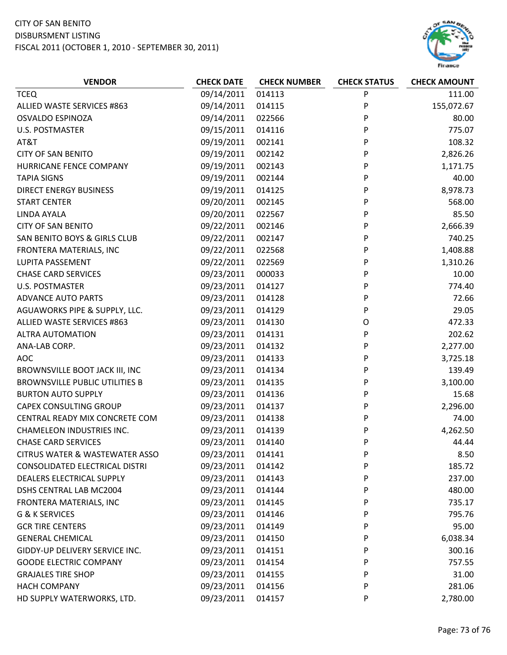## CITY OF SAN BENITO DISBURSMENT LISTING

FISCAL 2011 (OCTOBER 1, 2010 ‐ SEPTEMBER 30, 2011)



| <b>VENDOR</b>                             | <b>CHECK DATE</b> | <b>CHECK NUMBER</b> | <b>CHECK STATUS</b> | <b>CHECK AMOUNT</b> |
|-------------------------------------------|-------------------|---------------------|---------------------|---------------------|
| <b>TCEQ</b>                               | 09/14/2011        | 014113              | P                   | 111.00              |
| ALLIED WASTE SERVICES #863                | 09/14/2011        | 014115              | P                   | 155,072.67          |
| <b>OSVALDO ESPINOZA</b>                   | 09/14/2011        | 022566              | P                   | 80.00               |
| <b>U.S. POSTMASTER</b>                    | 09/15/2011        | 014116              | P                   | 775.07              |
| AT&T                                      | 09/19/2011        | 002141              | P                   | 108.32              |
| <b>CITY OF SAN BENITO</b>                 | 09/19/2011        | 002142              | P                   | 2,826.26            |
| HURRICANE FENCE COMPANY                   | 09/19/2011        | 002143              | P                   | 1,171.75            |
| <b>TAPIA SIGNS</b>                        | 09/19/2011        | 002144              | P                   | 40.00               |
| <b>DIRECT ENERGY BUSINESS</b>             | 09/19/2011        | 014125              | P                   | 8,978.73            |
| <b>START CENTER</b>                       | 09/20/2011        | 002145              | P                   | 568.00              |
| LINDA AYALA                               | 09/20/2011        | 022567              | P                   | 85.50               |
| <b>CITY OF SAN BENITO</b>                 | 09/22/2011        | 002146              | P                   | 2,666.39            |
| SAN BENITO BOYS & GIRLS CLUB              | 09/22/2011        | 002147              | P                   | 740.25              |
| FRONTERA MATERIALS, INC                   | 09/22/2011        | 022568              | P                   | 1,408.88            |
| LUPITA PASSEMENT                          | 09/22/2011        | 022569              | P                   | 1,310.26            |
| <b>CHASE CARD SERVICES</b>                | 09/23/2011        | 000033              | P                   | 10.00               |
| <b>U.S. POSTMASTER</b>                    | 09/23/2011        | 014127              | P                   | 774.40              |
| <b>ADVANCE AUTO PARTS</b>                 | 09/23/2011        | 014128              | P                   | 72.66               |
| AGUAWORKS PIPE & SUPPLY, LLC.             | 09/23/2011        | 014129              | P                   | 29.05               |
| ALLIED WASTE SERVICES #863                | 09/23/2011        | 014130              | O                   | 472.33              |
| <b>ALTRA AUTOMATION</b>                   | 09/23/2011        | 014131              | P                   | 202.62              |
| ANA-LAB CORP.                             | 09/23/2011        | 014132              | P                   | 2,277.00            |
| <b>AOC</b>                                | 09/23/2011        | 014133              | P                   | 3,725.18            |
| BROWNSVILLE BOOT JACK III, INC            | 09/23/2011        | 014134              | P                   | 139.49              |
| <b>BROWNSVILLE PUBLIC UTILITIES B</b>     | 09/23/2011        | 014135              | P                   | 3,100.00            |
| <b>BURTON AUTO SUPPLY</b>                 | 09/23/2011        | 014136              | P                   | 15.68               |
| <b>CAPEX CONSULTING GROUP</b>             | 09/23/2011        | 014137              | P                   | 2,296.00            |
| CENTRAL READY MIX CONCRETE COM            | 09/23/2011        | 014138              | P                   | 74.00               |
| <b>CHAMELEON INDUSTRIES INC.</b>          | 09/23/2011        | 014139              | P                   | 4,262.50            |
| <b>CHASE CARD SERVICES</b>                | 09/23/2011        | 014140              | P                   | 44.44               |
| <b>CITRUS WATER &amp; WASTEWATER ASSO</b> | 09/23/2011        | 014141              | P                   | 8.50                |
| CONSOLIDATED ELECTRICAL DISTRI            | 09/23/2011        | 014142              | P                   | 185.72              |
| DEALERS ELECTRICAL SUPPLY                 | 09/23/2011        | 014143              | P                   | 237.00              |
| DSHS CENTRAL LAB MC2004                   | 09/23/2011        | 014144              | P                   | 480.00              |
| FRONTERA MATERIALS, INC                   | 09/23/2011        | 014145              | P                   | 735.17              |
| G & K SERVICES                            | 09/23/2011        | 014146              | P                   | 795.76              |
| <b>GCR TIRE CENTERS</b>                   | 09/23/2011        | 014149              | P                   | 95.00               |
| <b>GENERAL CHEMICAL</b>                   | 09/23/2011        | 014150              | P                   | 6,038.34            |
| GIDDY-UP DELIVERY SERVICE INC.            | 09/23/2011        | 014151              | P                   | 300.16              |
| <b>GOODE ELECTRIC COMPANY</b>             | 09/23/2011        | 014154              | P                   | 757.55              |
| <b>GRAJALES TIRE SHOP</b>                 | 09/23/2011        | 014155              | P                   | 31.00               |
| <b>HACH COMPANY</b>                       | 09/23/2011        | 014156              | P                   | 281.06              |
| HD SUPPLY WATERWORKS, LTD.                | 09/23/2011        | 014157              | P                   | 2,780.00            |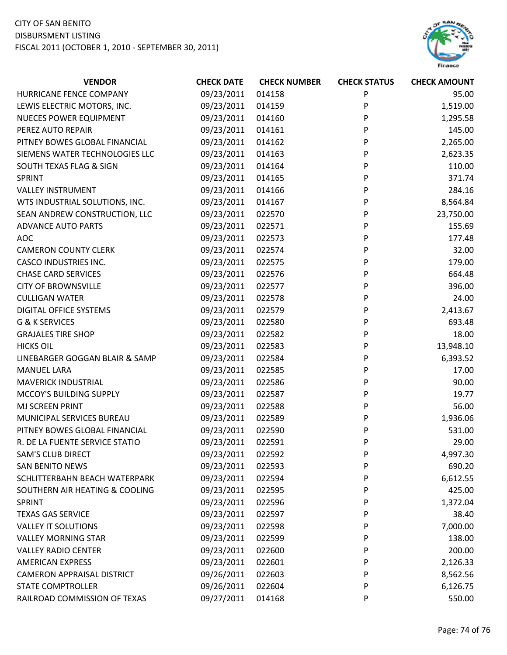## CITY OF SAN BENITO DISBURSMENT LISTING FISCAL 2011 (OCTOBER 1, 2010 ‐ SEPTEMBER 30, 2011)



| <b>VENDOR</b>                     | <b>CHECK DATE</b> | <b>CHECK NUMBER</b> | <b>CHECK STATUS</b> | <b>CHECK AMOUNT</b> |
|-----------------------------------|-------------------|---------------------|---------------------|---------------------|
| HURRICANE FENCE COMPANY           | 09/23/2011        | 014158              | P                   | 95.00               |
| LEWIS ELECTRIC MOTORS, INC.       | 09/23/2011        | 014159              | P                   | 1,519.00            |
| <b>NUECES POWER EQUIPMENT</b>     | 09/23/2011        | 014160              | P                   | 1,295.58            |
| PEREZ AUTO REPAIR                 | 09/23/2011        | 014161              | P                   | 145.00              |
| PITNEY BOWES GLOBAL FINANCIAL     | 09/23/2011        | 014162              | P                   | 2,265.00            |
| SIEMENS WATER TECHNOLOGIES LLC    | 09/23/2011        | 014163              | P                   | 2,623.35            |
| SOUTH TEXAS FLAG & SIGN           | 09/23/2011        | 014164              | P                   | 110.00              |
| SPRINT                            | 09/23/2011        | 014165              | P                   | 371.74              |
| <b>VALLEY INSTRUMENT</b>          | 09/23/2011        | 014166              | P                   | 284.16              |
| WTS INDUSTRIAL SOLUTIONS, INC.    | 09/23/2011        | 014167              | P                   | 8,564.84            |
| SEAN ANDREW CONSTRUCTION, LLC     | 09/23/2011        | 022570              | P                   | 23,750.00           |
| <b>ADVANCE AUTO PARTS</b>         | 09/23/2011        | 022571              | P                   | 155.69              |
| <b>AOC</b>                        | 09/23/2011        | 022573              | P                   | 177.48              |
| <b>CAMERON COUNTY CLERK</b>       | 09/23/2011        | 022574              | P                   | 32.00               |
| <b>CASCO INDUSTRIES INC.</b>      | 09/23/2011        | 022575              | P                   | 179.00              |
| <b>CHASE CARD SERVICES</b>        | 09/23/2011        | 022576              | P                   | 664.48              |
| <b>CITY OF BROWNSVILLE</b>        | 09/23/2011        | 022577              | P                   | 396.00              |
| <b>CULLIGAN WATER</b>             | 09/23/2011        | 022578              | P                   | 24.00               |
| <b>DIGITAL OFFICE SYSTEMS</b>     | 09/23/2011        | 022579              | P                   | 2,413.67            |
| G & K SERVICES                    | 09/23/2011        | 022580              | P                   | 693.48              |
| <b>GRAJALES TIRE SHOP</b>         | 09/23/2011        | 022582              | P                   | 18.00               |
| <b>HICKS OIL</b>                  | 09/23/2011        | 022583              | P                   | 13,948.10           |
| LINEBARGER GOGGAN BLAIR & SAMP    | 09/23/2011        | 022584              | P                   | 6,393.52            |
| <b>MANUEL LARA</b>                | 09/23/2011        | 022585              | P                   | 17.00               |
| <b>MAVERICK INDUSTRIAL</b>        | 09/23/2011        | 022586              | P                   | 90.00               |
| MCCOY'S BUILDING SUPPLY           | 09/23/2011        | 022587              | P                   | 19.77               |
| MJ SCREEN PRINT                   | 09/23/2011        | 022588              | P                   | 56.00               |
| MUNICIPAL SERVICES BUREAU         | 09/23/2011        | 022589              | P                   | 1,936.06            |
| PITNEY BOWES GLOBAL FINANCIAL     | 09/23/2011        | 022590              | P                   | 531.00              |
| R. DE LA FUENTE SERVICE STATIO    | 09/23/2011        | 022591              | P                   | 29.00               |
| <b>SAM'S CLUB DIRECT</b>          | 09/23/2011        | 022592              | P                   | 4,997.30            |
| <b>SAN BENITO NEWS</b>            | 09/23/2011        | 022593              | P                   | 690.20              |
| SCHLITTERBAHN BEACH WATERPARK     | 09/23/2011        | 022594              | P                   | 6,612.55            |
| SOUTHERN AIR HEATING & COOLING    | 09/23/2011        | 022595              | P                   | 425.00              |
| SPRINT                            | 09/23/2011        | 022596              | P                   | 1,372.04            |
| <b>TEXAS GAS SERVICE</b>          | 09/23/2011        | 022597              | P                   | 38.40               |
| <b>VALLEY IT SOLUTIONS</b>        | 09/23/2011        | 022598              | P                   | 7,000.00            |
| <b>VALLEY MORNING STAR</b>        | 09/23/2011        | 022599              | P                   | 138.00              |
| <b>VALLEY RADIO CENTER</b>        | 09/23/2011        | 022600              | P                   | 200.00              |
| <b>AMERICAN EXPRESS</b>           | 09/23/2011        | 022601              | P                   | 2,126.33            |
| <b>CAMERON APPRAISAL DISTRICT</b> | 09/26/2011        | 022603              | P                   | 8,562.56            |
| <b>STATE COMPTROLLER</b>          | 09/26/2011        | 022604              | P                   | 6,126.75            |
| RAILROAD COMMISSION OF TEXAS      | 09/27/2011        | 014168              | P                   | 550.00              |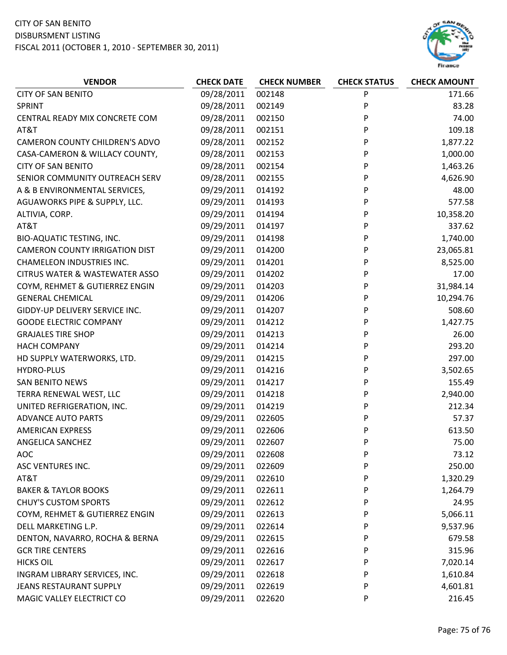

| <b>VENDOR</b>                             | <b>CHECK DATE</b> | <b>CHECK NUMBER</b> | <b>CHECK STATUS</b> | <b>CHECK AMOUNT</b> |
|-------------------------------------------|-------------------|---------------------|---------------------|---------------------|
| <b>CITY OF SAN BENITO</b>                 | 09/28/2011        | 002148              | P                   | 171.66              |
| <b>SPRINT</b>                             | 09/28/2011        | 002149              | P                   | 83.28               |
| CENTRAL READY MIX CONCRETE COM            | 09/28/2011        | 002150              | P                   | 74.00               |
| AT&T                                      | 09/28/2011        | 002151              | P                   | 109.18              |
| <b>CAMERON COUNTY CHILDREN'S ADVO</b>     | 09/28/2011        | 002152              | P                   | 1,877.22            |
| CASA-CAMERON & WILLACY COUNTY,            | 09/28/2011        | 002153              | P                   | 1,000.00            |
| <b>CITY OF SAN BENITO</b>                 | 09/28/2011        | 002154              | P                   | 1,463.26            |
| SENIOR COMMUNITY OUTREACH SERV            | 09/28/2011        | 002155              | P                   | 4,626.90            |
| A & B ENVIRONMENTAL SERVICES,             | 09/29/2011        | 014192              | P                   | 48.00               |
| AGUAWORKS PIPE & SUPPLY, LLC.             | 09/29/2011        | 014193              | P                   | 577.58              |
| ALTIVIA, CORP.                            | 09/29/2011        | 014194              | P                   | 10,358.20           |
| AT&T                                      | 09/29/2011        | 014197              | P                   | 337.62              |
| <b>BIO-AQUATIC TESTING, INC.</b>          | 09/29/2011        | 014198              | P                   | 1,740.00            |
| <b>CAMERON COUNTY IRRIGATION DIST</b>     | 09/29/2011        | 014200              | P                   | 23,065.81           |
| <b>CHAMELEON INDUSTRIES INC.</b>          | 09/29/2011        | 014201              | P                   | 8,525.00            |
| <b>CITRUS WATER &amp; WASTEWATER ASSO</b> | 09/29/2011        | 014202              | P                   | 17.00               |
| COYM, REHMET & GUTIERREZ ENGIN            | 09/29/2011        | 014203              | P                   | 31,984.14           |
| <b>GENERAL CHEMICAL</b>                   | 09/29/2011        | 014206              | P                   | 10,294.76           |
| GIDDY-UP DELIVERY SERVICE INC.            | 09/29/2011        | 014207              | P                   | 508.60              |
| <b>GOODE ELECTRIC COMPANY</b>             | 09/29/2011        | 014212              | P                   | 1,427.75            |
| <b>GRAJALES TIRE SHOP</b>                 | 09/29/2011        | 014213              | P                   | 26.00               |
| <b>HACH COMPANY</b>                       | 09/29/2011        | 014214              | P                   | 293.20              |
| HD SUPPLY WATERWORKS, LTD.                | 09/29/2011        | 014215              | P                   | 297.00              |
| <b>HYDRO-PLUS</b>                         | 09/29/2011        | 014216              | P                   | 3,502.65            |
| <b>SAN BENITO NEWS</b>                    | 09/29/2011        | 014217              | P                   | 155.49              |
| TERRA RENEWAL WEST, LLC                   | 09/29/2011        | 014218              | P                   | 2,940.00            |
| UNITED REFRIGERATION, INC.                | 09/29/2011        | 014219              | P                   | 212.34              |
| <b>ADVANCE AUTO PARTS</b>                 | 09/29/2011        | 022605              | P                   | 57.37               |
| <b>AMERICAN EXPRESS</b>                   | 09/29/2011        | 022606              | P                   | 613.50              |
| ANGELICA SANCHEZ                          | 09/29/2011        | 022607              | P                   | 75.00               |
| <b>AOC</b>                                | 09/29/2011        | 022608              | P                   | 73.12               |
| ASC VENTURES INC.                         | 09/29/2011        | 022609              | P                   | 250.00              |
| AT&T                                      | 09/29/2011        | 022610              | P                   | 1,320.29            |
| <b>BAKER &amp; TAYLOR BOOKS</b>           | 09/29/2011        | 022611              | P                   | 1,264.79            |
| <b>CHUY'S CUSTOM SPORTS</b>               | 09/29/2011        | 022612              | P                   | 24.95               |
| COYM, REHMET & GUTIERREZ ENGIN            | 09/29/2011        | 022613              | P                   | 5,066.11            |
| DELL MARKETING L.P.                       | 09/29/2011        | 022614              | P                   | 9,537.96            |
| DENTON, NAVARRO, ROCHA & BERNA            | 09/29/2011        | 022615              | P                   | 679.58              |
| <b>GCR TIRE CENTERS</b>                   | 09/29/2011        | 022616              | P                   | 315.96              |
| <b>HICKS OIL</b>                          | 09/29/2011        | 022617              | P                   | 7,020.14            |
| INGRAM LIBRARY SERVICES, INC.             | 09/29/2011        | 022618              | P                   | 1,610.84            |
| JEANS RESTAURANT SUPPLY                   | 09/29/2011        | 022619              | P                   | 4,601.81            |
| MAGIC VALLEY ELECTRICT CO                 | 09/29/2011        | 022620              | P                   | 216.45              |